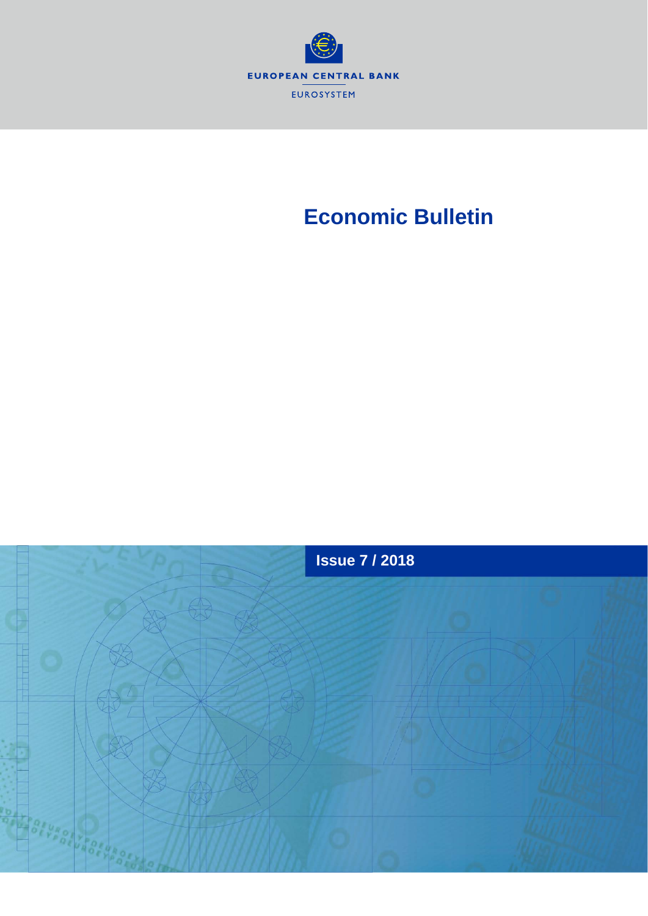

# **Economic Bulletin**

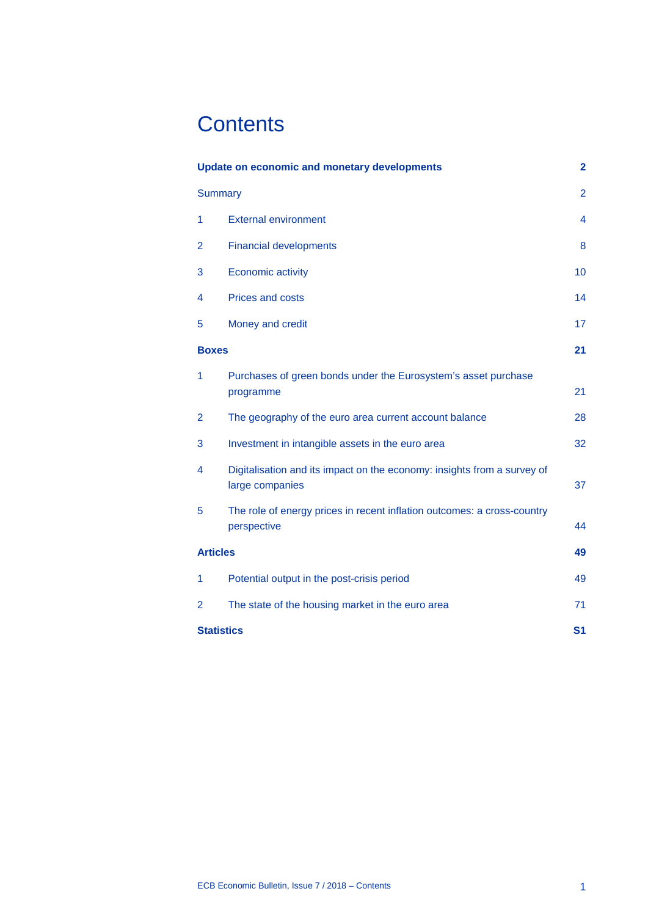# **Contents**

| <b>Update on economic and monetary developments</b> |                                                                                            | $\overline{\mathbf{2}}$ |
|-----------------------------------------------------|--------------------------------------------------------------------------------------------|-------------------------|
| <b>Summary</b>                                      |                                                                                            | $\overline{2}$          |
| 1                                                   | <b>External environment</b>                                                                | 4                       |
| 2                                                   | <b>Financial developments</b>                                                              | 8                       |
| 3                                                   | <b>Economic activity</b>                                                                   | 10                      |
| 4                                                   | Prices and costs                                                                           | 14                      |
| 5                                                   | Money and credit                                                                           | 17                      |
| <b>Boxes</b>                                        |                                                                                            | 21                      |
| 1                                                   | Purchases of green bonds under the Eurosystem's asset purchase<br>programme                | 21                      |
| $\overline{2}$                                      | The geography of the euro area current account balance                                     | 28                      |
| 3                                                   | Investment in intangible assets in the euro area                                           | 32                      |
| 4                                                   | Digitalisation and its impact on the economy: insights from a survey of<br>large companies | 37                      |
| 5                                                   | The role of energy prices in recent inflation outcomes: a cross-country<br>perspective     | 44                      |
| <b>Articles</b>                                     |                                                                                            | 49                      |
| 1                                                   | Potential output in the post-crisis period                                                 | 49                      |
| $\overline{2}$                                      | The state of the housing market in the euro area                                           | 71                      |
| <b>Statistics</b>                                   |                                                                                            | S <sub>1</sub>          |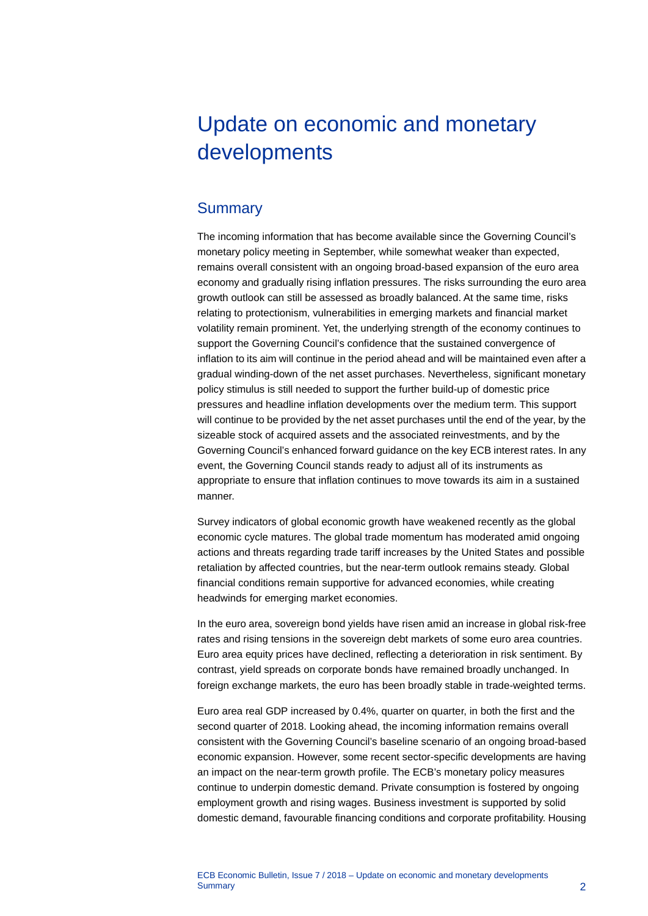# <span id="page-2-0"></span>Update on economic and monetary developments

# <span id="page-2-1"></span>**Summary**

The incoming information that has become available since the Governing Council's monetary policy meeting in September, while somewhat weaker than expected, remains overall consistent with an ongoing broad-based expansion of the euro area economy and gradually rising inflation pressures. The risks surrounding the euro area growth outlook can still be assessed as broadly balanced. At the same time, risks relating to protectionism, vulnerabilities in emerging markets and financial market volatility remain prominent. Yet, the underlying strength of the economy continues to support the Governing Council's confidence that the sustained convergence of inflation to its aim will continue in the period ahead and will be maintained even after a gradual winding-down of the net asset purchases. Nevertheless, significant monetary policy stimulus is still needed to support the further build-up of domestic price pressures and headline inflation developments over the medium term. This support will continue to be provided by the net asset purchases until the end of the year, by the sizeable stock of acquired assets and the associated reinvestments, and by the Governing Council's enhanced forward guidance on the key ECB interest rates. In any event, the Governing Council stands ready to adjust all of its instruments as appropriate to ensure that inflation continues to move towards its aim in a sustained manner.

Survey indicators of global economic growth have weakened recently as the global economic cycle matures. The global trade momentum has moderated amid ongoing actions and threats regarding trade tariff increases by the United States and possible retaliation by affected countries, but the near-term outlook remains steady. Global financial conditions remain supportive for advanced economies, while creating headwinds for emerging market economies.

In the euro area, sovereign bond yields have risen amid an increase in global risk-free rates and rising tensions in the sovereign debt markets of some euro area countries. Euro area equity prices have declined, reflecting a deterioration in risk sentiment. By contrast, yield spreads on corporate bonds have remained broadly unchanged. In foreign exchange markets, the euro has been broadly stable in trade-weighted terms.

Euro area real GDP increased by 0.4%, quarter on quarter, in both the first and the second quarter of 2018. Looking ahead, the incoming information remains overall consistent with the Governing Council's baseline scenario of an ongoing broad-based economic expansion. However, some recent sector-specific developments are having an impact on the near-term growth profile. The ECB's monetary policy measures continue to underpin domestic demand. Private consumption is fostered by ongoing employment growth and rising wages. Business investment is supported by solid domestic demand, favourable financing conditions and corporate profitability. Housing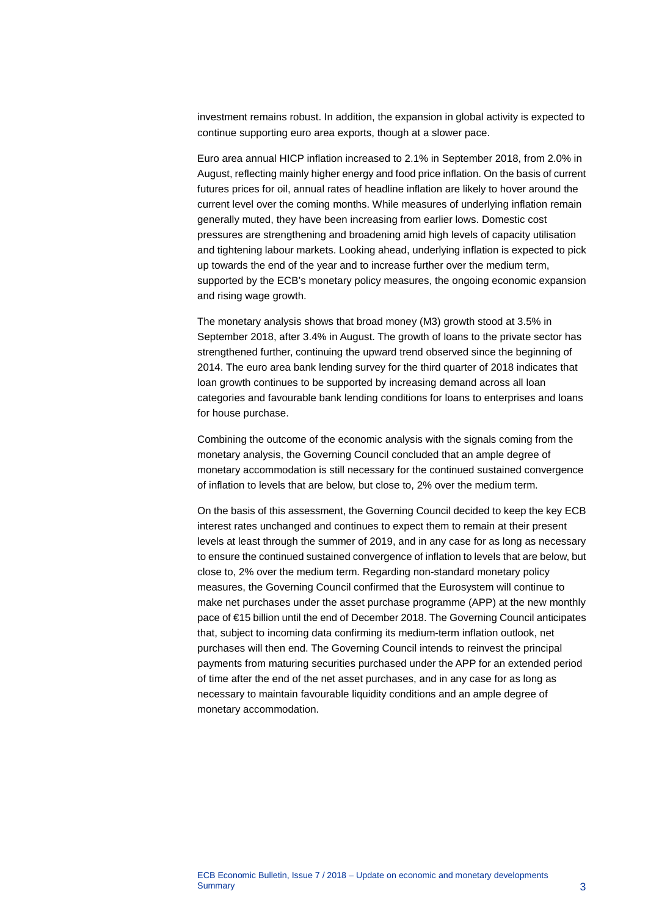investment remains robust. In addition, the expansion in global activity is expected to continue supporting euro area exports, though at a slower pace.

Euro area annual HICP inflation increased to 2.1% in September 2018, from 2.0% in August, reflecting mainly higher energy and food price inflation. On the basis of current futures prices for oil, annual rates of headline inflation are likely to hover around the current level over the coming months. While measures of underlying inflation remain generally muted, they have been increasing from earlier lows. Domestic cost pressures are strengthening and broadening amid high levels of capacity utilisation and tightening labour markets. Looking ahead, underlying inflation is expected to pick up towards the end of the year and to increase further over the medium term, supported by the ECB's monetary policy measures, the ongoing economic expansion and rising wage growth.

The monetary analysis shows that broad money (M3) growth stood at 3.5% in September 2018, after 3.4% in August. The growth of loans to the private sector has strengthened further, continuing the upward trend observed since the beginning of 2014. The euro area bank lending survey for the third quarter of 2018 indicates that loan growth continues to be supported by increasing demand across all loan categories and favourable bank lending conditions for loans to enterprises and loans for house purchase.

Combining the outcome of the economic analysis with the signals coming from the monetary analysis, the Governing Council concluded that an ample degree of monetary accommodation is still necessary for the continued sustained convergence of inflation to levels that are below, but close to, 2% over the medium term.

On the basis of this assessment, the Governing Council decided to keep the key ECB interest rates unchanged and continues to expect them to remain at their present levels at least through the summer of 2019, and in any case for as long as necessary to ensure the continued sustained convergence of inflation to levels that are below, but close to, 2% over the medium term. Regarding non-standard monetary policy measures, the Governing Council confirmed that the Eurosystem will continue to make net purchases under the asset purchase programme (APP) at the new monthly pace of €15 billion until the end of December 2018. The Governing Council anticipates that, subject to incoming data confirming its medium-term inflation outlook, net purchases will then end. The Governing Council intends to reinvest the principal payments from maturing securities purchased under the APP for an extended period of time after the end of the net asset purchases, and in any case for as long as necessary to maintain favourable liquidity conditions and an ample degree of monetary accommodation.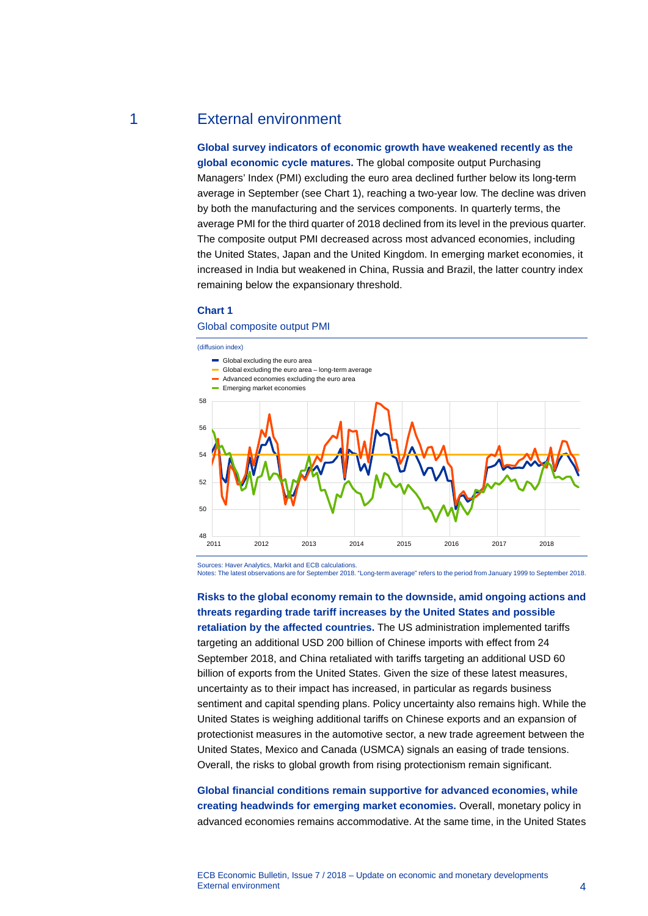# 1 External environment

<span id="page-4-0"></span>**Global survey indicators of economic growth have weakened recently as the global economic cycle matures.** The global composite output Purchasing Managers' Index (PMI) excluding the euro area declined further below its long-term average in September (see Chart 1), reaching a two-year low. The decline was driven by both the manufacturing and the services components. In quarterly terms, the average PMI for the third quarter of 2018 declined from its level in the previous quarter. The composite output PMI decreased across most advanced economies, including the United States, Japan and the United Kingdom. In emerging market economies, it increased in India but weakened in China, Russia and Brazil, the latter country index remaining below the expansionary threshold.

#### **Chart 1**

## Global composite output PMI



Sources: Haver Analytics, Markit and ECB calculations. Notes: The latest observations are for September 2018. "Long-term average" refers to the period from January 1999 to September 2018.

**Risks to the global economy remain to the downside, amid ongoing actions and threats regarding trade tariff increases by the United States and possible retaliation by the affected countries.** The US administration implemented tariffs targeting an additional USD 200 billion of Chinese imports with effect from 24 September 2018, and China retaliated with tariffs targeting an additional USD 60 billion of exports from the United States. Given the size of these latest measures, uncertainty as to their impact has increased, in particular as regards business sentiment and capital spending plans. Policy uncertainty also remains high. While the United States is weighing additional tariffs on Chinese exports and an expansion of protectionist measures in the automotive sector, a new trade agreement between the United States, Mexico and Canada (USMCA) signals an easing of trade tensions. Overall, the risks to global growth from rising protectionism remain significant.

**Global financial conditions remain supportive for advanced economies, while creating headwinds for emerging market economies.** Overall, monetary policy in advanced economies remains accommodative. At the same time, in the United States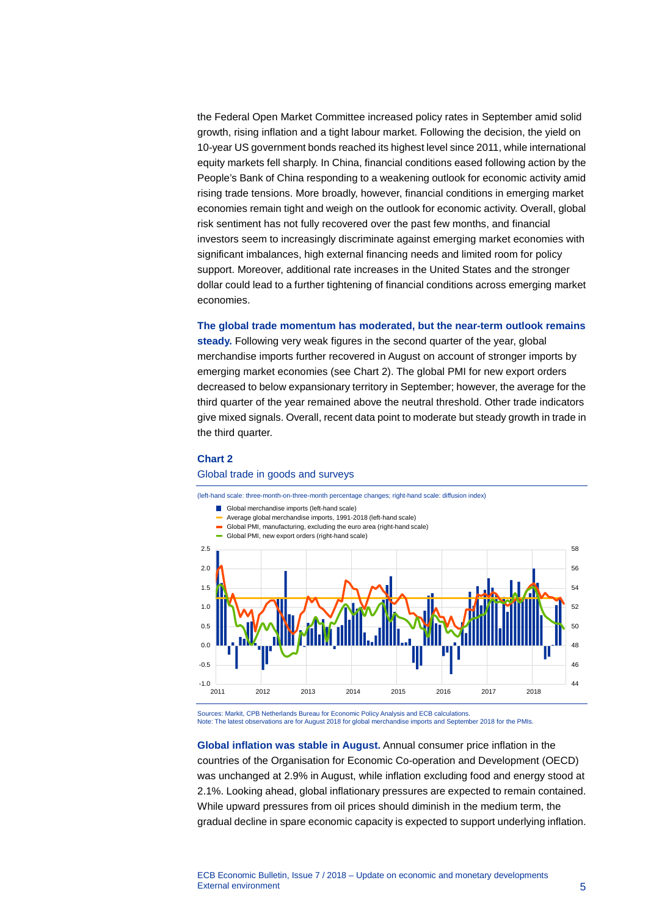the Federal Open Market Committee increased policy rates in September amid solid growth, rising inflation and a tight labour market. Following the decision, the yield on 10-year US government bonds reached its highest level since 2011, while international equity markets fell sharply. In China, financial conditions eased following action by the People's Bank of China responding to a weakening outlook for economic activity amid rising trade tensions. More broadly, however, financial conditions in emerging market economies remain tight and weigh on the outlook for economic activity. Overall, global risk sentiment has not fully recovered over the past few months, and financial investors seem to increasingly discriminate against emerging market economies with significant imbalances, high external financing needs and limited room for policy support. Moreover, additional rate increases in the United States and the stronger dollar could lead to a further tightening of financial conditions across emerging market economies.

**The global trade momentum has moderated, but the near-term outlook remains** 

**steady.** Following very weak figures in the second quarter of the year, global merchandise imports further recovered in August on account of stronger imports by emerging market economies (see Chart 2). The global PMI for new export orders decreased to below expansionary territory in September; however, the average for the third quarter of the year remained above the neutral threshold. Other trade indicators give mixed signals. Overall, recent data point to moderate but steady growth in trade in the third quarter.

## **Chart 2**

#### Global trade in goods and surveys



Sources: Markit, CPB Netherlands Bureau for Economic Policy Analysis and ECB calculations. Note: The latest observations are for August 2018 for global merchandise imports and September 2018 for the PMIs.

**Global inflation was stable in August.** Annual consumer price inflation in the countries of the Organisation for Economic Co-operation and Development (OECD) was unchanged at 2.9% in August, while inflation excluding food and energy stood at 2.1%. Looking ahead, global inflationary pressures are expected to remain contained. While upward pressures from oil prices should diminish in the medium term, the gradual decline in spare economic capacity is expected to support underlying inflation.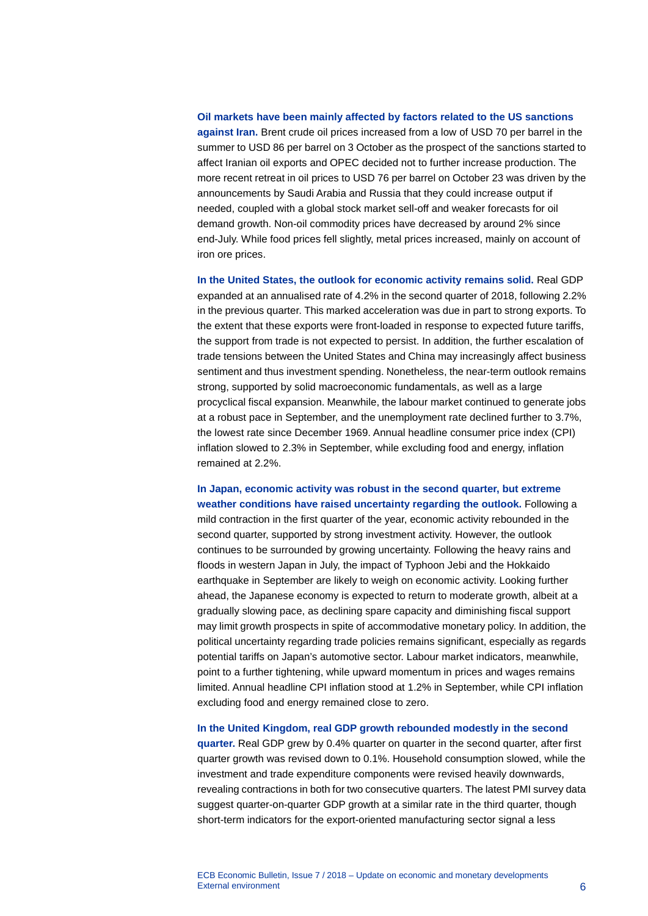# **Oil markets have been mainly affected by factors related to the US sanctions against Iran.** Brent crude oil prices increased from a low of USD 70 per barrel in the summer to USD 86 per barrel on 3 October as the prospect of the sanctions started to affect Iranian oil exports and OPEC decided not to further increase production. The more recent retreat in oil prices to USD 76 per barrel on October 23 was driven by the announcements by Saudi Arabia and Russia that they could increase output if needed, coupled with a global stock market sell-off and weaker forecasts for oil demand growth. Non-oil commodity prices have decreased by around 2% since end-July. While food prices fell slightly, metal prices increased, mainly on account of iron ore prices.

**In the United States, the outlook for economic activity remains solid.** Real GDP expanded at an annualised rate of 4.2% in the second quarter of 2018, following 2.2% in the previous quarter. This marked acceleration was due in part to strong exports. To the extent that these exports were front-loaded in response to expected future tariffs, the support from trade is not expected to persist. In addition, the further escalation of trade tensions between the United States and China may increasingly affect business sentiment and thus investment spending. Nonetheless, the near-term outlook remains strong, supported by solid macroeconomic fundamentals, as well as a large procyclical fiscal expansion. Meanwhile, the labour market continued to generate jobs at a robust pace in September, and the unemployment rate declined further to 3.7%, the lowest rate since December 1969. Annual headline consumer price index (CPI) inflation slowed to 2.3% in September, while excluding food and energy, inflation remained at 2.2%.

**In Japan, economic activity was robust in the second quarter, but extreme weather conditions have raised uncertainty regarding the outlook.** Following a mild contraction in the first quarter of the year, economic activity rebounded in the second quarter, supported by strong investment activity. However, the outlook continues to be surrounded by growing uncertainty. Following the heavy rains and floods in western Japan in July, the impact of Typhoon Jebi and the Hokkaido earthquake in September are likely to weigh on economic activity. Looking further ahead, the Japanese economy is expected to return to moderate growth, albeit at a gradually slowing pace, as declining spare capacity and diminishing fiscal support may limit growth prospects in spite of accommodative monetary policy. In addition, the political uncertainty regarding trade policies remains significant, especially as regards potential tariffs on Japan's automotive sector. Labour market indicators, meanwhile, point to a further tightening, while upward momentum in prices and wages remains limited. Annual headline CPI inflation stood at 1.2% in September, while CPI inflation excluding food and energy remained close to zero.

**In the United Kingdom, real GDP growth rebounded modestly in the second quarter.** Real GDP grew by 0.4% quarter on quarter in the second quarter, after first quarter growth was revised down to 0.1%. Household consumption slowed, while the investment and trade expenditure components were revised heavily downwards, revealing contractions in both for two consecutive quarters. The latest PMI survey data suggest quarter-on-quarter GDP growth at a similar rate in the third quarter, though short-term indicators for the export-oriented manufacturing sector signal a less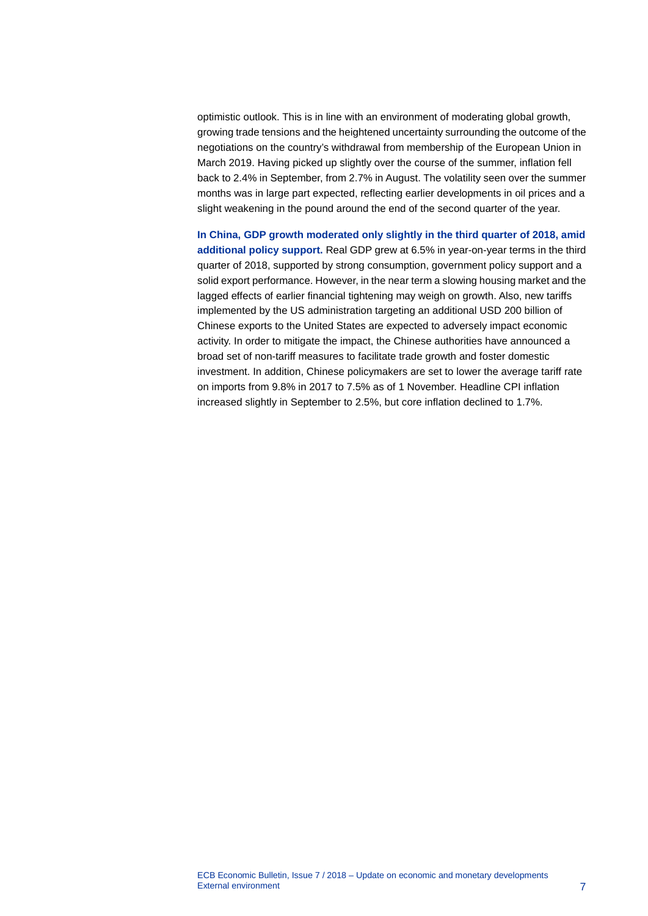optimistic outlook. This is in line with an environment of moderating global growth, growing trade tensions and the heightened uncertainty surrounding the outcome of the negotiations on the country's withdrawal from membership of the European Union in March 2019. Having picked up slightly over the course of the summer, inflation fell back to 2.4% in September, from 2.7% in August. The volatility seen over the summer months was in large part expected, reflecting earlier developments in oil prices and a slight weakening in the pound around the end of the second quarter of the year.

**In China, GDP growth moderated only slightly in the third quarter of 2018, amid additional policy support.** Real GDP grew at 6.5% in year-on-year terms in the third quarter of 2018, supported by strong consumption, government policy support and a solid export performance. However, in the near term a slowing housing market and the lagged effects of earlier financial tightening may weigh on growth. Also, new tariffs implemented by the US administration targeting an additional USD 200 billion of Chinese exports to the United States are expected to adversely impact economic activity. In order to mitigate the impact, the Chinese authorities have announced a broad set of non-tariff measures to facilitate trade growth and foster domestic investment. In addition, Chinese policymakers are set to lower the average tariff rate on imports from 9.8% in 2017 to 7.5% as of 1 November. Headline CPI inflation increased slightly in September to 2.5%, but core inflation declined to 1.7%.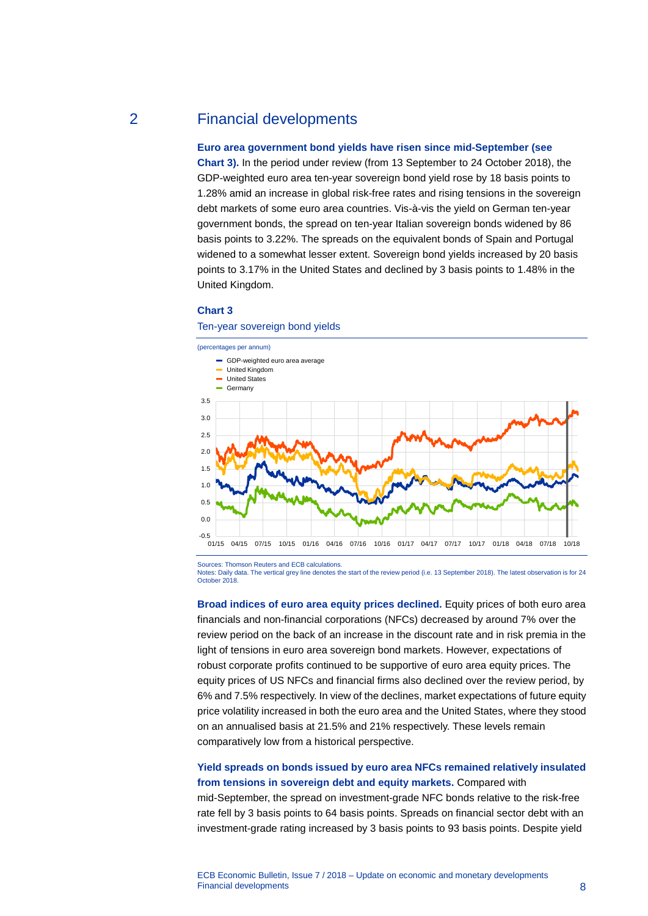# 2 Financial developments

# <span id="page-8-0"></span>**Euro area government bond yields have risen since mid-September (see**

**Chart 3).** In the period under review (from 13 September to 24 October 2018), the GDP-weighted euro area ten-year sovereign bond yield rose by 18 basis points to 1.28% amid an increase in global risk-free rates and rising tensions in the sovereign debt markets of some euro area countries. Vis-à-vis the yield on German ten-year government bonds, the spread on ten-year Italian sovereign bonds widened by 86 basis points to 3.22%. The spreads on the equivalent bonds of Spain and Portugal widened to a somewhat lesser extent. Sovereign bond yields increased by 20 basis points to 3.17% in the United States and declined by 3 basis points to 1.48% in the United Kingdom.

#### **Chart 3**

Ten-year sovereign bond yields



Sources: Thomson Reuters and ECB calculations.

Notes: Daily data. The vertical grey line denotes the start of the review period (i.e. 13 September 2018). The latest observation is for 24 October 2018.

**Broad indices of euro area equity prices declined.** Equity prices of both euro area financials and non-financial corporations (NFCs) decreased by around 7% over the review period on the back of an increase in the discount rate and in risk premia in the light of tensions in euro area sovereign bond markets. However, expectations of robust corporate profits continued to be supportive of euro area equity prices. The equity prices of US NFCs and financial firms also declined over the review period, by 6% and 7.5% respectively. In view of the declines, market expectations of future equity price volatility increased in both the euro area and the United States, where they stood on an annualised basis at 21.5% and 21% respectively. These levels remain comparatively low from a historical perspective.

# **Yield spreads on bonds issued by euro area NFCs remained relatively insulated from tensions in sovereign debt and equity markets.** Compared with

mid-September, the spread on investment-grade NFC bonds relative to the risk-free rate fell by 3 basis points to 64 basis points. Spreads on financial sector debt with an investment-grade rating increased by 3 basis points to 93 basis points. Despite yield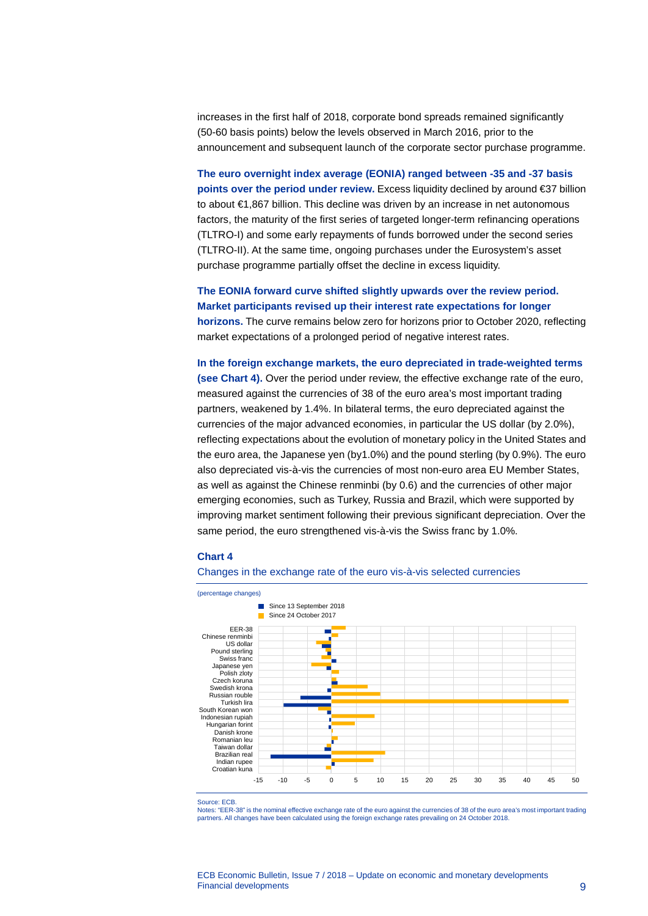increases in the first half of 2018, corporate bond spreads remained significantly (50-60 basis points) below the levels observed in March 2016, prior to the announcement and subsequent launch of the corporate sector purchase programme.

**The euro overnight index average (EONIA) ranged between -35 and -37 basis points over the period under review.** Excess liquidity declined by around €37 billion to about €1,867 billion. This decline was driven by an increase in net autonomous factors, the maturity of the first series of targeted longer-term refinancing operations (TLTRO-I) and some early repayments of funds borrowed under the second series (TLTRO-II). At the same time, ongoing purchases under the Eurosystem's asset purchase programme partially offset the decline in excess liquidity.

**The EONIA forward curve shifted slightly upwards over the review period. Market participants revised up their interest rate expectations for longer horizons.** The curve remains below zero for horizons prior to October 2020, reflecting market expectations of a prolonged period of negative interest rates.

**In the foreign exchange markets, the euro depreciated in trade-weighted terms (see Chart 4).** Over the period under review, the effective exchange rate of the euro, measured against the currencies of 38 of the euro area's most important trading partners, weakened by 1.4%. In bilateral terms, the euro depreciated against the currencies of the major advanced economies, in particular the US dollar (by 2.0%), reflecting expectations about the evolution of monetary policy in the United States and the euro area, the Japanese yen (by1.0%) and the pound sterling (by 0.9%). The euro also depreciated vis-à-vis the currencies of most non-euro area EU Member States, as well as against the Chinese renminbi (by 0.6) and the currencies of other major emerging economies, such as Turkey, Russia and Brazil, which were supported by improving market sentiment following their previous significant depreciation. Over the same period, the euro strengthened vis-à-vis the Swiss franc by 1.0%.

#### **Chart 4**

#### Changes in the exchange rate of the euro vis-à-vis selected currencies



Source: ECB.

Notes: "EER-38" is the nominal effective exchange rate of the euro against the currencies of 38 of the euro area's most important trading partners. All changes have been calculated using the foreign exchange rates prevailing on 24 October 2018.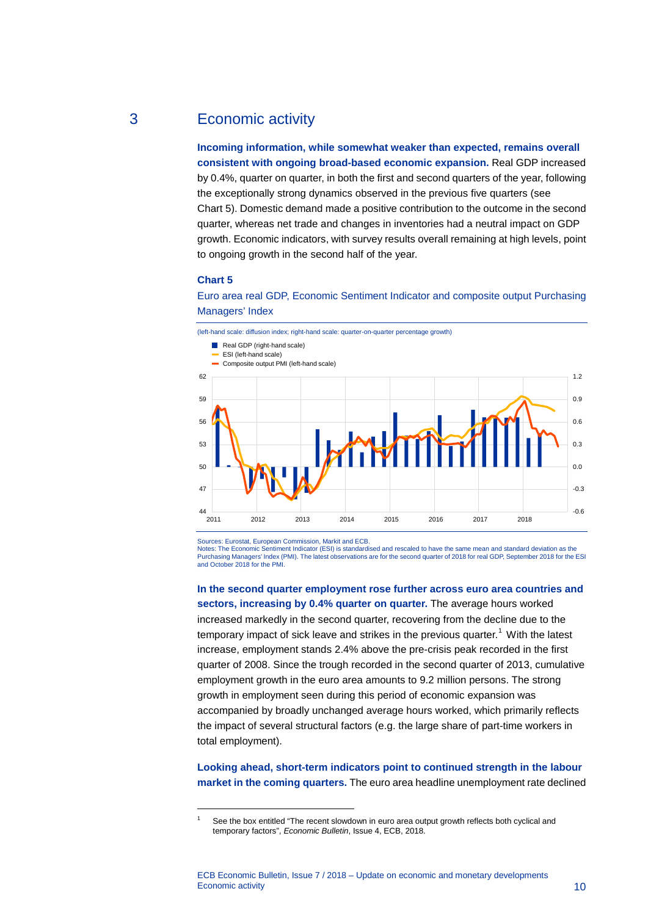# 3 Economic activity

<span id="page-10-0"></span>**Incoming information, while somewhat weaker than expected, remains overall consistent with ongoing broad-based economic expansion.** Real GDP increased by 0.4%, quarter on quarter, in both the first and second quarters of the year, following the exceptionally strong dynamics observed in the previous five quarters (see Chart 5). Domestic demand made a positive contribution to the outcome in the second quarter, whereas net trade and changes in inventories had a neutral impact on GDP growth. Economic indicators, with survey results overall remaining at high levels, point to ongoing growth in the second half of the year.

# **Chart 5**

<span id="page-10-1"></span>-





Sources: Eurostat, European Commission, Markit and ECB.

Notes: The Economic Sentiment Indicator (ESI) is standardised and rescaled to have the same mean and standard deviation as the Purchasing Managers' Index (PMI). The latest observations are for the second quarter of 2018 for real GDP, September 2018 for the ESI and October 2018 for the PMI.

**In the second quarter employment rose further across euro area countries and sectors, increasing by 0.4% quarter on quarter.** The average hours worked increased markedly in the second quarter, recovering from the decline due to the temporary impact of sick leave and strikes in the previous quarter.<sup>[1](#page-10-1)</sup> With the latest increase, employment stands 2.4% above the pre-crisis peak recorded in the first quarter of 2008. Since the trough recorded in the second quarter of 2013, cumulative employment growth in the euro area amounts to 9.2 million persons. The strong growth in employment seen during this period of economic expansion was accompanied by broadly unchanged average hours worked, which primarily reflects the impact of several structural factors (e.g. the large share of part-time workers in total employment).

**Looking ahead, short-term indicators point to continued strength in the labour market in the coming quarters.** The euro area headline unemployment rate declined

See the box entitled "The recent slowdown in euro area output growth reflects both cyclical and temporary factors", *Economic Bulletin*, Issue 4, ECB, 2018.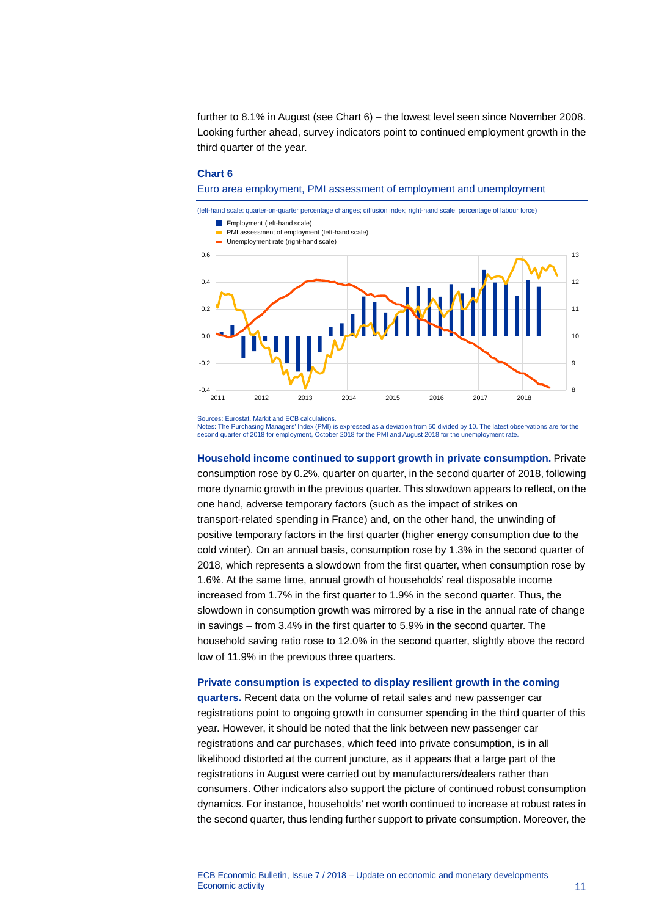further to 8.1% in August (see Chart 6) – the lowest level seen since November 2008. Looking further ahead, survey indicators point to continued employment growth in the third quarter of the year.

#### **Chart 6**

Euro area employment, PMI assessment of employment and unemployment



Sources: Eurostat, Markit and ECB calculations.

Notes: The Purchasing Managers' Index (PMI) is expressed as a deviation from 50 divided by 10. The latest observations are for the<br>second quarter of 2018 for employment, October 2018 for the PMI and August 2018 for the une

**Household income continued to support growth in private consumption.** Private consumption rose by 0.2%, quarter on quarter, in the second quarter of 2018, following more dynamic growth in the previous quarter. This slowdown appears to reflect, on the one hand, adverse temporary factors (such as the impact of strikes on transport-related spending in France) and, on the other hand, the unwinding of positive temporary factors in the first quarter (higher energy consumption due to the cold winter). On an annual basis, consumption rose by 1.3% in the second quarter of 2018, which represents a slowdown from the first quarter, when consumption rose by 1.6%. At the same time, annual growth of households' real disposable income increased from 1.7% in the first quarter to 1.9% in the second quarter. Thus, the slowdown in consumption growth was mirrored by a rise in the annual rate of change in savings – from 3.4% in the first quarter to 5.9% in the second quarter. The household saving ratio rose to 12.0% in the second quarter, slightly above the record low of 11.9% in the previous three quarters.

#### **Private consumption is expected to display resilient growth in the coming**

**quarters.** Recent data on the volume of retail sales and new passenger car registrations point to ongoing growth in consumer spending in the third quarter of this year. However, it should be noted that the link between new passenger car registrations and car purchases, which feed into private consumption, is in all likelihood distorted at the current juncture, as it appears that a large part of the registrations in August were carried out by manufacturers/dealers rather than consumers. Other indicators also support the picture of continued robust consumption dynamics. For instance, households' net worth continued to increase at robust rates in the second quarter, thus lending further support to private consumption. Moreover, the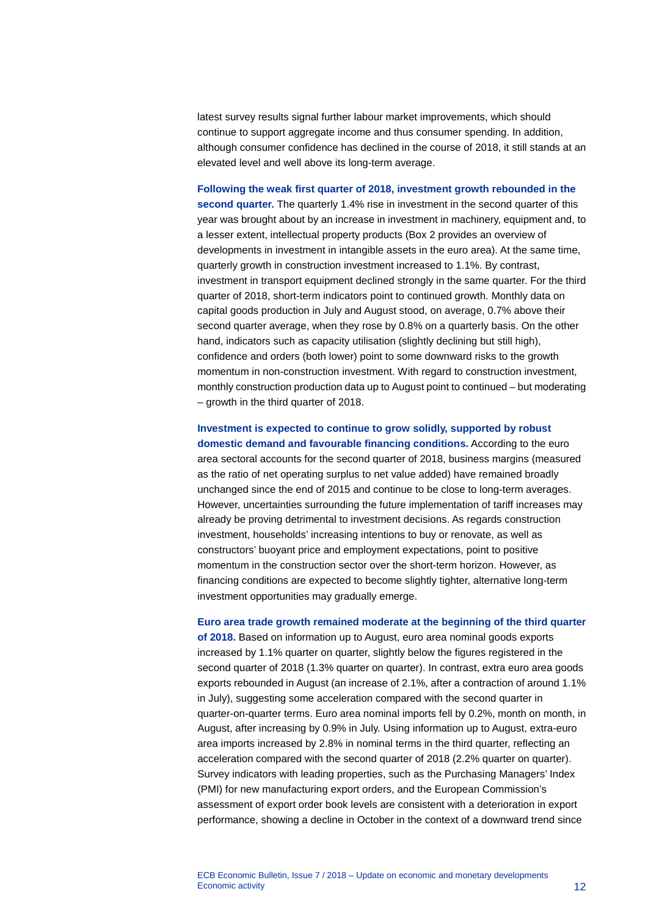latest survey results signal further labour market improvements, which should continue to support aggregate income and thus consumer spending. In addition, although consumer confidence has declined in the course of 2018, it still stands at an elevated level and well above its long-term average.

**Following the weak first quarter of 2018, investment growth rebounded in the second quarter.** The quarterly 1.4% rise in investment in the second quarter of this year was brought about by an increase in investment in machinery, equipment and, to a lesser extent, intellectual property products (Box 2 provides an overview of developments in investment in intangible assets in the euro area). At the same time, quarterly growth in construction investment increased to 1.1%. By contrast, investment in transport equipment declined strongly in the same quarter. For the third quarter of 2018, short-term indicators point to continued growth. Monthly data on capital goods production in July and August stood, on average, 0.7% above their second quarter average, when they rose by 0.8% on a quarterly basis. On the other hand, indicators such as capacity utilisation (slightly declining but still high), confidence and orders (both lower) point to some downward risks to the growth momentum in non-construction investment. With regard to construction investment, monthly construction production data up to August point to continued – but moderating – growth in the third quarter of 2018.

**Investment is expected to continue to grow solidly, supported by robust domestic demand and favourable financing conditions.** According to the euro area sectoral accounts for the second quarter of 2018, business margins (measured as the ratio of net operating surplus to net value added) have remained broadly unchanged since the end of 2015 and continue to be close to long-term averages. However, uncertainties surrounding the future implementation of tariff increases may already be proving detrimental to investment decisions. As regards construction investment, households' increasing intentions to buy or renovate, as well as constructors' buoyant price and employment expectations, point to positive momentum in the construction sector over the short-term horizon. However, as financing conditions are expected to become slightly tighter, alternative long-term investment opportunities may gradually emerge.

**Euro area trade growth remained moderate at the beginning of the third quarter of 2018.** Based on information up to August, euro area nominal goods exports increased by 1.1% quarter on quarter, slightly below the figures registered in the second quarter of 2018 (1.3% quarter on quarter). In contrast, extra euro area goods exports rebounded in August (an increase of 2.1%, after a contraction of around 1.1% in July), suggesting some acceleration compared with the second quarter in quarter-on-quarter terms. Euro area nominal imports fell by 0.2%, month on month, in August, after increasing by 0.9% in July. Using information up to August, extra-euro area imports increased by 2.8% in nominal terms in the third quarter, reflecting an acceleration compared with the second quarter of 2018 (2.2% quarter on quarter). Survey indicators with leading properties, such as the Purchasing Managers' Index (PMI) for new manufacturing export orders, and the European Commission's assessment of export order book levels are consistent with a deterioration in export performance, showing a decline in October in the context of a downward trend since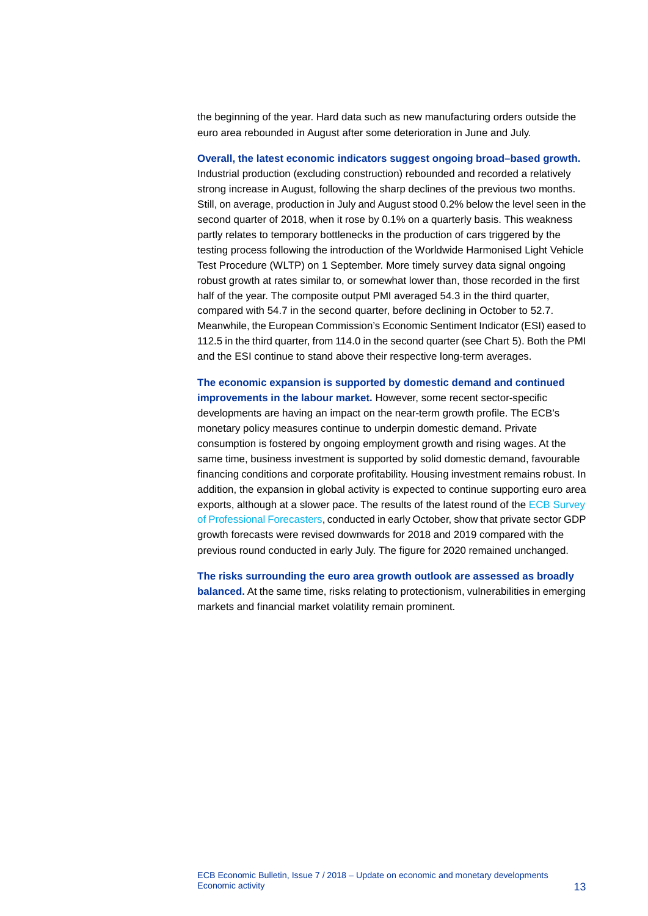the beginning of the year. Hard data such as new manufacturing orders outside the euro area rebounded in August after some deterioration in June and July.

**Overall, the latest economic indicators suggest ongoing broad–based growth.**

Industrial production (excluding construction) rebounded and recorded a relatively strong increase in August, following the sharp declines of the previous two months. Still, on average, production in July and August stood 0.2% below the level seen in the second quarter of 2018, when it rose by 0.1% on a quarterly basis. This weakness partly relates to temporary bottlenecks in the production of cars triggered by the testing process following the introduction of the Worldwide Harmonised Light Vehicle Test Procedure (WLTP) on 1 September. More timely survey data signal ongoing robust growth at rates similar to, or somewhat lower than, those recorded in the first half of the year. The composite output PMI averaged 54.3 in the third quarter, compared with 54.7 in the second quarter, before declining in October to 52.7. Meanwhile, the European Commission's Economic Sentiment Indicator (ESI) eased to 112.5 in the third quarter, from 114.0 in the second quarter (see Chart 5). Both the PMI and the ESI continue to stand above their respective long-term averages.

**The economic expansion is supported by domestic demand and continued improvements in the labour market.** However, some recent sector-specific developments are having an impact on the near-term growth profile. The ECB's monetary policy measures continue to underpin domestic demand. Private consumption is fostered by ongoing employment growth and rising wages. At the same time, business investment is supported by solid domestic demand, favourable financing conditions and corporate profitability. Housing investment remains robust. In addition, the expansion in global activity is expected to continue supporting euro area exports, although at a slower pace. The results of the latest round of the [ECB Survey](http://www.ecb.europa.eu/stats/prices/indic/forecast/html/index.en.html)  [of Professional Forecasters,](http://www.ecb.europa.eu/stats/prices/indic/forecast/html/index.en.html) conducted in early October, show that private sector GDP growth forecasts were revised downwards for 2018 and 2019 compared with the previous round conducted in early July. The figure for 2020 remained unchanged.

**The risks surrounding the euro area growth outlook are assessed as broadly balanced.** At the same time, risks relating to protectionism, vulnerabilities in emerging markets and financial market volatility remain prominent.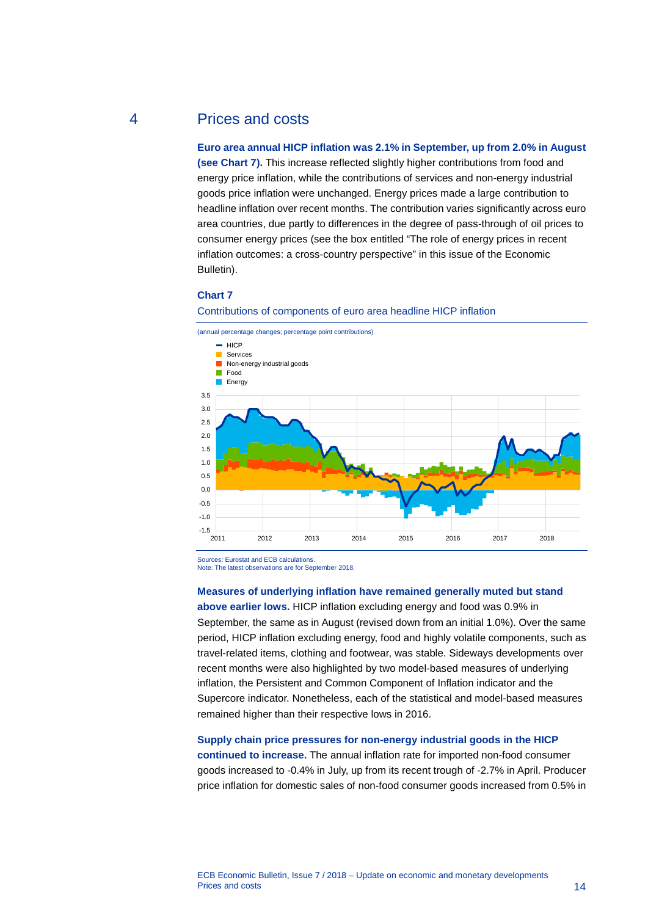# 4 Prices and costs

<span id="page-14-0"></span>**Euro area annual HICP inflation was 2.1% in September, up from 2.0% in August (see Chart 7).** This increase reflected slightly higher contributions from food and energy price inflation, while the contributions of services and non-energy industrial goods price inflation were unchanged. Energy prices made a large contribution to headline inflation over recent months. The contribution varies significantly across euro area countries, due partly to differences in the degree of pass-through of oil prices to consumer energy prices (see the box entitled "The role of energy prices in recent inflation outcomes: a cross-country perspective" in this issue of the Economic Bulletin).

#### **Chart 7**



Contributions of components of euro area headline HICP inflation

Sources: Eurostat and ECB calculations. Note: The latest observations are for September 2018.

# **Measures of underlying inflation have remained generally muted but stand**

**above earlier lows.** HICP inflation excluding energy and food was 0.9% in September, the same as in August (revised down from an initial 1.0%). Over the same period, HICP inflation excluding energy, food and highly volatile components, such as travel-related items, clothing and footwear, was stable. Sideways developments over recent months were also highlighted by two model-based measures of underlying inflation, the Persistent and Common Component of Inflation indicator and the Supercore indicator. Nonetheless, each of the statistical and model-based measures remained higher than their respective lows in 2016.

## **Supply chain price pressures for non-energy industrial goods in the HICP**

**continued to increase.** The annual inflation rate for imported non-food consumer goods increased to -0.4% in July, up from its recent trough of -2.7% in April. Producer price inflation for domestic sales of non-food consumer goods increased from 0.5% in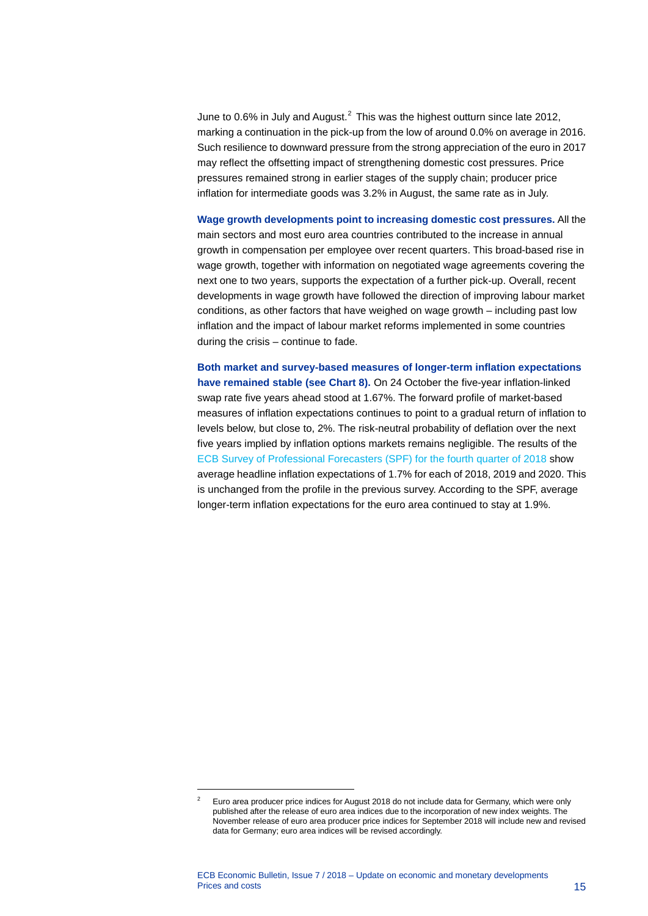June to 0.6% in July and August.<sup>[2](#page-15-0)</sup> This was the highest outturn since late 2012, marking a continuation in the pick-up from the low of around 0.0% on average in 2016. Such resilience to downward pressure from the strong appreciation of the euro in 2017 may reflect the offsetting impact of strengthening domestic cost pressures. Price pressures remained strong in earlier stages of the supply chain; producer price inflation for intermediate goods was 3.2% in August, the same rate as in July.

**Wage growth developments point to increasing domestic cost pressures.** All the main sectors and most euro area countries contributed to the increase in annual growth in compensation per employee over recent quarters. This broad-based rise in wage growth, together with information on negotiated wage agreements covering the next one to two years, supports the expectation of a further pick-up. Overall, recent developments in wage growth have followed the direction of improving labour market conditions, as other factors that have weighed on wage growth – including past low inflation and the impact of labour market reforms implemented in some countries during the crisis – continue to fade.

**Both market and survey-based measures of longer-term inflation expectations have remained stable (see Chart 8).** On 24 October the five-year inflation-linked swap rate five years ahead stood at 1.67%. The forward profile of market-based measures of inflation expectations continues to point to a gradual return of inflation to levels below, but close to, 2%. The risk-neutral probability of deflation over the next five years implied by inflation options markets remains negligible. The results of the [ECB Survey of Professional Forecasters \(SPF\) for the fourth quarter of 2018](https://www.ecb.europa.eu/stats/ecb_surveys/survey_of_professional_forecasters/html/ecb.spf2018q4.en.html) show average headline inflation expectations of 1.7% for each of 2018, 2019 and 2020. This is unchanged from the profile in the previous survey. According to the SPF, average longer-term inflation expectations for the euro area continued to stay at 1.9%.

<span id="page-15-0"></span>-

<sup>2</sup> Euro area producer price indices for August 2018 do not include data for Germany, which were only published after the release of euro area indices due to the incorporation of new index weights. The November release of euro area producer price indices for September 2018 will include new and revised data for Germany; euro area indices will be revised accordingly.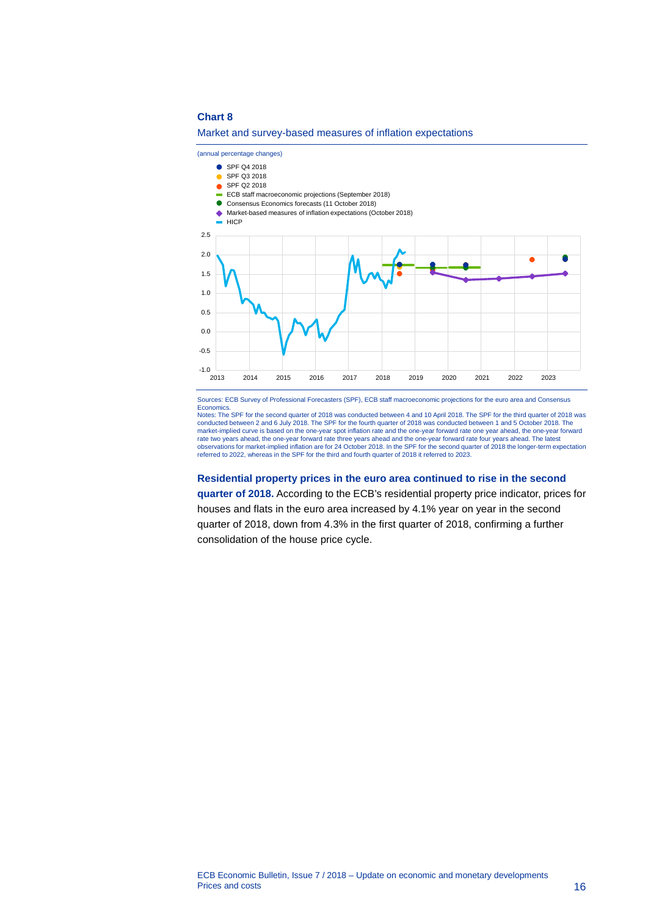## **Chart 8**

Market and survey-based measures of inflation expectations



Sources: ECB Survey of Professional Forecasters (SPF), ECB staff macroeconomic projections for the euro area and Consensus **Economics** 

Notes: The SPF for the second quarter of 2018 was conducted between 4 and 10 April 2018. The SPF for the third quarter of 2018 was conducted between 2 and 6 July 2018. The SPF for the fourth quarter of 2018 was conducted between 1 and 5 October 2018. The<br>market-implied curve is based on the one-year spot inflation rate and the one-year forward rate on rate two years ahead, the one-year forward rate three years ahead and the one-year forward rate four years ahead. The latest<br>observations for market-implied inflation are for 24 October 2018. In the SPF for the second quar referred to 2022, whereas in the SPF for the third and fourth quarter of 2018 it referred to 2023.

#### **Residential property prices in the euro area continued to rise in the second**

**quarter of 2018.** According to the ECB's residential property price indicator, prices for houses and flats in the euro area increased by 4.1% year on year in the second quarter of 2018, down from 4.3% in the first quarter of 2018, confirming a further consolidation of the house price cycle.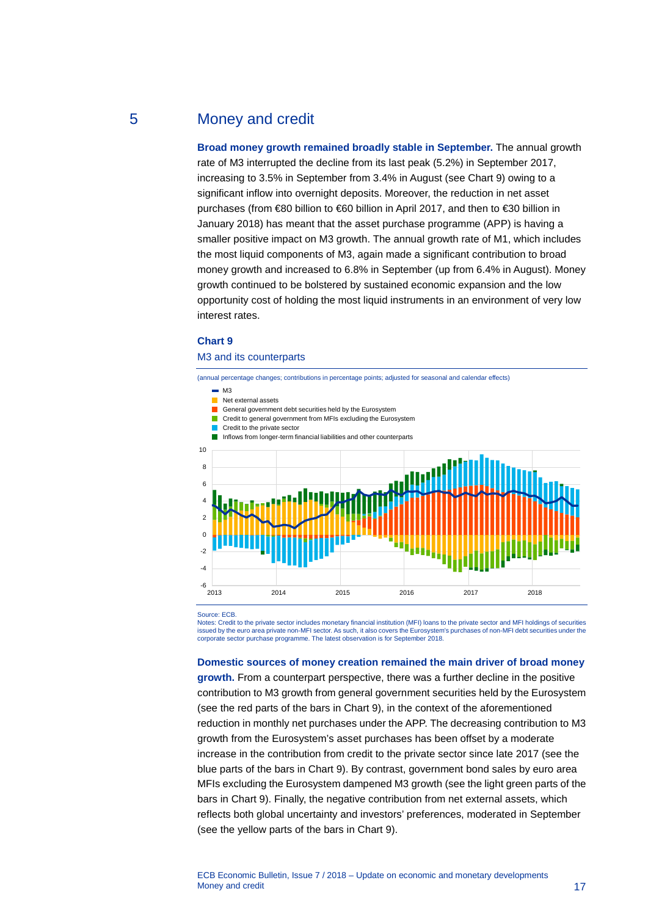# 5 Money and credit

<span id="page-17-0"></span>**Broad money growth remained broadly stable in September.** The annual growth rate of M3 interrupted the decline from its last peak (5.2%) in September 2017, increasing to 3.5% in September from 3.4% in August (see Chart 9) owing to a significant inflow into overnight deposits. Moreover, the reduction in net asset purchases (from €80 billion to €60 billion in April 2017, and then to €30 billion in January 2018) has meant that the asset purchase programme (APP) is having a smaller positive impact on M3 growth. The annual growth rate of M1, which includes the most liquid components of M3, again made a significant contribution to broad money growth and increased to 6.8% in September (up from 6.4% in August). Money growth continued to be bolstered by sustained economic expansion and the low opportunity cost of holding the most liquid instruments in an environment of very low interest rates.

## **Chart 9**

#### M3 and its counterparts

(annual percentage changes; contributions in percentage points; adjusted for seasonal and calendar effects)

- $\blacksquare$  M3
- Net external assets
- General government debt securities held by the Eurosystem
- **Credit to general government from MFIs excluding the Eurosystem**
- Credit to the private sector
- Inflows from longer-term financial liabilities and other counterparts



Source: ECB.

Notes: Credit to the private sector includes monetary financial institution (MFI) loans to the private sector and MFI holdings of securities issued by the euro area private non-MFI sector. As such, it also covers the Eurosystem's purchases of non-MFI debt securities under the corporate sector purchase programme. The latest observation is for September 2018.

#### **Domestic sources of money creation remained the main driver of broad money**

**growth.** From a counterpart perspective, there was a further decline in the positive contribution to M3 growth from general government securities held by the Eurosystem (see the red parts of the bars in Chart 9), in the context of the aforementioned reduction in monthly net purchases under the APP. The decreasing contribution to M3 growth from the Eurosystem's asset purchases has been offset by a moderate increase in the contribution from credit to the private sector since late 2017 (see the blue parts of the bars in Chart 9). By contrast, government bond sales by euro area MFIs excluding the Eurosystem dampened M3 growth (see the light green parts of the bars in Chart 9). Finally, the negative contribution from net external assets, which reflects both global uncertainty and investors' preferences, moderated in September (see the yellow parts of the bars in Chart 9).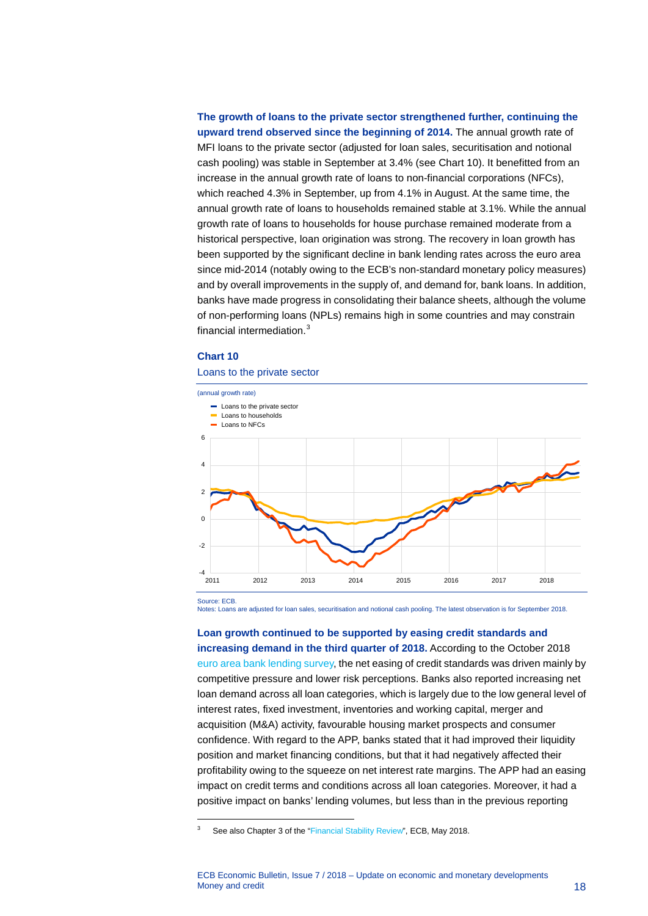**The growth of loans to the private sector strengthened further, continuing the upward trend observed since the beginning of 2014.** The annual growth rate of MFI loans to the private sector (adjusted for loan sales, securitisation and notional cash pooling) was stable in September at 3.4% (see Chart 10). It benefitted from an increase in the annual growth rate of loans to non-financial corporations (NFCs), which reached 4.3% in September, up from 4.1% in August. At the same time, the annual growth rate of loans to households remained stable at 3.1%. While the annual growth rate of loans to households for house purchase remained moderate from a historical perspective, loan origination was strong. The recovery in loan growth has been supported by the significant decline in bank lending rates across the euro area since mid-2014 (notably owing to the ECB's non-standard monetary policy measures) and by overall improvements in the supply of, and demand for, bank loans. In addition, banks have made progress in consolidating their balance sheets, although the volume of non-performing loans (NPLs) remains high in some countries and may constrain financial intermediation.[3](#page-18-0)

## **Chart 10**

## Loans to the private sector



Source: ECB.

<span id="page-18-0"></span>-

Notes: Loans are adjusted for loan sales, securitisation and notional cash pooling. The latest observation is for September 2018.

**Loan growth continued to be supported by easing credit standards and increasing demand in the third quarter of 2018.** According to the October 2018 [euro area bank lending survey,](http://www.ecb.europa.eu/stats/ecb_surveys/bank_lending_survey/html/index.en.html) the net easing of credit standards was driven mainly by competitive pressure and lower risk perceptions. Banks also reported increasing net loan demand across all loan categories, which is largely due to the low general level of interest rates, fixed investment, inventories and working capital, merger and acquisition (M&A) activity, favourable housing market prospects and consumer confidence. With regard to the APP, banks stated that it had improved their liquidity position and market financing conditions, but that it had negatively affected their profitability owing to the squeeze on net interest rate margins. The APP had an easing impact on credit terms and conditions across all loan categories. Moreover, it had a positive impact on banks' lending volumes, but less than in the previous reporting

<sup>3</sup> See also Chapter 3 of the ["Financial Stability Review",](http://www.ecb.europa.eu/pub/pdf/fsr/ecb.fsr201805.en.pdf) ECB, May 2018.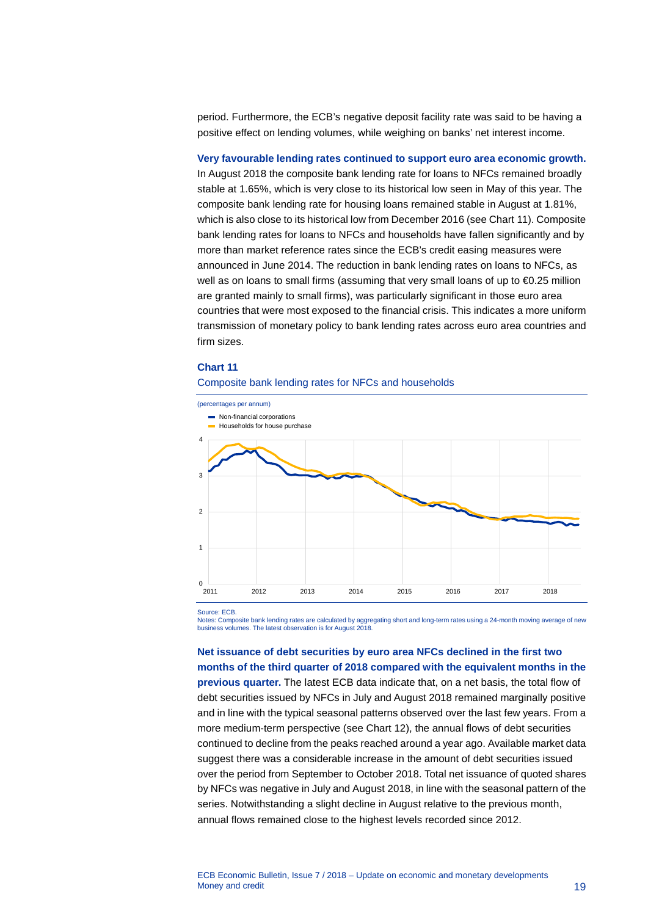period. Furthermore, the ECB's negative deposit facility rate was said to be having a positive effect on lending volumes, while weighing on banks' net interest income.

**Very favourable lending rates continued to support euro area economic growth.** In August 2018 the composite bank lending rate for loans to NFCs remained broadly stable at 1.65%, which is very close to its historical low seen in May of this year. The composite bank lending rate for housing loans remained stable in August at 1.81%, which is also close to its historical low from December 2016 (see Chart 11). Composite bank lending rates for loans to NFCs and households have fallen significantly and by more than market reference rates since the ECB's credit easing measures were announced in June 2014. The reduction in bank lending rates on loans to NFCs, as well as on loans to small firms (assuming that very small loans of up to €0.25 million are granted mainly to small firms), was particularly significant in those euro area countries that were most exposed to the financial crisis. This indicates a more uniform transmission of monetary policy to bank lending rates across euro area countries and firm sizes.

#### **Chart 11**

#### Composite bank lending rates for NFCs and households



Source: ECB.

Notes: Composite bank lending rates are calculated by aggregating short and long-term rates using a 24-month moving average of new business volumes. The latest observation is for August 2018.

**Net issuance of debt securities by euro area NFCs declined in the first two months of the third quarter of 2018 compared with the equivalent months in the previous quarter.** The latest ECB data indicate that, on a net basis, the total flow of debt securities issued by NFCs in July and August 2018 remained marginally positive and in line with the typical seasonal patterns observed over the last few years. From a more medium-term perspective (see Chart 12), the annual flows of debt securities continued to decline from the peaks reached around a year ago. Available market data suggest there was a considerable increase in the amount of debt securities issued over the period from September to October 2018. Total net issuance of quoted shares by NFCs was negative in July and August 2018, in line with the seasonal pattern of the series. Notwithstanding a slight decline in August relative to the previous month, annual flows remained close to the highest levels recorded since 2012.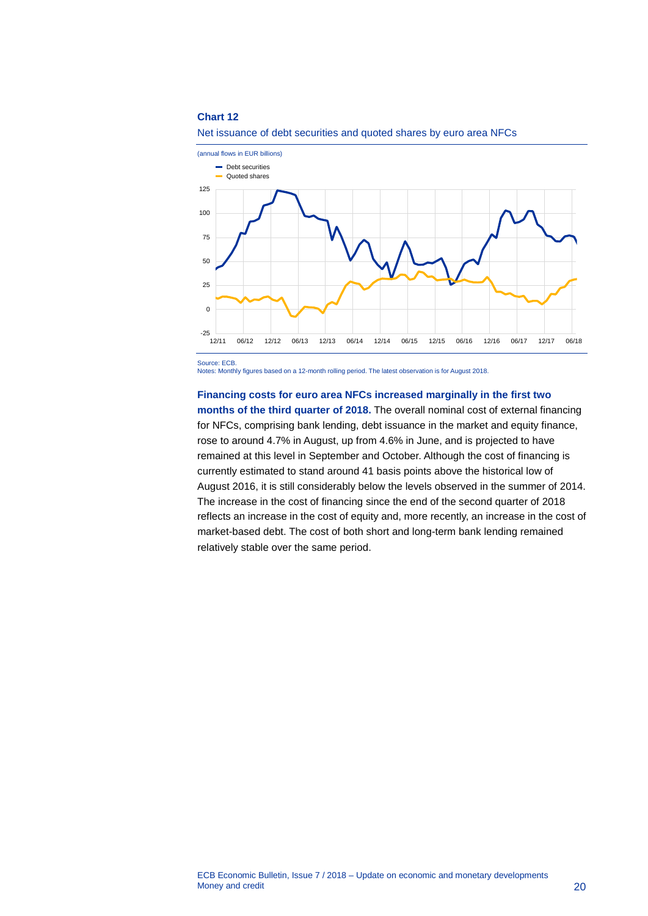### **Chart 12**





Source: ECB.

Notes: Monthly figures based on a 12-month rolling period. The latest observation is for August 2018.

## **Financing costs for euro area NFCs increased marginally in the first two**

**months of the third quarter of 2018.** The overall nominal cost of external financing for NFCs, comprising bank lending, debt issuance in the market and equity finance, rose to around 4.7% in August, up from 4.6% in June, and is projected to have remained at this level in September and October. Although the cost of financing is currently estimated to stand around 41 basis points above the historical low of August 2016, it is still considerably below the levels observed in the summer of 2014. The increase in the cost of financing since the end of the second quarter of 2018 reflects an increase in the cost of equity and, more recently, an increase in the cost of market-based debt. The cost of both short and long-term bank lending remained relatively stable over the same period.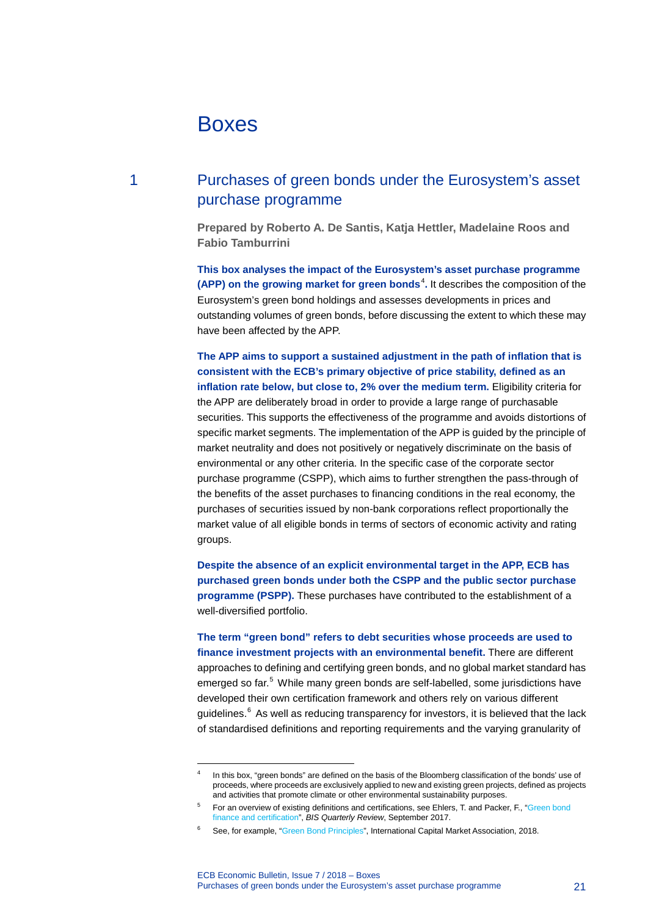# <span id="page-21-0"></span>Boxes

-

# 1 Purchases of green bonds under the Eurosystem's asset purchase programme

<span id="page-21-1"></span>**Prepared by Roberto A. De Santis, Katja Hettler, Madelaine Roos and Fabio Tamburrini**

**This box analyses the impact of the Eurosystem's asset purchase programme (APP) on the growing market for green bonds<sup>[4](#page-21-2)</sup>. It describes the composition of the** Eurosystem's green bond holdings and assesses developments in prices and outstanding volumes of green bonds, before discussing the extent to which these may have been affected by the APP.

**The APP aims to support a sustained adjustment in the path of inflation that is consistent with the ECB's primary objective of price stability, defined as an inflation rate below, but close to, 2% over the medium term.** Eligibility criteria for the APP are deliberately broad in order to provide a large range of purchasable securities. This supports the effectiveness of the programme and avoids distortions of specific market segments. The implementation of the APP is guided by the principle of market neutrality and does not positively or negatively discriminate on the basis of environmental or any other criteria. In the specific case of the corporate sector purchase programme (CSPP), which aims to further strengthen the pass-through of the benefits of the asset purchases to financing conditions in the real economy, the purchases of securities issued by non-bank corporations reflect proportionally the market value of all eligible bonds in terms of sectors of economic activity and rating groups.

**Despite the absence of an explicit environmental target in the APP, ECB has purchased green bonds under both the CSPP and the public sector purchase programme (PSPP).** These purchases have contributed to the establishment of a well-diversified portfolio.

**The term "green bond" refers to debt securities whose proceeds are used to finance investment projects with an environmental benefit.** There are different approaches to defining and certifying green bonds, and no global market standard has emerged so far. [5](#page-21-3) While many green bonds are self-labelled, some jurisdictions have developed their own certification framework and others rely on various different guidelines. $^6$  $^6$  As well as reducing transparency for investors, it is believed that the lack of standardised definitions and reporting requirements and the varying granularity of

<span id="page-21-2"></span>In this box, "green bonds" are defined on the basis of the Bloomberg classification of the bonds' use of proceeds, where proceeds are exclusively applied to new and existing green projects, defined as projects and activities that promote climate or other environmental sustainability purposes.

For an overview of existing definitions and certifications, see Ehlers, T. and Packer, F., "Green bond [finance and certification",](https://www.bis.org/publ/qtrpdf/r_qt1709h.pdf) *BIS Quarterly Review*, September 2017.

<span id="page-21-4"></span><span id="page-21-3"></span><sup>&</sup>lt;sup>6</sup> See, for example, ["Green Bond Principles"](https://www.icmagroup.org/assets/documents/Regulatory/Green-Bonds/June-2018/Green-Bond-Principles---June-2018-140618-WEB.pdf), International Capital Market Association, 2018.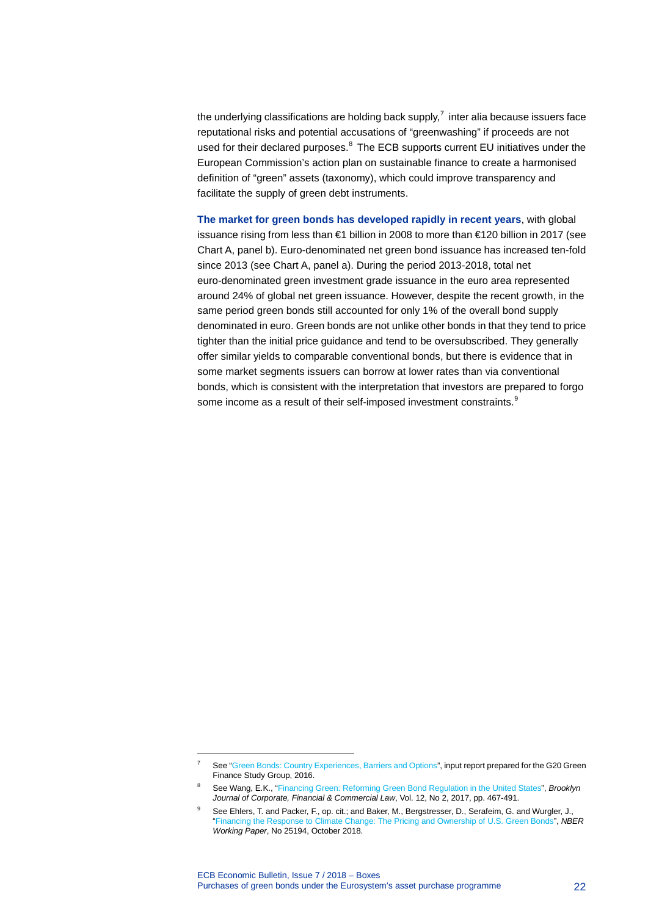the underlying classifications are holding back supply, $<sup>7</sup>$  $<sup>7</sup>$  $<sup>7</sup>$  inter alia because issuers face</sup> reputational risks and potential accusations of "greenwashing" if proceeds are not used for their declared purposes.<sup>[8](#page-22-1)</sup> The ECB supports current EU initiatives under the European Commission's action plan on sustainable finance to create a harmonised definition of "green" assets (taxonomy), which could improve transparency and facilitate the supply of green debt instruments.

**The market for green bonds has developed rapidly in recent years**, with global issuance rising from less than €1 billion in 2008 to more than €120 billion in 2017 (see Chart A, panel b). Euro-denominated net green bond issuance has increased ten-fold since 2013 (see Chart A, panel a). During the period 2013-2018, total net euro-denominated green investment grade issuance in the euro area represented around 24% of global net green issuance. However, despite the recent growth, in the same period green bonds still accounted for only 1% of the overall bond supply denominated in euro. Green bonds are not unlike other bonds in that they tend to price tighter than the initial price guidance and tend to be oversubscribed. They generally offer similar yields to comparable conventional bonds, but there is evidence that in some market segments issuers can borrow at lower rates than via conventional bonds, which is consistent with the interpretation that investors are prepared to forgo some income as a result of their self-imposed investment constraints. $^{\text{\tiny{\textregistered}}}$ 

<span id="page-22-0"></span>-

See ["Green Bonds: Country Experiences, Barriers and Options"](http://unepinquiry.org/wp-content/uploads/2016/09/6_Green_Bonds_Country_Experiences_Barriers_and_Options.pdf), input report prepared for the G20 Green Finance Study Group, 2016.

<sup>8</sup> See Wang, E.K., ["Financing Green: Reforming Green Bond Regulation in the United States"](https://brooklynworks.brooklaw.edu/cgi/viewcontent.cgi?article=1278&context=bjcfcl), *Brooklyn Journal of Corporate, Financial & Commercial Law*, Vol. 12, No 2, 2017, pp. 467-491.

<span id="page-22-2"></span><span id="page-22-1"></span>See Ehlers, T. and Packer, F., op. cit.; and Baker, M., Bergstresser, D., Serafeim, G. and Wurgler, J., ["Financing the Response to Climate Change: The Pricing and Ownership of U.S. Green Bonds"](https://www.nber.org/papers/w25194.pdf), *NBER Working Paper*, No 25194, October 2018.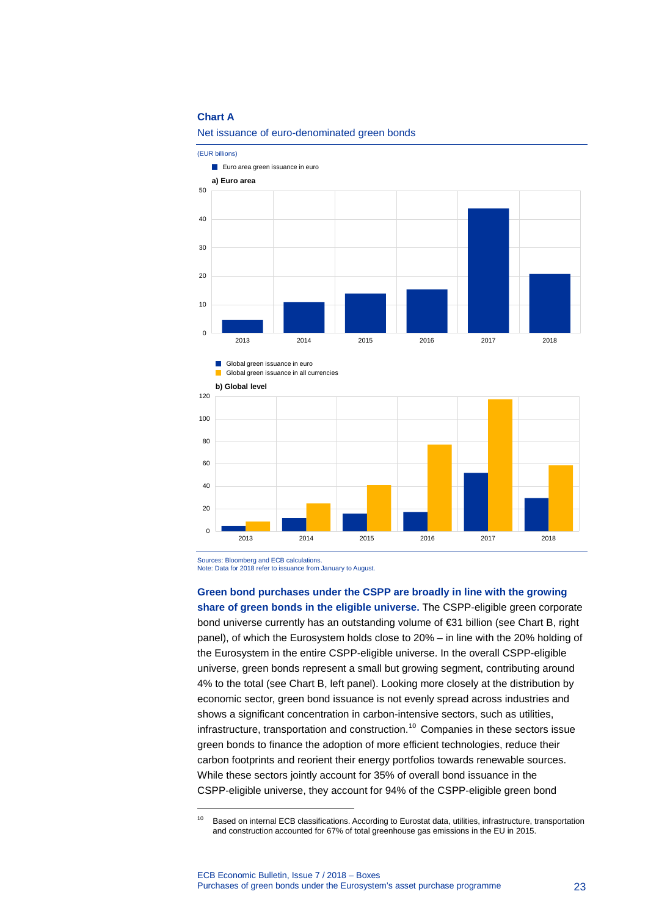#### **Chart A**

100

120



Net issuance of euro-denominated green bonds

 $\overline{0}$ 20 40 60 80 2013 2014 2015 2016 2017 2018

Sources: Bloomberg and ECB calculations.

Global green issuance in euro Global green issuance in all currencies

**b) Global level**

-

Note: Data for 2018 refer to issuance from January to August.

#### **Green bond purchases under the CSPP are broadly in line with the growing**

**share of green bonds in the eligible universe.** The CSPP-eligible green corporate bond universe currently has an outstanding volume of €31 billion (see Chart B, right panel), of which the Eurosystem holds close to 20% – in line with the 20% holding of the Eurosystem in the entire CSPP-eligible universe. In the overall CSPP-eligible universe, green bonds represent a small but growing segment, contributing around 4% to the total (see Chart B, left panel). Looking more closely at the distribution by economic sector, green bond issuance is not evenly spread across industries and shows a significant concentration in carbon-intensive sectors, such as utilities, infrastructure, transportation and construction. [10](#page-23-0) Companies in these sectors issue green bonds to finance the adoption of more efficient technologies, reduce their carbon footprints and reorient their energy portfolios towards renewable sources. While these sectors jointly account for 35% of overall bond issuance in the CSPP-eligible universe, they account for 94% of the CSPP-eligible green bond

<span id="page-23-0"></span><sup>&</sup>lt;sup>10</sup> Based on internal ECB classifications. According to Eurostat data, utilities, infrastructure, transportation and construction accounted for 67% of total greenhouse gas emissions in the EU in 2015.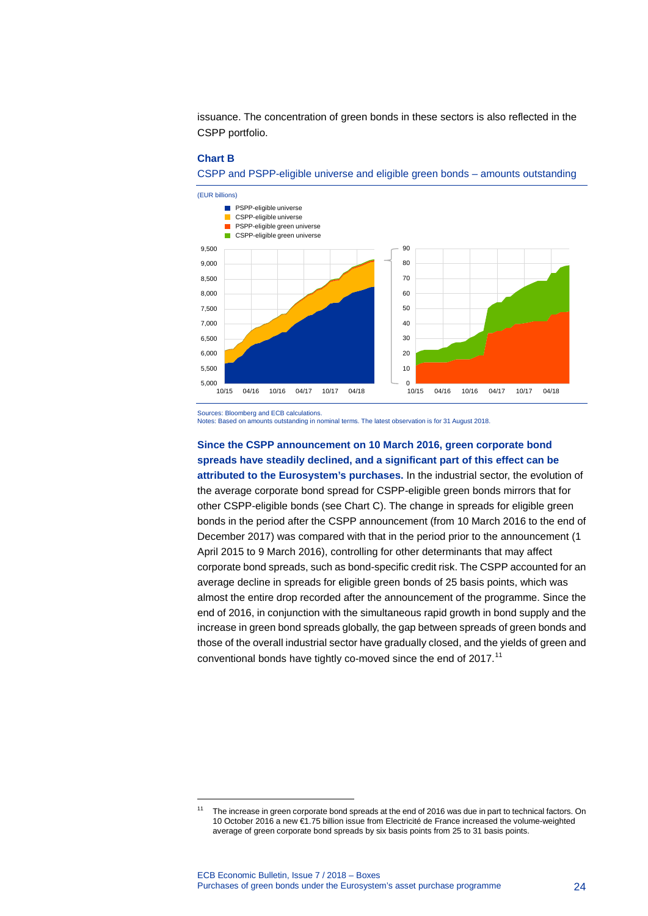issuance. The concentration of green bonds in these sectors is also reflected in the CSPP portfolio.

#### **Chart B**

CSPP and PSPP-eligible universe and eligible green bonds – amounts outstanding



Sources: Bloomberg and ECB calculations.

-

Notes: Based on amounts outstanding in nominal terms. The latest observation is for 31 August 2018.

**Since the CSPP announcement on 10 March 2016, green corporate bond spreads have steadily declined, and a significant part of this effect can be attributed to the Eurosystem's purchases.** In the industrial sector, the evolution of the average corporate bond spread for CSPP-eligible green bonds mirrors that for other CSPP-eligible bonds (see Chart C). The change in spreads for eligible green bonds in the period after the CSPP announcement (from 10 March 2016 to the end of December 2017) was compared with that in the period prior to the announcement (1 April 2015 to 9 March 2016), controlling for other determinants that may affect corporate bond spreads, such as bond-specific credit risk. The CSPP accounted for an average decline in spreads for eligible green bonds of 25 basis points, which was almost the entire drop recorded after the announcement of the programme. Since the end of 2016, in conjunction with the simultaneous rapid growth in bond supply and the increase in green bond spreads globally, the gap between spreads of green bonds and those of the overall industrial sector have gradually closed, and the yields of green and conventional bonds have tightly co-moved since the end of 2017.<sup>[11](#page-24-0)</sup>

<span id="page-24-0"></span>The increase in green corporate bond spreads at the end of 2016 was due in part to technical factors. On 10 October 2016 a new €1.75 billion issue from Electricité de France increased the volume-weighted average of green corporate bond spreads by six basis points from 25 to 31 basis points.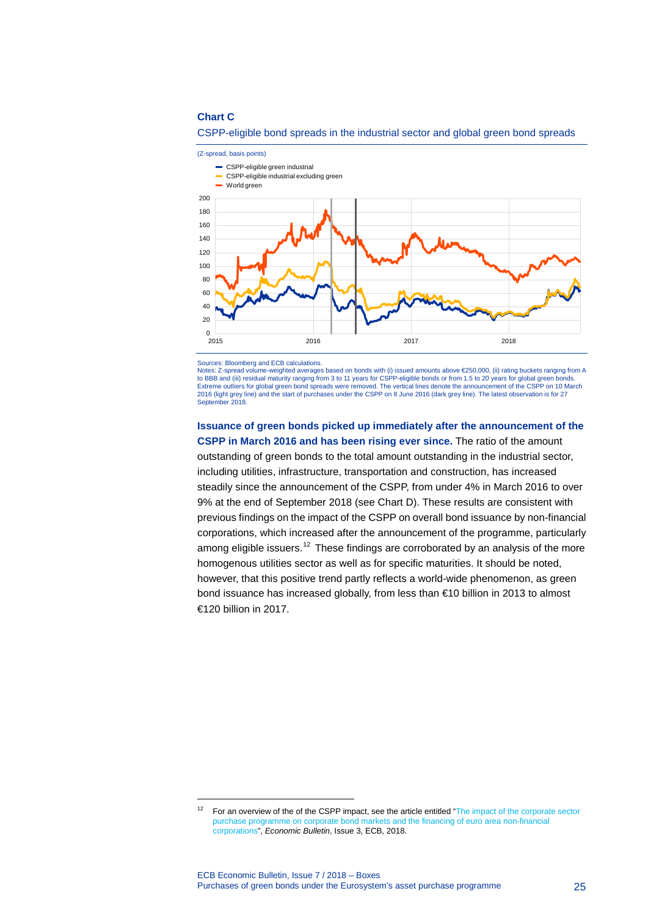#### **Chart C**



## CSPP-eligible bond spreads in the industrial sector and global green bond spreads

Sources: Bloomberg and ECB calculations.

-

Notes: Z-spread volume-weighted averages based on bonds with (i) issued amounts above €250,000, (ii) rating buckets ranging from A to BBB and (iii) residual maturity ranging from 3 to 11 years for CSPP-eligible bonds or from 1.5 to 20 years for global green bonds. Extreme outliers for global green bond spreads were removed. The vertical lines denote the announcement of the CSPP on 10 March<br>2016 (light grey line) and the start of purchases under the CSPP on 8 June 2016 (dark grey lin September 2018.

**Issuance of green bonds picked up immediately after the announcement of the CSPP in March 2016 and has been rising ever since.** The ratio of the amount outstanding of green bonds to the total amount outstanding in the industrial sector, including utilities, infrastructure, transportation and construction, has increased steadily since the announcement of the CSPP, from under 4% in March 2016 to over 9% at the end of September 2018 (see Chart D). These results are consistent with previous findings on the impact of the CSPP on overall bond issuance by non-financial corporations, which increased after the announcement of the programme, particularly among eligible issuers.<sup>[12](#page-25-0)</sup> These findings are corroborated by an analysis of the more homogenous utilities sector as well as for specific maturities. It should be noted, however, that this positive trend partly reflects a world-wide phenomenon, as green bond issuance has increased globally, from less than €10 billion in 2013 to almost €120 billion in 2017.

<span id="page-25-0"></span><sup>&</sup>lt;sup>12</sup> For an overview of the of the CSPP impact, see the article entitled "The impact of the corporate sector purchase programme on corporate [bond markets and the financing of euro area non-financial](https://www.ecb.europa.eu/pub/pdf/other/ecb.ebart201803_02.en.pdf)  [corporations"](https://www.ecb.europa.eu/pub/pdf/other/ecb.ebart201803_02.en.pdf), *Economic Bulletin*, Issue 3, ECB, 2018.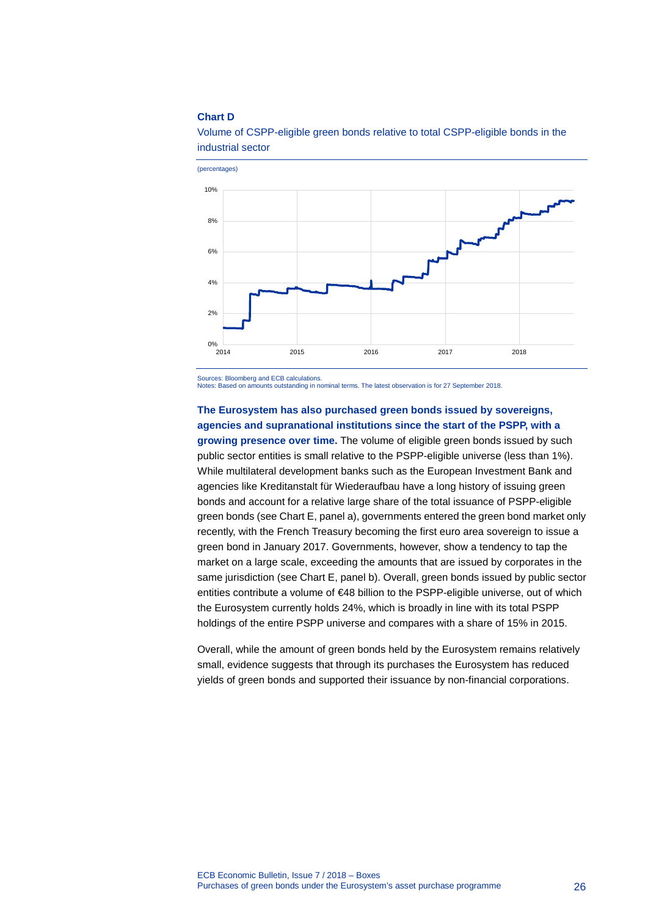#### **Chart D**



Volume of CSPP-eligible green bonds relative to total CSPP-eligible bonds in the industrial sector

Sources: Bloomberg and ECB calculations. Notes: Based on amounts outstanding in nominal terms. The latest observation is for 27 September 2018.

# **The Eurosystem has also purchased green bonds issued by sovereigns, agencies and supranational institutions since the start of the PSPP, with a**

**growing presence over time.** The volume of eligible green bonds issued by such public sector entities is small relative to the PSPP-eligible universe (less than 1%). While multilateral development banks such as the European Investment Bank and agencies like Kreditanstalt für Wiederaufbau have a long history of issuing green bonds and account for a relative large share of the total issuance of PSPP-eligible green bonds (see Chart E, panel a), governments entered the green bond market only recently, with the French Treasury becoming the first euro area sovereign to issue a green bond in January 2017. Governments, however, show a tendency to tap the market on a large scale, exceeding the amounts that are issued by corporates in the same jurisdiction (see Chart E, panel b). Overall, green bonds issued by public sector entities contribute a volume of €48 billion to the PSPP-eligible universe, out of which the Eurosystem currently holds 24%, which is broadly in line with its total PSPP holdings of the entire PSPP universe and compares with a share of 15% in 2015.

Overall, while the amount of green bonds held by the Eurosystem remains relatively small, evidence suggests that through its purchases the Eurosystem has reduced yields of green bonds and supported their issuance by non-financial corporations.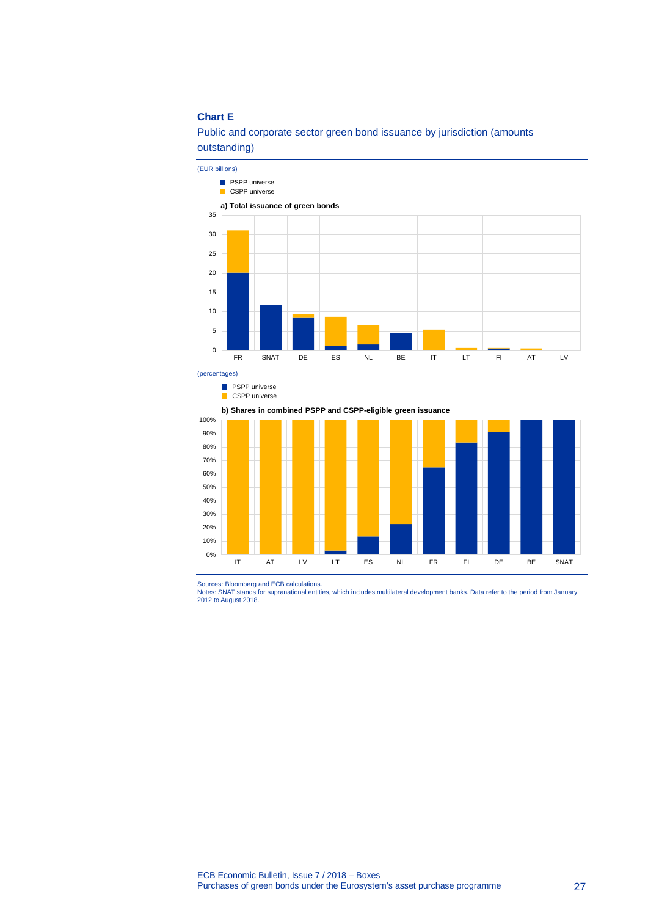# **Chart E**

# Public and corporate sector green bond issuance by jurisdiction (amounts outstanding)



(percentages)

**PSPP** universe

CSPP universe

**b) Shares in combined PSPP and CSPP-eligible green issuance**



Sources: Bloomberg and ECB calculations.<br>Notes: SNAT stands for supranational entities, which includes multilateral development banks. Data refer to the period from January<br>2012 to August 2018.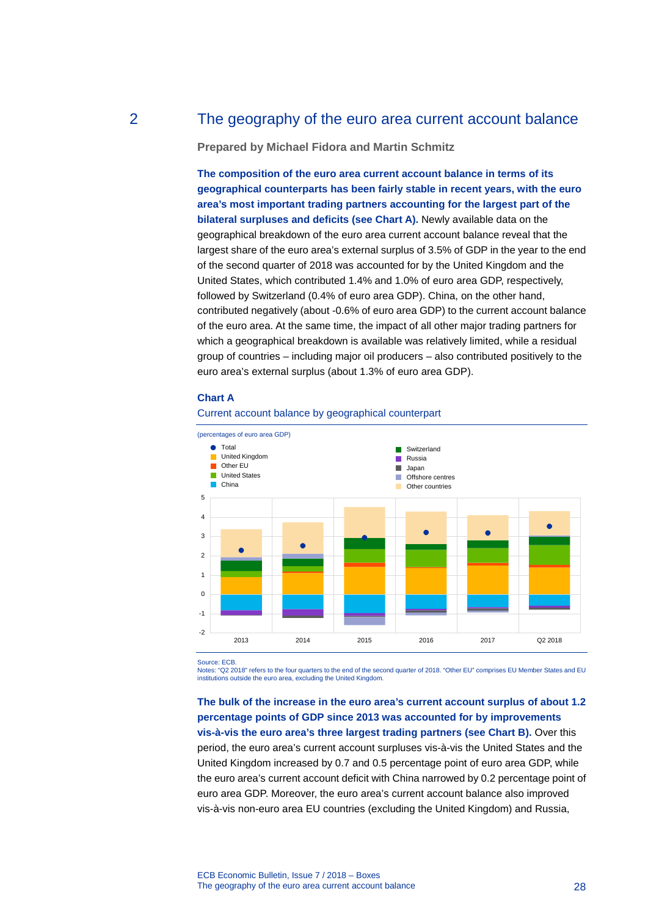# 2 The geography of the euro area current account balance

<span id="page-28-0"></span>**Prepared by Michael Fidora and Martin Schmitz**

**The composition of the euro area current account balance in terms of its geographical counterparts has been fairly stable in recent years, with the euro area's most important trading partners accounting for the largest part of the bilateral surpluses and deficits (see Chart A).** Newly available data on the geographical breakdown of the euro area current account balance reveal that the largest share of the euro area's external surplus of 3.5% of GDP in the year to the end of the second quarter of 2018 was accounted for by the United Kingdom and the United States, which contributed 1.4% and 1.0% of euro area GDP, respectively, followed by Switzerland (0.4% of euro area GDP). China, on the other hand, contributed negatively (about -0.6% of euro area GDP) to the current account balance of the euro area. At the same time, the impact of all other major trading partners for which a geographical breakdown is available was relatively limited, while a residual group of countries – including major oil producers – also contributed positively to the euro area's external surplus (about 1.3% of euro area GDP).

### **Chart A**



## Current account balance by geographical counterpart

Source: ECB

Notes: "Q2 2018" refers to the four quarters to the end of the second quarter of 2018. "Other EU" comprises EU Member States and EU institutions outside the euro area, excluding the United Kingdom.

**The bulk of the increase in the euro area's current account surplus of about 1.2 percentage points of GDP since 2013 was accounted for by improvements vis-à-vis the euro area's three largest trading partners (see Chart B).** Over this period, the euro area's current account surpluses vis-à-vis the United States and the United Kingdom increased by 0.7 and 0.5 percentage point of euro area GDP, while the euro area's current account deficit with China narrowed by 0.2 percentage point of euro area GDP. Moreover, the euro area's current account balance also improved vis-à-vis non-euro area EU countries (excluding the United Kingdom) and Russia,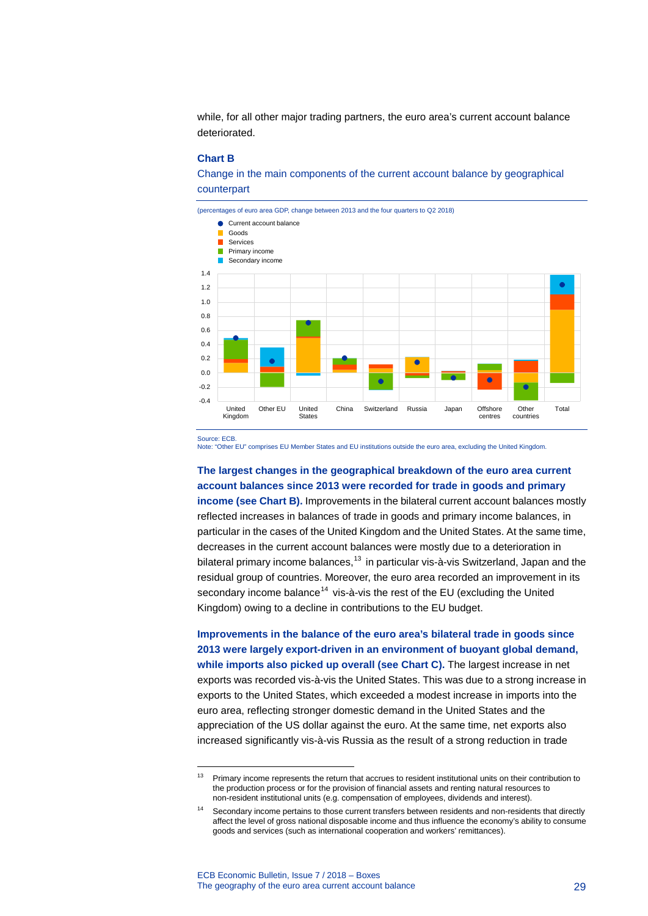while, for all other major trading partners, the euro area's current account balance deteriorated.

#### **Chart B**

Change in the main components of the current account balance by geographical counterpart



Source: ECB.

-

Note: "Other EU" comprises EU Member States and EU institutions outside the euro area, excluding the United Kingdom.

# **The largest changes in the geographical breakdown of the euro area current account balances since 2013 were recorded for trade in goods and primary**

**income (see Chart B).** Improvements in the bilateral current account balances mostly reflected increases in balances of trade in goods and primary income balances, in particular in the cases of the United Kingdom and the United States. At the same time, decreases in the current account balances were mostly due to a deterioration in bilateral primary income balances,<sup>[13](#page-29-0)</sup> in particular vis-à-vis Switzerland, Japan and the residual group of countries. Moreover, the euro area recorded an improvement in its secondary income balance<sup>[14](#page-29-1)</sup> vis-à-vis the rest of the EU (excluding the United Kingdom) owing to a decline in contributions to the EU budget.

**Improvements in the balance of the euro area's bilateral trade in goods since 2013 were largely export-driven in an environment of buoyant global demand, while imports also picked up overall (see Chart C).** The largest increase in net exports was recorded vis-à-vis the United States. This was due to a strong increase in exports to the United States, which exceeded a modest increase in imports into the euro area, reflecting stronger domestic demand in the United States and the appreciation of the US dollar against the euro. At the same time, net exports also increased significantly vis-à-vis Russia as the result of a strong reduction in trade

<span id="page-29-0"></span><sup>&</sup>lt;sup>13</sup> Primary income represents the return that accrues to resident institutional units on their contribution to the production process or for the provision of financial assets and renting natural resources to non-resident institutional units (e.g. compensation of employees, dividends and interest).

<span id="page-29-1"></span><sup>&</sup>lt;sup>14</sup> Secondary income pertains to those current transfers between residents and non-residents that directly affect the level of gross national disposable income and thus influence the economy's ability to consume goods and services (such as international cooperation and workers' remittances).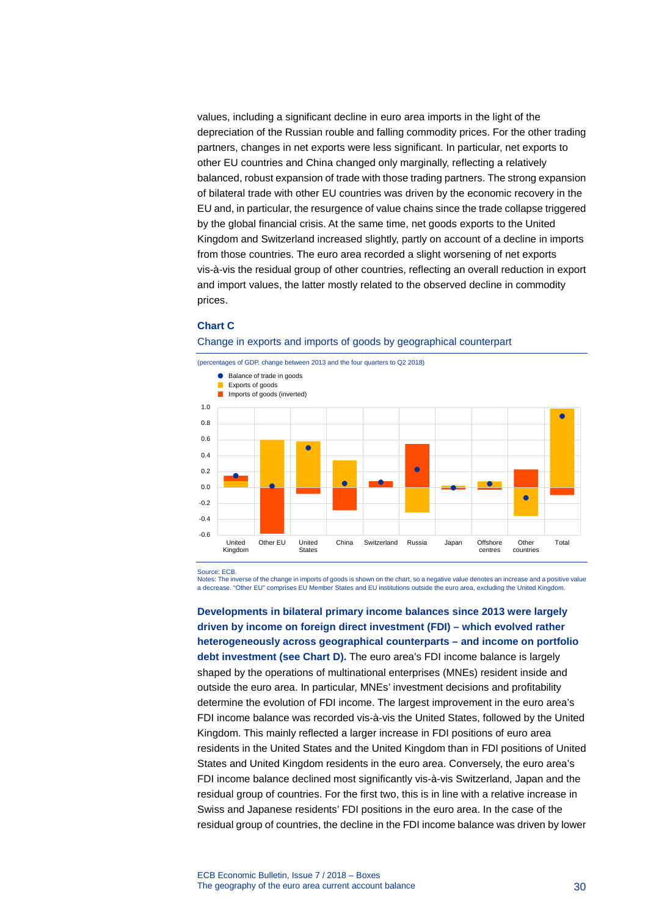values, including a significant decline in euro area imports in the light of the depreciation of the Russian rouble and falling commodity prices. For the other trading partners, changes in net exports were less significant. In particular, net exports to other EU countries and China changed only marginally, reflecting a relatively balanced, robust expansion of trade with those trading partners. The strong expansion of bilateral trade with other EU countries was driven by the economic recovery in the EU and, in particular, the resurgence of value chains since the trade collapse triggered by the global financial crisis. At the same time, net goods exports to the United Kingdom and Switzerland increased slightly, partly on account of a decline in imports from those countries. The euro area recorded a slight worsening of net exports vis-à-vis the residual group of other countries, reflecting an overall reduction in export and import values, the latter mostly related to the observed decline in commodity prices.

## **Chart C**

Change in exports and imports of goods by geographical counterpart



Source: ECB.

Notes: The inverse of the change in imports of goods is shown on the chart, so a negative value denotes an increase and a positive value a decrease. "Other EU" comprises EU Member States and EU institutions outside the euro area, excluding the United Kingdom.

**Developments in bilateral primary income balances since 2013 were largely driven by income on foreign direct investment (FDI) – which evolved rather heterogeneously across geographical counterparts – and income on portfolio debt investment (see Chart D).** The euro area's FDI income balance is largely shaped by the operations of multinational enterprises (MNEs) resident inside and outside the euro area. In particular, MNEs' investment decisions and profitability determine the evolution of FDI income. The largest improvement in the euro area's FDI income balance was recorded vis-à-vis the United States, followed by the United Kingdom. This mainly reflected a larger increase in FDI positions of euro area residents in the United States and the United Kingdom than in FDI positions of United States and United Kingdom residents in the euro area. Conversely, the euro area's FDI income balance declined most significantly vis-à-vis Switzerland, Japan and the residual group of countries. For the first two, this is in line with a relative increase in Swiss and Japanese residents' FDI positions in the euro area. In the case of the residual group of countries, the decline in the FDI income balance was driven by lower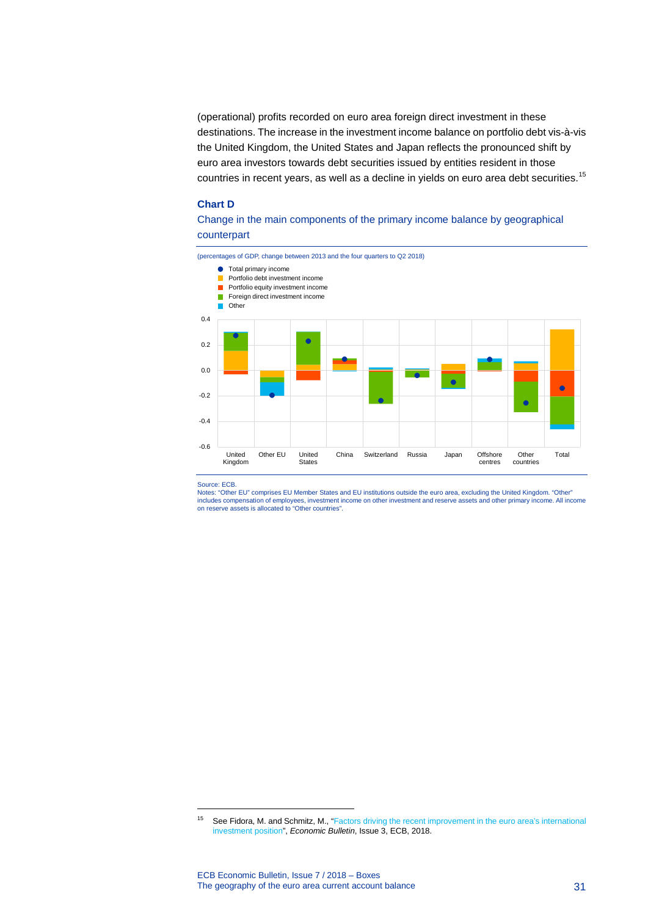(operational) profits recorded on euro area foreign direct investment in these destinations. The increase in the investment income balance on portfolio debt vis-à-vis the United Kingdom, the United States and Japan reflects the pronounced shift by euro area investors towards debt securities issued by entities resident in those countries in recent years, as well as a decline in yields on euro area debt securities.<sup>[15](#page-31-0)</sup>

#### **Chart D**

# Change in the main components of the primary income balance by geographical counterpart



#### Source: ECB.

-

Notes: "Other EU" comprises EU Member States and EU institutions outside the euro area, excluding the United Kingdom. "Other" includes compensation of employees, investment income on other investment and reserve assets and other primary income. All income on reserve assets is allocated to "Other countries".

<span id="page-31-0"></span><sup>15</sup> See Fidora, M. and Schmitz, M., ["Factors driving the recent improvement in the euro area's international](https://www.ecb.europa.eu/pub/pdf/other/ecb.ebbox201803_02.en.pdf?9a60ddc81666e3108c0c03662fdec4b1)  [investment position"](https://www.ecb.europa.eu/pub/pdf/other/ecb.ebbox201803_02.en.pdf?9a60ddc81666e3108c0c03662fdec4b1), *Economic Bulletin*, Issue 3, ECB, 2018.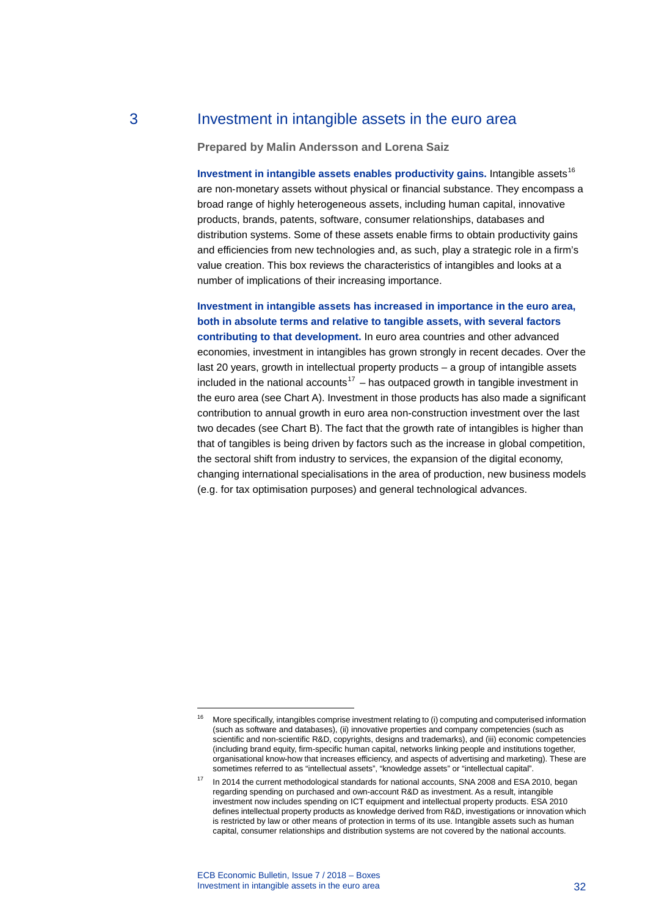# 3 Investment in intangible assets in the euro area

## <span id="page-32-0"></span>**Prepared by Malin Andersson and Lorena Saiz**

**Investment in intangible assets enables productivity gains.** Intangible assets<sup>[16](#page-32-1)</sup> are non‐monetary assets without physical or financial substance. They encompass a broad range of highly heterogeneous assets, including human capital, innovative products, brands, patents, software, consumer relationships, databases and distribution systems. Some of these assets enable firms to obtain productivity gains and efficiencies from new technologies and, as such, play a strategic role in a firm's value creation. This box reviews the characteristics of intangibles and looks at a number of implications of their increasing importance.

**Investment in intangible assets has increased in importance in the euro area, both in absolute terms and relative to tangible assets, with several factors contributing to that development.** In euro area countries and other advanced economies, investment in intangibles has grown strongly in recent decades. Over the last 20 years, growth in intellectual property products – a group of intangible assets included in the national accounts<sup>[17](#page-32-2)</sup> – has outpaced growth in tangible investment in the euro area (see Chart A). Investment in those products has also made a significant contribution to annual growth in euro area non-construction investment over the last two decades (see Chart B). The fact that the growth rate of intangibles is higher than that of tangibles is being driven by factors such as the increase in global competition, the sectoral shift from industry to services, the expansion of the digital economy, changing international specialisations in the area of production, new business models (e.g. for tax optimisation purposes) and general technological advances.

-

<span id="page-32-1"></span><sup>&</sup>lt;sup>16</sup> More specifically, intangibles comprise investment relating to (i) computing and computerised information (such as software and databases), (ii) innovative properties and company competencies (such as scientific and non-scientific R&D, copyrights, designs and trademarks), and (iii) economic competencies (including brand equity, firm-specific human capital, networks linking people and institutions together, organisational know-how that increases efficiency, and aspects of advertising and marketing). These are sometimes referred to as "intellectual assets", "knowledge assets" or "intellectual capital".

<span id="page-32-2"></span><sup>&</sup>lt;sup>17</sup> In 2014 the current methodological standards for national accounts, SNA 2008 and ESA 2010, began regarding spending on purchased and own-account R&D as investment. As a result, intangible investment now includes spending on ICT equipment and intellectual property products. ESA 2010 defines intellectual property products as knowledge derived from R&D, investigations or innovation which is restricted by law or other means of protection in terms of its use. Intangible assets such as human capital, consumer relationships and distribution systems are not covered by the national accounts.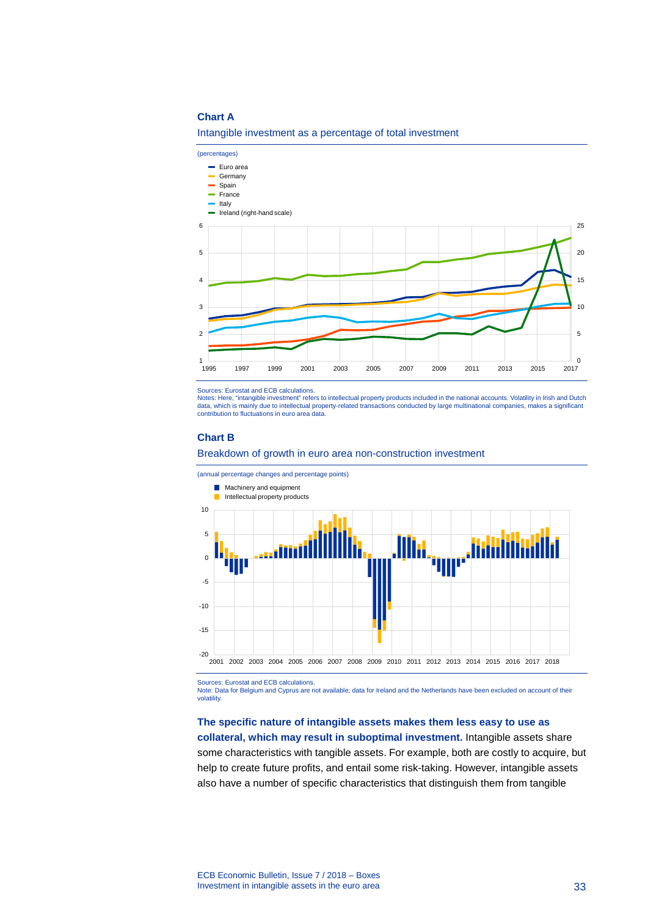## **Chart A**

Intangible investment as a percentage of total investment



Sources: Eurostat and ECB calculations.

Notes: Here, "intangible investment" refers to intellectual property products included in the national accounts. Volatility in Irish and Dutch data, which is mainly due to intellectual property-related transactions conducted by large multinational companies, makes a significant contribution to fluctuations in euro area data.

### **Chart B**





Sources: Eurostat and ECB calculations. Note: Data for Belgium and Cyprus are not available; data for Ireland and the Netherlands have been excluded on account of their volatility

# **The specific nature of intangible assets makes them less easy to use as**

**collateral, which may result in suboptimal investment.** Intangible assets share some characteristics with tangible assets. For example, both are costly to acquire, but help to create future profits, and entail some risk-taking. However, intangible assets also have a number of specific characteristics that distinguish them from tangible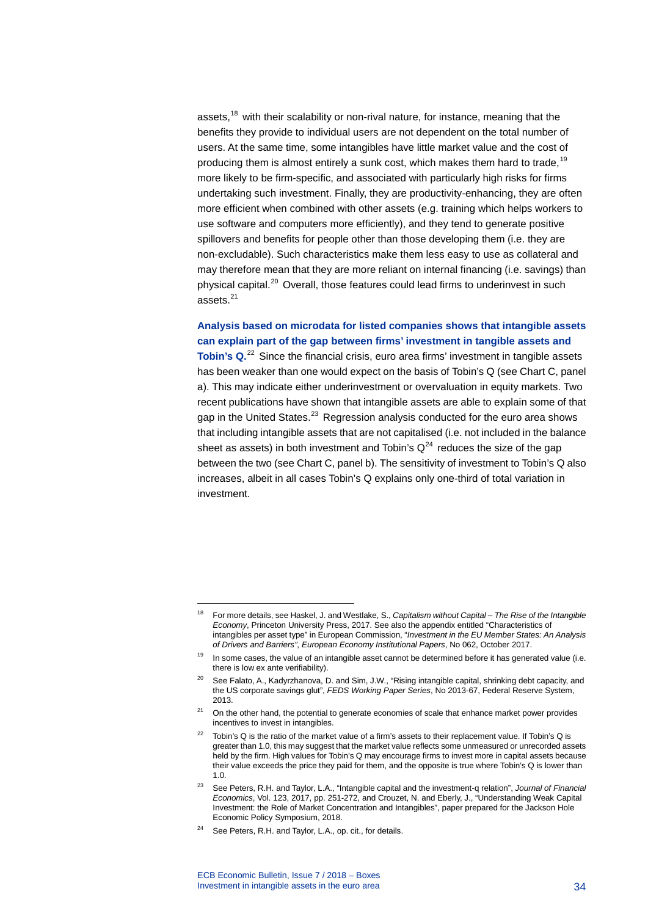assets,<sup>[18](#page-34-0)</sup> with their scalability or non-rival nature, for instance, meaning that the benefits they provide to individual users are not dependent on the total number of users. At the same time, some intangibles have little market value and the cost of producing them is almost entirely a sunk cost, which makes them hard to trade,  $19$ more likely to be firm-specific, and associated with particularly high risks for firms undertaking such investment. Finally, they are productivity-enhancing, they are often more efficient when combined with other assets (e.g. training which helps workers to use software and computers more efficiently), and they tend to generate positive spillovers and benefits for people other than those developing them (i.e. they are non-excludable). Such characteristics make them less easy to use as collateral and may therefore mean that they are more reliant on internal financing (i.e. savings) than physical capital.<sup>[20](#page-34-2)</sup> Overall, those features could lead firms to underinvest in such assets. [21](#page-34-3)

**Analysis based on microdata for listed companies shows that intangible assets can explain part of the gap between firms' investment in tangible assets and Tobin's Q.**<sup>[22](#page-34-4)</sup> Since the financial crisis, euro area firms' investment in tangible assets has been weaker than one would expect on the basis of Tobin's Q (see Chart C, panel a). This may indicate either underinvestment or overvaluation in equity markets. Two recent publications have shown that intangible assets are able to explain some of that gap in the United States.<sup>[23](#page-34-5)</sup> Regression analysis conducted for the euro area shows that including intangible assets that are not capitalised (i.e. not included in the balance sheet as assets) in both investment and Tobin's  $Q^{24}$  $Q^{24}$  $Q^{24}$  reduces the size of the gap between the two (see Chart C, panel b). The sensitivity of investment to Tobin's Q also increases, albeit in all cases Tobin's Q explains only one-third of total variation in investment.

-

<span id="page-34-0"></span><sup>18</sup> For more details, see Haskel, J. and Westlake, S., *Capitalism without Capital – The Rise of the Intangible Economy*, Princeton University Press, 2017. See also the appendix entitled "Characteristics of intangibles per asset type" in European Commission, "*Investment in the EU Member States: An Analysis of Drivers and Barriers"*, *European Economy Institutional Papers*, No 062, October 2017.

<span id="page-34-1"></span><sup>&</sup>lt;sup>19</sup> In some cases, the value of an intangible asset cannot be determined before it has generated value (i.e. there is low ex ante verifiability).

<span id="page-34-2"></span>See Falato, A., Kadyrzhanova, D. and Sim, J.W., "Rising intangible capital, shrinking debt capacity, and the US corporate savings glut", *FEDS Working Paper Series*, No 2013-67, Federal Reserve System, 2013.

<span id="page-34-3"></span> $21$  On the other hand, the potential to generate economies of scale that enhance market power provides incentives to invest in intangibles.

<span id="page-34-4"></span><sup>&</sup>lt;sup>22</sup> Tobin's Q is the ratio of the market value of a firm's assets to their replacement value. If Tobin's Q is greater than 1.0, this may suggest that the market value reflects some unmeasured or unrecorded assets held by the firm. High values for Tobin's Q may encourage firms to invest more in capital assets because their value exceeds the price they paid for them, and the opposite is true where Tobin's Q is lower than 1.0.

<span id="page-34-5"></span><sup>23</sup> See Peters, R.H. and Taylor, L.A., "Intangible capital and the investment-q relation", *Journal of Financial Economics*, Vol. 123, 2017, pp. 251-272, and Crouzet, N. and Eberly, J., "Understanding Weak Capital Investment: the Role of Market Concentration and Intangibles", paper prepared for the Jackson Hole Economic Policy Symposium, 2018.

<span id="page-34-6"></span><sup>&</sup>lt;sup>24</sup> See Peters, R.H. and Taylor, L.A., op. cit., for details.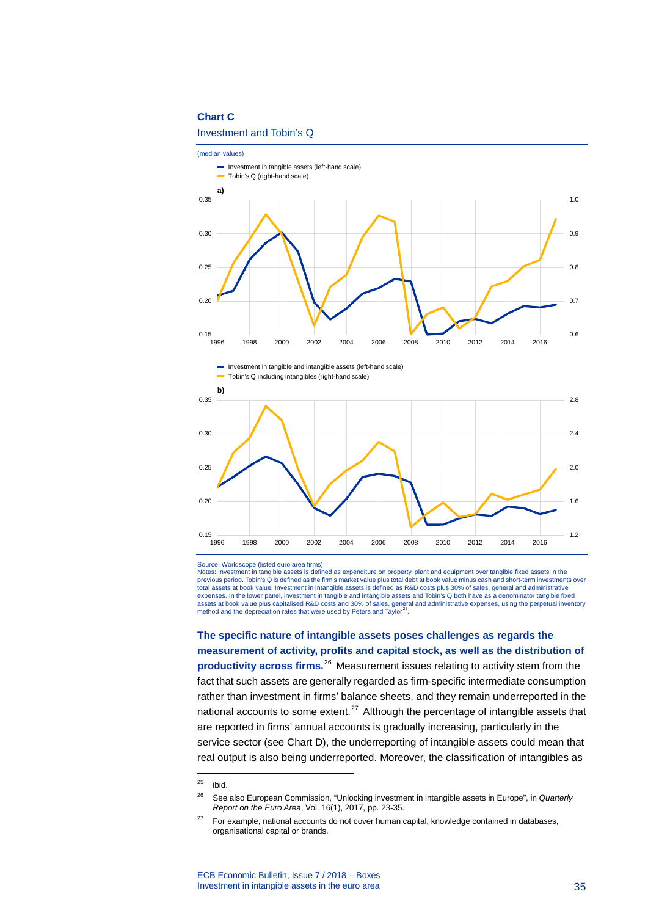## **Chart C**

#### Investment and Tobin's Q





Source: Worldscope (listed euro area firms).

Notes: Investment in tangible assets is defined as expenditure on property, plant and equipment over tangible fixed assets in the previous period. Tobin's Q is defined as the firm's market value plus total debt at book value minus cash and short-term investments over total assets at book value. Investment in intangible assets is defined as R&D costs plus 30% of sales, general and administrative<br>expenses. In the lower panel, investment in tangible and intangible assets and Tobin's Q bot assets at book value plus capitalised R&D costs and 30% of sales, general and administrative expenses, using the perpetual inventory method and the depreciation rates that were used by Peters and Taylor<sup>26</sup>.

**The specific nature of intangible assets poses challenges as regards the measurement of activity, profits and capital stock, as well as the distribution of productivity across firms.**[26](#page-35-1) Measurement issues relating to activity stem from the fact that such assets are generally regarded as firm-specific intermediate consumption rather than investment in firms' balance sheets, and they remain underreported in the national accounts to some extent. $27$  Although the percentage of intangible assets that are reported in firms' annual accounts is gradually increasing, particularly in the service sector (see Chart D), the underreporting of intangible assets could mean that real output is also being underreported. Moreover, the classification of intangibles as

-

<span id="page-35-0"></span> $25$  ibid.

<span id="page-35-1"></span><sup>26</sup> See also European Commission, "Unlocking investment in intangible assets in Europe", in *Quarterly Report on the Euro Area*, Vol. 16(1), 2017, pp. 23-35.

<span id="page-35-2"></span> $27$  For example, national accounts do not cover human capital, knowledge contained in databases, organisational capital or brands.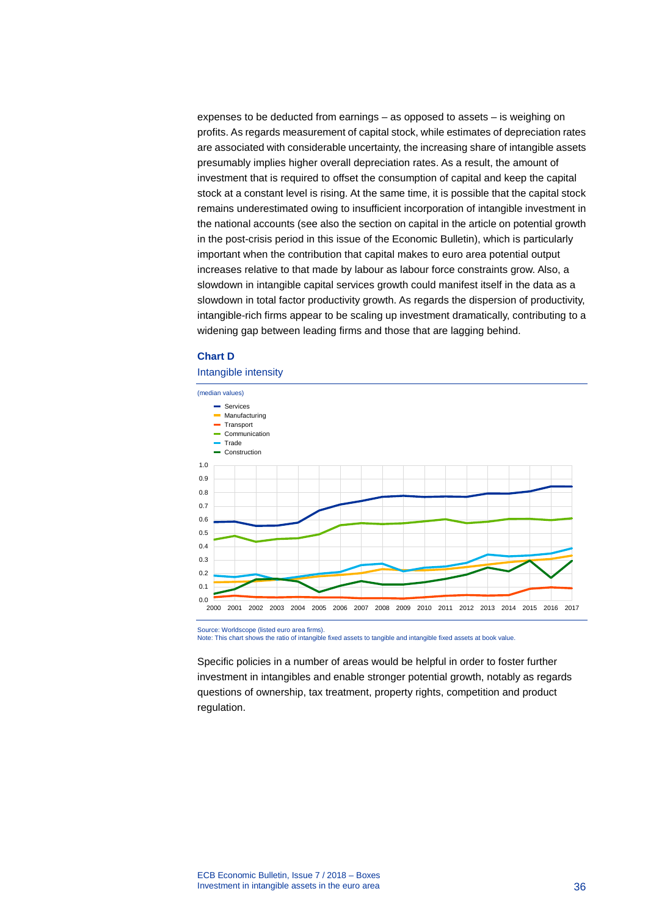expenses to be deducted from earnings – as opposed to assets – is weighing on profits. As regards measurement of capital stock, while estimates of depreciation rates are associated with considerable uncertainty, the increasing share of intangible assets presumably implies higher overall depreciation rates. As a result, the amount of investment that is required to offset the consumption of capital and keep the capital stock at a constant level is rising. At the same time, it is possible that the capital stock remains underestimated owing to insufficient incorporation of intangible investment in the national accounts (see also the section on capital in the article on potential growth in the post-crisis period in this issue of the Economic Bulletin), which is particularly important when the contribution that capital makes to euro area potential output increases relative to that made by labour as labour force constraints grow. Also, a slowdown in intangible capital services growth could manifest itself in the data as a slowdown in total factor productivity growth. As regards the dispersion of productivity, intangible-rich firms appear to be scaling up investment dramatically, contributing to a widening gap between leading firms and those that are lagging behind.

### **Chart D**

#### Intangible intensity



Source: Worldscope (listed euro area firms).

Note: This chart shows the ratio of intangible fixed assets to tangible and intangible fixed assets at book value.

Specific policies in a number of areas would be helpful in order to foster further investment in intangibles and enable stronger potential growth, notably as regards questions of ownership, tax treatment, property rights, competition and product regulation.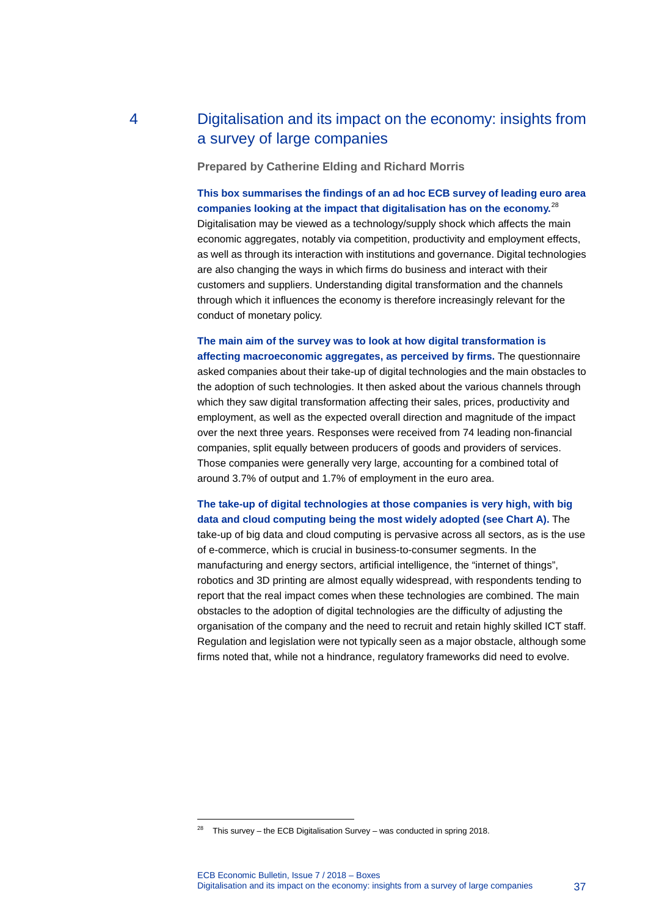## 4 Digitalisation and its impact on the economy: insights from a survey of large companies

**Prepared by Catherine Elding and Richard Morris**

**This box summarises the findings of an ad hoc ECB survey of leading euro area companies looking at the impact that digitalisation has on the economy.** [28](#page-37-0) Digitalisation may be viewed as a technology/supply shock which affects the main economic aggregates, notably via competition, productivity and employment effects, as well as through its interaction with institutions and governance. Digital technologies are also changing the ways in which firms do business and interact with their customers and suppliers. Understanding digital transformation and the channels through which it influences the economy is therefore increasingly relevant for the conduct of monetary policy.

#### **The main aim of the survey was to look at how digital transformation is affecting macroeconomic aggregates, as perceived by firms.** The questionnaire

asked companies about their take-up of digital technologies and the main obstacles to the adoption of such technologies. It then asked about the various channels through which they saw digital transformation affecting their sales, prices, productivity and employment, as well as the expected overall direction and magnitude of the impact over the next three years. Responses were received from 74 leading non-financial companies, split equally between producers of goods and providers of services. Those companies were generally very large, accounting for a combined total of around 3.7% of output and 1.7% of employment in the euro area.

### **The take-up of digital technologies at those companies is very high, with big data and cloud computing being the most widely adopted (see Chart A).** The

take-up of big data and cloud computing is pervasive across all sectors, as is the use of e-commerce, which is crucial in business-to-consumer segments. In the manufacturing and energy sectors, artificial intelligence, the "internet of things", robotics and 3D printing are almost equally widespread, with respondents tending to report that the real impact comes when these technologies are combined. The main obstacles to the adoption of digital technologies are the difficulty of adjusting the organisation of the company and the need to recruit and retain highly skilled ICT staff. Regulation and legislation were not typically seen as a major obstacle, although some firms noted that, while not a hindrance, regulatory frameworks did need to evolve.

<span id="page-37-0"></span><sup>&</sup>lt;sup>28</sup> This survey – the ECB Digitalisation Survey – was conducted in spring 2018.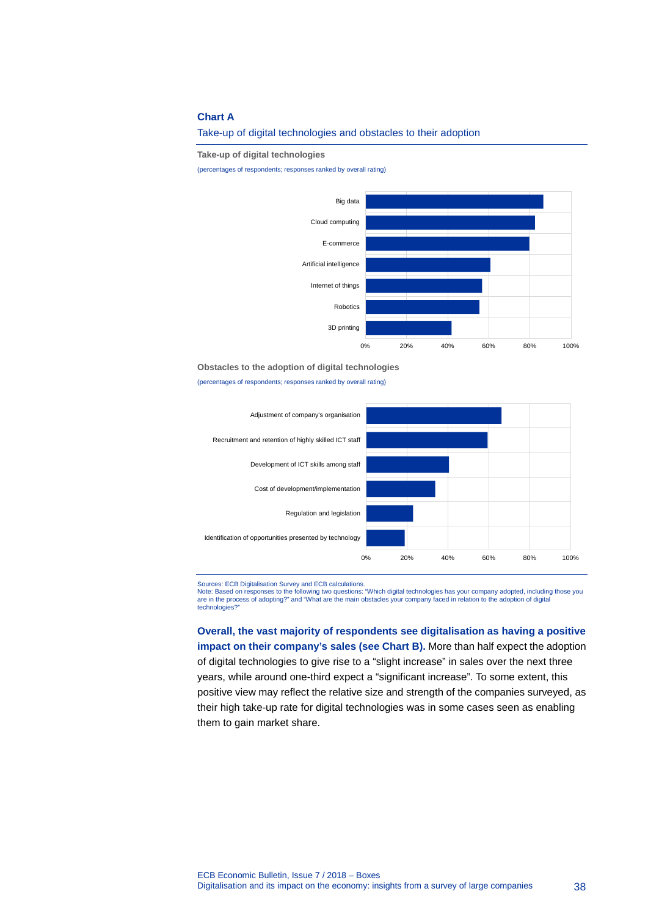#### **Chart A**

Take-up of digital technologies and obstacles to their adoption

**Take-up of digital technologies**

(percentages of respondents; responses ranked by overall rating)



**Obstacles to the adoption of digital technologies**

(percentages of respondents; responses ranked by overall rating)



Sources: ECB Digitalisation Survey and ECB calculations.<br>Note: Based on responses to the following two questions: "Which digital technologies has your company adopted, including those you<br>are in the process of adopting?" a technologies?"

**Overall, the vast majority of respondents see digitalisation as having a positive impact on their company's sales (see Chart B).** More than half expect the adoption of digital technologies to give rise to a "slight increase" in sales over the next three years, while around one-third expect a "significant increase". To some extent, this positive view may reflect the relative size and strength of the companies surveyed, as their high take-up rate for digital technologies was in some cases seen as enabling them to gain market share.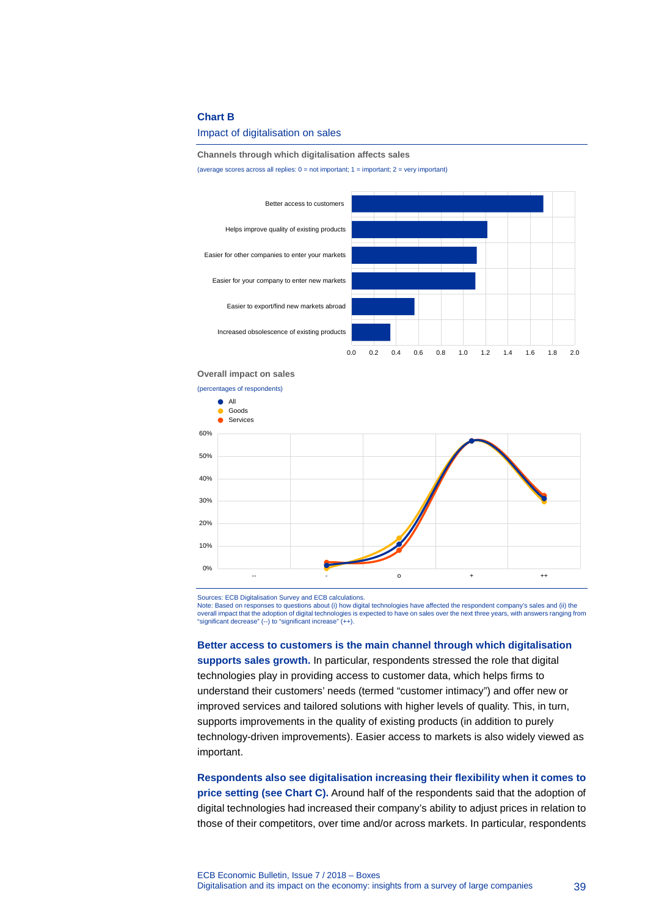#### **Chart B**

Impact of digitalisation on sales

#### **Channels through which digitalisation affects sales**

(average scores across all replies: 0 = not important; 1 = important; 2 = very important)





Sources: ECB Digitalisation Survey and ECB calculations. Note: Based on responses to questions about (i) how digital technologies have affected the respondent company's sales and (ii) the overall impact that the adoption of digital technologies is expected to have on sales over the next three years, with answers ranging from "significant decrease" (--) to "significant increase" (++).

**Better access to customers is the main channel through which digitalisation supports sales growth.** In particular, respondents stressed the role that digital technologies play in providing access to customer data, which helps firms to understand their customers' needs (termed "customer intimacy") and offer new or improved services and tailored solutions with higher levels of quality. This, in turn, supports improvements in the quality of existing products (in addition to purely technology-driven improvements). Easier access to markets is also widely viewed as important.

**Respondents also see digitalisation increasing their flexibility when it comes to price setting (see Chart C).** Around half of the respondents said that the adoption of digital technologies had increased their company's ability to adjust prices in relation to those of their competitors, over time and/or across markets. In particular, respondents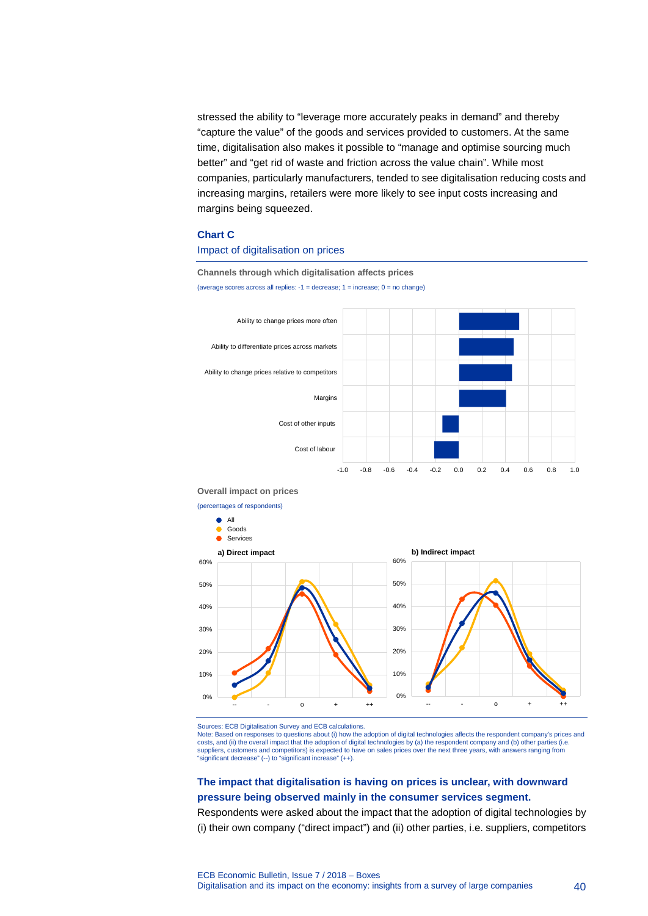stressed the ability to "leverage more accurately peaks in demand" and thereby "capture the value" of the goods and services provided to customers. At the same time, digitalisation also makes it possible to "manage and optimise sourcing much better" and "get rid of waste and friction across the value chain". While most companies, particularly manufacturers, tended to see digitalisation reducing costs and increasing margins, retailers were more likely to see input costs increasing and margins being squeezed.

#### **Chart C**

#### Impact of digitalisation on prices

**Channels through which digitalisation affects prices**

(average scores across all replies:  $-1$  = decrease;  $1$  = increase;  $0$  = no change)



#### **Overall impact on prices**

(percentages of respondents)



Sources: ECB Digitalisation Survey and ECB calculations.

Note: Based on responses to questions about (i) how the adoption of digital technologies affects the respondent company's prices and costs, and (ii) the overall impact that the adoption of digital technologies by (a) the respondent company and (b) other parties (i.e. suppliers, customers and competitors) is expected to have on sales prices over the next three years, with answers ranging from "significant decrease" (--) to "significant increase" (++).

### **The impact that digitalisation is having on prices is unclear, with downward pressure being observed mainly in the consumer services segment.**

Respondents were asked about the impact that the adoption of digital technologies by (i) their own company ("direct impact") and (ii) other parties, i.e. suppliers, competitors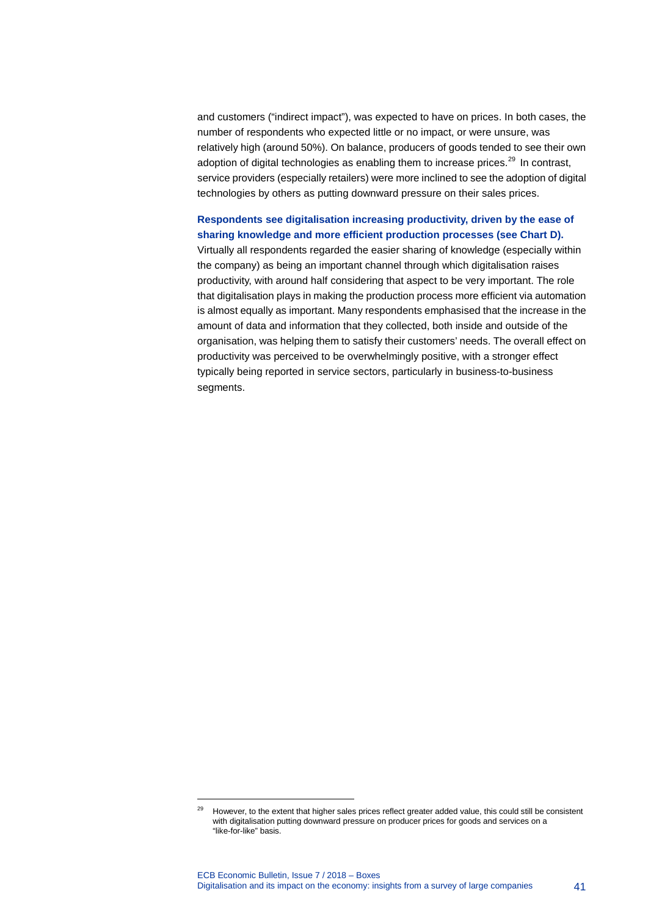and customers ("indirect impact"), was expected to have on prices. In both cases, the number of respondents who expected little or no impact, or were unsure, was relatively high (around 50%). On balance, producers of goods tended to see their own adoption of digital technologies as enabling them to increase prices. $^{29}$  $^{29}$  $^{29}$  In contrast, service providers (especially retailers) were more inclined to see the adoption of digital technologies by others as putting downward pressure on their sales prices.

### **Respondents see digitalisation increasing productivity, driven by the ease of sharing knowledge and more efficient production processes (see Chart D).**

Virtually all respondents regarded the easier sharing of knowledge (especially within the company) as being an important channel through which digitalisation raises productivity, with around half considering that aspect to be very important. The role that digitalisation plays in making the production process more efficient via automation is almost equally as important. Many respondents emphasised that the increase in the amount of data and information that they collected, both inside and outside of the organisation, was helping them to satisfy their customers' needs. The overall effect on productivity was perceived to be overwhelmingly positive, with a stronger effect typically being reported in service sectors, particularly in business-to-business segments.

<span id="page-41-0"></span><sup>&</sup>lt;sup>29</sup> However, to the extent that higher sales prices reflect greater added value, this could still be consistent with digitalisation putting downward pressure on producer prices for goods and services on a "like-for-like" basis.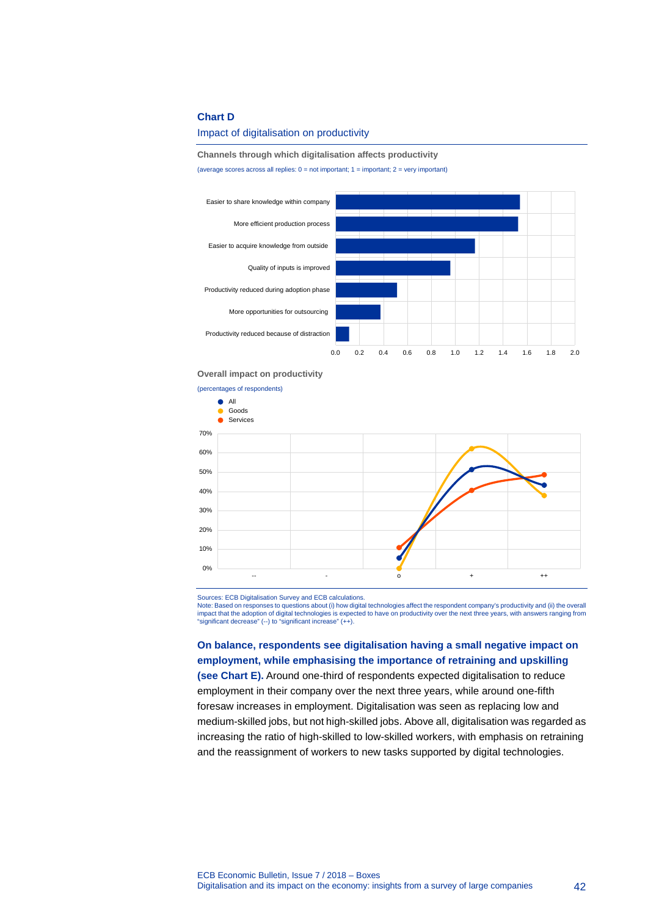#### **Chart D**

#### Impact of digitalisation on productivity

#### **Channels through which digitalisation affects productivity**

(average scores across all replies:  $0 = not$  important;  $1 =$  important;  $2 =$  very important)



#### **Overall impact on productivity**

(percentages of respondents)



Sources: ECB Digitalisation Survey and ECB calculations. Note: Based on responses to questions about (i) how digital technologies affect the respondent company's productivity and (ii) the overall impact that the adoption of digital technologies is expected to have on productivity over the next three years, with answers ranging from "significant decrease" (--) to "significant increase" (++).

**On balance, respondents see digitalisation having a small negative impact on employment, while emphasising the importance of retraining and upskilling (see Chart E).** Around one-third of respondents expected digitalisation to reduce employment in their company over the next three years, while around one-fifth foresaw increases in employment. Digitalisation was seen as replacing low and medium-skilled jobs, but not high-skilled jobs. Above all, digitalisation was regarded as increasing the ratio of high-skilled to low-skilled workers, with emphasis on retraining and the reassignment of workers to new tasks supported by digital technologies.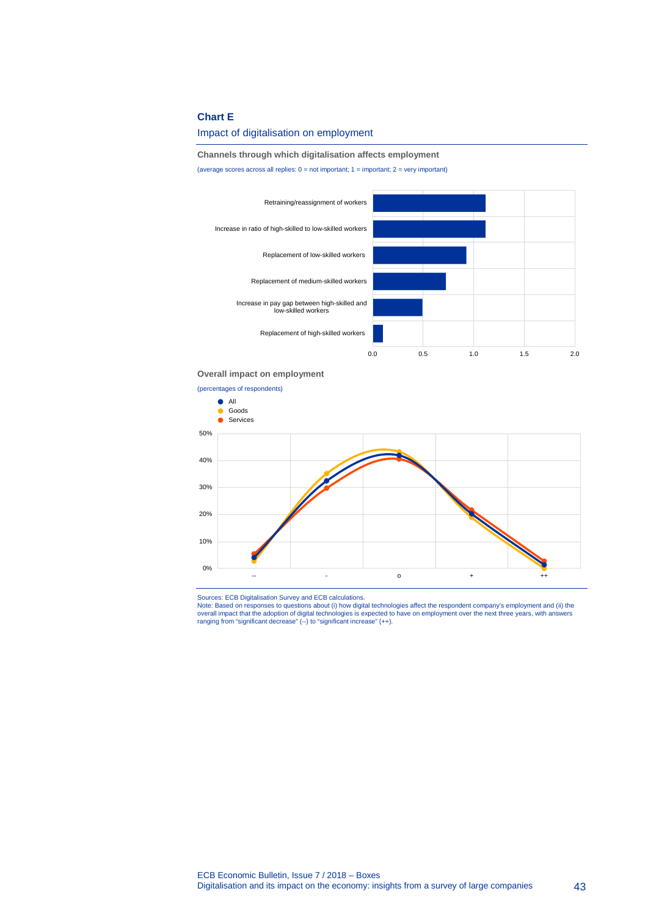#### **Chart E**

#### Impact of digitalisation on employment

#### **Channels through which digitalisation affects employment**

(average scores across all replies:  $0 = not$  important;  $1 =$  important;  $2 =$  very important)



#### **Overall impact on employment**



Sources: ECB Digitalisation Survey and ECB calculations.<br>Note: Based on responses to questions about (i) how digital technologies affect the respondent company's employment and (ii) the<br>overall impact that the adoption of ranging from "significant decrease" (--) to "significant increase" (++).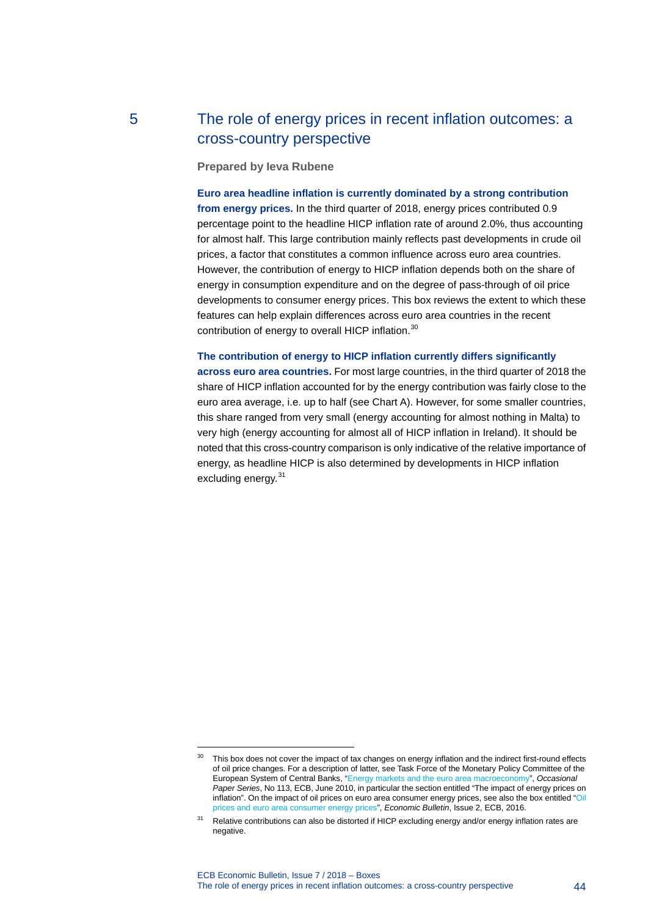## 5 The role of energy prices in recent inflation outcomes: a cross-country perspective

**Prepared by Ieva Rubene**

**Euro area headline inflation is currently dominated by a strong contribution from energy prices.** In the third quarter of 2018, energy prices contributed 0.9 percentage point to the headline HICP inflation rate of around 2.0%, thus accounting for almost half. This large contribution mainly reflects past developments in crude oil prices, a factor that constitutes a common influence across euro area countries. However, the contribution of energy to HICP inflation depends both on the share of energy in consumption expenditure and on the degree of pass-through of oil price developments to consumer energy prices. This box reviews the extent to which these features can help explain differences across euro area countries in the recent contribution of energy to overall HICP inflation.<sup>[30](#page-44-0)</sup>

**The contribution of energy to HICP inflation currently differs significantly across euro area countries.** For most large countries, in the third quarter of 2018 the share of HICP inflation accounted for by the energy contribution was fairly close to the euro area average, i.e. up to half (see Chart A). However, for some smaller countries, this share ranged from very small (energy accounting for almost nothing in Malta) to

very high (energy accounting for almost all of HICP inflation in Ireland). It should be noted that this cross-country comparison is only indicative of the relative importance of energy, as headline HICP is also determined by developments in HICP inflation excluding energy.<sup>[31](#page-44-1)</sup>

<span id="page-44-0"></span><sup>&</sup>lt;sup>30</sup> This box does not cover the impact of tax changes on energy inflation and the indirect first-round effects of oil price changes. For a description of latter, see Task Force of the Monetary Policy Committee of the European System of Central Banks, ["Energy markets and the euro area macroeconomy"](https://www.ecb.europa.eu/pub/pdf/scpops/ecbocp113.pdf), *Occasional Paper Series*, No 113, ECB, June 2010, in particular the section entitled "The impact of energy prices on inflation". On the impact of oil prices on euro area consumer energy prices, see also the box entitled "Oil [prices and euro area consumer energy prices"](https://www.ecb.europa.eu/pub/pdf/other/eb201602_focus06.en.pdf), *Economic Bulletin*, Issue 2, ECB, 2016.

<span id="page-44-1"></span><sup>&</sup>lt;sup>31</sup> Relative contributions can also be distorted if HICP excluding energy and/or energy inflation rates are negative.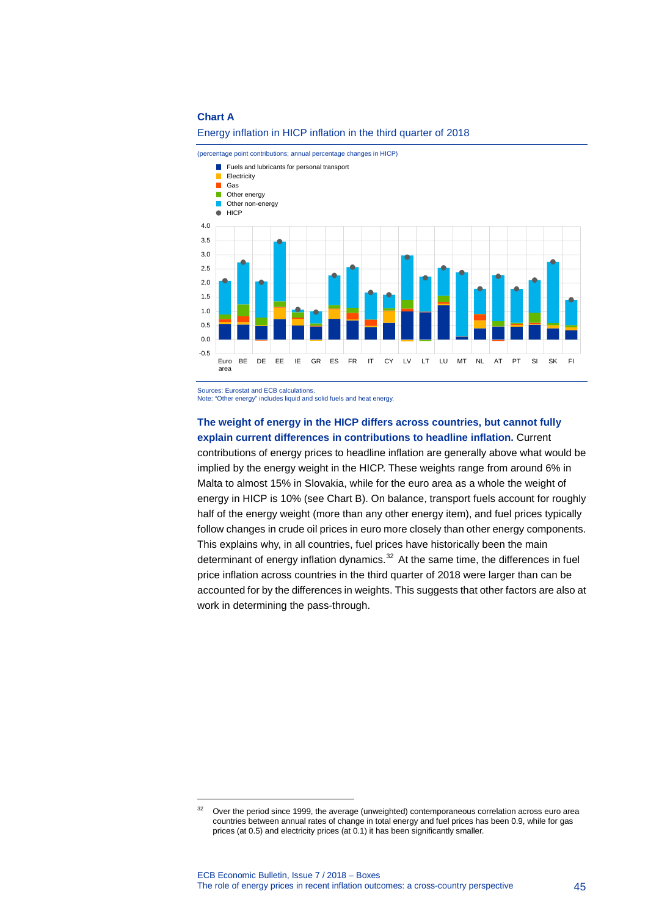#### **Chart A**



#### Energy inflation in HICP inflation in the third quarter of 2018

Sources: Eurostat and ECB calculations.

-

Note: "Other energy" includes liquid and solid fuels and heat energy.

### **The weight of energy in the HICP differs across countries, but cannot fully explain current differences in contributions to headline inflation.** Current

contributions of energy prices to headline inflation are generally above what would be implied by the energy weight in the HICP. These weights range from around 6% in Malta to almost 15% in Slovakia, while for the euro area as a whole the weight of energy in HICP is 10% (see Chart B). On balance, transport fuels account for roughly half of the energy weight (more than any other energy item), and fuel prices typically follow changes in crude oil prices in euro more closely than other energy components. This explains why, in all countries, fuel prices have historically been the main determinant of energy inflation dynamics. $32$  At the same time, the differences in fuel price inflation across countries in the third quarter of 2018 were larger than can be accounted for by the differences in weights. This suggests that other factors are also at work in determining the pass-through.

<span id="page-45-0"></span><sup>&</sup>lt;sup>32</sup> Over the period since 1999, the average (unweighted) contemporaneous correlation across euro area countries between annual rates of change in total energy and fuel prices has been 0.9, while for gas prices (at 0.5) and electricity prices (at 0.1) it has been significantly smaller.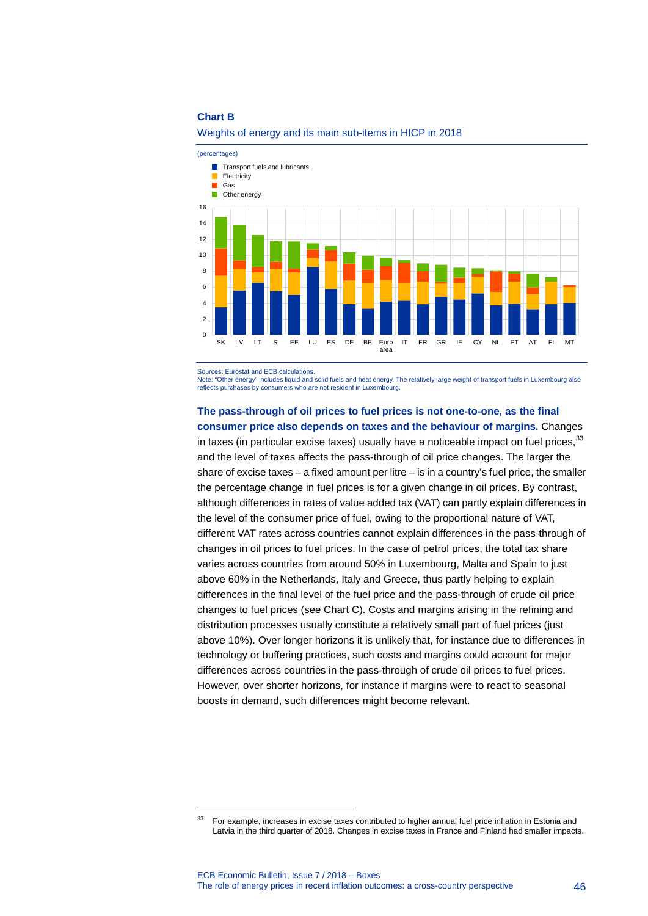#### **Chart B**



#### Weights of energy and its main sub-items in HICP in 2018

Sources: Eurostat and ECB calculations.

-

Note: "Other energy" includes liquid and solid fuels and heat energy. The relatively large weight of transport fuels in Luxembourg also reflects purchases by consumers who are not resident in Luxembourg.

### **The pass-through of oil prices to fuel prices is not one-to-one, as the final consumer price also depends on taxes and the behaviour of margins.** Changes in taxes (in particular excise taxes) usually have a noticeable impact on fuel prices,  $^{33}$  $^{33}$  $^{33}$

and the level of taxes affects the pass-through of oil price changes. The larger the share of excise taxes – a fixed amount per litre – is in a country's fuel price, the smaller the percentage change in fuel prices is for a given change in oil prices. By contrast, although differences in rates of value added tax (VAT) can partly explain differences in the level of the consumer price of fuel, owing to the proportional nature of VAT, different VAT rates across countries cannot explain differences in the pass-through of changes in oil prices to fuel prices. In the case of petrol prices, the total tax share varies across countries from around 50% in Luxembourg, Malta and Spain to just above 60% in the Netherlands, Italy and Greece, thus partly helping to explain differences in the final level of the fuel price and the pass-through of crude oil price changes to fuel prices (see Chart C). Costs and margins arising in the refining and distribution processes usually constitute a relatively small part of fuel prices (just above 10%). Over longer horizons it is unlikely that, for instance due to differences in technology or buffering practices, such costs and margins could account for major differences across countries in the pass-through of crude oil prices to fuel prices. However, over shorter horizons, for instance if margins were to react to seasonal boosts in demand, such differences might become relevant.

<span id="page-46-0"></span><sup>&</sup>lt;sup>33</sup> For example, increases in excise taxes contributed to higher annual fuel price inflation in Estonia and Latvia in the third quarter of 2018. Changes in excise taxes in France and Finland had smaller impacts.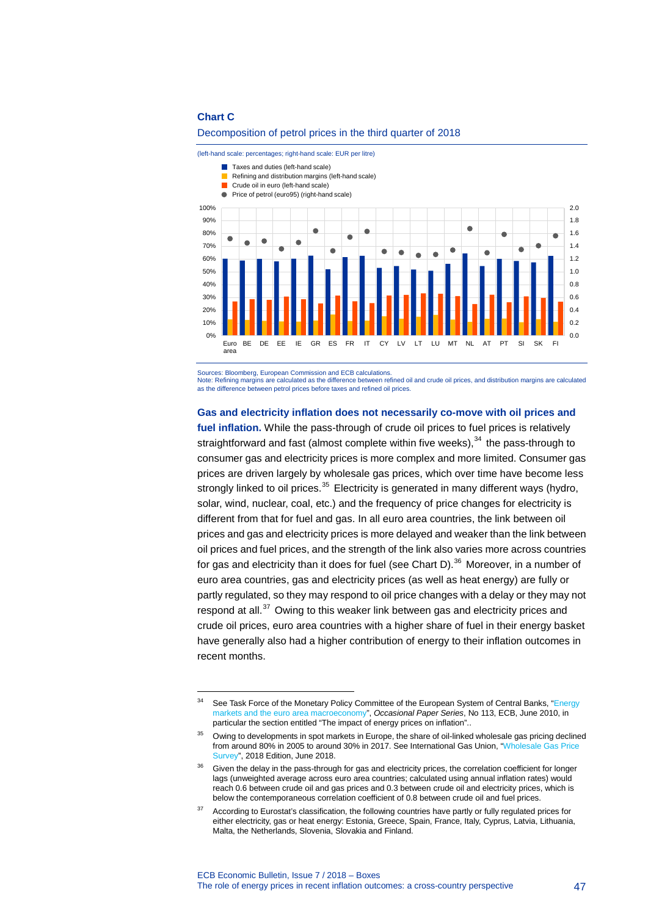#### **Chart C**

-

#### Decomposition of petrol prices in the third quarter of 2018

(left-hand scale: percentages; right-hand scale: EUR per litre)



Sources: Bloomberg, European Commission and ECB calculations.

Note: Refining margins are calculated as the difference between refined oil and crude oil prices, and distribution margins are calculated as the difference between petrol prices before taxes and refined oil prices.

### **Gas and electricity inflation does not necessarily co-move with oil prices and**

**fuel inflation.** While the pass-through of crude oil prices to fuel prices is relatively straightforward and fast (almost complete within five weeks),<sup>[34](#page-47-0)</sup> the pass-through to consumer gas and electricity prices is more complex and more limited. Consumer gas prices are driven largely by wholesale gas prices, which over time have become less strongly linked to oil prices. $35$  Electricity is generated in many different ways (hydro, solar, wind, nuclear, coal, etc.) and the frequency of price changes for electricity is different from that for fuel and gas. In all euro area countries, the link between oil prices and gas and electricity prices is more delayed and weaker than the link between oil prices and fuel prices, and the strength of the link also varies more across countries for gas and electricity than it does for fuel (see Chart D).<sup>[36](#page-47-2)</sup> Moreover, in a number of euro area countries, gas and electricity prices (as well as heat energy) are fully or partly regulated, so they may respond to oil price changes with a delay or they may not respond at all. $37$  Owing to this weaker link between gas and electricity prices and crude oil prices, euro area countries with a higher share of fuel in their energy basket have generally also had a higher contribution of energy to their inflation outcomes in recent months.

<span id="page-47-0"></span><sup>&</sup>lt;sup>34</sup> See Task Force of the Monetary Policy Committee of the European System of Central Banks, "Energy [markets and the euro area macroeconomy"](https://www.ecb.europa.eu/pub/pdf/scpops/ecbocp113.pdf), *Occasional Paper Series*, No 113, ECB, June 2010, in particular the section entitled "The impact of energy prices on inflation"..

<span id="page-47-1"></span><sup>&</sup>lt;sup>35</sup> Owing to developments in spot markets in Europe, the share of oil-linked wholesale gas pricing declined from around 80% in 2005 to around 30% in 2017. See International Gas Union, ["Wholesale Gas Price](https://www.igu.org/sites/default/files/node-document-field_file/IGU_Wholesale%20Gas%20Price%20Survey%202018%20Final.pdf)  [Survey"](https://www.igu.org/sites/default/files/node-document-field_file/IGU_Wholesale%20Gas%20Price%20Survey%202018%20Final.pdf), 2018 Edition, June 2018.

<span id="page-47-2"></span>Given the delay in the pass-through for gas and electricity prices, the correlation coefficient for longer lags (unweighted average across euro area countries; calculated using annual inflation rates) would reach 0.6 between crude oil and gas prices and 0.3 between crude oil and electricity prices, which is below the contemporaneous correlation coefficient of 0.8 between crude oil and fuel prices.

<span id="page-47-3"></span><sup>&</sup>lt;sup>37</sup> According to Eurostat's classification, the following countries have partly or fully regulated prices for either electricity, gas or heat energy: Estonia, Greece, Spain, France, Italy, Cyprus, Latvia, Lithuania, Malta, the Netherlands, Slovenia, Slovakia and Finland.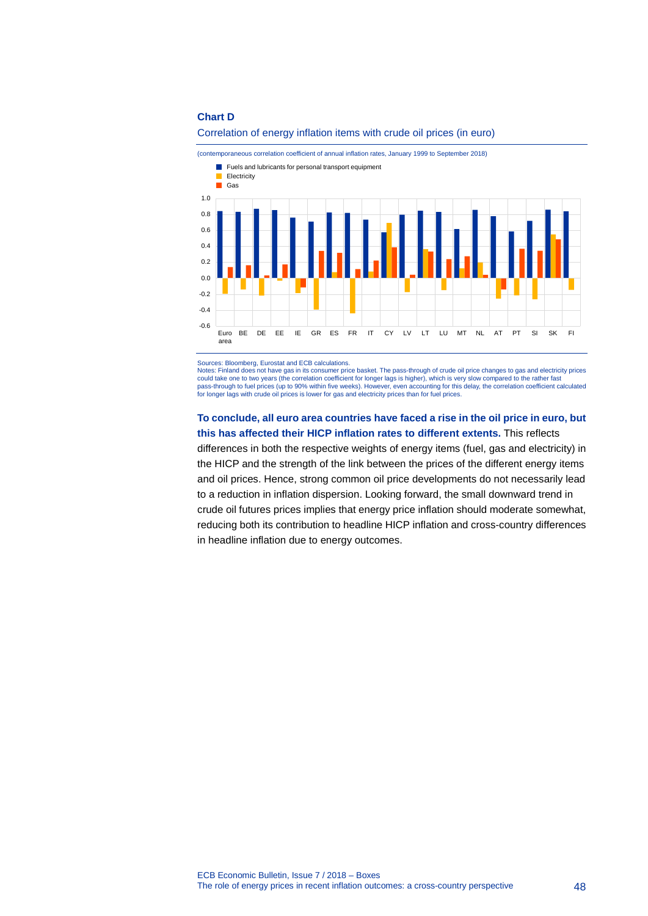#### **Chart D**





Sources: Bloomberg, Eurostat and ECB calculations.

Notes: Finland does not have gas in its consumer price basket. The pass-through of crude oil price changes to gas and electricity prices could take one to two years (the correlation coefficient for longer lags is higher), which is very slow compared to the rather fast pass-through to fuel prices (up to 90% within five weeks). However, even accounting for this delay, the correlation coefficient calculated<br>for longer lags with crude oil prices is lower for gas and electricity prices than

#### **To conclude, all euro area countries have faced a rise in the oil price in euro, but this has affected their HICP inflation rates to different extents.** This reflects

differences in both the respective weights of energy items (fuel, gas and electricity) in the HICP and the strength of the link between the prices of the different energy items and oil prices. Hence, strong common oil price developments do not necessarily lead to a reduction in inflation dispersion. Looking forward, the small downward trend in crude oil futures prices implies that energy price inflation should moderate somewhat, reducing both its contribution to headline HICP inflation and cross-country differences in headline inflation due to energy outcomes.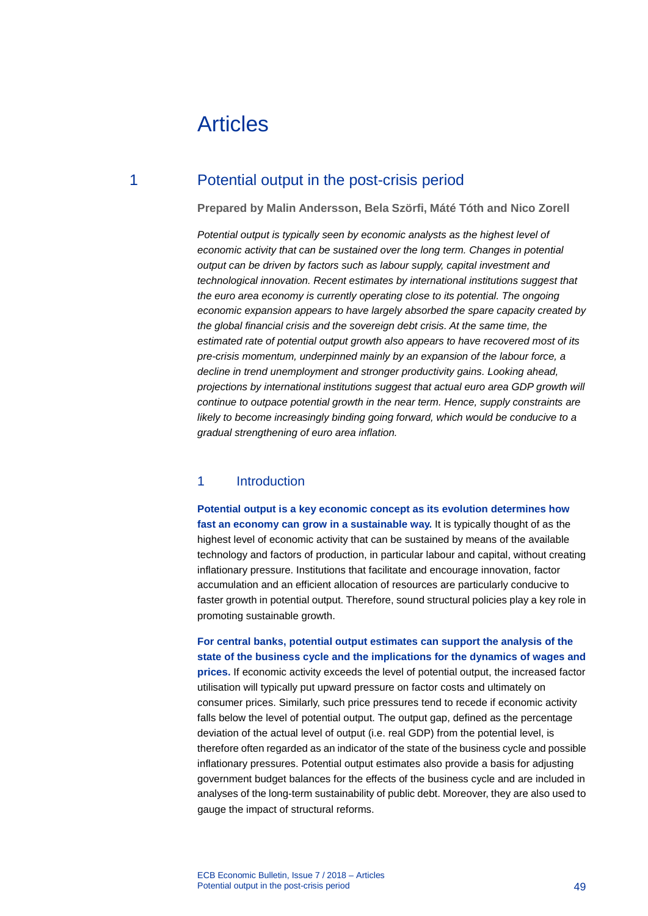# Articles

### 1 Potential output in the post-crisis period

**Prepared by Malin Andersson, Bela Szörfi, Máté Tóth and Nico Zorell**

*Potential output is typically seen by economic analysts as the highest level of economic activity that can be sustained over the long term. Changes in potential output can be driven by factors such as labour supply, capital investment and technological innovation. Recent estimates by international institutions suggest that the euro area economy is currently operating close to its potential. The ongoing economic expansion appears to have largely absorbed the spare capacity created by the global financial crisis and the sovereign debt crisis. At the same time, the estimated rate of potential output growth also appears to have recovered most of its pre-crisis momentum, underpinned mainly by an expansion of the labour force, a decline in trend unemployment and stronger productivity gains. Looking ahead, projections by international institutions suggest that actual euro area GDP growth will continue to outpace potential growth in the near term. Hence, supply constraints are likely to become increasingly binding going forward, which would be conducive to a gradual strengthening of euro area inflation.*

### 1 Introduction

**Potential output is a key economic concept as its evolution determines how fast an economy can grow in a sustainable way.** It is typically thought of as the highest level of economic activity that can be sustained by means of the available technology and factors of production, in particular labour and capital, without creating inflationary pressure. Institutions that facilitate and encourage innovation, factor accumulation and an efficient allocation of resources are particularly conducive to faster growth in potential output. Therefore, sound structural policies play a key role in promoting sustainable growth.

**For central banks, potential output estimates can support the analysis of the state of the business cycle and the implications for the dynamics of wages and** 

**prices.** If economic activity exceeds the level of potential output, the increased factor utilisation will typically put upward pressure on factor costs and ultimately on consumer prices. Similarly, such price pressures tend to recede if economic activity falls below the level of potential output. The output gap, defined as the percentage deviation of the actual level of output (i.e. real GDP) from the potential level, is therefore often regarded as an indicator of the state of the business cycle and possible inflationary pressures. Potential output estimates also provide a basis for adjusting government budget balances for the effects of the business cycle and are included in analyses of the long-term sustainability of public debt. Moreover, they are also used to gauge the impact of structural reforms.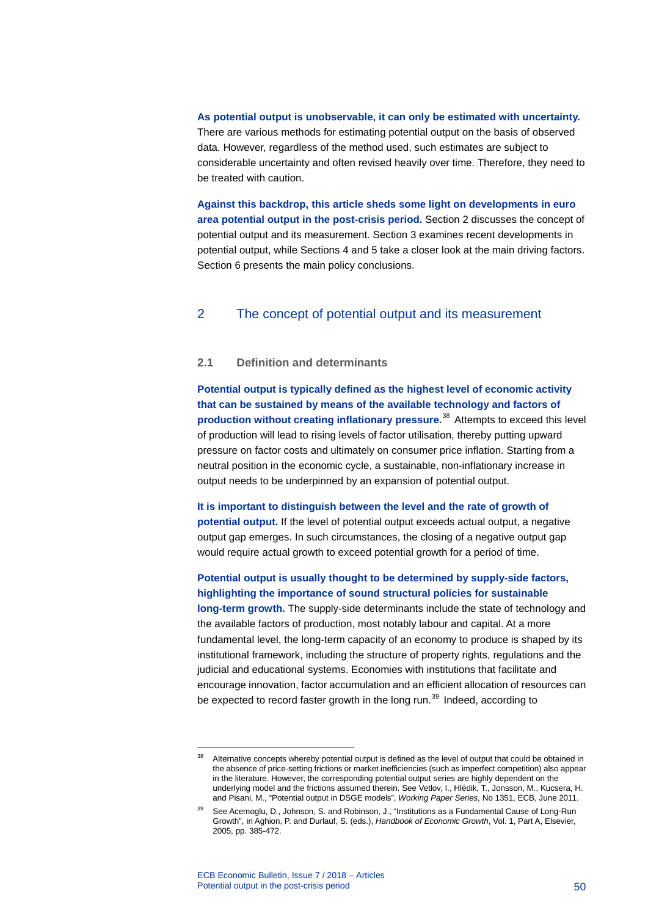**As potential output is unobservable, it can only be estimated with uncertainty.** There are various methods for estimating potential output on the basis of observed data. However, regardless of the method used, such estimates are subject to considerable uncertainty and often revised heavily over time. Therefore, they need to be treated with caution.

**Against this backdrop, this article sheds some light on developments in euro area potential output in the post-crisis period.** Section 2 discusses the concept of potential output and its measurement. Section 3 examines recent developments in potential output, while Sections 4 and 5 take a closer look at the main driving factors. Section 6 presents the main policy conclusions.

### 2 The concept of potential output and its measurement

#### **2.1 Definition and determinants**

**Potential output is typically defined as the highest level of economic activity that can be sustained by means of the available technology and factors of production without creating inflationary pressure.**[38](#page-50-0) Attempts to exceed this level of production will lead to rising levels of factor utilisation, thereby putting upward pressure on factor costs and ultimately on consumer price inflation. Starting from a neutral position in the economic cycle, a sustainable, non-inflationary increase in output needs to be underpinned by an expansion of potential output.

**It is important to distinguish between the level and the rate of growth of potential output.** If the level of potential output exceeds actual output, a negative output gap emerges. In such circumstances, the closing of a negative output gap would require actual growth to exceed potential growth for a period of time.

**Potential output is usually thought to be determined by supply-side factors, highlighting the importance of sound structural policies for sustainable long-term growth.** The supply-side determinants include the state of technology and the available factors of production, most notably labour and capital. At a more fundamental level, the long-term capacity of an economy to produce is shaped by its institutional framework, including the structure of property rights, regulations and the judicial and educational systems. Economies with institutions that facilitate and encourage innovation, factor accumulation and an efficient allocation of resources can be expected to record faster growth in the long run.<sup>[39](#page-50-1)</sup> Indeed, according to

<span id="page-50-0"></span><sup>&</sup>lt;sup>38</sup> Alternative concepts whereby potential output is defined as the level of output that could be obtained in the absence of price-setting frictions or market inefficiencies (such as imperfect competition) also appear in the literature. However, the corresponding potential output series are highly dependent on the underlying model and the frictions assumed therein. See Vetlov, I., Hlédik, T., Jonsson, M., Kucsera, H. and Pisani, M., "Potential output in DSGE models", *Working Paper Series*, No 1351, ECB, June 2011.

<span id="page-50-1"></span><sup>39</sup> See Acemoglu, D., Johnson, S. and Robinson, J., "Institutions as a Fundamental Cause of Long-Run Growth", in Aghion, P. and Durlauf, S. (eds.), *Handbook of Economic Growth*, Vol. 1, Part A, Elsevier, 2005, pp. 385-472.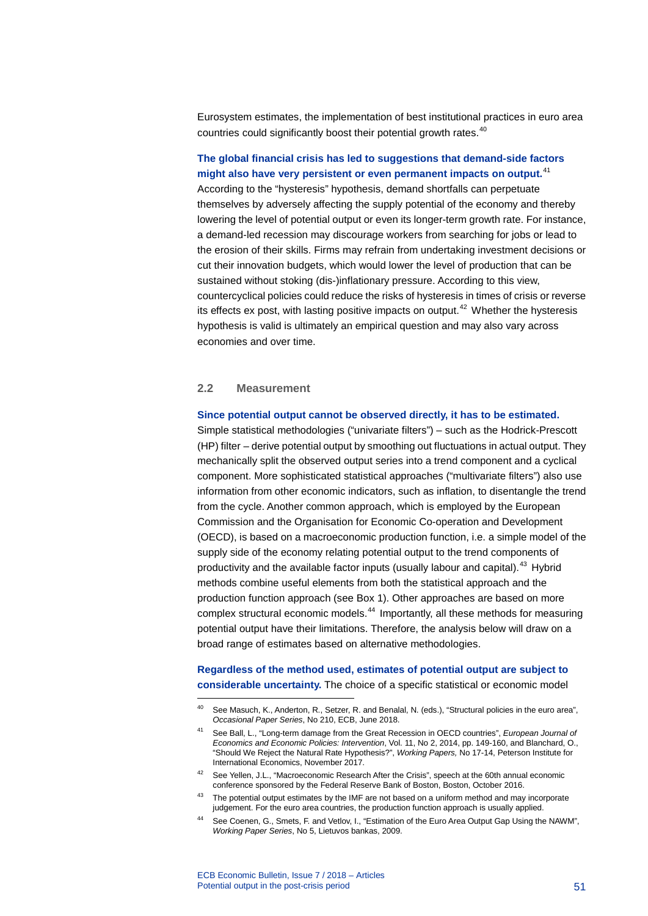Eurosystem estimates, the implementation of best institutional practices in euro area countries could significantly boost their potential growth rates.<sup>[40](#page-51-0)</sup>

### **The global financial crisis has led to suggestions that demand-side factors might also have very persistent or even permanent impacts on output.** [41](#page-51-1)

According to the "hysteresis" hypothesis, demand shortfalls can perpetuate themselves by adversely affecting the supply potential of the economy and thereby lowering the level of potential output or even its longer-term growth rate. For instance, a demand-led recession may discourage workers from searching for jobs or lead to the erosion of their skills. Firms may refrain from undertaking investment decisions or cut their innovation budgets, which would lower the level of production that can be sustained without stoking (dis-)inflationary pressure. According to this view, countercyclical policies could reduce the risks of hysteresis in times of crisis or reverse its effects ex post, with lasting positive impacts on output. $42$  Whether the hysteresis hypothesis is valid is ultimately an empirical question and may also vary across economies and over time.

#### **2.2 Measurement**

-

#### **Since potential output cannot be observed directly, it has to be estimated.**

Simple statistical methodologies ("univariate filters") – such as the Hodrick-Prescott (HP) filter – derive potential output by smoothing out fluctuations in actual output. They mechanically split the observed output series into a trend component and a cyclical component. More sophisticated statistical approaches ("multivariate filters") also use information from other economic indicators, such as inflation, to disentangle the trend from the cycle. Another common approach, which is employed by the European Commission and the Organisation for Economic Co-operation and Development (OECD), is based on a macroeconomic production function, i.e. a simple model of the supply side of the economy relating potential output to the trend components of productivity and the available factor inputs (usually labour and capital).<sup>[43](#page-51-3)</sup> Hybrid methods combine useful elements from both the statistical approach and the production function approach (see Box 1). Other approaches are based on more complex structural economic models.[44](#page-51-4) Importantly, all these methods for measuring potential output have their limitations. Therefore, the analysis below will draw on a broad range of estimates based on alternative methodologies.

### **Regardless of the method used, estimates of potential output are subject to considerable uncertainty.** The choice of a specific statistical or economic model

- <span id="page-51-2"></span>42 See Yellen, J.L., "Macroeconomic Research After the Crisis", speech at the 60th annual economic conference sponsored by the Federal Reserve Bank of Boston, Boston, October 2016.
- <span id="page-51-4"></span><span id="page-51-3"></span><sup>43</sup> The potential output estimates by the IMF are not based on a uniform method and may incorporate judgement. For the euro area countries, the production function approach is usually applied.
- See Coenen, G., Smets, F. and Vetlov, I., "Estimation of the Euro Area Output Gap Using the NAWM", *Working Paper Series*, No 5, Lietuvos bankas, 2009.

<span id="page-51-0"></span><sup>40</sup> See Masuch, K., Anderton, R., Setzer, R. and Benalal, N. (eds.), "Structural policies in the euro area", *Occasional Paper Series*, No 210, ECB, June 2018.

<span id="page-51-1"></span><sup>41</sup> See Ball, L., "Long-term damage from the Great Recession in OECD countries", *European Journal of Economics and Economic Policies: Intervention*, Vol. 11, No 2, 2014, pp. 149-160, and Blanchard, O., "Should We Reject the Natural Rate Hypothesis?", *Working Papers,* No 17-14, Peterson Institute for International Economics, November 2017.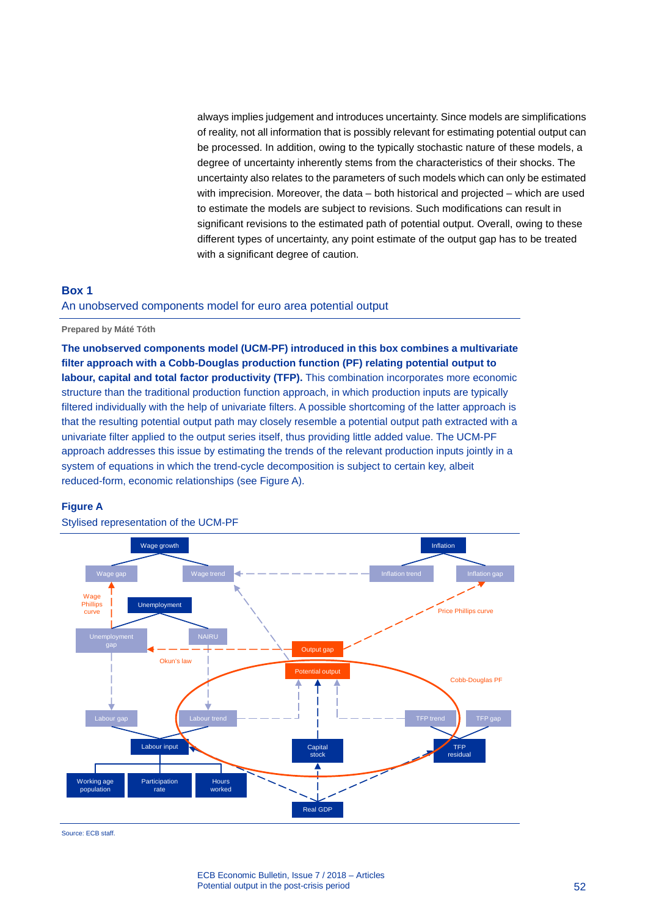always implies judgement and introduces uncertainty. Since models are simplifications of reality, not all information that is possibly relevant for estimating potential output can be processed. In addition, owing to the typically stochastic nature of these models, a degree of uncertainty inherently stems from the characteristics of their shocks. The uncertainty also relates to the parameters of such models which can only be estimated with imprecision. Moreover, the data – both historical and projected – which are used to estimate the models are subject to revisions. Such modifications can result in significant revisions to the estimated path of potential output. Overall, owing to these different types of uncertainty, any point estimate of the output gap has to be treated with a significant degree of caution.

### **Box 1** An unobserved components model for euro area potential output

**Prepared by Máté Tóth**

**The unobserved components model (UCM-PF) introduced in this box combines a multivariate filter approach with a Cobb-Douglas production function (PF) relating potential output to labour, capital and total factor productivity (TFP).** This combination incorporates more economic structure than the traditional production function approach, in which production inputs are typically filtered individually with the help of univariate filters. A possible shortcoming of the latter approach is that the resulting potential output path may closely resemble a potential output path extracted with a univariate filter applied to the output series itself, thus providing little added value. The UCM-PF approach addresses this issue by estimating the trends of the relevant production inputs jointly in a system of equations in which the trend-cycle decomposition is subject to certain key, albeit reduced-form, economic relationships (see Figure A).

#### **Figure A**



Stylised representation of the UCM-PF

Source: ECB staff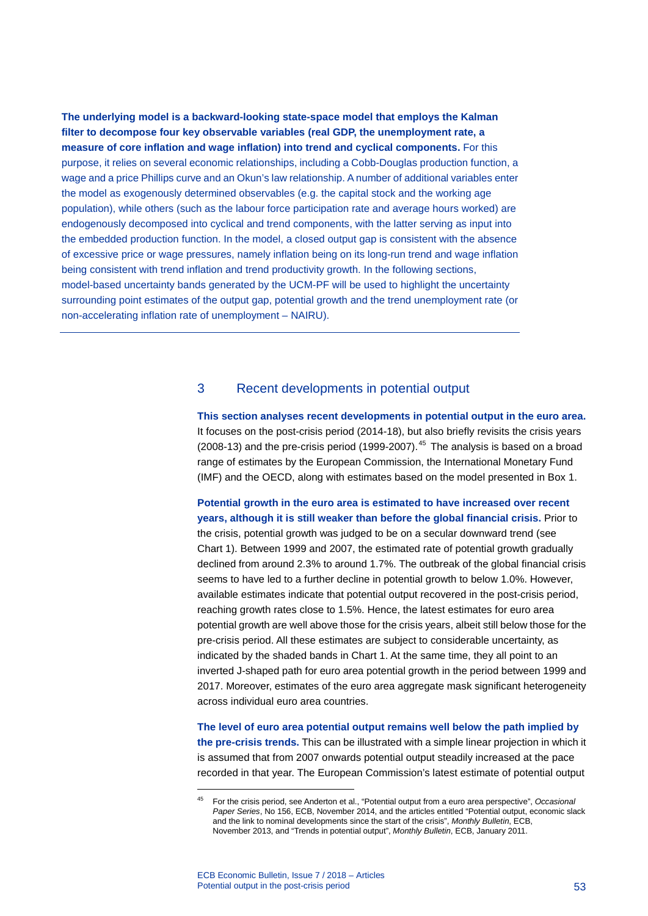**The underlying model is a backward-looking state-space model that employs the Kalman filter to decompose four key observable variables (real GDP, the unemployment rate, a measure of core inflation and wage inflation) into trend and cyclical components.** For this purpose, it relies on several economic relationships, including a Cobb-Douglas production function, a wage and a price Phillips curve and an Okun's law relationship. A number of additional variables enter the model as exogenously determined observables (e.g. the capital stock and the working age population), while others (such as the labour force participation rate and average hours worked) are endogenously decomposed into cyclical and trend components, with the latter serving as input into the embedded production function. In the model, a closed output gap is consistent with the absence of excessive price or wage pressures, namely inflation being on its long-run trend and wage inflation being consistent with trend inflation and trend productivity growth. In the following sections, model-based uncertainty bands generated by the UCM-PF will be used to highlight the uncertainty surrounding point estimates of the output gap, potential growth and the trend unemployment rate (or non-accelerating inflation rate of unemployment – NAIRU).

### 3 Recent developments in potential output

**This section analyses recent developments in potential output in the euro area.** It focuses on the post-crisis period (2014-18), but also briefly revisits the crisis years (2008-13) and the pre-crisis period (1999-2007). $45$  The analysis is based on a broad range of estimates by the European Commission, the International Monetary Fund (IMF) and the OECD, along with estimates based on the model presented in Box 1.

**Potential growth in the euro area is estimated to have increased over recent years, although it is still weaker than before the global financial crisis.** Prior to the crisis, potential growth was judged to be on a secular downward trend (see Chart 1). Between 1999 and 2007, the estimated rate of potential growth gradually declined from around 2.3% to around 1.7%. The outbreak of the global financial crisis seems to have led to a further decline in potential growth to below 1.0%. However, available estimates indicate that potential output recovered in the post-crisis period, reaching growth rates close to 1.5%. Hence, the latest estimates for euro area potential growth are well above those for the crisis years, albeit still below those for the pre-crisis period. All these estimates are subject to considerable uncertainty, as indicated by the shaded bands in Chart 1. At the same time, they all point to an inverted J-shaped path for euro area potential growth in the period between 1999 and 2017. Moreover, estimates of the euro area aggregate mask significant heterogeneity across individual euro area countries.

**The level of euro area potential output remains well below the path implied by the pre-crisis trends.** This can be illustrated with a simple linear projection in which it is assumed that from 2007 onwards potential output steadily increased at the pace recorded in that year. The European Commission's latest estimate of potential output

<span id="page-53-0"></span><sup>45</sup> For the crisis period, see Anderton et al., "Potential output from a euro area perspective", *Occasional Paper Series*, No 156, ECB, November 2014, and the articles entitled "Potential output, economic slack and the link to nominal developments since the start of the crisis", *Monthly Bulletin*, ECB, November 2013, and "Trends in potential output", *Monthly Bulletin*, ECB, January 2011.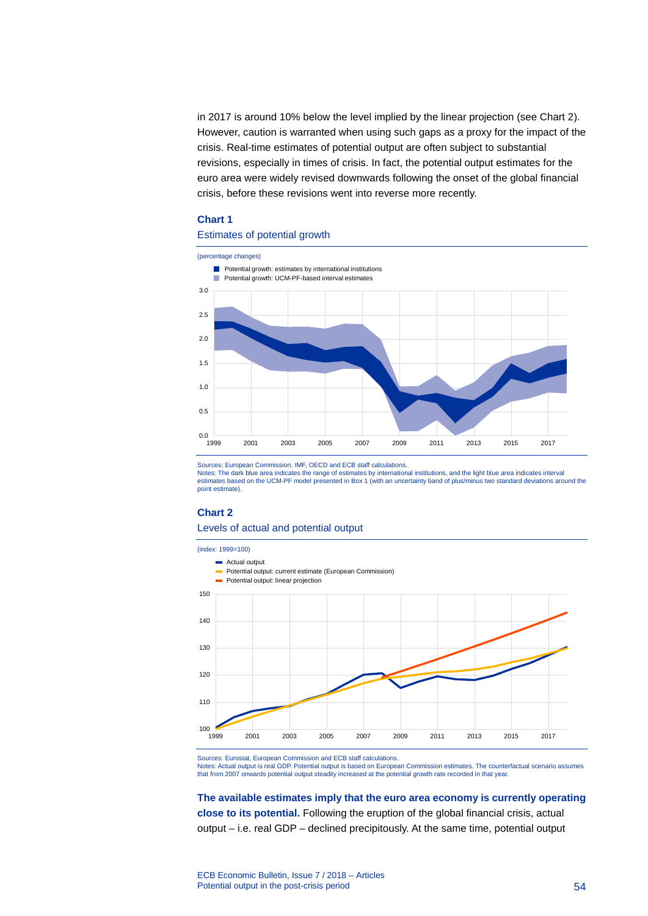in 2017 is around 10% below the level implied by the linear projection (see Chart 2). However, caution is warranted when using such gaps as a proxy for the impact of the crisis. Real-time estimates of potential output are often subject to substantial revisions, especially in times of crisis. In fact, the potential output estimates for the euro area were widely revised downwards following the onset of the global financial crisis, before these revisions went into reverse more recently.

#### **Chart 1**

#### Estimates of potential growth



Sources: European Commission, IMF, OECD and ECB staff calculations.

Notes: The dark blue area indicates the range of estimates by international institutions, and the light blue area indicates interval<br>estimates based on the UCM-PF model presented in Box 1 (with an uncertainty band of plus/ point estimate).

#### **Chart 2**

#### Levels of actual and potential output



Sources: Eurostat, European Commission and ECB staff calculations.

Notes: Actual output is real GDP. Potential output is based on European Commission estimates. The counterfactual scenario assumes that from 2007 onwards potential output steadily increased at the potential growth rate recorded in that year.

**The available estimates imply that the euro area economy is currently operating close to its potential.** Following the eruption of the global financial crisis, actual output – i.e. real GDP – declined precipitously. At the same time, potential output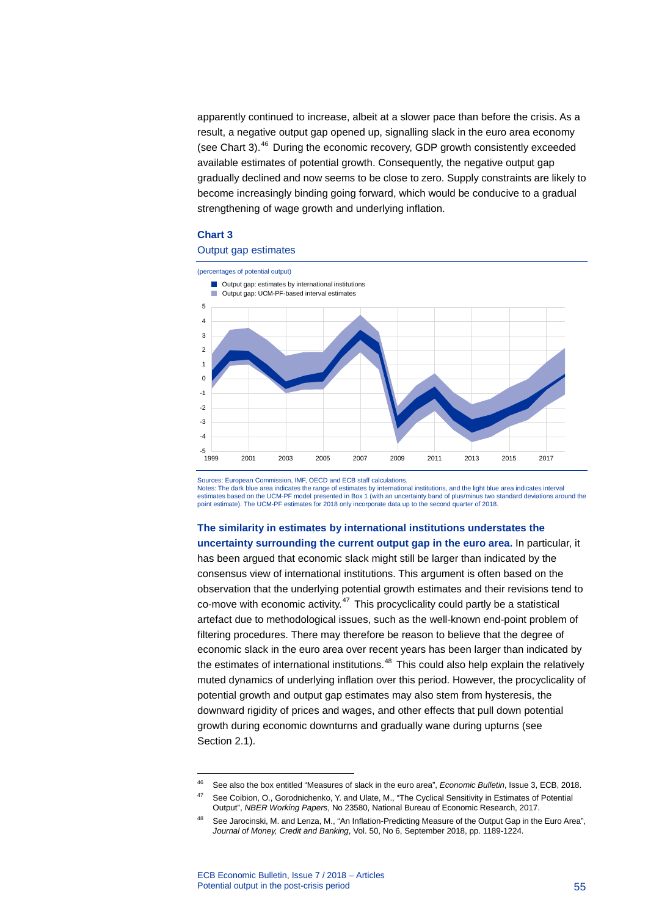apparently continued to increase, albeit at a slower pace than before the crisis. As a result, a negative output gap opened up, signalling slack in the euro area economy (see Chart 3).<sup>[46](#page-55-0)</sup> During the economic recovery, GDP growth consistently exceeded available estimates of potential growth. Consequently, the negative output gap gradually declined and now seems to be close to zero. Supply constraints are likely to become increasingly binding going forward, which would be conducive to a gradual strengthening of wage growth and underlying inflation.

#### **Chart 3**

#### Output gap estimates



Sources: European Commission, IMF, OECD and ECB staff calculations.

Notes: The dark blue area indicates the range of estimates by international institutions, and the light blue area indicates interval estimates based on the UCM-PF model presented in Box 1 (with an uncertainty band of plus/minus two standard deviations around the point estimate). The UCM-PF estimates for 2018 only incorporate data up to the second quarter of 2018.

**The similarity in estimates by international institutions understates the uncertainty surrounding the current output gap in the euro area.** In particular, it has been argued that economic slack might still be larger than indicated by the consensus view of international institutions. This argument is often based on the observation that the underlying potential growth estimates and their revisions tend to co-move with economic activity. $47$  This procyclicality could partly be a statistical artefact due to methodological issues, such as the well-known end-point problem of filtering procedures. There may therefore be reason to believe that the degree of economic slack in the euro area over recent years has been larger than indicated by the estimates of international institutions.<sup>[48](#page-55-2)</sup> This could also help explain the relatively muted dynamics of underlying inflation over this period. However, the procyclicality of potential growth and output gap estimates may also stem from hysteresis, the downward rigidity of prices and wages, and other effects that pull down potential growth during economic downturns and gradually wane during upturns (see Section 2.1).

<span id="page-55-0"></span><sup>46</sup> See also the box entitled "Measures of slack in the euro area", *Economic Bulletin*, Issue 3, ECB, 2018.

<span id="page-55-1"></span><sup>47</sup> See Coibion, O., Gorodnichenko, Y. and Ulate, M., "The Cyclical Sensitivity in Estimates of Potential Output", *NBER Working Papers*, No 23580, National Bureau of Economic Research, 2017.

<span id="page-55-2"></span><sup>48</sup> See Jarocinski, M. and Lenza, M., "An Inflation-Predicting Measure of the Output Gap in the Euro Area", *Journal of Money, Credit and Banking*, Vol. 50, No 6, September 2018, pp. 1189-1224.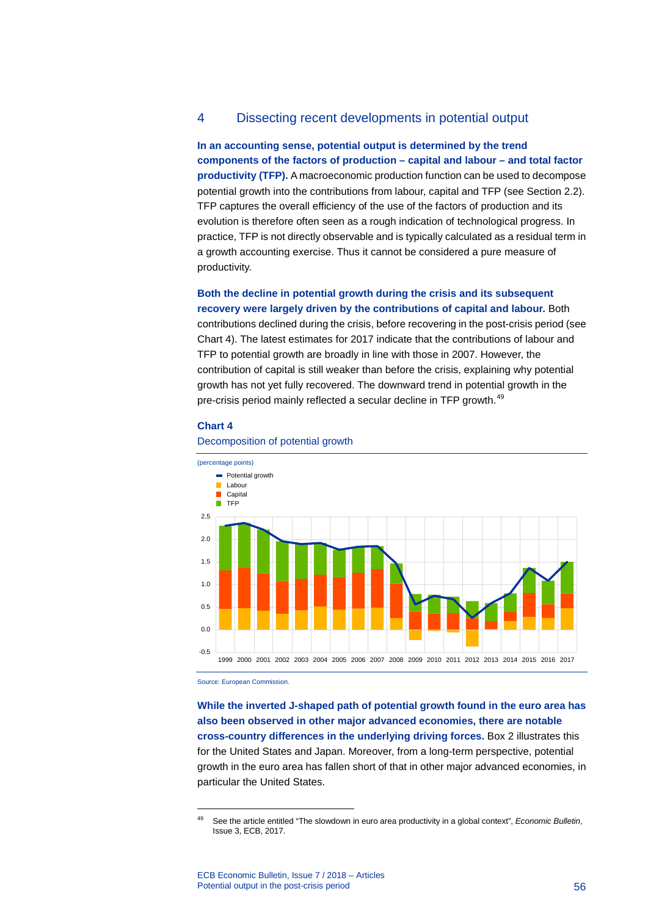### 4 Dissecting recent developments in potential output

**In an accounting sense, potential output is determined by the trend components of the factors of production – capital and labour – and total factor productivity (TFP).** A macroeconomic production function can be used to decompose potential growth into the contributions from labour, capital and TFP (see Section 2.2). TFP captures the overall efficiency of the use of the factors of production and its evolution is therefore often seen as a rough indication of technological progress. In practice, TFP is not directly observable and is typically calculated as a residual term in a growth accounting exercise. Thus it cannot be considered a pure measure of productivity.

**Both the decline in potential growth during the crisis and its subsequent recovery were largely driven by the contributions of capital and labour.** Both

contributions declined during the crisis, before recovering in the post-crisis period (see Chart 4). The latest estimates for 2017 indicate that the contributions of labour and TFP to potential growth are broadly in line with those in 2007. However, the contribution of capital is still weaker than before the crisis, explaining why potential growth has not yet fully recovered. The downward trend in potential growth in the pre-crisis period mainly reflected a secular decline in TFP growth.<sup>[49](#page-56-0)</sup>

#### **Chart 4**



#### Decomposition of potential growth

Source: European Commission.

<span id="page-56-0"></span>-

**While the inverted J-shaped path of potential growth found in the euro area has also been observed in other major advanced economies, there are notable cross-country differences in the underlying driving forces.** Box 2 illustrates this for the United States and Japan. Moreover, from a long-term perspective, potential growth in the euro area has fallen short of that in other major advanced economies, in particular the United States.

<sup>49</sup> See the article entitled "The slowdown in euro area productivity in a global context", *Economic Bulletin*, Issue 3, ECB, 2017.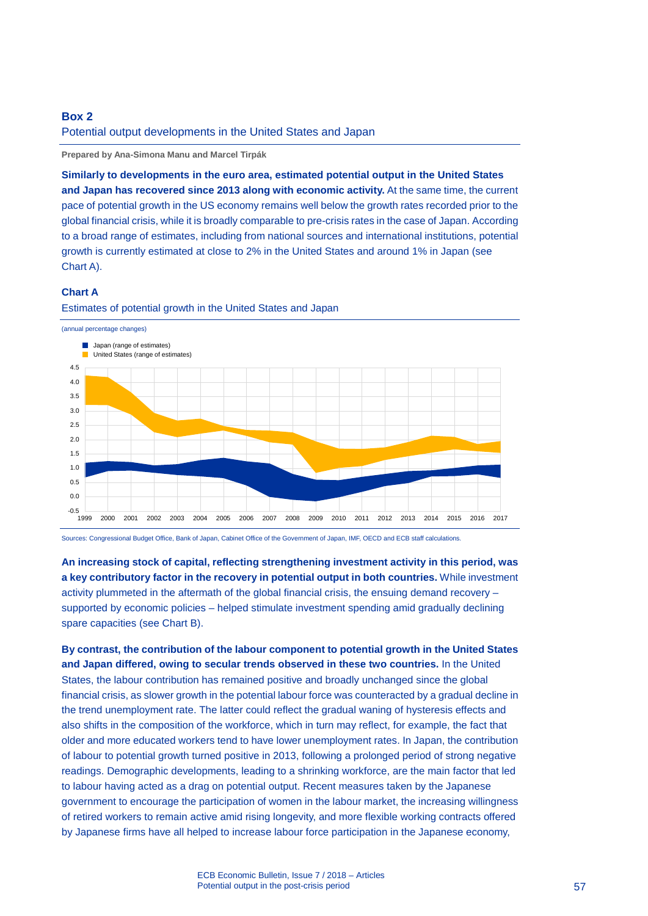### **Box 2**

#### Potential output developments in the United States and Japan

**Prepared by Ana-Simona Manu and Marcel Tirpák**

**Similarly to developments in the euro area, estimated potential output in the United States and Japan has recovered since 2013 along with economic activity.** At the same time, the current pace of potential growth in the US economy remains well below the growth rates recorded prior to the global financial crisis, while it is broadly comparable to pre-crisis rates in the case of Japan. According to a broad range of estimates, including from national sources and international institutions, potential growth is currently estimated at close to 2% in the United States and around 1% in Japan (see Chart A).

#### **Chart A**



Estimates of potential growth in the United States and Japan

Sources: Congressional Budget Office, Bank of Japan, Cabinet Office of the Government of Japan, IMF, OECD and ECB staff calculations.

**An increasing stock of capital, reflecting strengthening investment activity in this period, was a key contributory factor in the recovery in potential output in both countries.** While investment activity plummeted in the aftermath of the global financial crisis, the ensuing demand recovery – supported by economic policies – helped stimulate investment spending amid gradually declining spare capacities (see Chart B).

**By contrast, the contribution of the labour component to potential growth in the United States and Japan differed, owing to secular trends observed in these two countries.** In the United States, the labour contribution has remained positive and broadly unchanged since the global financial crisis, as slower growth in the potential labour force was counteracted by a gradual decline in the trend unemployment rate. The latter could reflect the gradual waning of hysteresis effects and also shifts in the composition of the workforce, which in turn may reflect, for example, the fact that older and more educated workers tend to have lower unemployment rates. In Japan, the contribution of labour to potential growth turned positive in 2013, following a prolonged period of strong negative readings. Demographic developments, leading to a shrinking workforce, are the main factor that led to labour having acted as a drag on potential output. Recent measures taken by the Japanese government to encourage the participation of women in the labour market, the increasing willingness of retired workers to remain active amid rising longevity, and more flexible working contracts offered by Japanese firms have all helped to increase labour force participation in the Japanese economy,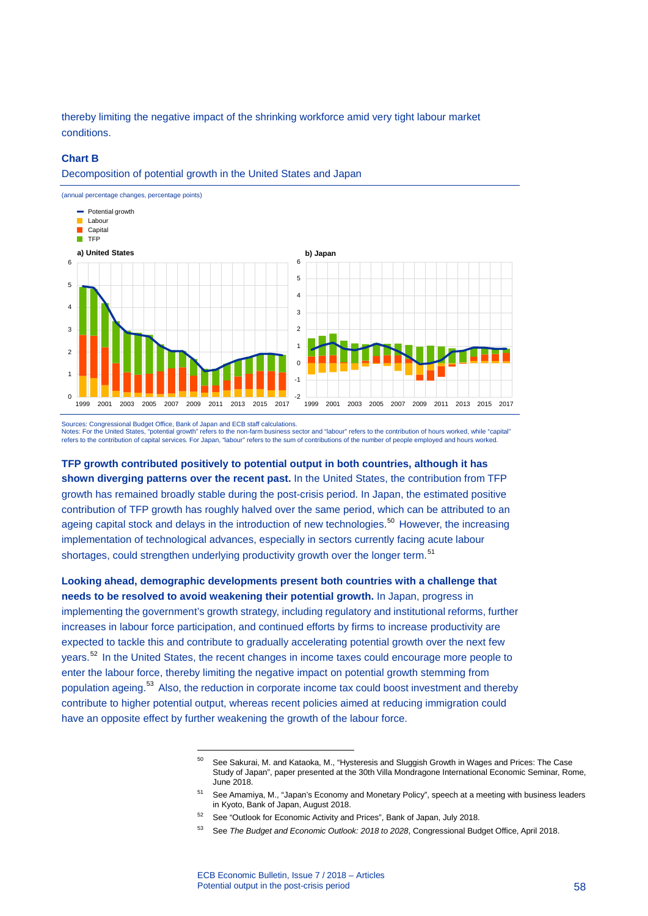thereby limiting the negative impact of the shrinking workforce amid very tight labour market conditions.

#### **Chart B**

Decomposition of potential growth in the United States and Japan



Sources: Congressional Budget Office, Bank of Japan and ECB staff calculations. Notes: For the United States, "potential growth" refers to the non-farm business sector and "labour" refers to the contribution of hours worked, while "capital" refers to the contribution of capital services. For Japan, "labour" refers to the sum of contributions of the number of people employed and hours worked.

**TFP growth contributed positively to potential output in both countries, although it has shown diverging patterns over the recent past.** In the United States, the contribution from TFP growth has remained broadly stable during the post-crisis period. In Japan, the estimated positive contribution of TFP growth has roughly halved over the same period, which can be attributed to an ageing capital stock and delays in the introduction of new technologies.<sup>[50](#page-58-0)</sup> However, the increasing implementation of technological advances, especially in sectors currently facing acute labour shortages, could strengthen underlying productivity growth over the longer term.<sup>[51](#page-58-1)</sup>

<span id="page-58-0"></span>**Looking ahead, demographic developments present both countries with a challenge that needs to be resolved to avoid weakening their potential growth.** In Japan, progress in implementing the government's growth strategy, including regulatory and institutional reforms, further increases in labour force participation, and continued efforts by firms to increase productivity are expected to tackle this and contribute to gradually accelerating potential growth over the next few years.<sup>[52](#page-58-2)</sup> In the United States, the recent changes in income taxes could encourage more people to enter the labour force, thereby limiting the negative impact on potential growth stemming from population ageing.<sup>[53](#page-58-3)</sup> Also, the reduction in corporate income tax could boost investment and thereby contribute to higher potential output, whereas recent policies aimed at reducing immigration could have an opposite effect by further weakening the growth of the labour force.

<sup>50</sup> See Sakurai, M. and Kataoka, M., "Hysteresis and Sluggish Growth in Wages and Prices: The Case Study of Japan", paper presented at the 30th Villa Mondragone International Economic Seminar, Rome, June 2018.

<span id="page-58-1"></span><sup>&</sup>lt;sup>51</sup> See Amamiya, M., "Japan's Economy and Monetary Policy", speech at a meeting with business leaders in Kyoto, Bank of Japan, August 2018.

<sup>&</sup>lt;sup>52</sup> See "Outlook for Economic Activity and Prices", Bank of Japan, July 2018.

<span id="page-58-3"></span><span id="page-58-2"></span><sup>53</sup> See *The Budget and Economic Outlook: 2018 to 2028*, Congressional Budget Office, April 2018.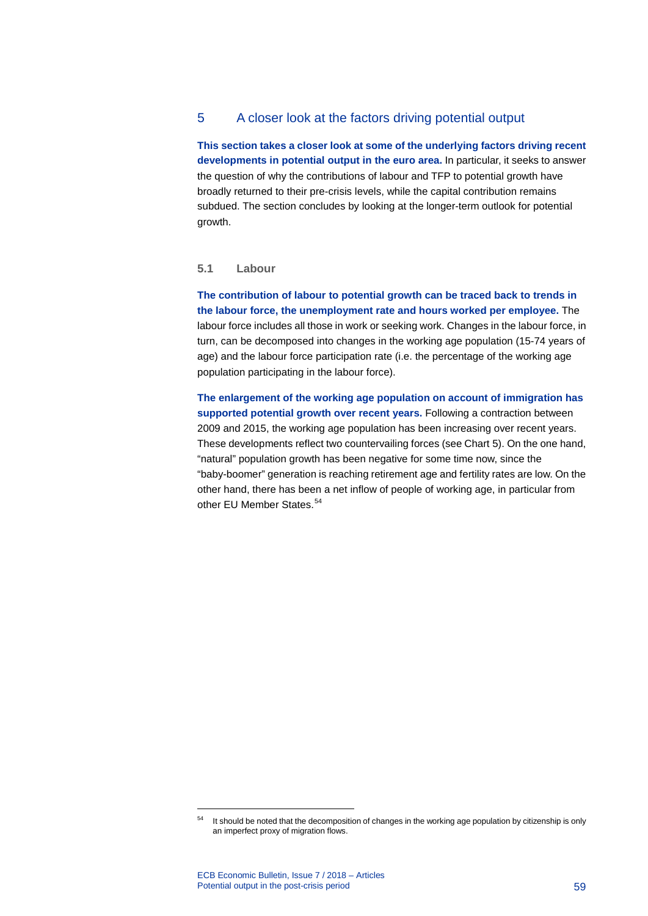### 5 A closer look at the factors driving potential output

**This section takes a closer look at some of the underlying factors driving recent developments in potential output in the euro area.** In particular, it seeks to answer the question of why the contributions of labour and TFP to potential growth have broadly returned to their pre-crisis levels, while the capital contribution remains subdued. The section concludes by looking at the longer-term outlook for potential growth.

### **5.1 Labour**

**The contribution of labour to potential growth can be traced back to trends in the labour force, the unemployment rate and hours worked per employee.** The labour force includes all those in work or seeking work. Changes in the labour force, in turn, can be decomposed into changes in the working age population (15-74 years of age) and the labour force participation rate (i.e. the percentage of the working age population participating in the labour force).

**The enlargement of the working age population on account of immigration has supported potential growth over recent years.** Following a contraction between 2009 and 2015, the working age population has been increasing over recent years. These developments reflect two countervailing forces (see Chart 5). On the one hand, "natural" population growth has been negative for some time now, since the "baby-boomer" generation is reaching retirement age and fertility rates are low. On the other hand, there has been a net inflow of people of working age, in particular from other EU Member States.<sup>[54](#page-59-0)</sup>

<span id="page-59-0"></span><sup>&</sup>lt;sup>54</sup> It should be noted that the decomposition of changes in the working age population by citizenship is only an imperfect proxy of migration flows.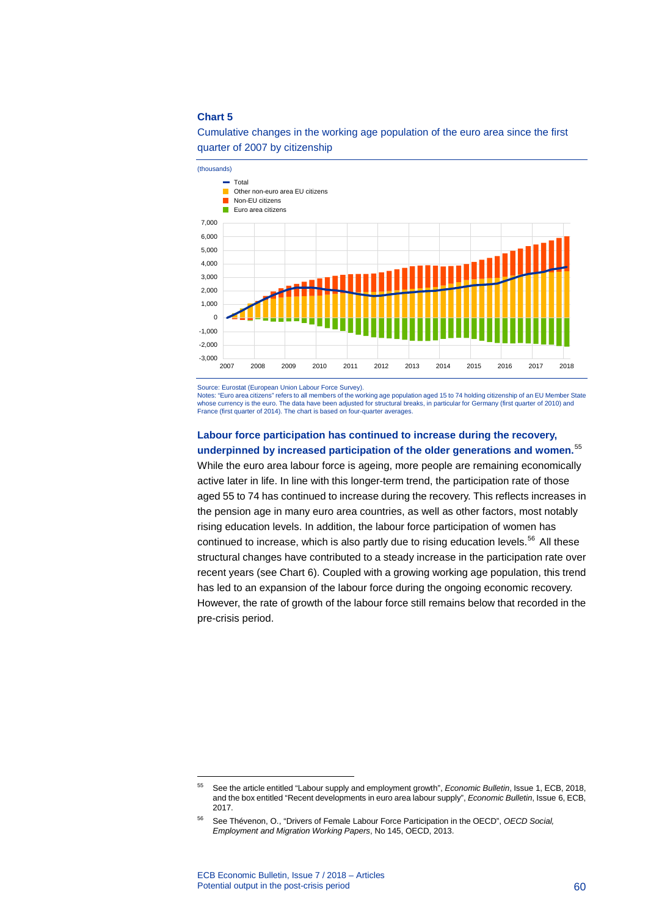



Source: Eurostat (European Union Labour Force Survey).

Notes: "Euro area citizens" refers to all members of the working age population aged 15 to 74 holding citizenship of an EU Member State whose currency is the euro. The data have been adjusted for structural breaks, in particular for Germany (first quarter of 2010) and France (first quarter of 2014). The chart is based on four-quarter averages.

### **Labour force participation has continued to increase during the recovery, underpinned by increased participation of the older generations and women.** [55](#page-60-0)

While the euro area labour force is ageing, more people are remaining economically active later in life. In line with this longer-term trend, the participation rate of those aged 55 to 74 has continued to increase during the recovery. This reflects increases in the pension age in many euro area countries, as well as other factors, most notably rising education levels. In addition, the labour force participation of women has continued to increase, which is also partly due to rising education levels.<sup>[56](#page-60-1)</sup> All these structural changes have contributed to a steady increase in the participation rate over recent years (see Chart 6). Coupled with a growing working age population, this trend has led to an expansion of the labour force during the ongoing economic recovery. However, the rate of growth of the labour force still remains below that recorded in the pre-crisis period.

<span id="page-60-0"></span><sup>55</sup> See the article entitled "Labour supply and employment growth", *Economic Bulletin*, Issue 1, ECB, 2018, and the box entitled "Recent developments in euro area labour supply", *Economic Bulletin*, Issue 6, ECB, 2017.

<span id="page-60-1"></span><sup>56</sup> See Thévenon, O., "Drivers of Female Labour Force Participation in the OECD", *OECD Social, Employment and Migration Working Papers*, No 145, OECD, 2013.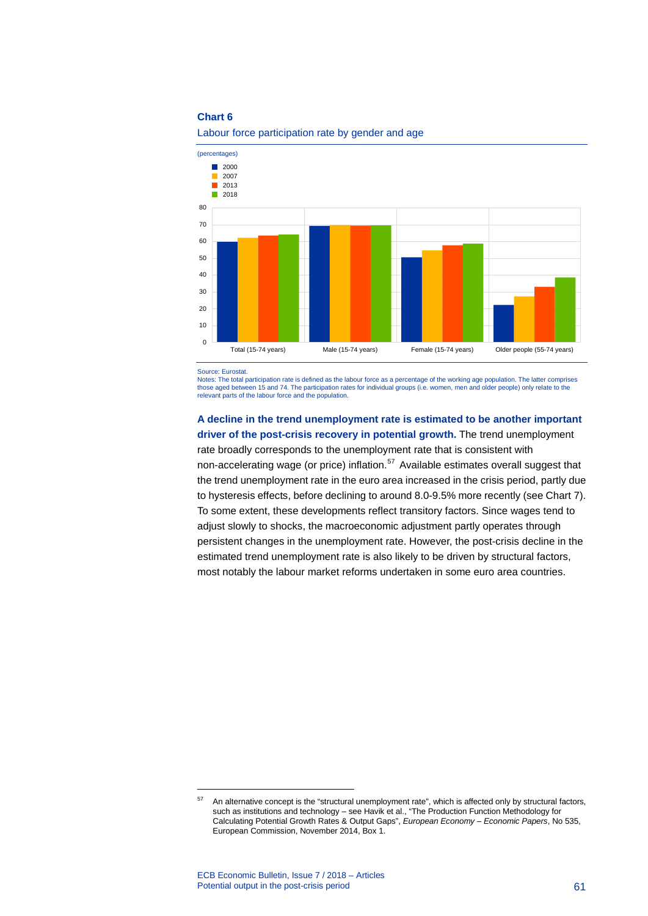

Labour force participation rate by gender and age

Source: Eurosta

-

Notes: The total participation rate is defined as the labour force as a percentage of the working age population. The latter comprises those aged between 15 and 74. The participation rates for individual groups (i.e. women, men and older people) only relate to the relevant parts of the labour force and the population.

### **A decline in the trend unemployment rate is estimated to be another important driver of the post-crisis recovery in potential growth.** The trend unemployment rate broadly corresponds to the unemployment rate that is consistent with

non-accelerating wage (or price) inflation. [57](#page-61-0) Available estimates overall suggest that the trend unemployment rate in the euro area increased in the crisis period, partly due to hysteresis effects, before declining to around 8.0-9.5% more recently (see Chart 7). To some extent, these developments reflect transitory factors. Since wages tend to adjust slowly to shocks, the macroeconomic adjustment partly operates through persistent changes in the unemployment rate. However, the post-crisis decline in the estimated trend unemployment rate is also likely to be driven by structural factors, most notably the labour market reforms undertaken in some euro area countries.

<span id="page-61-0"></span><sup>57</sup> An alternative concept is the "structural unemployment rate", which is affected only by structural factors, such as institutions and technology – see Havik et al., "The Production Function Methodology for Calculating Potential Growth Rates & Output Gaps", *European Economy – Economic Papers*, No 535, European Commission, November 2014, Box 1.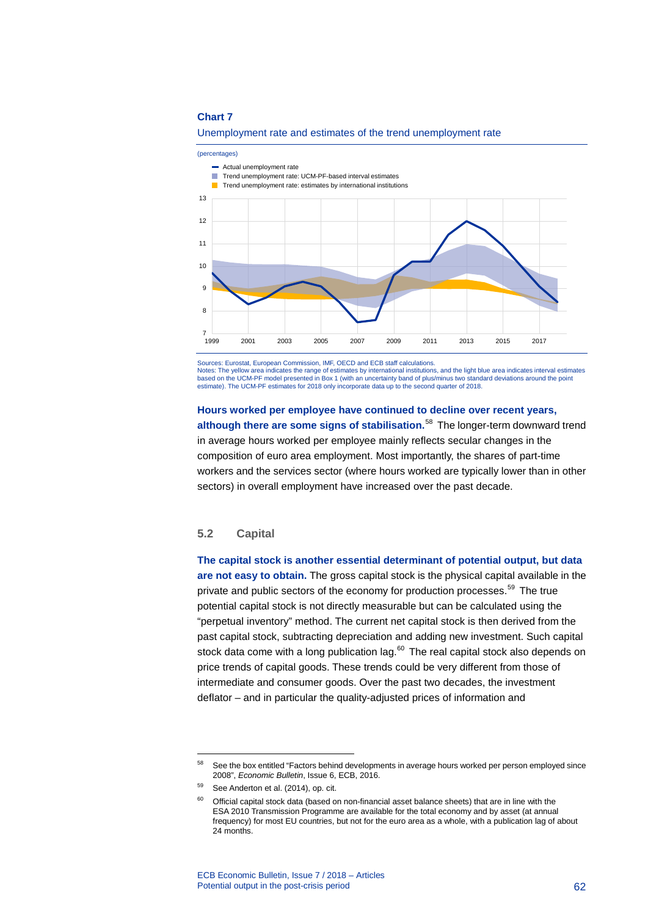

Unemployment rate and estimates of the trend unemployment rate

Sources: Eurostat, European Commission, IMF, OECD and ECB staff calculations. Notes: The yellow area indicates the range of estimates by international institutions, and the light blue area indicates interval estimates based on the UCM-PF model presented in Box 1 (with an uncertainty band of plus/minus two standard deviations around the point estimate). The UCM-PF estimates for 2018 only incorporate data up to the second quarter of 2018.

### **Hours worked per employee have continued to decline over recent years, although there are some signs of stabilisation.** [58](#page-62-0) The longer-term downward trend in average hours worked per employee mainly reflects secular changes in the composition of euro area employment. Most importantly, the shares of part-time workers and the services sector (where hours worked are typically lower than in other sectors) in overall employment have increased over the past decade.

### **5.2 Capital**

**The capital stock is another essential determinant of potential output, but data are not easy to obtain.** The gross capital stock is the physical capital available in the private and public sectors of the economy for production processes. [59](#page-62-1) The true potential capital stock is not directly measurable but can be calculated using the "perpetual inventory" method. The current net capital stock is then derived from the past capital stock, subtracting depreciation and adding new investment. Such capital stock data come with a long publication lag. $60$  The real capital stock also depends on price trends of capital goods. These trends could be very different from those of intermediate and consumer goods. Over the past two decades, the investment deflator – and in particular the quality-adjusted prices of information and

<span id="page-62-0"></span><sup>58</sup> See the box entitled "Factors behind developments in average hours worked per person employed since 2008", *Economic Bulletin*, Issue 6, ECB, 2016.

<span id="page-62-2"></span><span id="page-62-1"></span><sup>&</sup>lt;sup>59</sup> See Anderton et al. (2014), op. cit.

 $60$  Official capital stock data (based on non-financial asset balance sheets) that are in line with the ESA 2010 Transmission Programme are available for the total economy and by asset (at annual frequency) for most EU countries, but not for the euro area as a whole, with a publication lag of about 24 months.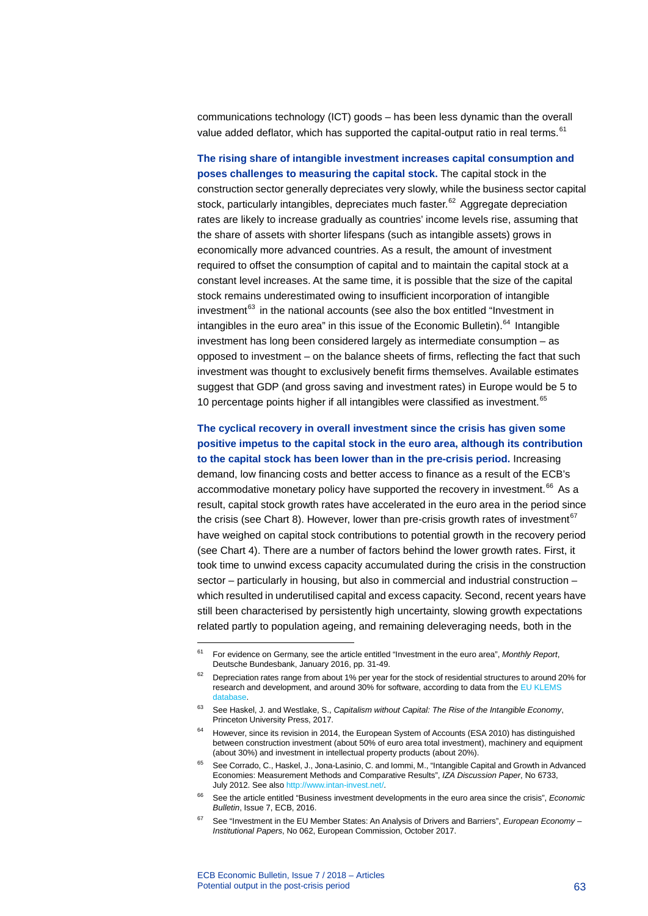communications technology (ICT) goods – has been less dynamic than the overall value added deflator, which has supported the capital-output ratio in real terms.<sup>[61](#page-63-0)</sup>

**The rising share of intangible investment increases capital consumption and poses challenges to measuring the capital stock.** The capital stock in the construction sector generally depreciates very slowly, while the business sector capital stock, particularly intangibles, depreciates much faster.<sup>[62](#page-63-1)</sup> Aggregate depreciation rates are likely to increase gradually as countries' income levels rise, assuming that the share of assets with shorter lifespans (such as intangible assets) grows in economically more advanced countries. As a result, the amount of investment required to offset the consumption of capital and to maintain the capital stock at a constant level increases. At the same time, it is possible that the size of the capital stock remains underestimated owing to insufficient incorporation of intangible investment $^{63}$  $^{63}$  $^{63}$  in the national accounts (see also the box entitled "Investment in intangibles in the euro area" in this issue of the Economic Bulletin).<sup>[64](#page-63-3)</sup> Intangible investment has long been considered largely as intermediate consumption – as opposed to investment – on the balance sheets of firms, reflecting the fact that such investment was thought to exclusively benefit firms themselves. Available estimates suggest that GDP (and gross saving and investment rates) in Europe would be 5 to 10 percentage points higher if all intangibles were classified as investment. [65](#page-63-4)

**The cyclical recovery in overall investment since the crisis has given some positive impetus to the capital stock in the euro area, although its contribution to the capital stock has been lower than in the pre-crisis period.** Increasing demand, low financing costs and better access to finance as a result of the ECB's accommodative monetary policy have supported the recovery in investment.<sup>[66](#page-63-5)</sup> As a result, capital stock growth rates have accelerated in the euro area in the period since the crisis (see Chart 8). However, lower than pre-crisis growth rates of investment<sup>[67](#page-63-6)</sup> have weighed on capital stock contributions to potential growth in the recovery period (see Chart 4). There are a number of factors behind the lower growth rates. First, it took time to unwind excess capacity accumulated during the crisis in the construction sector – particularly in housing, but also in commercial and industrial construction – which resulted in underutilised capital and excess capacity. Second, recent years have still been characterised by persistently high uncertainty, slowing growth expectations related partly to population ageing, and remaining deleveraging needs, both in the

<span id="page-63-0"></span><sup>61</sup> For evidence on Germany, see the article entitled "Investment in the euro area", *Monthly Report*, Deutsche Bundesbank, January 2016, pp. 31-49.

<span id="page-63-1"></span><sup>&</sup>lt;sup>62</sup> Depreciation rates range from about 1% per year for the stock of residential structures to around 20% for research and development, and around 30% for software, according to data from the EU [KLEMS](http://www.euklems.net/)  datab

<span id="page-63-2"></span><sup>63</sup> See Haskel, J. and Westlake, S., *Capitalism without Capital: The Rise of the Intangible Economy*, Princeton University Press, 2017.

<span id="page-63-3"></span><sup>&</sup>lt;sup>64</sup> However, since its revision in 2014, the European System of Accounts (ESA 2010) has distinguished between construction investment (about 50% of euro area total investment), machinery and equipment (about 30%) and investment in intellectual property products (about 20%).

<span id="page-63-4"></span><sup>65</sup> See Corrado, C., Haskel, J., Jona-Lasinio, C. and Iommi, M., "Intangible Capital and Growth in Advanced Economies: Measurement Methods and Comparative Results", *IZA Discussion Paper*, No 6733, July 2012. See als[o http://www.intan-invest.net/.](http://www.intan-invest.net/)

<span id="page-63-5"></span><sup>66</sup> See the article entitled "Business investment developments in the euro area since the crisis", *Economic Bulletin*, Issue 7, ECB, 2016.

<span id="page-63-6"></span><sup>67</sup> See "Investment in the EU Member States: An Analysis of Drivers and Barriers", *European Economy – Institutional Papers*, No 062, European Commission, October 2017.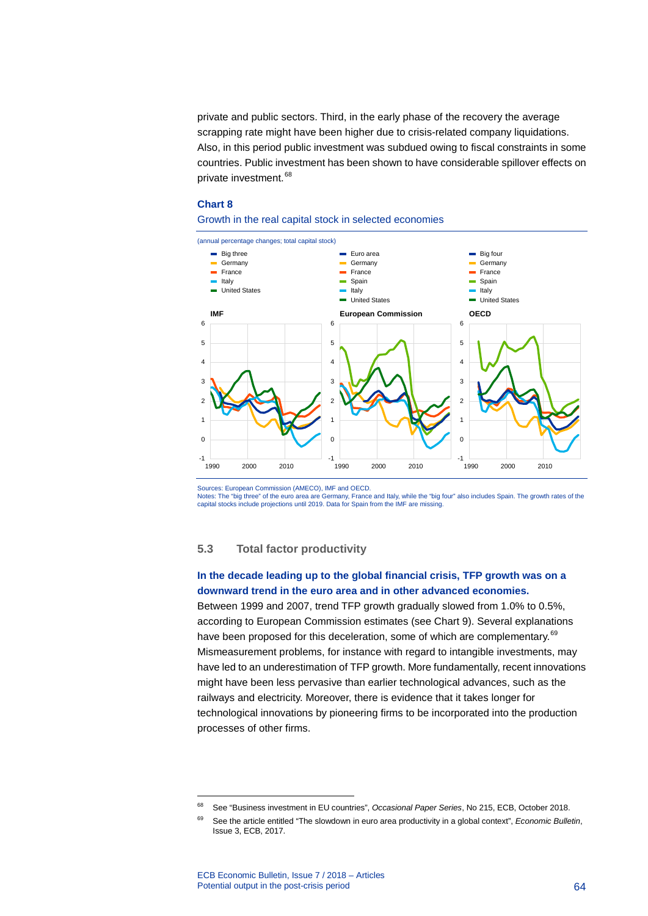private and public sectors. Third, in the early phase of the recovery the average scrapping rate might have been higher due to crisis-related company liquidations. Also, in this period public investment was subdued owing to fiscal constraints in some countries. Public investment has been shown to have considerable spillover effects on private investment.<sup>[68](#page-64-0)</sup>

#### **Chart 8**

#### Growth in the real capital stock in selected economies



Sources: European Commission (AMECO), IMF and OECD.

Notes: The "big three" of the euro area are Germany, France and Italy, while the "big four" also includes Spain. The growth rates of the<br>capital stocks include projections until 2019. Data for Spain from the IMF are missin

### **5.3 Total factor productivity**

### **In the decade leading up to the global financial crisis, TFP growth was on a downward trend in the euro area and in other advanced economies.**

Between 1999 and 2007, trend TFP growth gradually slowed from 1.0% to 0.5%, according to European Commission estimates (see Chart 9). Several explanations have been proposed for this deceleration, some of which are complementary.<sup>[69](#page-64-1)</sup> Mismeasurement problems, for instance with regard to intangible investments, may have led to an underestimation of TFP growth. More fundamentally, recent innovations might have been less pervasive than earlier technological advances, such as the railways and electricity. Moreover, there is evidence that it takes longer for technological innovations by pioneering firms to be incorporated into the production processes of other firms.

<span id="page-64-0"></span><sup>68</sup> See "Business investment in EU countries", *Occasional Paper Series*, No 215, ECB, October 2018.

<span id="page-64-1"></span><sup>69</sup> See the article entitled "The slowdown in euro area productivity in a global context", *Economic Bulletin*, Issue 3, ECB, 2017.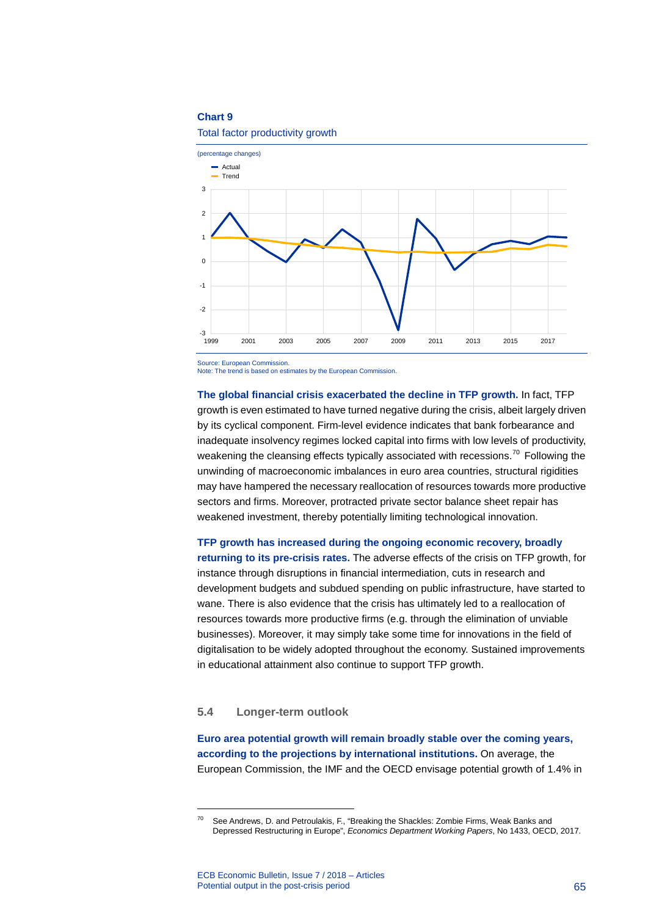



Source: European Commission. Note: The trend is based on estimates by the European Commission.

**The global financial crisis exacerbated the decline in TFP growth.** In fact, TFP growth is even estimated to have turned negative during the crisis, albeit largely driven by its cyclical component. Firm-level evidence indicates that bank forbearance and inadequate insolvency regimes locked capital into firms with low levels of productivity, weakening the cleansing effects typically associated with recessions.<sup>[70](#page-65-0)</sup> Following the unwinding of macroeconomic imbalances in euro area countries, structural rigidities may have hampered the necessary reallocation of resources towards more productive sectors and firms. Moreover, protracted private sector balance sheet repair has weakened investment, thereby potentially limiting technological innovation.

**TFP growth has increased during the ongoing economic recovery, broadly returning to its pre-crisis rates.** The adverse effects of the crisis on TFP growth, for instance through disruptions in financial intermediation, cuts in research and development budgets and subdued spending on public infrastructure, have started to wane. There is also evidence that the crisis has ultimately led to a reallocation of resources towards more productive firms (e.g. through the elimination of unviable businesses). Moreover, it may simply take some time for innovations in the field of digitalisation to be widely adopted throughout the economy. Sustained improvements in educational attainment also continue to support TFP growth.

#### **5.4 Longer-term outlook**

-

**Euro area potential growth will remain broadly stable over the coming years, according to the projections by international institutions.** On average, the European Commission, the IMF and the OECD envisage potential growth of 1.4% in

<span id="page-65-0"></span><sup>70</sup> See Andrews, D. and Petroulakis, F., "Breaking the Shackles: Zombie Firms, Weak Banks and Depressed Restructuring in Europe", *Economics Department Working Papers*, No 1433, OECD, 2017.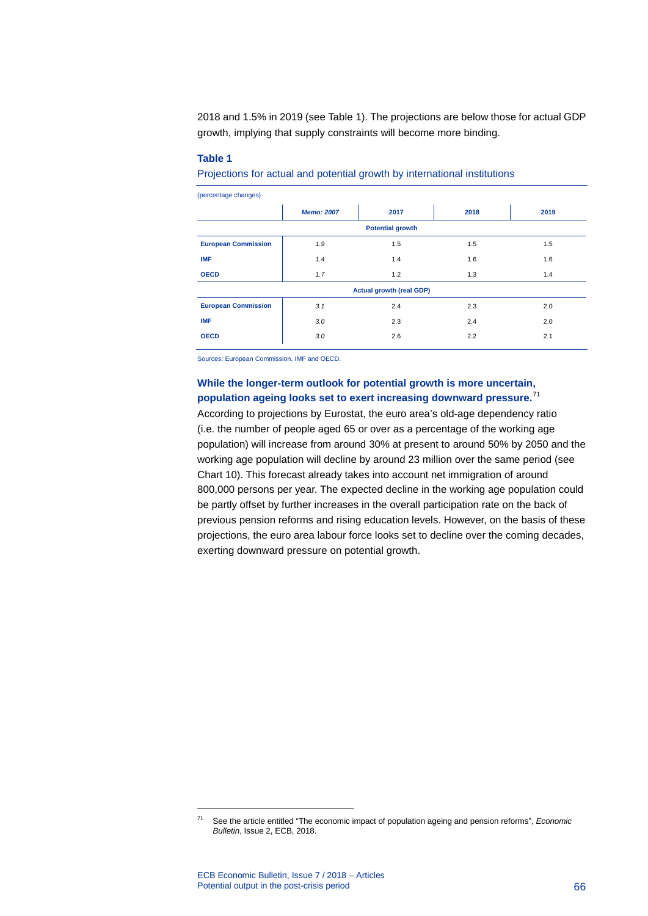2018 and 1.5% in 2019 (see Table 1). The projections are below those for actual GDP growth, implying that supply constraints will become more binding.

#### **Table 1**

Projections for actual and potential growth by international institutions

| (percentage changes)            |                   |      |      |      |
|---------------------------------|-------------------|------|------|------|
|                                 | <b>Memo: 2007</b> | 2017 | 2018 | 2019 |
| <b>Potential growth</b>         |                   |      |      |      |
| <b>European Commission</b>      | 1.9               | 1.5  | 1.5  | 1.5  |
| <b>IMF</b>                      | 1.4               | 1.4  | 1.6  | 1.6  |
| <b>OECD</b>                     | 1.7               | 1.2  | 1.3  | 1.4  |
| <b>Actual growth (real GDP)</b> |                   |      |      |      |
| <b>European Commission</b>      | 3.1               | 2.4  | 2.3  | 2.0  |
| <b>IMF</b>                      | 3.0               | 2.3  | 2.4  | 2.0  |
| <b>OECD</b>                     | 3.0               | 2.6  | 2.2  | 2.1  |

Sources: European Commission, IMF and OECD.

### **While the longer-term outlook for potential growth is more uncertain, population ageing looks set to exert increasing downward pressure.** [71](#page-66-0)

According to projections by Eurostat, the euro area's old-age dependency ratio (i.e. the number of people aged 65 or over as a percentage of the working age population) will increase from around 30% at present to around 50% by 2050 and the working age population will decline by around 23 million over the same period (see Chart 10). This forecast already takes into account net immigration of around 800,000 persons per year. The expected decline in the working age population could be partly offset by further increases in the overall participation rate on the back of previous pension reforms and rising education levels. However, on the basis of these projections, the euro area labour force looks set to decline over the coming decades, exerting downward pressure on potential growth.

<span id="page-66-0"></span><sup>71</sup> See the article entitled "The economic impact of population ageing and pension reforms", *Economic Bulletin*, Issue 2, ECB, 2018.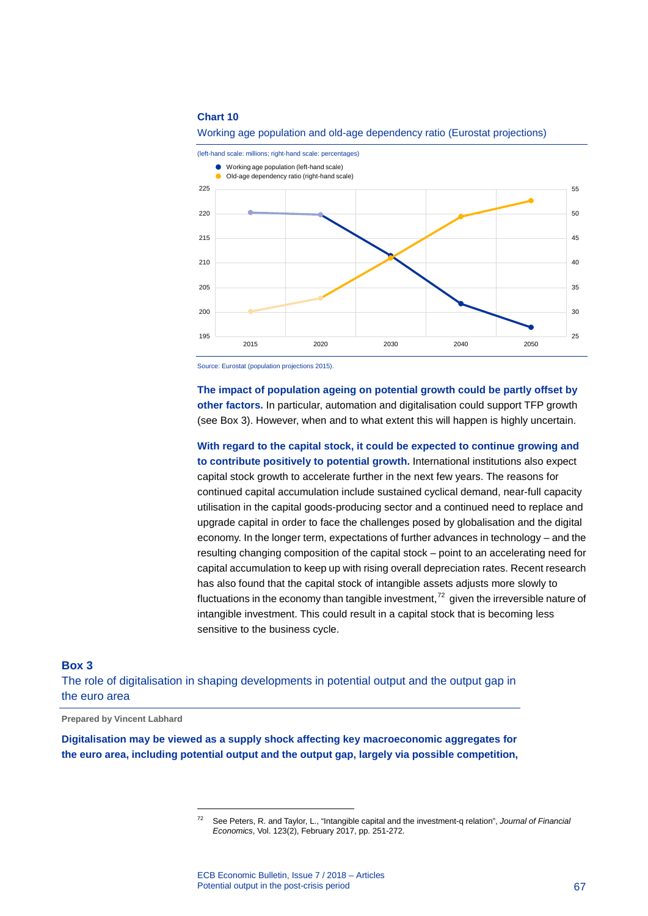



Source: Eurostat (population projections 2015).

**The impact of population ageing on potential growth could be partly offset by other factors.** In particular, automation and digitalisation could support TFP growth (see Box 3). However, when and to what extent this will happen is highly uncertain.

**With regard to the capital stock, it could be expected to continue growing and to contribute positively to potential growth.** International institutions also expect capital stock growth to accelerate further in the next few years. The reasons for continued capital accumulation include sustained cyclical demand, near-full capacity utilisation in the capital goods-producing sector and a continued need to replace and upgrade capital in order to face the challenges posed by globalisation and the digital economy. In the longer term, expectations of further advances in technology – and the resulting changing composition of the capital stock – point to an accelerating need for capital accumulation to keep up with rising overall depreciation rates. Recent research has also found that the capital stock of intangible assets adjusts more slowly to fluctuations in the economy than tangible investment,<sup>[72](#page-67-0)</sup> given the irreversible nature of intangible investment. This could result in a capital stock that is becoming less sensitive to the business cycle.

#### **Box 3**

The role of digitalisation in shaping developments in potential output and the output gap in the euro area

**Prepared by Vincent Labhard**

-

<span id="page-67-0"></span>**Digitalisation may be viewed as a supply shock affecting key macroeconomic aggregates for the euro area, including potential output and the output gap, largely via possible competition,** 

<sup>72</sup> See Peters, R. and Taylor, L., "Intangible capital and the investment-q relation", *Journal of Financial Economics*, Vol. 123(2), February 2017, pp. 251-272.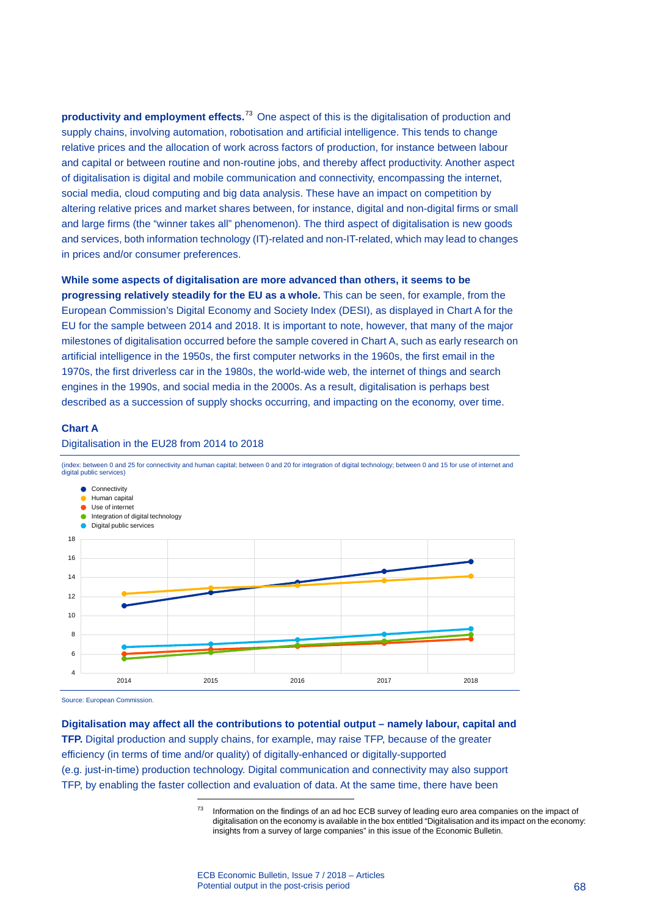**productivity and employment effects.**[73](#page-68-0) One aspect of this is the digitalisation of production and supply chains, involving automation, robotisation and artificial intelligence. This tends to change relative prices and the allocation of work across factors of production, for instance between labour and capital or between routine and non-routine jobs, and thereby affect productivity. Another aspect of digitalisation is digital and mobile communication and connectivity, encompassing the internet, social media, cloud computing and big data analysis. These have an impact on competition by altering relative prices and market shares between, for instance, digital and non-digital firms or small and large firms (the "winner takes all" phenomenon). The third aspect of digitalisation is new goods and services, both information technology (IT)-related and non-IT-related, which may lead to changes in prices and/or consumer preferences.

#### **While some aspects of digitalisation are more advanced than others, it seems to be**

**progressing relatively steadily for the EU as a whole.** This can be seen, for example, from the European Commission's Digital Economy and Society Index (DESI), as displayed in Chart A for the EU for the sample between 2014 and 2018. It is important to note, however, that many of the major milestones of digitalisation occurred before the sample covered in Chart A, such as early research on artificial intelligence in the 1950s, the first computer networks in the 1960s, the first email in the 1970s, the first driverless car in the 1980s, the world-wide web, the internet of things and search engines in the 1990s, and social media in the 2000s. As a result, digitalisation is perhaps best described as a succession of supply shocks occurring, and impacting on the economy, over time.

#### **Chart A**





(index: between 0 and 25 for connectivity and human capital; between 0 and 20 for integration of digital technology; between 0 and 15 for use of internet and digital public services)

Source: European Commission.

<span id="page-68-0"></span>**Digitalisation may affect all the contributions to potential output – namely labour, capital and TFP.** Digital production and supply chains, for example, may raise TFP, because of the greater efficiency (in terms of time and/or quality) of digitally-enhanced or digitally-supported (e.g. just-in-time) production technology. Digital communication and connectivity may also support TFP, by enabling the faster collection and evaluation of data. At the same time, there have been

<sup>&</sup>lt;sup>73</sup> Information on the findings of an ad hoc ECB survey of leading euro area companies on the impact of digitalisation on the economy is available in the box entitled "Digitalisation and its impact on the economy: insights from a survey of large companies" in this issue of the Economic Bulletin.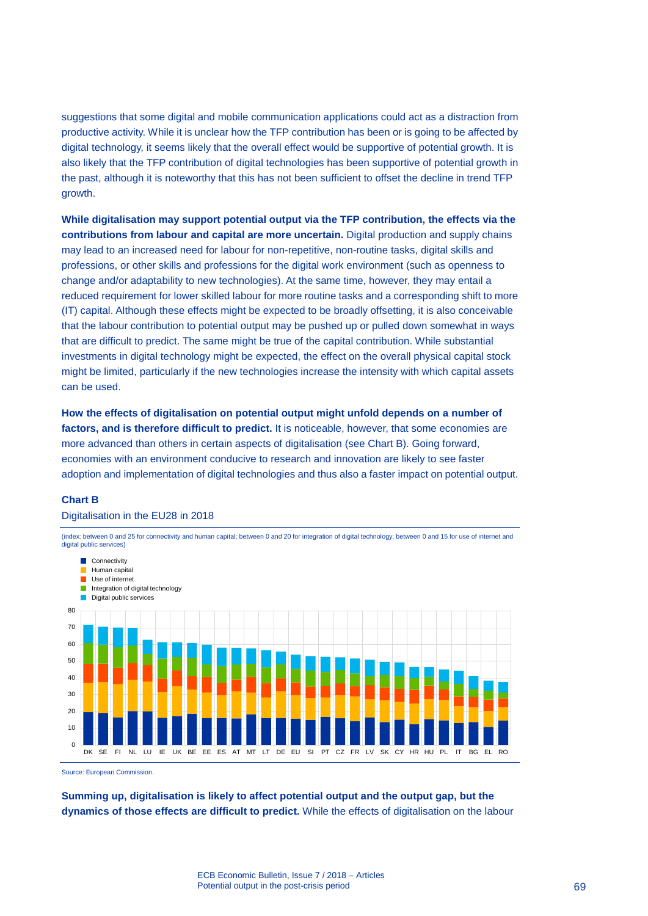suggestions that some digital and mobile communication applications could act as a distraction from productive activity. While it is unclear how the TFP contribution has been or is going to be affected by digital technology, it seems likely that the overall effect would be supportive of potential growth. It is also likely that the TFP contribution of digital technologies has been supportive of potential growth in the past, although it is noteworthy that this has not been sufficient to offset the decline in trend TFP growth.

**While digitalisation may support potential output via the TFP contribution, the effects via the contributions from labour and capital are more uncertain.** Digital production and supply chains may lead to an increased need for labour for non-repetitive, non-routine tasks, digital skills and professions, or other skills and professions for the digital work environment (such as openness to change and/or adaptability to new technologies). At the same time, however, they may entail a reduced requirement for lower skilled labour for more routine tasks and a corresponding shift to more (IT) capital. Although these effects might be expected to be broadly offsetting, it is also conceivable that the labour contribution to potential output may be pushed up or pulled down somewhat in ways that are difficult to predict. The same might be true of the capital contribution. While substantial investments in digital technology might be expected, the effect on the overall physical capital stock might be limited, particularly if the new technologies increase the intensity with which capital assets can be used.

**How the effects of digitalisation on potential output might unfold depends on a number of factors, and is therefore difficult to predict.** It is noticeable, however, that some economies are more advanced than others in certain aspects of digitalisation (see Chart B). Going forward, economies with an environment conducive to research and innovation are likely to see faster adoption and implementation of digital technologies and thus also a faster impact on potential output.

#### **Chart B**

#### Digitalisation in the EU28 in 2018

(index: between 0 and 25 for connectivity and human capital; between 0 and 20 for integration of digital technology; between 0 and 15 for use of internet and digital public services)



Source: European Commission.

**Summing up, digitalisation is likely to affect potential output and the output gap, but the dynamics of those effects are difficult to predict.** While the effects of digitalisation on the labour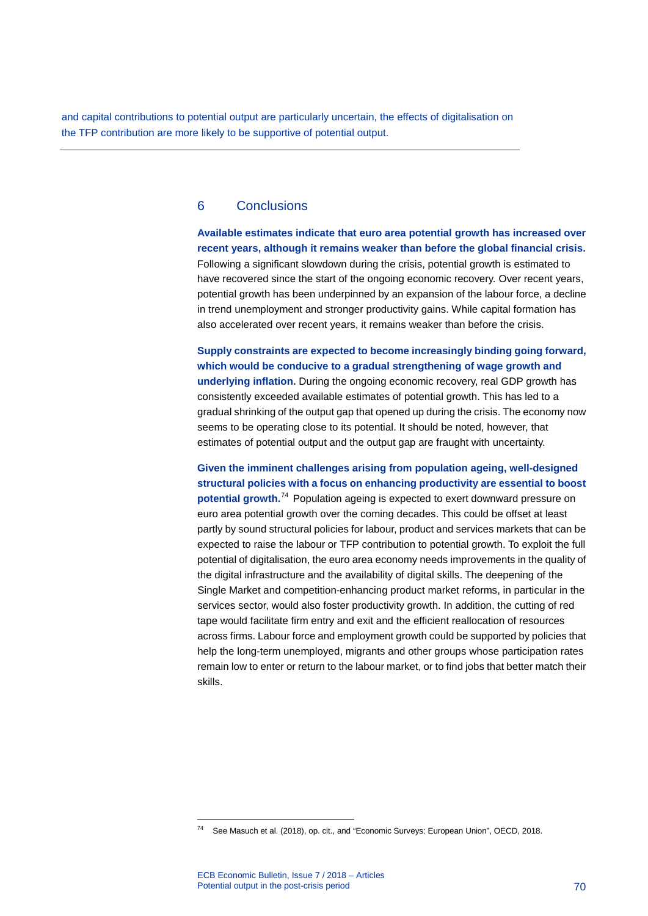and capital contributions to potential output are particularly uncertain, the effects of digitalisation on the TFP contribution are more likely to be supportive of potential output.

### 6 Conclusions

**Available estimates indicate that euro area potential growth has increased over recent years, although it remains weaker than before the global financial crisis.** Following a significant slowdown during the crisis, potential growth is estimated to have recovered since the start of the ongoing economic recovery. Over recent years, potential growth has been underpinned by an expansion of the labour force, a decline in trend unemployment and stronger productivity gains. While capital formation has also accelerated over recent years, it remains weaker than before the crisis.

**Supply constraints are expected to become increasingly binding going forward, which would be conducive to a gradual strengthening of wage growth and underlying inflation.** During the ongoing economic recovery, real GDP growth has consistently exceeded available estimates of potential growth. This has led to a gradual shrinking of the output gap that opened up during the crisis. The economy now seems to be operating close to its potential. It should be noted, however, that estimates of potential output and the output gap are fraught with uncertainty.

**Given the imminent challenges arising from population ageing, well-designed structural policies with a focus on enhancing productivity are essential to boost potential growth.**[74](#page-70-0) Population ageing is expected to exert downward pressure on euro area potential growth over the coming decades. This could be offset at least partly by sound structural policies for labour, product and services markets that can be expected to raise the labour or TFP contribution to potential growth. To exploit the full potential of digitalisation, the euro area economy needs improvements in the quality of the digital infrastructure and the availability of digital skills. The deepening of the Single Market and competition-enhancing product market reforms, in particular in the services sector, would also foster productivity growth. In addition, the cutting of red tape would facilitate firm entry and exit and the efficient reallocation of resources across firms. Labour force and employment growth could be supported by policies that help the long-term unemployed, migrants and other groups whose participation rates remain low to enter or return to the labour market, or to find jobs that better match their skills.

<span id="page-70-0"></span><sup>74</sup> See Masuch et al. (2018), op. cit., and "Economic Surveys: European Union", OECD, 2018.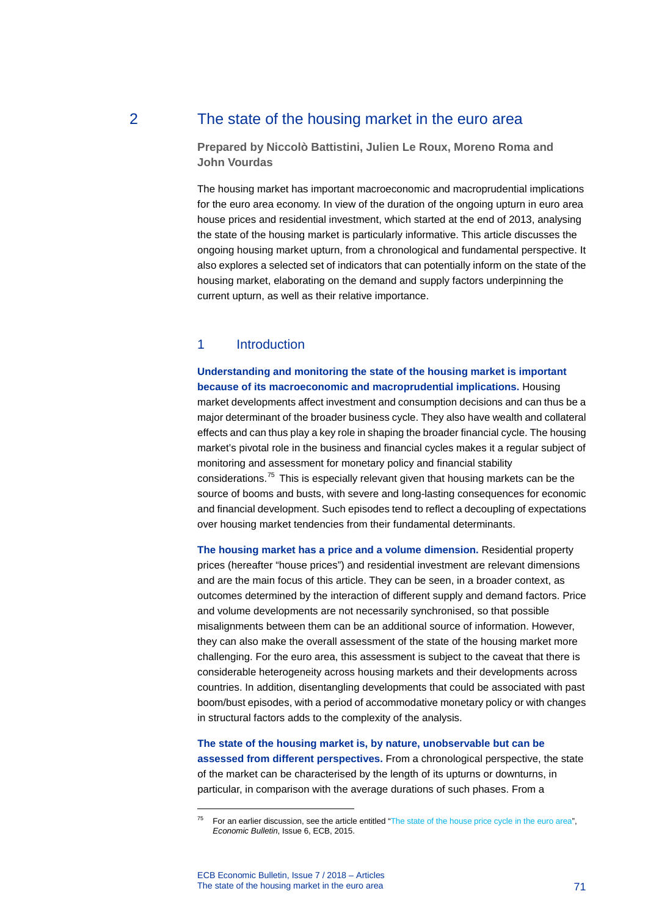### 2 The state of the housing market in the euro area

**Prepared by Niccolò Battistini, Julien Le Roux, Moreno Roma and John Vourdas**

The housing market has important macroeconomic and macroprudential implications for the euro area economy. In view of the duration of the ongoing upturn in euro area house prices and residential investment, which started at the end of 2013, analysing the state of the housing market is particularly informative. This article discusses the ongoing housing market upturn, from a chronological and fundamental perspective. It also explores a selected set of indicators that can potentially inform on the state of the housing market, elaborating on the demand and supply factors underpinning the current upturn, as well as their relative importance.

### 1 Introduction

**Understanding and monitoring the state of the housing market is important because of its macroeconomic and macroprudential implications.** Housing market developments affect investment and consumption decisions and can thus be a major determinant of the broader business cycle. They also have wealth and collateral effects and can thus play a key role in shaping the broader financial cycle. The housing market's pivotal role in the business and financial cycles makes it a regular subject of monitoring and assessment for monetary policy and financial stability considerations.[75](#page-71-0) This is especially relevant given that housing markets can be the source of booms and busts, with severe and long-lasting consequences for economic and financial development. Such episodes tend to reflect a decoupling of expectations over housing market tendencies from their fundamental determinants.

**The housing market has a price and a volume dimension.** Residential property prices (hereafter "house prices") and residential investment are relevant dimensions and are the main focus of this article. They can be seen, in a broader context, as outcomes determined by the interaction of different supply and demand factors. Price and volume developments are not necessarily synchronised, so that possible misalignments between them can be an additional source of information. However, they can also make the overall assessment of the state of the housing market more challenging. For the euro area, this assessment is subject to the caveat that there is considerable heterogeneity across housing markets and their developments across countries. In addition, disentangling developments that could be associated with past boom/bust episodes, with a period of accommodative monetary policy or with changes in structural factors adds to the complexity of the analysis.

**The state of the housing market is, by nature, unobservable but can be assessed from different perspectives.** From a chronological perspective, the state of the market can be characterised by the length of its upturns or downturns, in particular, in comparison with the average durations of such phases. From a

ECB Economic Bulletin, Issue 7 / 2018 – Articles The state of the housing market in the euro area 71

<span id="page-71-0"></span> $75$  For an earlier discussion, see the article entitled ["The state of the house price cycle in the euro area"](https://www.ecb.europa.eu/pub/pdf/ecbu/eb201506.en.pdf), *Economic Bulletin*, Issue 6, ECB, 2015.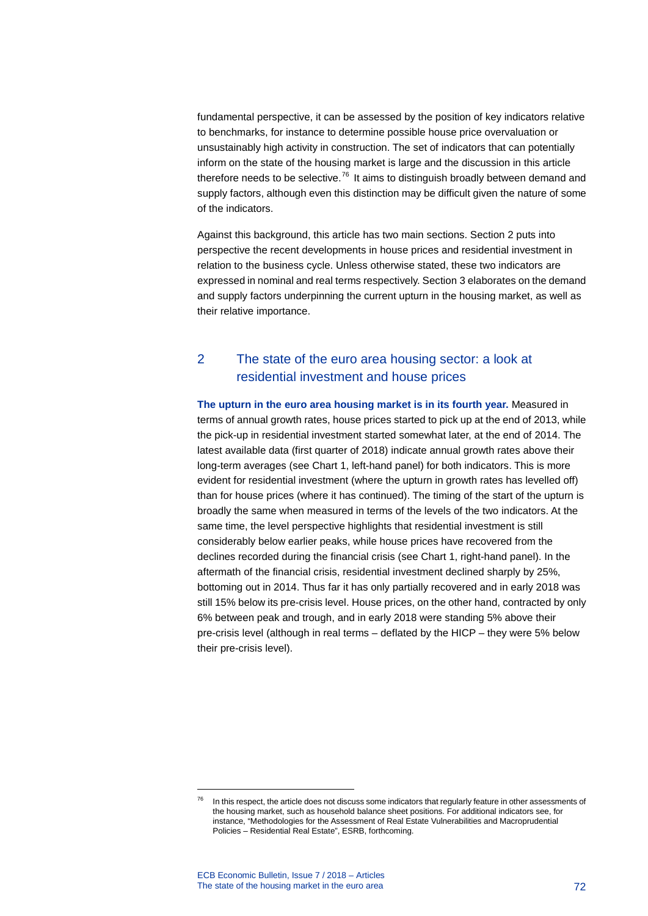fundamental perspective, it can be assessed by the position of key indicators relative to benchmarks, for instance to determine possible house price overvaluation or unsustainably high activity in construction. The set of indicators that can potentially inform on the state of the housing market is large and the discussion in this article therefore needs to be selective.<sup>[76](#page-72-0)</sup> It aims to distinguish broadly between demand and supply factors, although even this distinction may be difficult given the nature of some of the indicators.

Against this background, this article has two main sections. Section 2 puts into perspective the recent developments in house prices and residential investment in relation to the business cycle. Unless otherwise stated, these two indicators are expressed in nominal and real terms respectively. Section 3 elaborates on the demand and supply factors underpinning the current upturn in the housing market, as well as their relative importance.

# 2 The state of the euro area housing sector: a look at residential investment and house prices

**The upturn in the euro area housing market is in its fourth year.** Measured in terms of annual growth rates, house prices started to pick up at the end of 2013, while the pick-up in residential investment started somewhat later, at the end of 2014. The latest available data (first quarter of 2018) indicate annual growth rates above their long-term averages (see Chart 1, left-hand panel) for both indicators. This is more evident for residential investment (where the upturn in growth rates has levelled off) than for house prices (where it has continued). The timing of the start of the upturn is broadly the same when measured in terms of the levels of the two indicators. At the same time, the level perspective highlights that residential investment is still considerably below earlier peaks, while house prices have recovered from the declines recorded during the financial crisis (see Chart 1, right-hand panel). In the aftermath of the financial crisis, residential investment declined sharply by 25%, bottoming out in 2014. Thus far it has only partially recovered and in early 2018 was still 15% below its pre-crisis level. House prices, on the other hand, contracted by only 6% between peak and trough, and in early 2018 were standing 5% above their pre-crisis level (although in real terms – deflated by the HICP – they were 5% below their pre-crisis level).

<span id="page-72-0"></span> $76$  In this respect, the article does not discuss some indicators that regularly feature in other assessments of the housing market, such as household balance sheet positions. For additional indicators see, for instance, "Methodologies for the Assessment of Real Estate Vulnerabilities and Macroprudential Policies – Residential Real Estate", ESRB, forthcoming.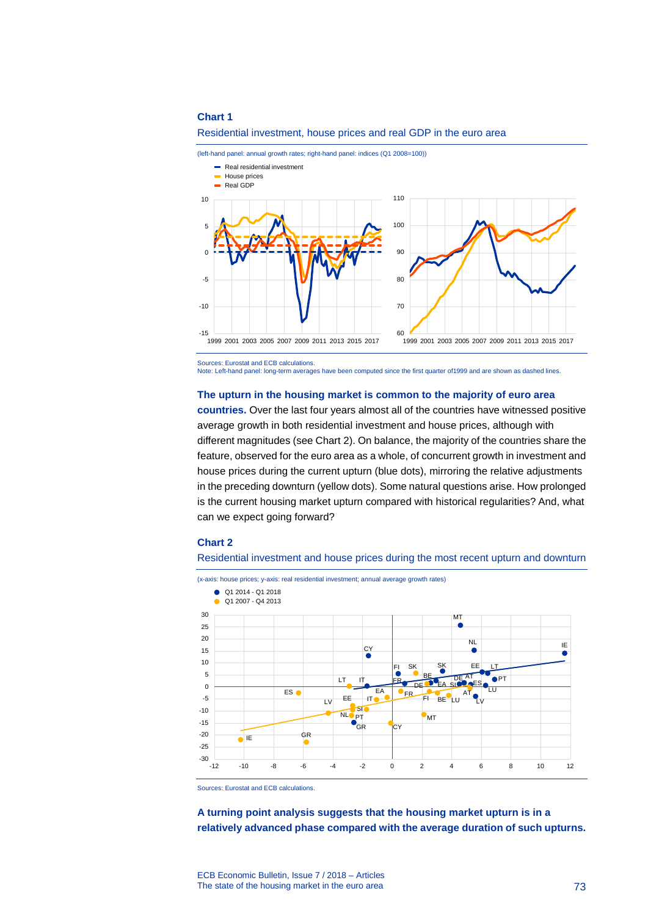

(left-hand panel: annual growth rates; right-hand panel: indices (Q1 2008=100))



Sources: Eurostat and ECB calculations. Note: Left-hand panel: long-term averages have been computed since the first quarter of1999 and are shown as dashed lines.

### **The upturn in the housing market is common to the majority of euro area**

**countries.** Over the last four years almost all of the countries have witnessed positive average growth in both residential investment and house prices, although with different magnitudes (see Chart 2). On balance, the majority of the countries share the feature, observed for the euro area as a whole, of concurrent growth in investment and house prices during the current upturn (blue dots), mirroring the relative adjustments in the preceding downturn (yellow dots). Some natural questions arise. How prolonged is the current housing market upturn compared with historical regularities? And, what can we expect going forward?

### **Chart 2**

Residential investment and house prices during the most recent upturn and downturn

(x-axis: house prices; y-axis: real residential investment; annual average growth rates)



Sources: Eurostat and ECB calculations.

**A turning point analysis suggests that the housing market upturn is in a relatively advanced phase compared with the average duration of such upturns.**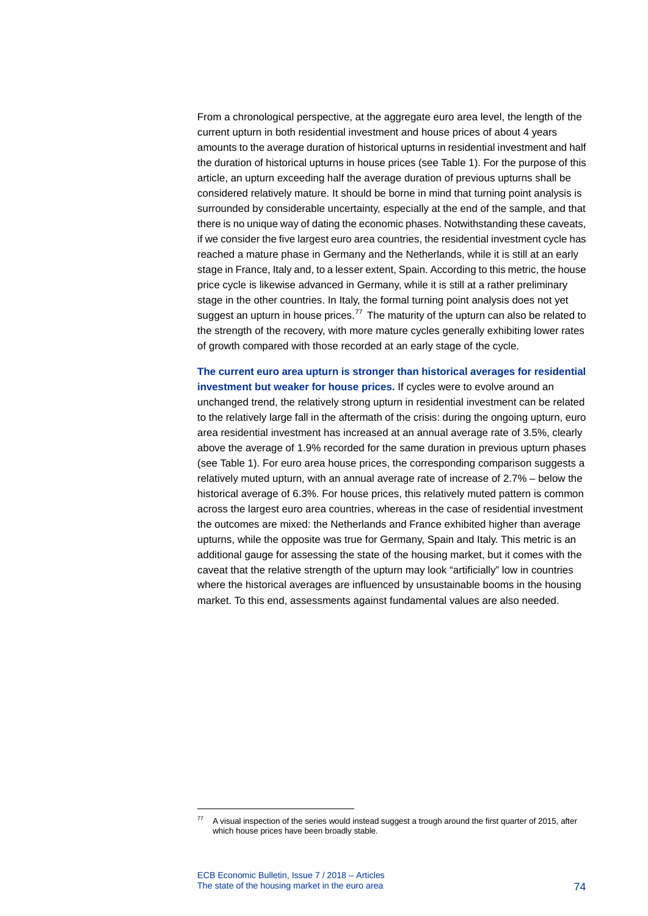From a chronological perspective, at the aggregate euro area level, the length of the current upturn in both residential investment and house prices of about 4 years amounts to the average duration of historical upturns in residential investment and half the duration of historical upturns in house prices (see Table 1). For the purpose of this article, an upturn exceeding half the average duration of previous upturns shall be considered relatively mature. It should be borne in mind that turning point analysis is surrounded by considerable uncertainty, especially at the end of the sample, and that there is no unique way of dating the economic phases. Notwithstanding these caveats, if we consider the five largest euro area countries, the residential investment cycle has reached a mature phase in Germany and the Netherlands, while it is still at an early stage in France, Italy and, to a lesser extent, Spain. According to this metric, the house price cycle is likewise advanced in Germany, while it is still at a rather preliminary stage in the other countries. In Italy, the formal turning point analysis does not yet suggest an upturn in house prices.<sup>[77](#page-74-0)</sup> The maturity of the upturn can also be related to the strength of the recovery, with more mature cycles generally exhibiting lower rates of growth compared with those recorded at an early stage of the cycle.

**The current euro area upturn is stronger than historical averages for residential investment but weaker for house prices.** If cycles were to evolve around an unchanged trend, the relatively strong upturn in residential investment can be related to the relatively large fall in the aftermath of the crisis: during the ongoing upturn, euro area residential investment has increased at an annual average rate of 3.5%, clearly above the average of 1.9% recorded for the same duration in previous upturn phases (see Table 1). For euro area house prices, the corresponding comparison suggests a relatively muted upturn, with an annual average rate of increase of 2.7% – below the historical average of 6.3%. For house prices, this relatively muted pattern is common across the largest euro area countries, whereas in the case of residential investment the outcomes are mixed: the Netherlands and France exhibited higher than average upturns, while the opposite was true for Germany, Spain and Italy. This metric is an additional gauge for assessing the state of the housing market, but it comes with the caveat that the relative strength of the upturn may look "artificially" low in countries where the historical averages are influenced by unsustainable booms in the housing market. To this end, assessments against fundamental values are also needed.

<span id="page-74-0"></span>A visual inspection of the series would instead suggest a trough around the first quarter of 2015, after which house prices have been broadly stable.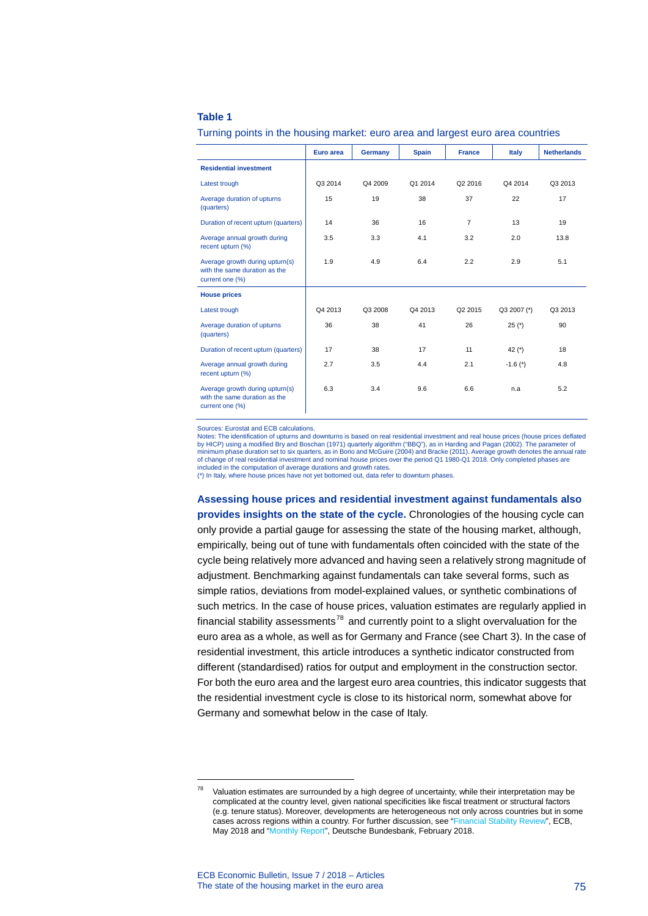### **Table 1**

|                                                                                     | Euro area | Germany | <b>Spain</b> | <b>France</b> | Italy       | <b>Netherlands</b> |  |
|-------------------------------------------------------------------------------------|-----------|---------|--------------|---------------|-------------|--------------------|--|
| <b>Residential investment</b>                                                       |           |         |              |               |             |                    |  |
| Latest trough                                                                       | Q3 2014   | Q4 2009 | Q1 2014      | Q2 2016       | Q4 2014     | Q3 2013            |  |
| Average duration of upturns<br>(quarters)                                           | 15        | 19      | 38           | 37            | 22          | 17                 |  |
| Duration of recent upturn (quarters)                                                | 14        | 36      | 16           | 7             | 13          | 19                 |  |
| Average annual growth during<br>recent upturn (%)                                   | 3.5       | 3.3     | 4.1          | 3.2           | 2.0         | 13.8               |  |
| Average growth during upturn(s)<br>with the same duration as the<br>current one (%) | 1.9       | 4.9     | 6.4          | 2.2           | 2.9         | 5.1                |  |
| <b>House prices</b>                                                                 |           |         |              |               |             |                    |  |
| Latest trough                                                                       | Q4 2013   | Q3 2008 | Q4 2013      | Q2 2015       | Q3 2007 (*) | Q3 2013            |  |
| Average duration of upturns<br>(quarters)                                           | 36        | 38      | 41           | 26            | $25 (*)$    | 90                 |  |
| Duration of recent upturn (quarters)                                                | 17        | 38      | 17           | 11            | 42 $(*)$    | 18                 |  |
| Average annual growth during<br>recent upturn (%)                                   | 2.7       | 3.5     | 4.4          | 2.1           | $-1.6(*)$   | 4.8                |  |
| Average growth during upturn(s)<br>with the same duration as the<br>current one (%) | 6.3       | 3.4     | 9.6          | 6.6           | n.a         | 5.2                |  |

### Turning points in the housing market: euro area and largest euro area countries

Sources: Eurostat and ECB calculations.

Notes: The identification of upturns and downturns is based on real residential investment and real house prices (house prices deflated by HICP) using a modified Bry and Boschan (1971) quarterly algorithm ("BBQ"), as in Harding and Pagan (2002). The parameter of minimum phase duration set to six quarters, as in Borio and McGuire (2004) and Bracke (2011). Average growth denotes the annual rate of change of real residential investment and nominal house prices over the period Q1 1980-Q1 2018. Only completed phases are included in the computation of average durations and growth rates.

(\*) In Italy, where house prices have not yet bottomed out, data refer to downturn phases.

**Assessing house prices and residential investment against fundamentals also provides insights on the state of the cycle.** Chronologies of the housing cycle can only provide a partial gauge for assessing the state of the housing market, although, empirically, being out of tune with fundamentals often coincided with the state of the cycle being relatively more advanced and having seen a relatively strong magnitude of adjustment. Benchmarking against fundamentals can take several forms, such as simple ratios, deviations from model-explained values, or synthetic combinations of such metrics. In the case of house prices, valuation estimates are regularly applied in financial stability assessments<sup>[78](#page-75-0)</sup> and currently point to a slight overvaluation for the euro area as a whole, as well as for Germany and France (see Chart 3). In the case of residential investment, this article introduces a synthetic indicator constructed from different (standardised) ratios for output and employment in the construction sector. For both the euro area and the largest euro area countries, this indicator suggests that the residential investment cycle is close to its historical norm, somewhat above for Germany and somewhat below in the case of Italy.

<span id="page-75-0"></span> $78$  Valuation estimates are surrounded by a high degree of uncertainty, while their interpretation may be complicated at the country level, given national specificities like fiscal treatment or structural factors (e.g. tenure status). Moreover, developments are heterogeneous not only across countries but in some cases across regions within a country. For further discussion, see ["Financial Stability Review"](https://www.ecb.europa.eu/pub/pdf/fsr/ecb.fsr201805.en.pdf), ECB, May 2018 and ["Monthly Report"](https://www.bundesbank.de/resource/blob/667606/ae85c0dd418df5403e7f4158f8955602/mL/2018-02-monatsbericht-data.pdf), Deutsche Bundesbank, February 2018.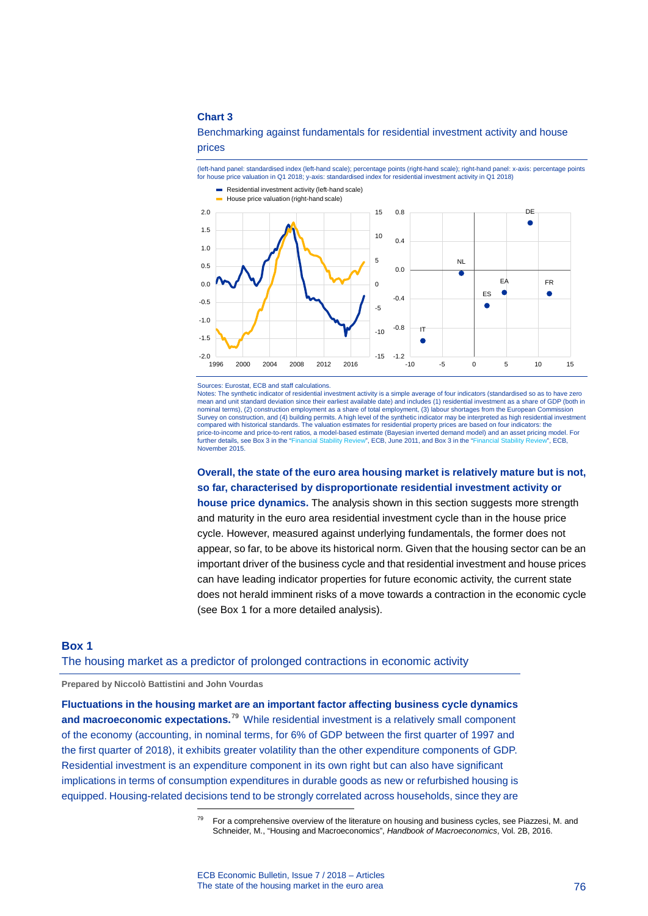Benchmarking against fundamentals for residential investment activity and house prices

(left-hand panel: standardised index (left-hand scale); percentage points (right-hand scale); right-hand panel: x-axis: percentage points for house price valuation in Q1 2018; y-axis: standardised index for residential investment activity in Q1 2018)



Sources: Eurostat, ECB and staff calculations.

Notes: The synthetic indicator of residential investment activity is a simple average of four indicators (standardised so as to have zero mean and unit standard deviation since their earliest available date) and includes (1) residential investment as a share of GDP (both in nominal terms), (2) construction employment as a share of total employment, (3) labour shortages from the European Commission Survey on construction, and (4) building permits. A high level of the synthetic indicator may be interpreted as high residential investment<br>compared with historical standards. The valuation estimates for residential proper price-to-income and price-to-rent ratios, a model-based estimate (Bayesian inverted demand model) and an asset pricing model. For further details, see Box 3 in the "Financial Stability Review". ECB. al Stability Review", ECB, June 2011, and Box 3 in the ["Financial Stability Review",](https://www.ecb.europa.eu/pub/pdf/fsr/financialstabilityreview201511.en.pdf) ECB, June 2011, and Box 3 in the "Fi November 2015.

**Overall, the state of the euro area housing market is relatively mature but is not, so far, characterised by disproportionate residential investment activity or** 

**house price dynamics.** The analysis shown in this section suggests more strength and maturity in the euro area residential investment cycle than in the house price cycle. However, measured against underlying fundamentals, the former does not appear, so far, to be above its historical norm. Given that the housing sector can be an important driver of the business cycle and that residential investment and house prices can have leading indicator properties for future economic activity, the current state does not herald imminent risks of a move towards a contraction in the economic cycle (see Box 1 for a more detailed analysis).

### **Box 1**

### The housing market as a predictor of prolonged contractions in economic activity

### **Prepared by Niccolò Battistini and John Vourdas**

-

<span id="page-76-0"></span>**Fluctuations in the housing market are an important factor affecting business cycle dynamics and macroeconomic expectations.**[79](#page-76-0) While residential investment is a relatively small component of the economy (accounting, in nominal terms, for 6% of GDP between the first quarter of 1997 and the first quarter of 2018), it exhibits greater volatility than the other expenditure components of GDP. Residential investment is an expenditure component in its own right but can also have significant implications in terms of consumption expenditures in durable goods as new or refurbished housing is equipped. Housing-related decisions tend to be strongly correlated across households, since they are

For a comprehensive overview of the literature on housing and business cycles, see Piazzesi, M. and Schneider, M., "Housing and Macroeconomics", *Handbook of Macroeconomics*, Vol. 2B, 2016.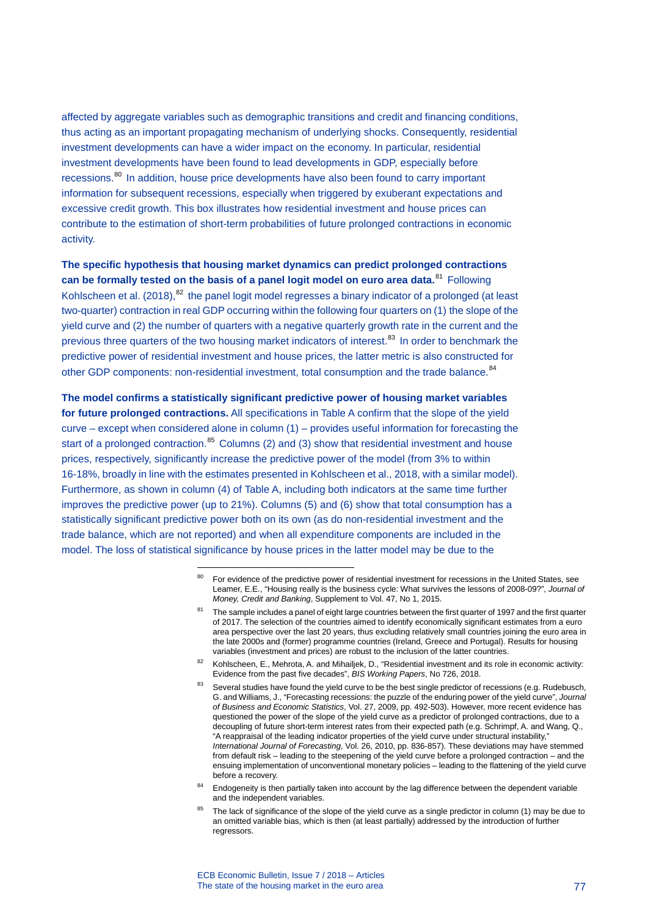affected by aggregate variables such as demographic transitions and credit and financing conditions, thus acting as an important propagating mechanism of underlying shocks. Consequently, residential investment developments can have a wider impact on the economy. In particular, residential investment developments have been found to lead developments in GDP, especially before recessions.<sup>[80](#page-77-0)</sup> In addition, house price developments have also been found to carry important information for subsequent recessions, especially when triggered by exuberant expectations and excessive credit growth. This box illustrates how residential investment and house prices can contribute to the estimation of short-term probabilities of future prolonged contractions in economic activity.

**The specific hypothesis that housing market dynamics can predict prolonged contractions can be formally tested on the basis of a panel logit model on euro area data.**[81](#page-77-1) Following Kohlscheen et al. (2018),<sup>[82](#page-77-2)</sup> the panel logit model regresses a binary indicator of a prolonged (at least two-quarter) contraction in real GDP occurring within the following four quarters on (1) the slope of the yield curve and (2) the number of quarters with a negative quarterly growth rate in the current and the previous three quarters of the two housing market indicators of interest.<sup>[83](#page-77-3)</sup> In order to benchmark the predictive power of residential investment and house prices, the latter metric is also constructed for other GDP components: non-residential investment, total consumption and the trade balance.<sup>[84](#page-77-4)</sup>

<span id="page-77-0"></span>**The model confirms a statistically significant predictive power of housing market variables for future prolonged contractions.** All specifications in Table A confirm that the slope of the yield curve – except when considered alone in column (1) – provides useful information for forecasting the start of a prolonged contraction. $85$  Columns (2) and (3) show that residential investment and house prices, respectively, significantly increase the predictive power of the model (from 3% to within 16-18%, broadly in line with the estimates presented in Kohlscheen et al., 2018, with a similar model). Furthermore, as shown in column (4) of Table A, including both indicators at the same time further improves the predictive power (up to 21%). Columns (5) and (6) show that total consumption has a statistically significant predictive power both on its own (as do non-residential investment and the trade balance, which are not reported) and when all expenditure components are included in the model. The loss of statistical significance by house prices in the latter model may be due to the

<sup>&</sup>lt;sup>80</sup> For evidence of the predictive power of residential investment for recessions in the United States, see Leamer, E.E., "Housing really is the business cycle: What survives the lessons of 2008-09?", *Journal of Money, Credit and Banking*, Supplement to Vol. 47, No 1, 2015.

<span id="page-77-1"></span><sup>&</sup>lt;sup>81</sup> The sample includes a panel of eight large countries between the first quarter of 1997 and the first quarter of 2017. The selection of the countries aimed to identify economically significant estimates from a euro area perspective over the last 20 years, thus excluding relatively small countries joining the euro area in the late 2000s and (former) programme countries (Ireland, Greece and Portugal). Results for housing variables (investment and prices) are robust to the inclusion of the latter countries.

<span id="page-77-3"></span><span id="page-77-2"></span><sup>82</sup> Kohlscheen, E., Mehrota, A. and Mihailjek, D., "Residential investment and its role in economic activity: Evidence from the past five decades", *BIS Working Papers*, No 726, 2018.

Several studies have found the yield curve to be the best single predictor of recessions (e.g. Rudebusch, G. and Williams, J., "Forecasting recessions: the puzzle of the enduring power of the yield curve", *Journal of Business and Economic Statistics*, Vol. 27, 2009, pp. 492-503). However, more recent evidence has questioned the power of the slope of the yield curve as a predictor of prolonged contractions, due to a decoupling of future short-term interest rates from their expected path (e.g. Schrimpf, A. and Wang, Q., "A reappraisal of the leading indicator properties of the yield curve under structural instability," *International Journal of Forecasting*, Vol. 26, 2010, pp. 836-857). These deviations may have stemmed from default risk – leading to the steepening of the yield curve before a prolonged contraction – and the ensuing implementation of unconventional monetary policies – leading to the flattening of the yield curve before a recovery.

<span id="page-77-4"></span><sup>&</sup>lt;sup>84</sup> Endogeneity is then partially taken into account by the lag difference between the dependent variable and the independent variables.

<span id="page-77-5"></span>The lack of significance of the slope of the yield curve as a single predictor in column (1) may be due to an omitted variable bias, which is then (at least partially) addressed by the introduction of further regressors.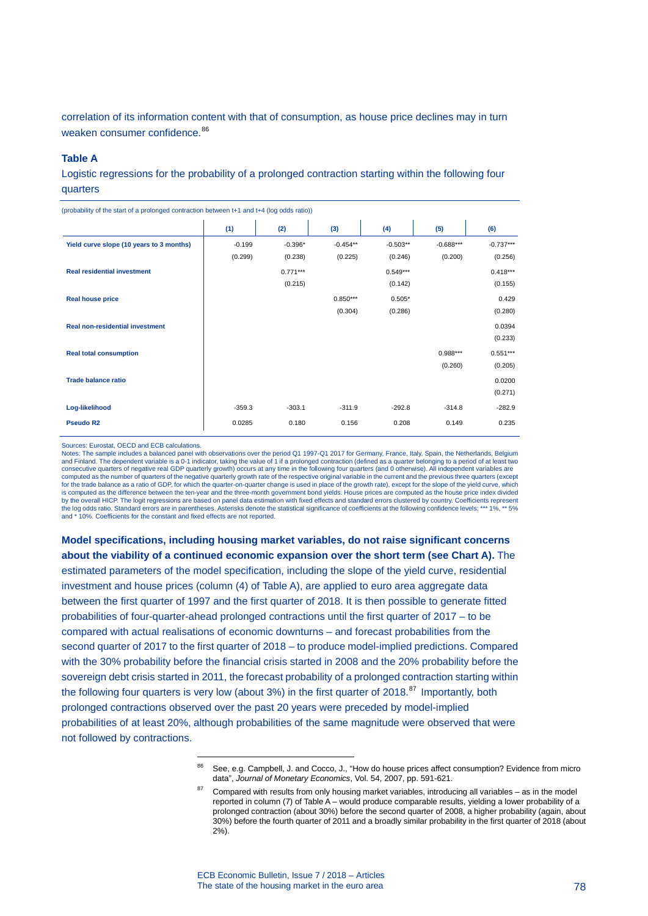correlation of its information content with that of consumption, as house price declines may in turn weaken consumer confidence.<sup>[86](#page-78-0)</sup>

#### **Table A**

Logistic regressions for the probability of a prolonged contraction starting within the following four quarters

| $\mathbf{v} = \mathbf{v} + \mathbf{v} + \mathbf{v} + \mathbf{v} + \mathbf{v} + \mathbf{v} + \mathbf{v} + \mathbf{v} + \mathbf{v} + \mathbf{v} + \mathbf{v} + \mathbf{v} + \mathbf{v} + \mathbf{v} + \mathbf{v} + \mathbf{v} + \mathbf{v} + \mathbf{v} + \mathbf{v} + \mathbf{v} + \mathbf{v} + \mathbf{v} + \mathbf{v} + \mathbf{v} + \mathbf{v} + \mathbf{v} + \mathbf{v} + \mathbf{v} + \mathbf{v} + \mathbf{v} + \mathbf$ |          |            |            |            |             |             |
|------------------------------------------------------------------------------------------------------------------------------------------------------------------------------------------------------------------------------------------------------------------------------------------------------------------------------------------------------------------------------------------------------------------------------|----------|------------|------------|------------|-------------|-------------|
|                                                                                                                                                                                                                                                                                                                                                                                                                              | (1)      | (2)        | (3)        | (4)        | (5)         | (6)         |
| Yield curve slope (10 years to 3 months)                                                                                                                                                                                                                                                                                                                                                                                     | $-0.199$ | $-0.396*$  | $-0.454**$ | $-0.503**$ | $-0.688***$ | $-0.737***$ |
|                                                                                                                                                                                                                                                                                                                                                                                                                              | (0.299)  | (0.238)    | (0.225)    | (0.246)    | (0.200)     | (0.256)     |
| <b>Real residential investment</b>                                                                                                                                                                                                                                                                                                                                                                                           |          | $0.771***$ |            | $0.549***$ |             | $0.418***$  |
|                                                                                                                                                                                                                                                                                                                                                                                                                              |          | (0.215)    |            | (0.142)    |             | (0.155)     |
| <b>Real house price</b>                                                                                                                                                                                                                                                                                                                                                                                                      |          |            | $0.850***$ | $0.505*$   |             | 0.429       |
|                                                                                                                                                                                                                                                                                                                                                                                                                              |          |            | (0.304)    | (0.286)    |             | (0.280)     |
| Real non-residential investment                                                                                                                                                                                                                                                                                                                                                                                              |          |            |            |            |             | 0.0394      |
|                                                                                                                                                                                                                                                                                                                                                                                                                              |          |            |            |            |             | (0.233)     |
| <b>Real total consumption</b>                                                                                                                                                                                                                                                                                                                                                                                                |          |            |            |            | $0.988***$  | $0.551***$  |
|                                                                                                                                                                                                                                                                                                                                                                                                                              |          |            |            |            | (0.260)     | (0.205)     |
| <b>Trade balance ratio</b>                                                                                                                                                                                                                                                                                                                                                                                                   |          |            |            |            |             | 0.0200      |
|                                                                                                                                                                                                                                                                                                                                                                                                                              |          |            |            |            |             | (0.271)     |
| Log-likelihood                                                                                                                                                                                                                                                                                                                                                                                                               | $-359.3$ | $-303.1$   | $-311.9$   | $-292.8$   | $-314.8$    | $-282.9$    |
| <b>Pseudo R2</b>                                                                                                                                                                                                                                                                                                                                                                                                             | 0.0285   | 0.180      | 0.156      | 0.208      | 0.149       | 0.235       |
|                                                                                                                                                                                                                                                                                                                                                                                                                              |          |            |            |            |             |             |

(probability of the start of a prolonged contraction between t+1 and t+4 (log odds ratio))

Sources: Eurostat, OECD and ECB calculations.

Notes: The sample includes a balanced panel with observations over the period Q1 1997-Q1 2017 for Germany, France, Italy, Spain, the Netherlands, Belgium<br>and Finland. The dependent variable is a 0-1 indicator, taking the v consecutive quarters of negative real GDP quarterly growth) occurs at any time in the following four quarters (and 0 otherwise). All independent variables are computed as the number of quarters of the negative quarterly growth rate of the respective original variable in the current and the previous three quarters (except for the trade balance as a ratio of GDP, for which the quarter-on-quarter change is used in place of the growth rate), except for the slope of the yield curve, which is computed as the difference between the ten-year and the three-month government bond yields. House prices are computed as the house price index divided by the overall HICP. The logit regressions are based on panel data estimation with fixed effects and standard errors clustered by country. Coefficients reprethe log odds ratio. Standard errors are in parentheses. Asterisks denote the statistical significance of coefficients at the following confidence levels: \*\*\* 1%, \*\* 5% and \* 10%. Coefficients for the constant and fixed effects are not reported.

**Model specifications, including housing market variables, do not raise significant concerns about the viability of a continued economic expansion over the short term (see Chart A).** The

estimated parameters of the model specification, including the slope of the yield curve, residential investment and house prices (column (4) of Table A), are applied to euro area aggregate data between the first quarter of 1997 and the first quarter of 2018. It is then possible to generate fitted probabilities of four-quarter-ahead prolonged contractions until the first quarter of 2017 – to be compared with actual realisations of economic downturns – and forecast probabilities from the second quarter of 2017 to the first quarter of 2018 – to produce model-implied predictions. Compared with the 30% probability before the financial crisis started in 2008 and the 20% probability before the sovereign debt crisis started in 2011, the forecast probability of a prolonged contraction starting within the following four quarters is very low (about 3%) in the first quarter of 2018.<sup>[87](#page-78-1)</sup> Importantly, both prolonged contractions observed over the past 20 years were preceded by model-implied probabilities of at least 20%, although probabilities of the same magnitude were observed that were not followed by contractions.

<span id="page-78-0"></span><sup>86</sup> See, e.g. Campbell, J. and Cocco, J., "How do house prices affect consumption? Evidence from micro data", *Journal of Monetary Economics*, Vol. 54, 2007, pp. 591-621.

<span id="page-78-1"></span><sup>87</sup> Compared with results from only housing market variables, introducing all variables – as in the model reported in column (7) of Table A – would produce comparable results, yielding a lower probability of a prolonged contraction (about 30%) before the second quarter of 2008, a higher probability (again, about 30%) before the fourth quarter of 2011 and a broadly similar probability in the first quarter of 2018 (about 2%).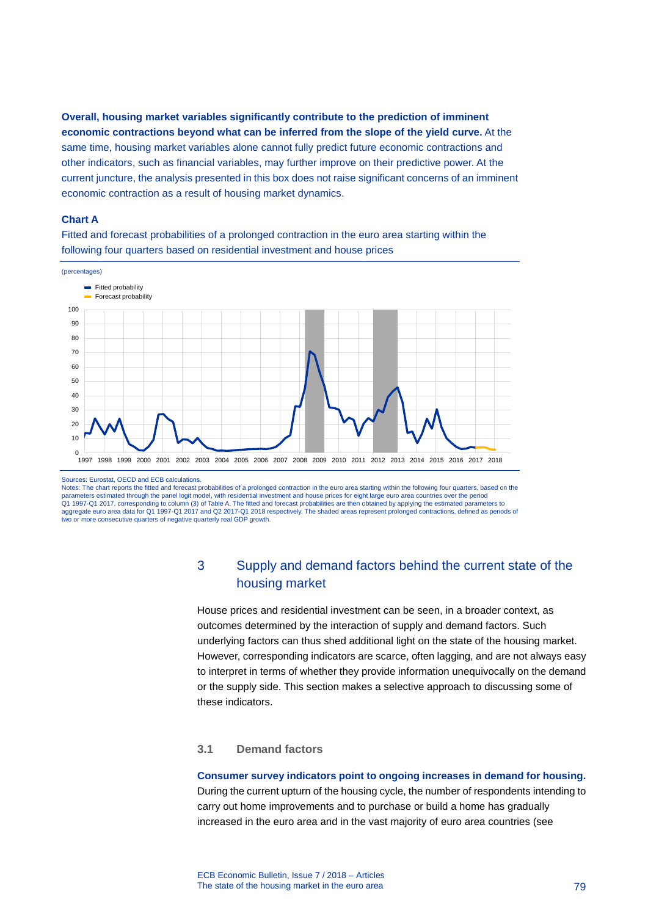**Overall, housing market variables significantly contribute to the prediction of imminent economic contractions beyond what can be inferred from the slope of the yield curve.** At the same time, housing market variables alone cannot fully predict future economic contractions and other indicators, such as financial variables, may further improve on their predictive power. At the current juncture, the analysis presented in this box does not raise significant concerns of an imminent economic contraction as a result of housing market dynamics.

### **Chart A**

Fitted and forecast probabilities of a prolonged contraction in the euro area starting within the following four quarters based on residential investment and house prices



#### Sources: Eurostat, OECD and ECB calculations.

Notes: The chart reports the fitted and forecast probabilities of a prolonged contraction in the euro area starting within the following four quarters, based on the parameters estimated through the panel logit model, with residential investment and house prices for eight large euro area countries over the period<br>Q1 1997-Q1 2017, corresponding to column (3) of Table A. The fitted and f aggregate euro area data for Q1 1997-Q1 2017 and Q2 2017-Q1 2018 respectively. The shaded areas represent prolonged contractions, defined as periods of two or more consecutive quarters of negative quarterly real GDP growth.

# 3 Supply and demand factors behind the current state of the housing market

House prices and residential investment can be seen, in a broader context, as outcomes determined by the interaction of supply and demand factors. Such underlying factors can thus shed additional light on the state of the housing market. However, corresponding indicators are scarce, often lagging, and are not always easy to interpret in terms of whether they provide information unequivocally on the demand or the supply side. This section makes a selective approach to discussing some of these indicators.

### **3.1 Demand factors**

#### **Consumer survey indicators point to ongoing increases in demand for housing.**

During the current upturn of the housing cycle, the number of respondents intending to carry out home improvements and to purchase or build a home has gradually increased in the euro area and in the vast majority of euro area countries (see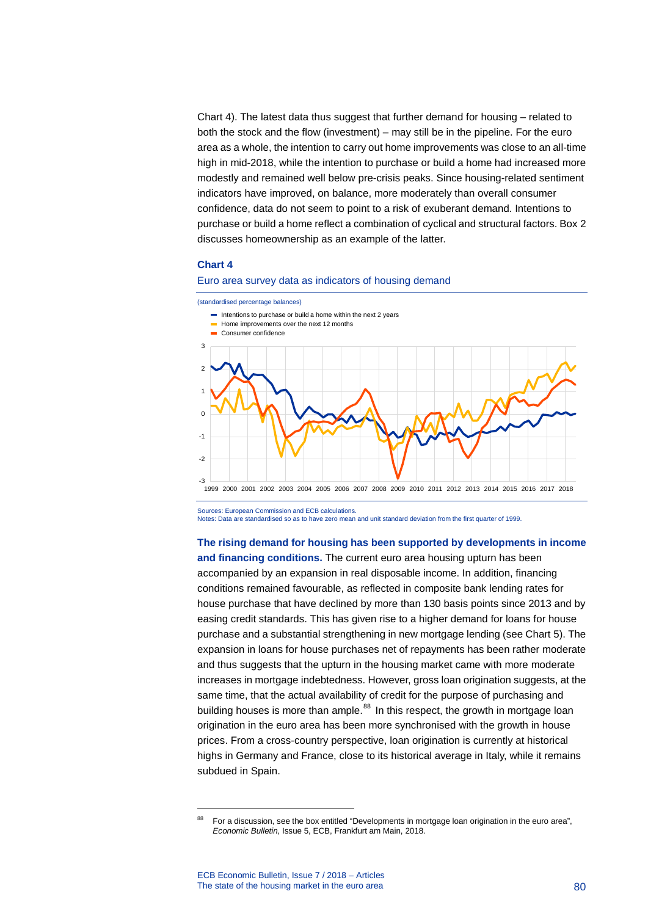Chart 4). The latest data thus suggest that further demand for housing – related to both the stock and the flow (investment) – may still be in the pipeline. For the euro area as a whole, the intention to carry out home improvements was close to an all-time high in mid-2018, while the intention to purchase or build a home had increased more modestly and remained well below pre-crisis peaks. Since housing-related sentiment indicators have improved, on balance, more moderately than overall consumer confidence, data do not seem to point to a risk of exuberant demand. Intentions to purchase or build a home reflect a combination of cyclical and structural factors. Box 2 discusses homeownership as an example of the latter.

#### **Chart 4**



(standardised percentage balances)



Sources: European Commission and ECB calculations. Notes: Data are standardised so as to have zero mean and unit standard deviation from the first quarter of 1999.

**The rising demand for housing has been supported by developments in income and financing conditions.** The current euro area housing upturn has been accompanied by an expansion in real disposable income. In addition, financing conditions remained favourable, as reflected in composite bank lending rates for house purchase that have declined by more than 130 basis points since 2013 and by easing credit standards. This has given rise to a higher demand for loans for house purchase and a substantial strengthening in new mortgage lending (see Chart 5). The expansion in loans for house purchases net of repayments has been rather moderate and thus suggests that the upturn in the housing market came with more moderate increases in mortgage indebtedness. However, gross loan origination suggests, at the same time, that the actual availability of credit for the purpose of purchasing and building houses is more than ample.<sup>[88](#page-80-0)</sup> In this respect, the growth in mortgage loan origination in the euro area has been more synchronised with the growth in house prices. From a cross-country perspective, loan origination is currently at historical highs in Germany and France, close to its historical average in Italy, while it remains subdued in Spain.

<span id="page-80-0"></span><sup>88</sup> For a discussion, see the box entitled "Developments in mortgage loan origination in the euro area", *Economic Bulletin*, Issue 5, ECB, Frankfurt am Main, 2018.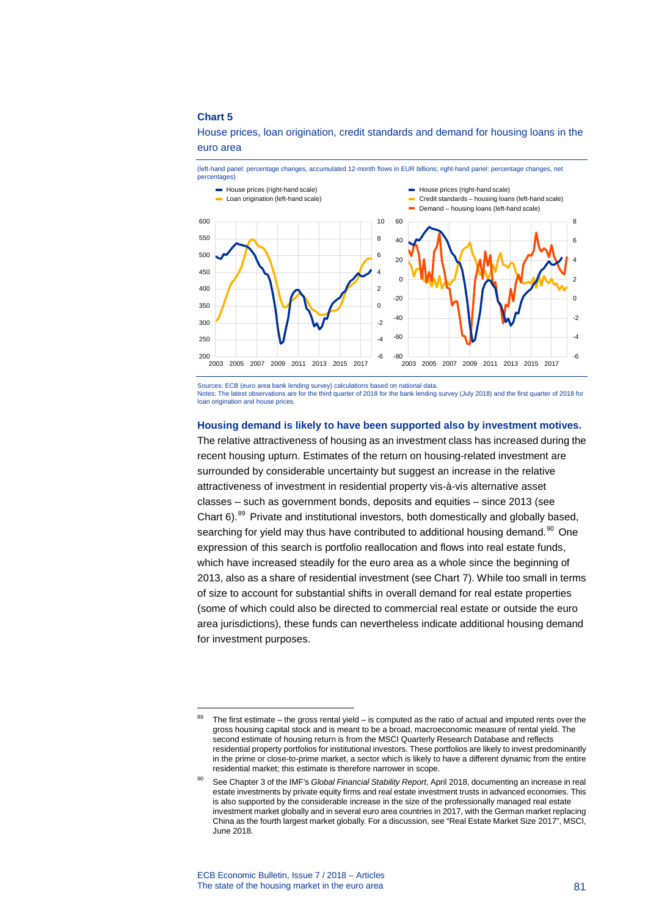House prices, loan origination, credit standards and demand for housing loans in the euro area



Sources: ECB (euro area bank lending survey) calculations based on national data

Notes: The latest observations are for the third quarter of 2018 for the bank lending survey (July 2018) and the first quarter of 2018 for loan origination and house prices.

### **Housing demand is likely to have been supported also by investment motives.**

The relative attractiveness of housing as an investment class has increased during the recent housing upturn. Estimates of the return on housing-related investment are surrounded by considerable uncertainty but suggest an increase in the relative attractiveness of investment in residential property vis-à-vis alternative asset classes – such as government bonds, deposits and equities – since 2013 (see Chart  $6$ ).<sup>[89](#page-81-0)</sup> Private and institutional investors, both domestically and globally based, searching for yield may thus have contributed to additional housing demand.<sup>[90](#page-81-1)</sup> One expression of this search is portfolio reallocation and flows into real estate funds, which have increased steadily for the euro area as a whole since the beginning of 2013, also as a share of residential investment (see Chart 7). While too small in terms of size to account for substantial shifts in overall demand for real estate properties (some of which could also be directed to commercial real estate or outside the euro area jurisdictions), these funds can nevertheless indicate additional housing demand for investment purposes.

<span id="page-81-0"></span><sup>&</sup>lt;sup>89</sup> The first estimate – the gross rental yield – is computed as the ratio of actual and imputed rents over the gross housing capital stock and is meant to be a broad, macroeconomic measure of rental yield. The second estimate of housing return is from the MSCI Quarterly Research Database and reflects residential property portfolios for institutional investors. These portfolios are likely to invest predominantly in the prime or close-to-prime market, a sector which is likely to have a different dynamic from the entire residential market; this estimate is therefore narrower in scope.

<span id="page-81-1"></span><sup>90</sup> See Chapter 3 of the IMF's *Global Financial Stability Report*, April 2018, documenting an increase in real estate investments by private equity firms and real estate investment trusts in advanced economies. This is also supported by the considerable increase in the size of the professionally managed real estate investment market globally and in several euro area countries in 2017, with the German market replacing China as the fourth largest market globally. For a discussion, see "Real Estate Market Size 2017", MSCI, June 2018.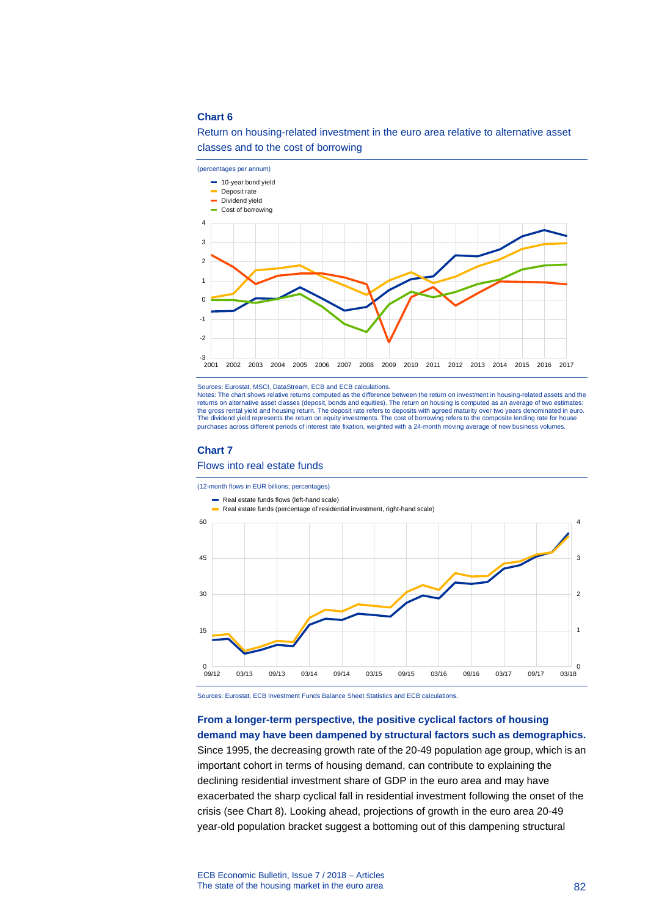# Return on housing-related investment in the euro area relative to alternative asset classes and to the cost of borrowing



Sources: Eurostat, MSCI, DataStream, ECB and ECB calculations.

Notes: The chart shows relative returns computed as the difference between the return on investment in housing-related assets and the returns on alternative asset classes (deposit, bonds and equities). The return on housing is computed as an average of two estimates: the gross rental yield and housing return. The deposit rate refers to deposits with agreed maturity over two years denominated in euro. The dividend yield represents the return on equity investments. The cost of borrowing refers to the composite lending rate for house purchases across different periods of interest rate fixation, weighted with a 24-month moving average of new business volumes.

#### **Chart 7**

Flows into real estate funds

(12-month flows in EUR billions; percentages)



Sources: Eurostat, ECB Investment Funds Balance Sheet Statistics and ECB calculations.

# **From a longer-term perspective, the positive cyclical factors of housing demand may have been dampened by structural factors such as demographics.**

Since 1995, the decreasing growth rate of the 20-49 population age group, which is an important cohort in terms of housing demand, can contribute to explaining the declining residential investment share of GDP in the euro area and may have exacerbated the sharp cyclical fall in residential investment following the onset of the crisis (see Chart 8). Looking ahead, projections of growth in the euro area 20-49 year-old population bracket suggest a bottoming out of this dampening structural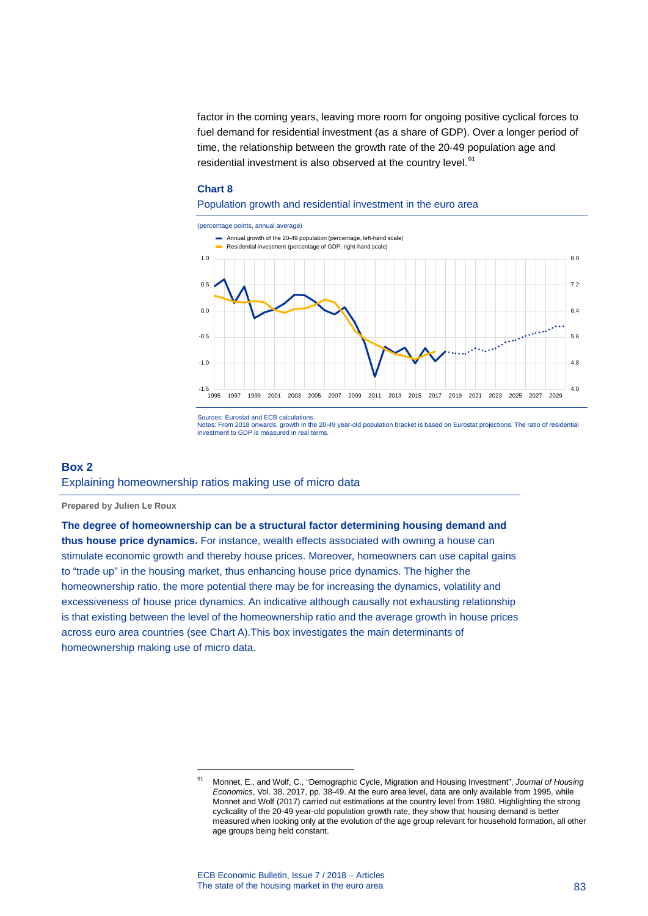factor in the coming years, leaving more room for ongoing positive cyclical forces to fuel demand for residential investment (as a share of GDP). Over a longer period of time, the relationship between the growth rate of the 20-49 population age and residential investment is also observed at the country level.<sup>[91](#page-83-0)</sup>

### **Chart 8**

### Population growth and residential investment in the euro area



Sources: Eurostat and ECB calculations.

Notes: From 2018 onwards, growth in the 20-49 year-old population bracket is based on Eurostat projections. The ratio of residential investment to GDP is measured in real terms.

### **Box 2**

# Explaining homeownership ratios making use of micro data

-

**Prepared by Julien Le Roux**

### **The degree of homeownership can be a structural factor determining housing demand and**

**thus house price dynamics.** For instance, wealth effects associated with owning a house can stimulate economic growth and thereby house prices. Moreover, homeowners can use capital gains to "trade up" in the housing market, thus enhancing house price dynamics. The higher the homeownership ratio, the more potential there may be for increasing the dynamics, volatility and excessiveness of house price dynamics. An indicative although causally not exhausting relationship is that existing between the level of the homeownership ratio and the average growth in house prices across euro area countries (see Chart A).This box investigates the main determinants of homeownership making use of micro data.

<span id="page-83-0"></span><sup>91</sup> Monnet, E., and Wolf, C., "Demographic Cycle, Migration and Housing Investment", *Journal of Housing Economics*, Vol. 38, 2017, pp. 38-49. At the euro area level, data are only available from 1995, while Monnet and Wolf (2017) carried out estimations at the country level from 1980. Highlighting the strong cyclicality of the 20-49 year-old population growth rate, they show that housing demand is better measured when looking only at the evolution of the age group relevant for household formation, all other age groups being held constant.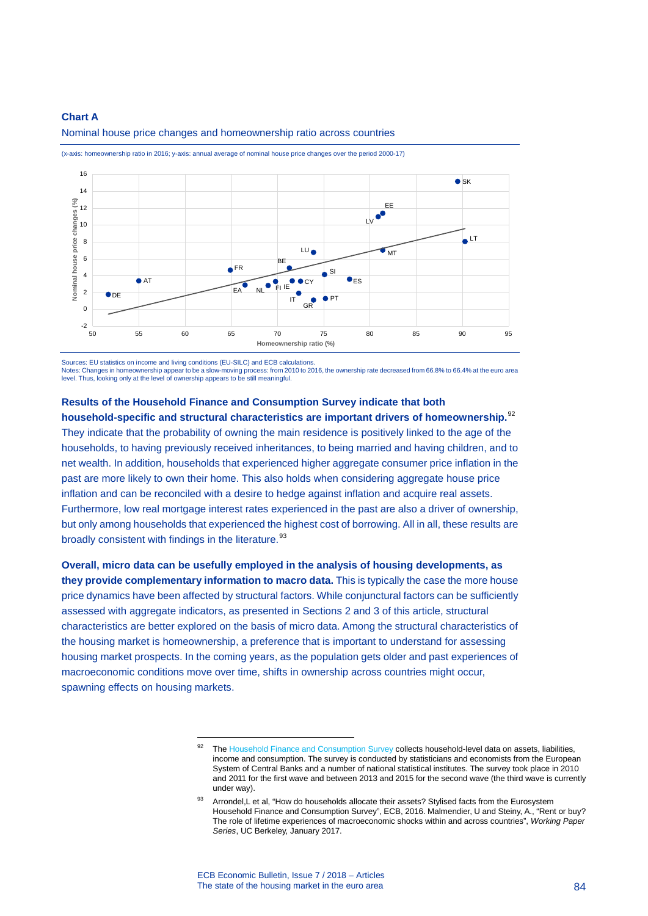### **Chart A**



Nominal house price changes and homeownership ratio across countries

(x-axis: homeownership ratio in 2016; y-axis: annual average of nominal house price changes over the period 2000-17)

Sources: EU statistics on income and living conditions (EU-SILC) and ECB calculations.

-

Notes: Changes in homeownership appear to be a slow-moving process: from 2010 to 2016, the ownership rate decreased from 66.8% to 66.4% at the euro area level. Thus, looking only at the level of ownership appears to be still meaningful.

# **Results of the Household Finance and Consumption Survey indicate that both**

**household-specific and structural characteristics are important drivers of homeownership.**[92](#page-84-0) They indicate that the probability of owning the main residence is positively linked to the age of the households, to having previously received inheritances, to being married and having children, and to net wealth. In addition, households that experienced higher aggregate consumer price inflation in the past are more likely to own their home. This also holds when considering aggregate house price inflation and can be reconciled with a desire to hedge against inflation and acquire real assets. Furthermore, low real mortgage interest rates experienced in the past are also a driver of ownership, but only among households that experienced the highest cost of borrowing. All in all, these results are broadly consistent with findings in the literature.<sup>[93](#page-84-1)</sup>

<span id="page-84-0"></span>**Overall, micro data can be usefully employed in the analysis of housing developments, as they provide complementary information to macro data.** This is typically the case the more house price dynamics have been affected by structural factors. While conjunctural factors can be sufficiently assessed with aggregate indicators, as presented in Sections 2 and 3 of this article, structural characteristics are better explored on the basis of micro data. Among the structural characteristics of the housing market is homeownership, a preference that is important to understand for assessing housing market prospects. In the coming years, as the population gets older and past experiences of macroeconomic conditions move over time, shifts in ownership across countries might occur, spawning effects on housing markets.

<sup>92</sup> Th[e Household Finance and Consumption Survey](https://www.ecb.europa.eu/pub/economic-research/research-networks/html/researcher_hfcn.en.html) collects household-level data on assets, liabilities, income and consumption. The survey is conducted by statisticians and economists from the European System of Central Banks and a number of national statistical institutes. The survey took place in 2010 and 2011 for the first wave and between 2013 and 2015 for the second wave (the third wave is currently under way).

<span id="page-84-1"></span>Arrondel,L et al, "How do households allocate their assets? Stylised facts from the Eurosystem Household Finance and Consumption Survey", ECB, 2016. Malmendier, U and Steiny, A., "Rent or buy? The role of lifetime experiences of macroeconomic shocks within and across countries", *Working Paper Series*, UC Berkeley, January 2017.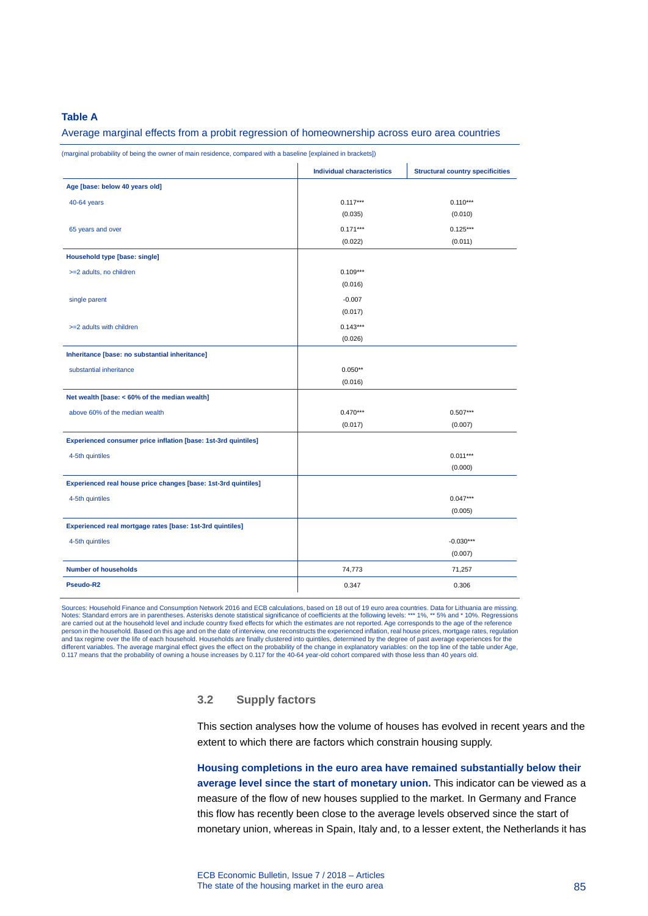### **Table A**

#### Average marginal effects from a probit regression of homeownership across euro area countries

(marginal probability of being the owner of main residence, compared with a baseline [explained in brackets])

|                                                                | <b>Individual characteristics</b> | <b>Structural country specificities</b> |
|----------------------------------------------------------------|-----------------------------------|-----------------------------------------|
| Age [base: below 40 years old]                                 |                                   |                                         |
| 40-64 years                                                    | $0.117***$                        | $0.110***$                              |
|                                                                | (0.035)                           | (0.010)                                 |
| 65 years and over                                              | $0.171***$                        | $0.125***$                              |
|                                                                | (0.022)                           | (0.011)                                 |
| <b>Household type [base: single]</b>                           |                                   |                                         |
| >=2 adults, no children                                        | $0.109***$                        |                                         |
|                                                                | (0.016)                           |                                         |
| single parent                                                  | $-0.007$                          |                                         |
|                                                                | (0.017)                           |                                         |
| >=2 adults with children                                       | $0.143***$                        |                                         |
|                                                                | (0.026)                           |                                         |
| Inheritance [base: no substantial inheritance]                 |                                   |                                         |
| substantial inheritance                                        | $0.050**$                         |                                         |
|                                                                | (0.016)                           |                                         |
| Net wealth [base: < 60% of the median wealth]                  |                                   |                                         |
| above 60% of the median wealth                                 | $0.470***$                        | $0.507***$                              |
|                                                                | (0.017)                           | (0.007)                                 |
| Experienced consumer price inflation [base: 1st-3rd quintiles] |                                   |                                         |
| 4-5th quintiles                                                |                                   | $0.011***$                              |
|                                                                |                                   | (0.000)                                 |
| Experienced real house price changes [base: 1st-3rd quintiles] |                                   |                                         |
| 4-5th quintiles                                                |                                   | $0.047***$                              |
|                                                                |                                   | (0.005)                                 |
| Experienced real mortgage rates [base: 1st-3rd quintiles]      |                                   |                                         |
| 4-5th quintiles                                                |                                   | $-0.030***$                             |
|                                                                |                                   | (0.007)                                 |
| <b>Number of households</b>                                    | 74,773                            | 71,257                                  |
| Pseudo-R2                                                      | 0.347                             | 0.306                                   |

Sources: Household Finance and Consumption Network 2016 and ECB calculations, based on 18 out of 19 euro area countries. Data for Lithuania are missing.<br>Notes: Standard errors are in parentheses. Asteriste atstrictal signi person in the household. Based on this age and on the date of interview, one reconstructs the experienced inflation, real house prices, mortgage rates, regulation<br>and tax regime over the life of each household. Households different variables. The average marginal effect gives the effect on the probability of the change in explanatory variables: on the top line of the table under Age, 0.117 means that the probability of owning a house increases by 0.117 for the 40-64 year-old cohort compared with those less than 40 years old.

# **3.2 Supply factors**

This section analyses how the volume of houses has evolved in recent years and the extent to which there are factors which constrain housing supply.

**Housing completions in the euro area have remained substantially below their average level since the start of monetary union.** This indicator can be viewed as a measure of the flow of new houses supplied to the market. In Germany and France this flow has recently been close to the average levels observed since the start of monetary union, whereas in Spain, Italy and, to a lesser extent, the Netherlands it has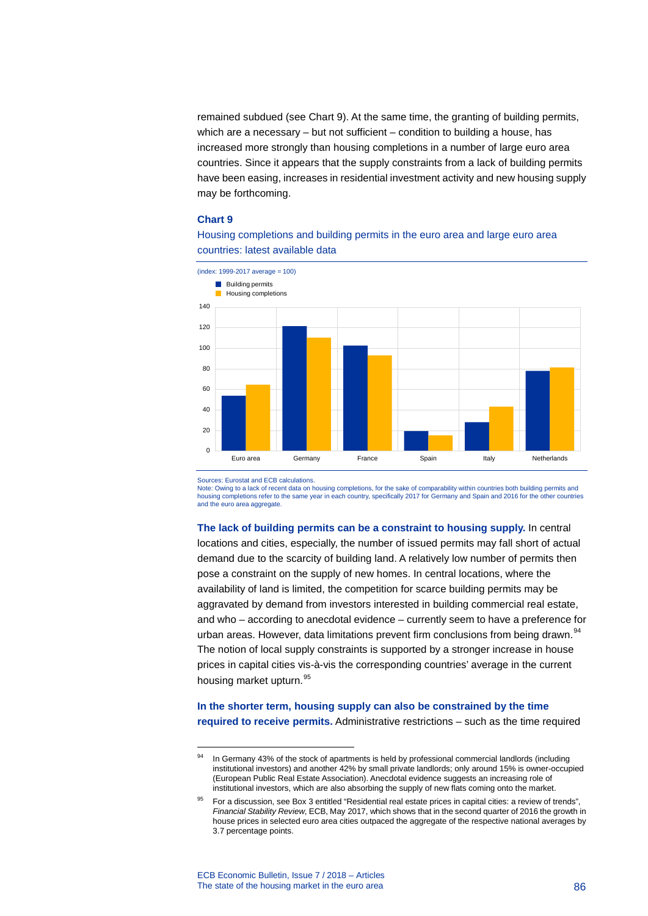remained subdued (see Chart 9). At the same time, the granting of building permits, which are a necessary – but not sufficient – condition to building a house, has increased more strongly than housing completions in a number of large euro area countries. Since it appears that the supply constraints from a lack of building permits have been easing, increases in residential investment activity and new housing supply may be forthcoming.

### **Chart 9**



Housing completions and building permits in the euro area and large euro area countries: latest available data

Sources: Eurostat and ECB calculations.

<span id="page-86-0"></span>-

Note: Owing to a lack of recent data on housing completions, for the sake of comparability within countries both building permits and housing completions refer to the same year in each country, specifically 2017 for Germany and Spain and 2016 for the other countries and the euro area aggregate

**The lack of building permits can be a constraint to housing supply.** In central locations and cities, especially, the number of issued permits may fall short of actual demand due to the scarcity of building land. A relatively low number of permits then pose a constraint on the supply of new homes. In central locations, where the availability of land is limited, the competition for scarce building permits may be aggravated by demand from investors interested in building commercial real estate, and who – according to anecdotal evidence – currently seem to have a preference for urban areas. However, data limitations prevent firm conclusions from being drawn.<sup>[94](#page-86-0)</sup> The notion of local supply constraints is supported by a stronger increase in house prices in capital cities vis-à-vis the corresponding countries' average in the current housing market upturn.<sup>[95](#page-86-1)</sup>

# **In the shorter term, housing supply can also be constrained by the time required to receive permits.** Administrative restrictions – such as the time required

In Germany 43% of the stock of apartments is held by professional commercial landlords (including institutional investors) and another 42% by small private landlords; only around 15% is owner-occupied (European Public Real Estate Association). Anecdotal evidence suggests an increasing role of institutional investors, which are also absorbing the supply of new flats coming onto the market.

<span id="page-86-1"></span><sup>95</sup> For a discussion, see Box 3 entitled "Residential real estate prices in capital cities: a review of trends", *Financial Stability Review*, ECB, May 2017, which shows that in the second quarter of 2016 the growth in house prices in selected euro area cities outpaced the aggregate of the respective national averages by 3.7 percentage points.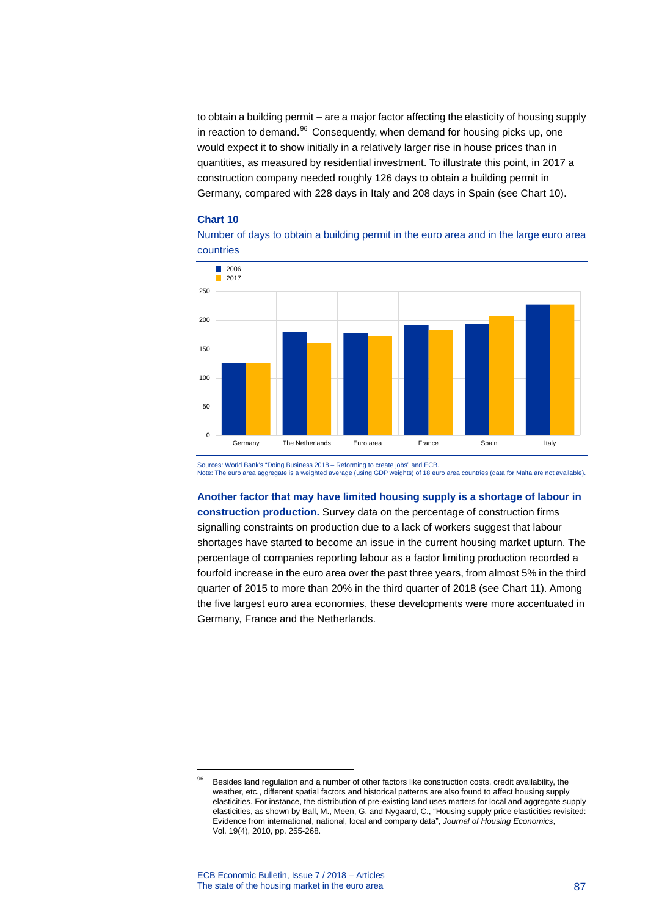to obtain a building permit – are a major factor affecting the elasticity of housing supply in reaction to demand.<sup>[96](#page-87-0)</sup> Consequently, when demand for housing picks up, one would expect it to show initially in a relatively larger rise in house prices than in quantities, as measured by residential investment. To illustrate this point, in 2017 a construction company needed roughly 126 days to obtain a building permit in Germany, compared with 228 days in Italy and 208 days in Spain (see Chart 10).

### **Chart 10**





Sources: World Bank's "Doing Business 2018 – Reforming to create jobs" and ECB. Note: The euro area aggregate is a weighted average (using GDP weights) of 18 euro area countries (data for Malta are not available).

**Another factor that may have limited housing supply is a shortage of labour in construction production.** Survey data on the percentage of construction firms signalling constraints on production due to a lack of workers suggest that labour shortages have started to become an issue in the current housing market upturn. The percentage of companies reporting labour as a factor limiting production recorded a fourfold increase in the euro area over the past three years, from almost 5% in the third quarter of 2015 to more than 20% in the third quarter of 2018 (see Chart 11). Among the five largest euro area economies, these developments were more accentuated in Germany, France and the Netherlands.

<span id="page-87-0"></span><sup>96</sup> Besides land regulation and a number of other factors like construction costs, credit availability, the weather, etc., different spatial factors and historical patterns are also found to affect housing supply elasticities. For instance, the distribution of pre-existing land uses matters for local and aggregate supply elasticities, as shown by Ball, M., Meen, G. and Nygaard, C., "Housing supply price elasticities revisited: Evidence from international, national, local and company data", *Journal of Housing Economics*, Vol. 19(4), 2010, pp. 255-268.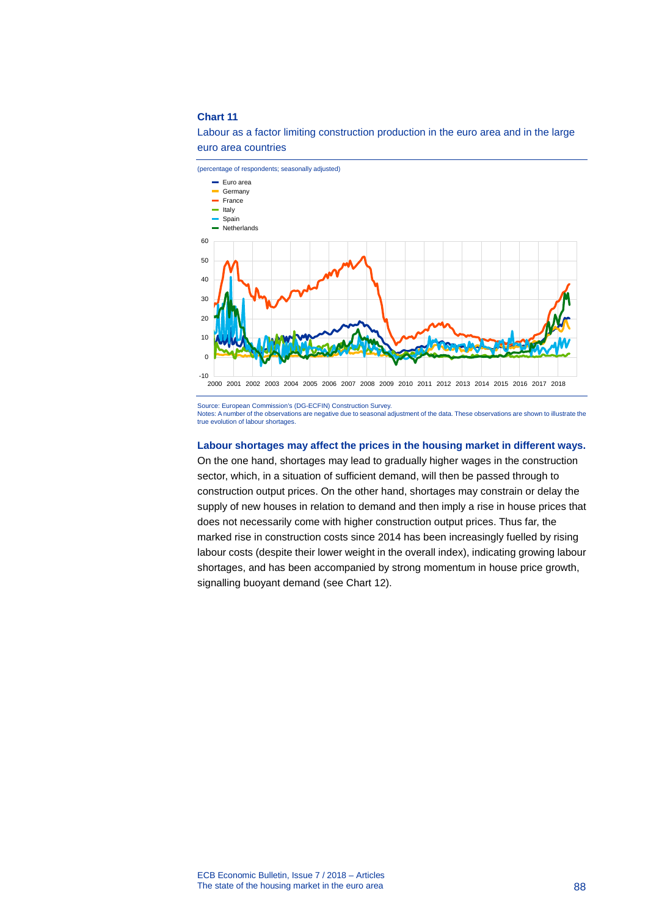Labour as a factor limiting construction production in the euro area and in the large euro area countries



Source: European Commission's (DG-ECFIN) Construction Survey.

Notes: A number of the observations are negative due to seasonal adjustment of the data. These observations are shown to illustrate the true evolution of labour shortages.

### **Labour shortages may affect the prices in the housing market in different ways.**

On the one hand, shortages may lead to gradually higher wages in the construction sector, which, in a situation of sufficient demand, will then be passed through to construction output prices. On the other hand, shortages may constrain or delay the supply of new houses in relation to demand and then imply a rise in house prices that does not necessarily come with higher construction output prices. Thus far, the marked rise in construction costs since 2014 has been increasingly fuelled by rising labour costs (despite their lower weight in the overall index), indicating growing labour shortages, and has been accompanied by strong momentum in house price growth, signalling buoyant demand (see Chart 12).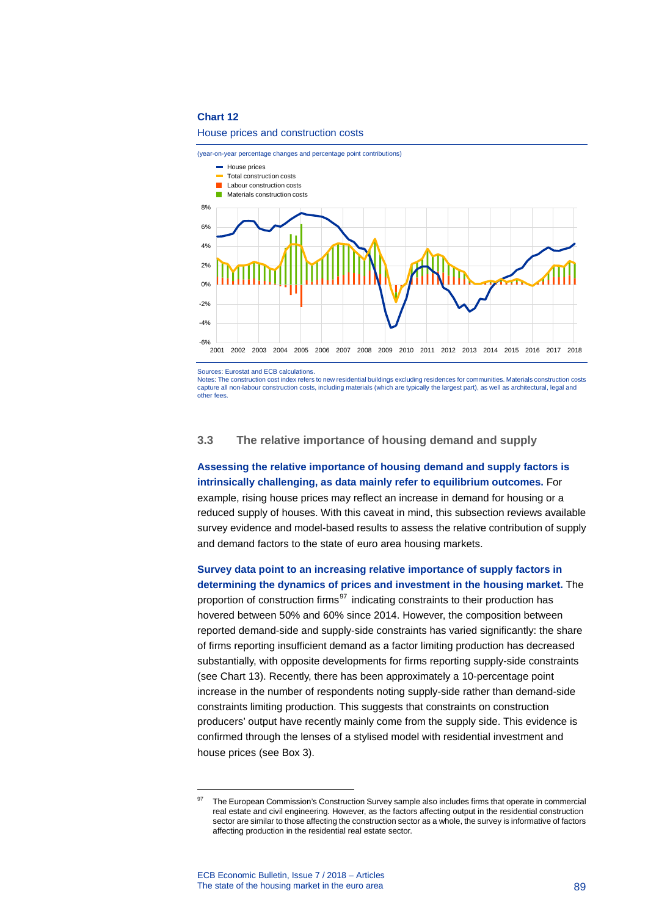#### House prices and construction costs



Sources: Eurostat and ECB calculations.

Notes: The construction cost index refers to new residential buildings excluding residences for communities. Materials construction costs capture all non-labour construction costs, including materials (which are typically the largest part), as well as architectural, legal and other fees.

### **3.3 The relative importance of housing demand and supply**

**Assessing the relative importance of housing demand and supply factors is intrinsically challenging, as data mainly refer to equilibrium outcomes.** For example, rising house prices may reflect an increase in demand for housing or a reduced supply of houses. With this caveat in mind, this subsection reviews available survey evidence and model-based results to assess the relative contribution of supply and demand factors to the state of euro area housing markets.

**Survey data point to an increasing relative importance of supply factors in determining the dynamics of prices and investment in the housing market.** The proportion of construction firms $97$  indicating constraints to their production has hovered between 50% and 60% since 2014. However, the composition between reported demand-side and supply-side constraints has varied significantly: the share of firms reporting insufficient demand as a factor limiting production has decreased substantially, with opposite developments for firms reporting supply-side constraints (see Chart 13). Recently, there has been approximately a 10-percentage point increase in the number of respondents noting supply-side rather than demand-side constraints limiting production. This suggests that constraints on construction producers' output have recently mainly come from the supply side. This evidence is confirmed through the lenses of a stylised model with residential investment and house prices (see Box 3).

<span id="page-89-0"></span><sup>&</sup>lt;sup>97</sup> The European Commission's Construction Survey sample also includes firms that operate in commercial real estate and civil engineering. However, as the factors affecting output in the residential construction sector are similar to those affecting the construction sector as a whole, the survey is informative of factors affecting production in the residential real estate sector.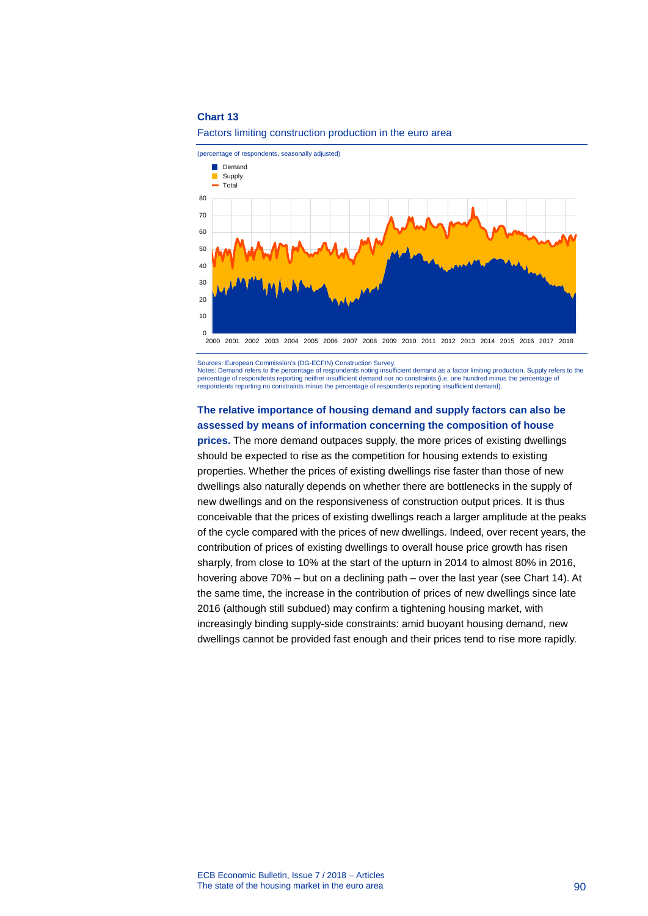

(percentage of respondents, seasonally adjusted)  $\Omega$ 10 20 30 40 50 60 70 80 2000 2001 2002 2003 2004 2005 2006 2007 2008 2009 2010 2011 2012 2013 2014 2015 2016 2017 2018 Demand Supply  $\blacksquare$  Total

Sources: European Commission's (DG-ECFIN) Construction Survey. Notes: Demand refers to the percentage of respondents noting insufficient demand as a factor limiting production. Supply refers to the percentage of respondents reporting neither insufficient demand nor no constraints (i.e. one hundred minus the percentage of respondents reporting no constraints minus the percentage of respondents reporting insufficient demand).

# **The relative importance of housing demand and supply factors can also be assessed by means of information concerning the composition of house**

**prices.** The more demand outpaces supply, the more prices of existing dwellings should be expected to rise as the competition for housing extends to existing properties. Whether the prices of existing dwellings rise faster than those of new dwellings also naturally depends on whether there are bottlenecks in the supply of new dwellings and on the responsiveness of construction output prices. It is thus conceivable that the prices of existing dwellings reach a larger amplitude at the peaks of the cycle compared with the prices of new dwellings. Indeed, over recent years, the contribution of prices of existing dwellings to overall house price growth has risen sharply, from close to 10% at the start of the upturn in 2014 to almost 80% in 2016, hovering above 70% – but on a declining path – over the last year (see Chart 14). At the same time, the increase in the contribution of prices of new dwellings since late 2016 (although still subdued) may confirm a tightening housing market, with increasingly binding supply-side constraints: amid buoyant housing demand, new dwellings cannot be provided fast enough and their prices tend to rise more rapidly.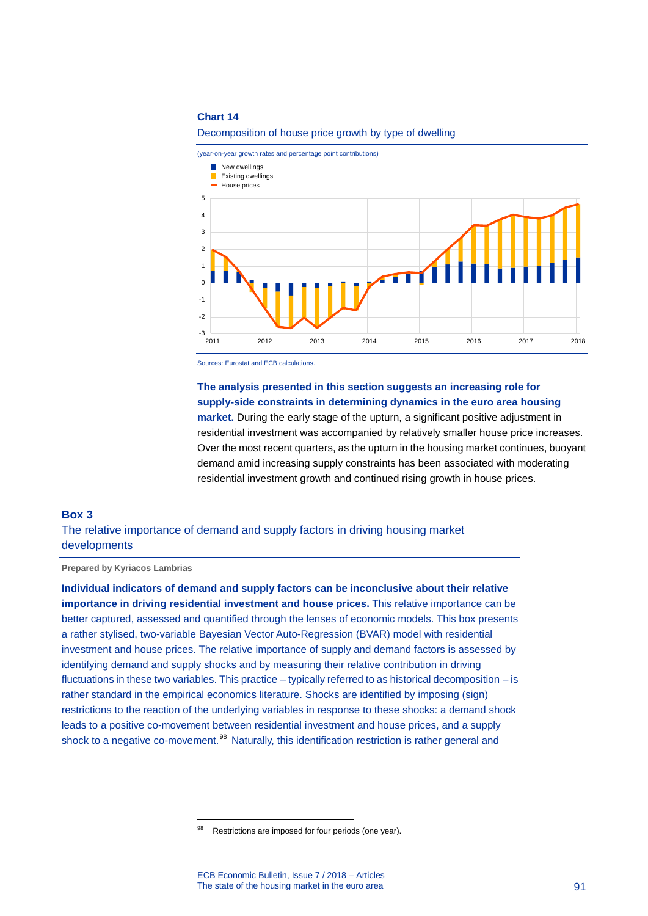$-3$  –<br>2011

-2 -1  $\Omega$ 1  $\overline{2}$ 



#### Decomposition of house price growth by type of dwelling

Sources: Eurostat and ECB calculations.

# **The analysis presented in this section suggests an increasing role for supply-side constraints in determining dynamics in the euro area housing**

**market.** During the early stage of the upturn, a significant positive adjustment in residential investment was accompanied by relatively smaller house price increases. Over the most recent quarters, as the upturn in the housing market continues, buoyant demand amid increasing supply constraints has been associated with moderating residential investment growth and continued rising growth in house prices.

2011 2012 2013 2014 2015 2016 2017 2018

# **Box 3** The relative importance of demand and supply factors in driving housing market developments

**Prepared by Kyriacos Lambrias**

**Individual indicators of demand and supply factors can be inconclusive about their relative importance in driving residential investment and house prices.** This relative importance can be better captured, assessed and quantified through the lenses of economic models. This box presents a rather stylised, two-variable Bayesian Vector Auto-Regression (BVAR) model with residential investment and house prices. The relative importance of supply and demand factors is assessed by identifying demand and supply shocks and by measuring their relative contribution in driving fluctuations in these two variables. This practice – typically referred to as historical decomposition – is rather standard in the empirical economics literature. Shocks are identified by imposing (sign) restrictions to the reaction of the underlying variables in response to these shocks: a demand shock leads to a positive co-movement between residential investment and house prices, and a supply shock to a negative co-movement.<sup>[98](#page-91-0)</sup> Naturally, this identification restriction is rather general and

<span id="page-91-0"></span><sup>98</sup> Restrictions are imposed for four periods (one year).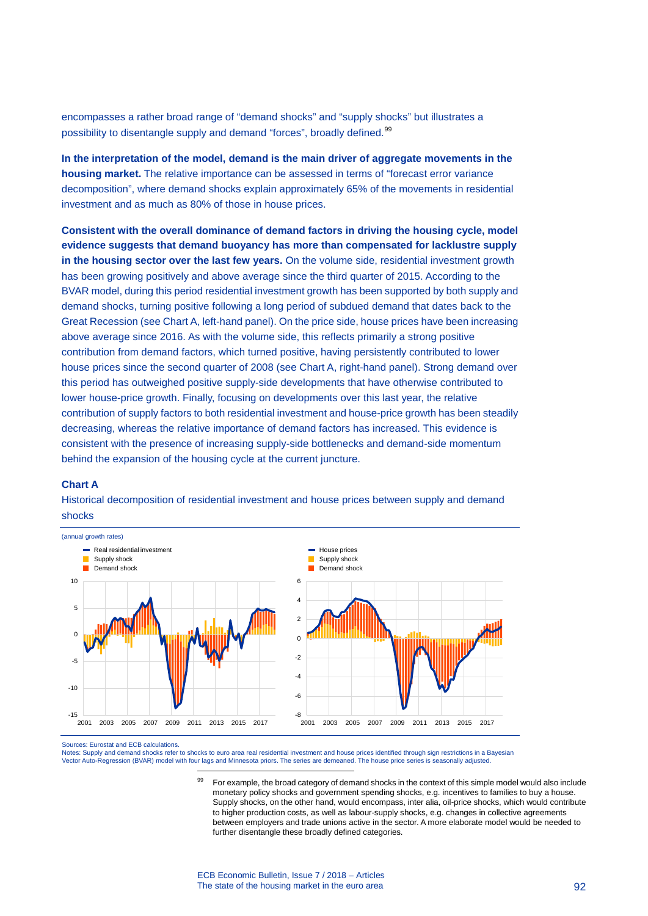encompasses a rather broad range of "demand shocks" and "supply shocks" but illustrates a possibility to disentangle supply and demand "forces", broadly defined.<sup>[99](#page-92-0)</sup>

**In the interpretation of the model, demand is the main driver of aggregate movements in the housing market.** The relative importance can be assessed in terms of "forecast error variance decomposition", where demand shocks explain approximately 65% of the movements in residential investment and as much as 80% of those in house prices.

**Consistent with the overall dominance of demand factors in driving the housing cycle, model evidence suggests that demand buoyancy has more than compensated for lacklustre supply in the housing sector over the last few years.** On the volume side, residential investment growth has been growing positively and above average since the third quarter of 2015. According to the BVAR model, during this period residential investment growth has been supported by both supply and demand shocks, turning positive following a long period of subdued demand that dates back to the Great Recession (see Chart A, left-hand panel). On the price side, house prices have been increasing above average since 2016. As with the volume side, this reflects primarily a strong positive contribution from demand factors, which turned positive, having persistently contributed to lower house prices since the second quarter of 2008 (see Chart A, right-hand panel). Strong demand over this period has outweighed positive supply-side developments that have otherwise contributed to lower house-price growth. Finally, focusing on developments over this last year, the relative contribution of supply factors to both residential investment and house-price growth has been steadily decreasing, whereas the relative importance of demand factors has increased. This evidence is consistent with the presence of increasing supply-side bottlenecks and demand-side momentum behind the expansion of the housing cycle at the current juncture.

### **Chart A**

Historical decomposition of residential investment and house prices between supply and demand shocks



Sources: Eurostat and ECB calculations.

<span id="page-92-0"></span>Notes: Supply and demand shocks refer to shocks to euro area real residential investment and house prices identified through sign restrictions in a Bayesian<br>Vector Auto-Regression (BVAR) model with four lags and Minnesota

99 For example, the broad category of demand shocks in the context of this simple model would also include monetary policy shocks and government spending shocks, e.g. incentives to families to buy a house. Supply shocks, on the other hand, would encompass, inter alia, oil-price shocks, which would contribute to higher production costs, as well as labour-supply shocks, e.g. changes in collective agreements between employers and trade unions active in the sector. A more elaborate model would be needed to further disentangle these broadly defined categories.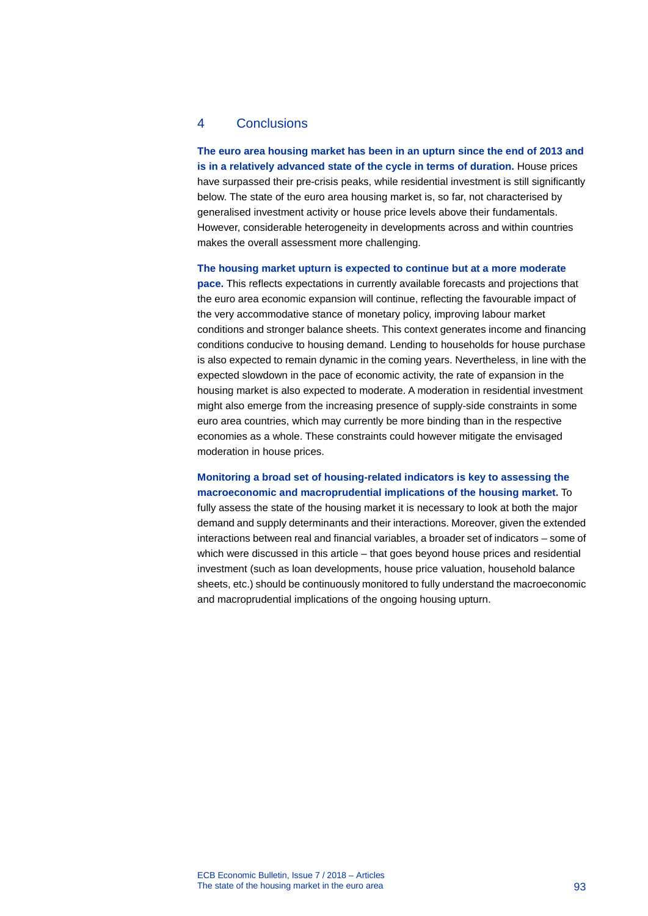# 4 Conclusions

**The euro area housing market has been in an upturn since the end of 2013 and is in a relatively advanced state of the cycle in terms of duration.** House prices have surpassed their pre-crisis peaks, while residential investment is still significantly below. The state of the euro area housing market is, so far, not characterised by generalised investment activity or house price levels above their fundamentals. However, considerable heterogeneity in developments across and within countries makes the overall assessment more challenging.

**The housing market upturn is expected to continue but at a more moderate** 

**pace.** This reflects expectations in currently available forecasts and projections that the euro area economic expansion will continue, reflecting the favourable impact of the very accommodative stance of monetary policy, improving labour market conditions and stronger balance sheets. This context generates income and financing conditions conducive to housing demand. Lending to households for house purchase is also expected to remain dynamic in the coming years. Nevertheless, in line with the expected slowdown in the pace of economic activity, the rate of expansion in the housing market is also expected to moderate. A moderation in residential investment might also emerge from the increasing presence of supply-side constraints in some euro area countries, which may currently be more binding than in the respective economies as a whole. These constraints could however mitigate the envisaged moderation in house prices.

**Monitoring a broad set of housing-related indicators is key to assessing the macroeconomic and macroprudential implications of the housing market.** To

fully assess the state of the housing market it is necessary to look at both the major demand and supply determinants and their interactions. Moreover, given the extended interactions between real and financial variables, a broader set of indicators – some of which were discussed in this article – that goes beyond house prices and residential investment (such as loan developments, house price valuation, household balance sheets, etc.) should be continuously monitored to fully understand the macroeconomic and macroprudential implications of the ongoing housing upturn.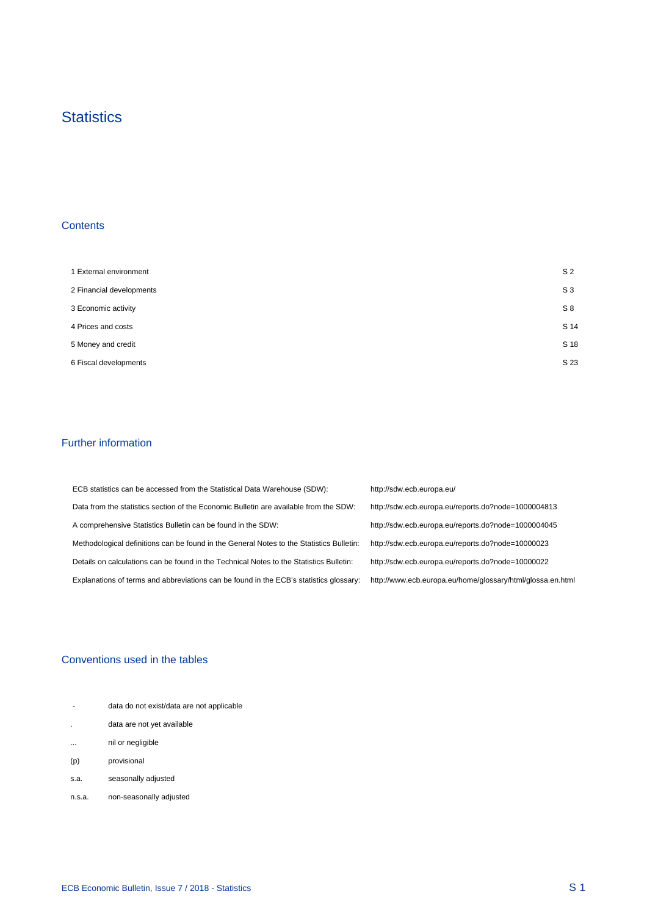# **Statistics**

# **Contents**

 $\mathcal{A}^{\mathcal{A}}$ 

| 1 External environment   | S <sub>2</sub> |
|--------------------------|----------------|
| 2 Financial developments | $S_3$          |
| 3 Economic activity      | S8             |
| 4 Prices and costs       | S 14           |
| 5 Money and credit       | S 18           |
| 6 Fiscal developments    | S 23           |

## Further information

 $\mathcal{A}^{\mathcal{A}}$ 

| ECB statistics can be accessed from the Statistical Data Warehouse (SDW):                | http://sdw.ecb.europa.eu/                                  |
|------------------------------------------------------------------------------------------|------------------------------------------------------------|
| Data from the statistics section of the Economic Bulletin are available from the SDW:    | http://sdw.ecb.europa.eu/reports.do?node=1000004813        |
| A comprehensive Statistics Bulletin can be found in the SDW:                             | http://sdw.ecb.europa.eu/reports.do?node=1000004045        |
| Methodological definitions can be found in the General Notes to the Statistics Bulletin: | http://sdw.ecb.europa.eu/reports.do?node=10000023          |
| Details on calculations can be found in the Technical Notes to the Statistics Bulletin:  | http://sdw.ecb.europa.eu/reports.do?node=10000022          |
| Explanations of terms and abbreviations can be found in the ECB's statistics glossary:   | http://www.ecb.europa.eu/home/glossary/html/glossa.en.html |

## Conventions used in the tables

| 14       |                                           |  |
|----------|-------------------------------------------|--|
|          | data do not exist/data are not applicable |  |
| $\cdot$  | data are not yet available                |  |
| $\cdots$ | nil or negligible                         |  |
| (p)      | provisional                               |  |
| s.a.     | seasonally adjusted                       |  |
| n.s.a.   | non-seasonally adjusted                   |  |

 $\frac{1}{2}$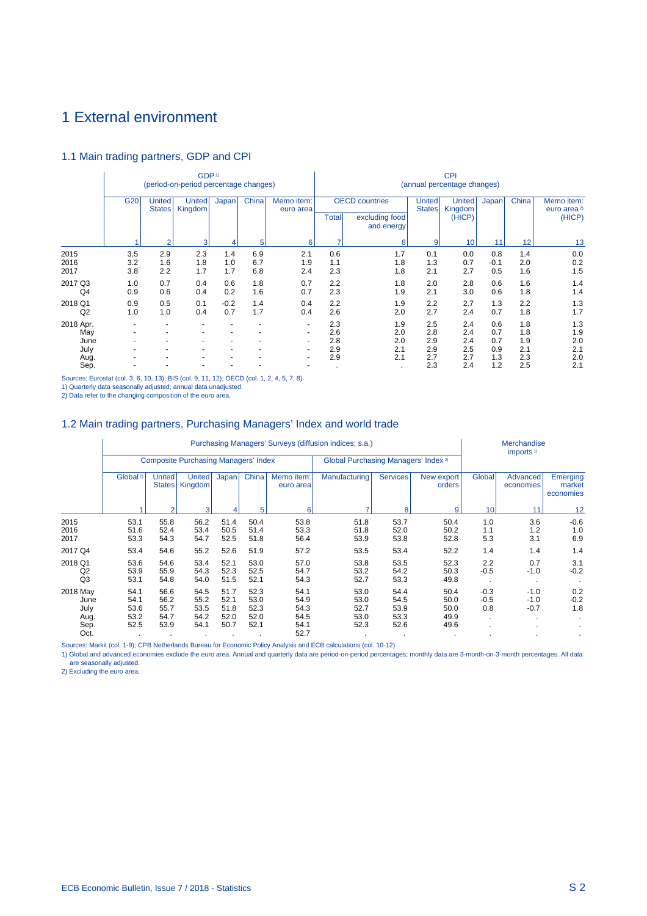# <span id="page-95-0"></span>1 External environment

# 1.1 Main trading partners, GDP and CPI

|                                  |                   |                         | GDP <sup>1)</sup><br>(period-on-period percentage changes) |                          |                          |                               |                          |                                                       |                          | <b>CPI</b><br>(annual percentage changes) |                          |                          |                                                 |
|----------------------------------|-------------------|-------------------------|------------------------------------------------------------|--------------------------|--------------------------|-------------------------------|--------------------------|-------------------------------------------------------|--------------------------|-------------------------------------------|--------------------------|--------------------------|-------------------------------------------------|
|                                  | G <sub>20</sub>   | United<br><b>States</b> | <b>United</b><br>Kingdom                                   | Japan                    | China                    | Memo item:<br>euro area       | <b>Total</b>             | <b>OECD</b> countries<br>excluding food<br>and energy | United<br><b>States</b>  | <b>United</b><br>Kingdom<br>(HICP)        | Japan                    | China                    | Memo item:<br>euro area <sup>2)</sup><br>(HICP) |
|                                  |                   | $\overline{2}$          | 3                                                          |                          | 5                        | 6                             | ۰,                       | 8                                                     | 9                        | 10                                        | 11                       | 12                       | 13                                              |
| 2015<br>2016<br>2017             | 3.5<br>3.2<br>3.8 | 2.9<br>1.6<br>2.2       | 2.3<br>1.8<br>1.7                                          | 1.4<br>1.0<br>1.7        | 6.9<br>6.7<br>6.8        | 2.1<br>1.9<br>2.4             | 0.6<br>1.1<br>2.3        | 1.7<br>1.8<br>1.8                                     | 0.1<br>1.3<br>2.1        | 0.0<br>0.7<br>2.7                         | 0.8<br>$-0.1$<br>0.5     | 1.4<br>2.0<br>1.6        | 0.0<br>0.2<br>1.5                               |
| 2017 Q3<br>Q4                    | 1.0<br>0.9        | 0.7<br>0.6              | 0.4<br>0.4                                                 | 0.6<br>0.2               | 1.8<br>1.6               | 0.7<br>0.7                    | 2.2<br>2.3               | 1.8<br>1.9                                            | 2.0<br>2.1               | 2.8<br>3.0                                | 0.6<br>0.6               | 1.6<br>1.8               | 1.4<br>1.4                                      |
| 2018 Q1<br>Q <sub>2</sub>        | 0.9<br>1.0        | 0.5<br>1.0              | 0.1<br>0.4                                                 | $-0.2$<br>0.7            | 1.4<br>1.7               | 0.4<br>0.4                    | 2.2<br>2.6               | 1.9<br>2.0                                            | 2.2<br>2.7               | 2.7<br>2.4                                | 1.3<br>0.7               | 2.2<br>1.8               | 1.3<br>1.7                                      |
| 2018 Apr.<br>May<br>June<br>July |                   |                         |                                                            | $\overline{\phantom{a}}$ | $\overline{\phantom{a}}$ | -<br>$\overline{\phantom{0}}$ | 2.3<br>2.6<br>2.8<br>2.9 | 1.9<br>2.0<br>2.0<br>2.1                              | 2.5<br>2.8<br>2.9<br>2.9 | 2.4<br>2.4<br>2.4<br>2.5                  | 0.6<br>0.7<br>0.7<br>0.9 | 1.8<br>1.8<br>1.9<br>2.1 | 1.3<br>1.9<br>2.0<br>2.1                        |
| Aug.<br>Sep.                     |                   |                         |                                                            |                          |                          |                               | 2.9                      | 2.1                                                   | 2.7<br>2.3               | 2.7<br>2.4                                | 1.3<br>1.2               | 2.3<br>2.5               | 2.0<br>2.1                                      |

Sources: Eurostat (col. 3, 6, 10, 13); BIS (col. 9, 11, 12); OECD (col. 1, 2, 4, 5, 7, 8).

1) Quarterly data seasonally adjusted; annual data unadjusted.

2) Data refer to the changing composition of the euro area.

# 1.2 Main trading partners, Purchasing Managers' Index and world trade

|          |                      |                                |                                             |           |       |                         | Purchasing Managers' Surveys (diffusion indices; s.a.) |                 |                      | Merchandise     |                                                                                                                       |                                 |  |  |
|----------|----------------------|--------------------------------|---------------------------------------------|-----------|-------|-------------------------|--------------------------------------------------------|-----------------|----------------------|-----------------|-----------------------------------------------------------------------------------------------------------------------|---------------------------------|--|--|
|          |                      |                                | <b>Composite Purchasing Managers' Index</b> |           |       |                         | Global Purchasing Managers' Index <sup>2)</sup>        |                 |                      |                 | imports <sup>1)</sup><br>Advanced<br>economies<br>11<br>3.6<br>1.2<br>3.1<br>1.4<br>0.7<br>$-1.0$<br>$-1.0$<br>$-1.0$ |                                 |  |  |
|          | Global <sup>2)</sup> | <b>United</b><br><b>States</b> | <b>United</b><br>Kingdom                    | Japan     | China | Memo item:<br>euro area | Manufacturing                                          | <b>Services</b> | New export<br>orders | Global          |                                                                                                                       | Emerging<br>market<br>economies |  |  |
|          |                      | $\mathcal{P}$                  | 3                                           |           | 5     | 6                       |                                                        | 8               | 9                    | 10 <sup>1</sup> |                                                                                                                       | 12                              |  |  |
| 2015     | 53.1                 | 55.8                           | 56.2                                        | 51.4      | 50.4  | 53.8                    | 51.8                                                   | 53.7            | 50.4                 | 1.0             |                                                                                                                       | $-0.6$                          |  |  |
| 2016     | 51.6                 | 52.4                           | 53.4                                        | 50.5      | 51.4  | 53.3                    | 51.8                                                   | 52.0            | 50.2                 | 1.1             |                                                                                                                       | 1.0                             |  |  |
| 2017     | 53.3                 | 54.3                           | 54.7                                        | 52.5      | 51.8  | 56.4                    | 53.9                                                   | 53.8            | 52.8                 | 5.3             |                                                                                                                       | 6.9                             |  |  |
| 2017 Q4  | 53.4                 | 54.6                           | 55.2                                        | 52.6      | 51.9  | 57.2                    | 53.5                                                   | 53.4            | 52.2                 | 1.4             |                                                                                                                       | 1.4                             |  |  |
| 2018 Q1  | 53.6                 | 54.6                           | 53.4                                        | 52.1      | 53.0  | 57.0                    | 53.8                                                   | 53.5            | 52.3                 | 2.2             |                                                                                                                       | 3.1                             |  |  |
| Q2       | 53.9                 | 55.9                           | 54.3                                        | 52.3      | 52.5  | 54.7                    | 53.2                                                   | 54.2            | 50.3                 | $-0.5$          |                                                                                                                       | $-0.2$                          |  |  |
| Q3       | 53.1                 | 54.8                           | 54.0                                        | 51.5      | 52.1  | 54.3                    | 52.7                                                   | 53.3            | 49.8                 |                 |                                                                                                                       |                                 |  |  |
| 2018 May | 54.1                 | 56.6                           | 54.5                                        | 51.7      | 52.3  | 54.1                    | 53.0                                                   | 54.4            | 50.4                 | $-0.3$          |                                                                                                                       | 0.2                             |  |  |
| June     | 54.1                 | 56.2                           | 55.2                                        | 52.1      | 53.0  | 54.9                    | 53.0                                                   | 54.5            | 50.0                 | $-0.5$          |                                                                                                                       | $-0.2$                          |  |  |
| July     | 53.6                 | 55.7                           | 53.5                                        | 51.8      | 52.3  | 54.3                    | 52.7                                                   | 53.9            | 50.0                 | 0.8             | $-0.7$                                                                                                                | 1.8                             |  |  |
| Aug.     | 53.2                 | 54.7                           | 54.2                                        | 52.0      | 52.0  | 54.5                    | 53.0                                                   | 53.3            | 49.9                 |                 |                                                                                                                       |                                 |  |  |
| Sep.     | 52.5                 | 53.9                           | 54.1                                        | 50.7      | 52.1  | 54.1                    | 52.3                                                   | 52.6            | 49.6                 |                 |                                                                                                                       |                                 |  |  |
| Oct.     | $\bullet$            | $\cdot$                        | $\cdot$                                     | $\bullet$ |       | 52.7                    |                                                        |                 |                      |                 |                                                                                                                       |                                 |  |  |

Sources: Markit (col. 1-9); CPB Netherlands Bureau for Economic Policy Analysis and ECB calculations (col. 10-12).

1) Global and advanced economies exclude the euro area. Annual and quarterly data are period-on-period percentages; monthly data are 3-month-on-3-month percentages. All data are seasonally adjusted.

2) Excluding the euro area.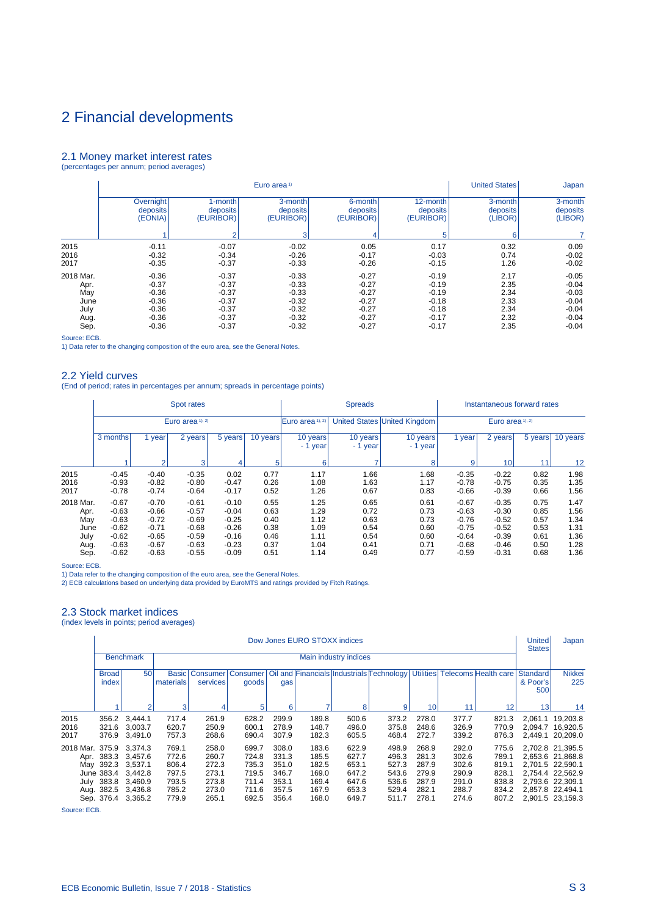#### <span id="page-96-0"></span>2.1 Money market interest rates (percentages per annum; period averages)

|           |           |           | Euro area <sup>1)</sup> |           |           | <b>United States</b><br>Japan |          |  |  |
|-----------|-----------|-----------|-------------------------|-----------|-----------|-------------------------------|----------|--|--|
|           | Overnight | 1-month   | 3-month                 | 6-month   | 12-month  | 3-month                       | 3-month  |  |  |
|           | deposits  | deposits  | deposits                | deposits  | deposits  | deposits                      | deposits |  |  |
|           | (EONIA)   | (EURIBOR) | (EURIBOR)               | (EURIBOR) | (EURIBOR) | (LIBOR)                       | (LIBOR)  |  |  |
|           |           | 2         | з                       | 4         | 5         | 6                             |          |  |  |
| 2015      | $-0.11$   | $-0.07$   | $-0.02$                 | 0.05      | 0.17      | 0.32                          | 0.09     |  |  |
| 2016      | $-0.32$   | $-0.34$   | $-0.26$                 | $-0.17$   | $-0.03$   | 0.74                          | $-0.02$  |  |  |
| 2017      | $-0.35$   | $-0.37$   | $-0.33$                 | $-0.26$   | $-0.15$   | 1.26                          | $-0.02$  |  |  |
| 2018 Mar. | $-0.36$   | $-0.37$   | $-0.33$                 | $-0.27$   | $-0.19$   | 2.17                          | $-0.05$  |  |  |
| Apr.      | $-0.37$   | $-0.37$   | $-0.33$                 | $-0.27$   | $-0.19$   | 2.35                          | $-0.04$  |  |  |
| May       | $-0.36$   | $-0.37$   | $-0.33$                 | $-0.27$   | $-0.19$   | 2.34                          | $-0.03$  |  |  |
| June      | $-0.36$   | $-0.37$   | $-0.32$                 | $-0.27$   | $-0.18$   | 2.33                          | $-0.04$  |  |  |
| July      | $-0.36$   | $-0.37$   | $-0.32$                 | $-0.27$   | $-0.18$   | 2.34                          | $-0.04$  |  |  |
| Aug.      | $-0.36$   | $-0.37$   | $-0.32$                 | $-0.27$   | $-0.17$   | 2.32                          | $-0.04$  |  |  |
| Sep.      | $-0.36$   | $-0.37$   | $-0.32$                 | $-0.27$   | $-0.17$   | 2.35                          | $-0.04$  |  |  |

Source: ECB.

1) Data refer to the changing composition of the euro area, see the General Notes.

### 2.2 Yield curves

(End of period; rates in percentages per annum; spreads in percentage points)

|           |                                        |                | Spot rates       |                      |                      |                      | <b>Spreads</b>               |      |         | Instantaneous forward rates |      |                  |  |  |
|-----------|----------------------------------------|----------------|------------------|----------------------|----------------------|----------------------|------------------------------|------|---------|-----------------------------|------|------------------|--|--|
|           |                                        |                | Euro area 1), 2) |                      |                      | Euro area $(1, 2)$   | United States United Kingdom |      |         |                             |      | Euro area 1), 2) |  |  |
|           | 3 months<br>2 years<br>5 years<br>year |                | 10 years         | 10 years<br>- 1 year | 10 years<br>- 1 year | 10 years<br>- 1 year | 2 years<br>5 years<br>1 year |      |         |                             |      |                  |  |  |
|           |                                        | $\overline{2}$ | 3                | 4                    | 5                    | 6                    | 7                            | 8    | 9       | 10 <sub>1</sub>             | 11   | 12               |  |  |
| 2015      | $-0.45$                                | $-0.40$        | $-0.35$          | 0.02                 | 0.77                 | 1.17                 | 1.66                         | 1.68 | $-0.35$ | $-0.22$                     | 0.82 | 1.98             |  |  |
| 2016      | $-0.93$                                | $-0.82$        | $-0.80$          | $-0.47$              | 0.26                 | 1.08                 | 1.63                         | 1.17 | $-0.78$ | $-0.75$                     | 0.35 | 1.35             |  |  |
| 2017      | $-0.78$                                | $-0.74$        | $-0.64$          | $-0.17$              | 0.52                 | 1.26                 | 0.67                         | 0.83 | $-0.66$ | $-0.39$                     | 0.66 | 1.56             |  |  |
| 2018 Mar. | $-0.67$                                | $-0.70$        | $-0.61$          | $-0.10$              | 0.55                 | 1.25                 | 0.65                         | 0.61 | $-0.67$ | $-0.35$                     | 0.75 | 1.47             |  |  |
| Apr.      | $-0.63$                                | $-0.66$        | $-0.57$          | $-0.04$              | 0.63                 | 1.29                 | 0.72                         | 0.73 | $-0.63$ | $-0.30$                     | 0.85 | 1.56             |  |  |
| May       | $-0.63$                                | $-0.72$        | $-0.69$          | $-0.25$              | 0.40                 | 1.12                 | 0.63                         | 0.73 | $-0.76$ | $-0.52$                     | 0.57 | 1.34             |  |  |
| June      | $-0.62$                                | $-0.71$        | $-0.68$          | $-0.26$              | 0.38                 | 1.09                 | 0.54                         | 0.60 | $-0.75$ | $-0.52$                     | 0.53 | 1.31             |  |  |
| July      | $-0.62$                                | $-0.65$        | $-0.59$          | $-0.16$              | 0.46                 | 1.11                 | 0.54                         | 0.60 | $-0.64$ | $-0.39$                     | 0.61 | 1.36             |  |  |
| Aug.      | $-0.63$                                | $-0.67$        | $-0.63$          | $-0.23$              | 0.37                 | 1.04                 | 0.41                         | 0.71 | $-0.68$ | $-0.46$                     | 0.50 | 1.28             |  |  |
| Sep.      | $-0.62$                                | $-0.63$        | $-0.55$          | $-0.09$              | 0.51                 | 1.14                 | 0.49                         | 0.77 | $-0.59$ | $-0.31$                     | 0.68 | 1.36             |  |  |

Source: ECB.

1) Data refer to the changing composition of the euro area, see the General Notes.

2) ECB calculations based on underlying data provided by EuroMTS and ratings provided by Fitch Ratings.

# 2.3 Stock market indices

(index levels in points; period averages)

|                         | Dow Jones EURO STOXX indices |                                                                                                           |                                                             |                                                             |                                                             |                                                             |                                                             |                                                             |                                                             |                                                             |                                                             |                                                             |                                    |                                                                                                                                          |  |
|-------------------------|------------------------------|-----------------------------------------------------------------------------------------------------------|-------------------------------------------------------------|-------------------------------------------------------------|-------------------------------------------------------------|-------------------------------------------------------------|-------------------------------------------------------------|-------------------------------------------------------------|-------------------------------------------------------------|-------------------------------------------------------------|-------------------------------------------------------------|-------------------------------------------------------------|------------------------------------|------------------------------------------------------------------------------------------------------------------------------------------|--|
|                         |                              | <b>Benchmark</b>                                                                                          |                                                             | Main industry indices                                       |                                                             |                                                             |                                                             |                                                             |                                                             |                                                             |                                                             |                                                             |                                    |                                                                                                                                          |  |
|                         | <b>Broad</b><br>index        | 50                                                                                                        | <b>Basic</b><br>materials                                   | Consumer<br>services                                        | qoods                                                       | gas                                                         |                                                             |                                                             | Consumer   Oil and Financials   Industrials Technology      |                                                             |                                                             | Utilities Telecoms Health care                              | <b>Standard</b><br>& Poor's<br>500 | Nikkei<br>225                                                                                                                            |  |
|                         |                              | $\overline{2}$                                                                                            | 3                                                           |                                                             | 5                                                           | 6                                                           | -                                                           | 8                                                           | 9                                                           | 10                                                          | 11                                                          | 12                                                          | 13                                 | 14                                                                                                                                       |  |
| 2015<br>2016<br>2017    |                              | 356.2 3,444.1<br>321.6 3.003.7<br>376.9 3,491.0                                                           | 717.4<br>620.7<br>757.3                                     | 261.9<br>250.9<br>268.6                                     | 628.2<br>600.1<br>690.4                                     | 299.9<br>278.9<br>307.9                                     | 189.8<br>148.7<br>182.3                                     | 500.6<br>496.0<br>605.5                                     | 373.2<br>375.8<br>468.4                                     | 278.0<br>248.6<br>272.7                                     | 377.7<br>326.9<br>339.2                                     | 821.3<br>770.9<br>876.3                                     | 2.061.1                            | 19,203.8<br>2.094.7 16.920.5<br>2.449.1 20.209.0                                                                                         |  |
| 2018 Mar. 375.9 3,374.3 | June 383.4<br>Sep. 376.4     | Apr. 383.3 3,457.6<br>May 392.3 3,537.1<br>3.442.8<br>July 383.8 3,460.9<br>Aug. 382.5 3,436.8<br>3,365.2 | 769.1<br>772.6<br>806.4<br>797.5<br>793.5<br>785.2<br>779.9 | 258.0<br>260.7<br>272.3<br>273.1<br>273.8<br>273.0<br>265.1 | 699.7<br>724.8<br>735.3<br>719.5<br>711.4<br>711.6<br>692.5 | 308.0<br>331.3<br>351.0<br>346.7<br>353.1<br>357.5<br>356.4 | 183.6<br>185.5<br>182.5<br>169.0<br>169.4<br>167.9<br>168.0 | 622.9<br>627.7<br>653.1<br>647.2<br>647.6<br>653.3<br>649.7 | 498.9<br>496.3<br>527.3<br>543.6<br>536.6<br>529.4<br>511.7 | 268.9<br>281.3<br>287.9<br>279.9<br>287.9<br>282.1<br>278.1 | 292.0<br>302.6<br>302.6<br>290.9<br>291.0<br>288.7<br>274.6 | 775.6<br>789.1<br>819.1<br>828.1<br>838.8<br>834.2<br>807.2 |                                    | 2.702.8 21.395.5<br>2.653.6 21.868.8<br>2.701.5 22.590.1<br>2.754.4 22.562.9<br>2.793.6 22.309.1<br>2,857.8 22,494.1<br>2,901.5 23,159.3 |  |

Source: ECB.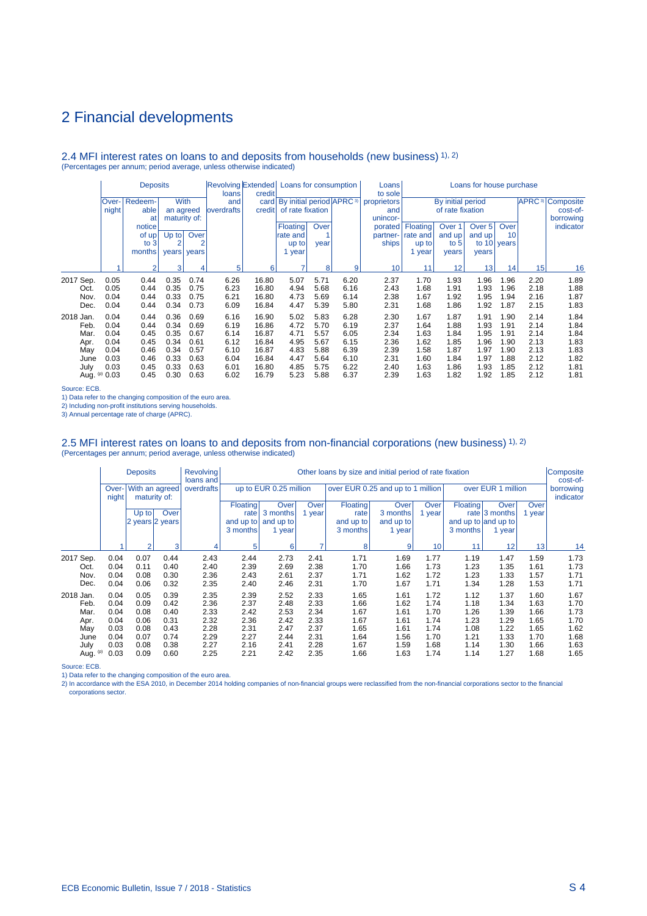#### 2.4 MFI interest rates on loans to and deposits from households (new business) 1), 2) (Percentages per annum; period average, unless otherwise indicated)

|            |       | <b>Deposits</b><br><b>With</b><br>Redeem- |                |       | Revolving Extended Loans for consumption<br>Loans for house purchase<br>Loans<br>credit<br>to sole<br>loans |        |                                               |                  |             |                   |          |                   |        |             |                                    |           |
|------------|-------|-------------------------------------------|----------------|-------|-------------------------------------------------------------------------------------------------------------|--------|-----------------------------------------------|------------------|-------------|-------------------|----------|-------------------|--------|-------------|------------------------------------|-----------|
|            | Over- |                                           |                |       | and                                                                                                         |        | card   By initial period   APRC <sup>3)</sup> |                  | proprietors | By initial period |          |                   |        |             | <b>APRC</b> <sup>3</sup> Composite |           |
|            | night | able                                      | an agreed      |       | <b>loverdrafts</b>                                                                                          | credit |                                               | of rate fixation |             | and               |          | of rate fixation  |        |             |                                    | cost-of-  |
|            |       | at                                        | maturity of:   |       |                                                                                                             |        |                                               |                  |             | unincor-          |          |                   |        |             |                                    | borrowing |
|            |       | notice                                    |                |       |                                                                                                             |        | Floating                                      | Over             |             | porated           | Floating | Over <sub>1</sub> | Over 5 | Over        |                                    | indicator |
|            |       | of up!                                    | $Up$ to        | Over  |                                                                                                             |        | rate and                                      |                  |             | partner-          | rate and | and up            | and up | 10          |                                    |           |
|            |       | to $3$                                    | $\overline{2}$ | 2     |                                                                                                             |        | up to                                         | year             |             | ships             | up to    | to $5$            |        | to 10 years |                                    |           |
|            |       | months                                    | years          | years |                                                                                                             |        | 1 year                                        |                  |             |                   | year     | years             | years  |             |                                    |           |
|            |       | $\mathcal{P}$                             | 3              | 4     | 5                                                                                                           | 6      | ۰,                                            | 8                | 9           | 10                | 11       | 12                | 13     | 14          | 15                                 | 16        |
| 2017 Sep.  | 0.05  | 0.44                                      | 0.35           | 0.74  | 6.26                                                                                                        | 16.80  | 5.07                                          | 5.71             | 6.20        | 2.37              | 1.70     | 1.93              | 1.96   | 1.96        | 2.20                               | 1.89      |
| Oct.       | 0.05  | 0.44                                      | 0.35           | 0.75  | 6.23                                                                                                        | 16.80  | 4.94                                          | 5.68             | 6.16        | 2.43              | 1.68     | 1.91              | 1.93   | 1.96        | 2.18                               | 1.88      |
| Nov.       | 0.04  | 0.44                                      | 0.33           | 0.75  | 6.21                                                                                                        | 16.80  | 4.73                                          | 5.69             | 6.14        | 2.38              | 1.67     | 1.92              | 1.95   | 1.94        | 2.16                               | 1.87      |
| Dec.       | 0.04  | 0.44                                      | 0.34           | 0.73  | 6.09                                                                                                        | 16.84  | 4.47                                          | 5.39             | 5.80        | 2.31              | 1.68     | 1.86              | 1.92   | 1.87        | 2.15                               | 1.83      |
| 2018 Jan.  | 0.04  | 0.44                                      | 0.36           | 0.69  | 6.16                                                                                                        | 16.90  | 5.02                                          | 5.83             | 6.28        | 2.30              | 1.67     | 1.87              | 1.91   | 1.90        | 2.14                               | 1.84      |
| Feb.       | 0.04  | 0.44                                      | 0.34           | 0.69  | 6.19                                                                                                        | 16.86  | 4.72                                          | 5.70             | 6.19        | 2.37              | 1.64     | 1.88              | 1.93   | 1.91        | 2.14                               | 1.84      |
| Mar.       | 0.04  | 0.45                                      | 0.35           | 0.67  | 6.14                                                                                                        | 16.87  | 4.71                                          | 5.57             | 6.05        | 2.34              | 1.63     | 1.84              | 1.95   | 1.91        | 2.14                               | 1.84      |
| Apr.       | 0.04  | 0.45                                      | 0.34           | 0.61  | 6.12                                                                                                        | 16.84  | 4.95                                          | 5.67             | 6.15        | 2.36              | 1.62     | 1.85              | 1.96   | 1.90        | 2.13                               | 1.83      |
| May        | 0.04  | 0.46                                      | 0.34           | 0.57  | 6.10                                                                                                        | 16.87  | 4.83                                          | 5.88             | 6.39        | 2.39              | 1.58     | 1.87              | 1.97   | 1.90        | 2.13                               | 1.83      |
| June       | 0.03  | 0.46                                      | 0.33           | 0.63  | 6.04                                                                                                        | 16.84  | 4.47                                          | 5.64             | 6.10        | 2.31              | 1.60     | 1.84              | 1.97   | 1.88        | 2.12                               | 1.82      |
| July       | 0.03  | 0.45                                      | 0.33           | 0.63  | 6.01                                                                                                        | 16.80  | 4.85                                          | 5.75             | 6.22        | 2.40              | 1.63     | 1.86              | 1.93   | 1.85        | 2.12                               | 1.81      |
| Aug. $(p)$ | 0.03  | 0.45                                      | 0.30           | 0.63  | 6.02                                                                                                        | 16.79  | 5.23                                          | 5.88             | 6.37        | 2.39              | 1.63     | 1.82              | 1.92   | 1.85        | 2.12                               | 1.81      |

Source: ECB.

1) Data refer to the changing composition of the euro area.

2) Including non-profit institutions serving households.

3) Annual percentage rate of charge (APRC).

# 2.5 MFI interest rates on loans to and deposits from non-financial corporations (new business) 1), 2)<br>(Percentages per annum; period average, unless otherwise indicated)

|                   |                | <b>Deposits</b> |                                | <b>Revolving</b><br>loans and |                         |                        |                       | Other loans by size and initial period of rate fixation |                     |                |                 |                               |                 | Composite<br>cost-of-  |
|-------------------|----------------|-----------------|--------------------------------|-------------------------------|-------------------------|------------------------|-----------------------|---------------------------------------------------------|---------------------|----------------|-----------------|-------------------------------|-----------------|------------------------|
|                   | Over-<br>night |                 | With an agreed<br>maturity of: | overdrafts                    |                         | up to EUR 0.25 million |                       | over EUR 0.25 and up to 1 million                       |                     |                |                 | over EUR 1 million            |                 | borrowing<br>indicator |
|                   |                | $Up$ to         | Over                           |                               | <b>Floating</b><br>rate | Over<br>3 months       | <b>Over</b><br>1 year | Floating<br>rate                                        | Over<br>3 months    | Over<br>1 year | <b>Floating</b> | Over<br>rate $ 3$ months      | Over<br>1 year  |                        |
|                   |                | 2 years 2 years |                                |                               | and up to<br>3 months   | and up to<br>1 year    |                       | and up to<br>3 months                                   | and up to<br>1 year |                | 3 months        | and up to and up to<br>1 year |                 |                        |
|                   |                | $\overline{2}$  | 3                              | 4                             | 5 <sub>1</sub>          | 6                      | ⇁                     | 8                                                       | 9                   | 10             | 11              | 12                            | 13 <sup>1</sup> | 14                     |
| 2017 Sep.         | 0.04           | 0.07            | 0.44                           | 2.43                          | 2.44                    | 2.73                   | 2.41                  | 1.71                                                    | 1.69                | 1.77           | 1.19            | 1.47                          | 1.59            | 1.73                   |
| Oct.<br>Nov.      | 0.04<br>0.04   | 0.11<br>0.08    | 0.40<br>0.30                   | 2.40<br>2.36                  | 2.39<br>2.43            | 2.69<br>2.61           | 2.38<br>2.37          | 1.70<br>1.71                                            | 1.66<br>1.62        | 1.73<br>1.72   | 1.23<br>1.23    | 1.35<br>1.33                  | 1.61<br>1.57    | 1.73<br>1.71           |
| Dec.              | 0.04           | 0.06            | 0.32                           | 2.35                          | 2.40                    | 2.46                   | 2.31                  | 1.70                                                    | 1.67                | 1.71           | 1.34            | 1.28                          | 1.53            | 1.71                   |
| 2018 Jan.<br>Feb. | 0.04<br>0.04   | 0.05<br>0.09    | 0.39<br>0.42                   | 2.35<br>2.36                  | 2.39<br>2.37            | 2.52<br>2.48           | 2.33<br>2.33          | 1.65<br>1.66                                            | 1.61<br>1.62        | 1.72<br>1.74   | 1.12<br>1.18    | 1.37<br>1.34                  | 1.60<br>1.63    | 1.67<br>1.70           |
| Mar.              | 0.04           | 0.08            | 0.40                           | 2.33                          | 2.42                    | 2.53                   | 2.34                  | 1.67                                                    | 1.61                | 1.70           | 1.26            | 1.39                          | 1.66            | 1.73                   |
| Apr.<br>May       | 0.04<br>0.03   | 0.06<br>0.08    | 0.31<br>0.43                   | 2.32<br>2.28                  | 2.36<br>2.31            | 2.42<br>2.47           | 2.33<br>2.37          | 1.67<br>1.65                                            | 1.61<br>1.61        | 1.74<br>1.74   | 1.23<br>1.08    | 1.29<br>1.22                  | 1.65<br>1.65    | 1.70<br>1.62           |
| June              | 0.04           | 0.07            | 0.74                           | 2.29                          | 2.27                    | 2.44                   | 2.31                  | 1.64                                                    | 1.56                | 1.70           | 1.21            | 1.33                          | 1.70            | 1.68                   |
| July<br>Aug. (p)  | 0.03<br>0.03   | 0.08<br>0.09    | 0.38<br>0.60                   | 2.27<br>2.25                  | 2.16<br>2.21            | 2.41<br>2.42           | 2.28<br>2.35          | 1.67<br>1.66                                            | 1.59<br>1.63        | 1.68<br>1.74   | 1.14<br>1.14    | 1.30<br>1.27                  | 1.66<br>1.68    | 1.63<br>1.65           |

Source: ECB.

1) Data refer to the changing composition of the euro area.<br>2) In accordance with the ESA 2010, in December 2014 holding companies of non-financial groups were reclassified from the non-financial corporations sector to the corporations sector.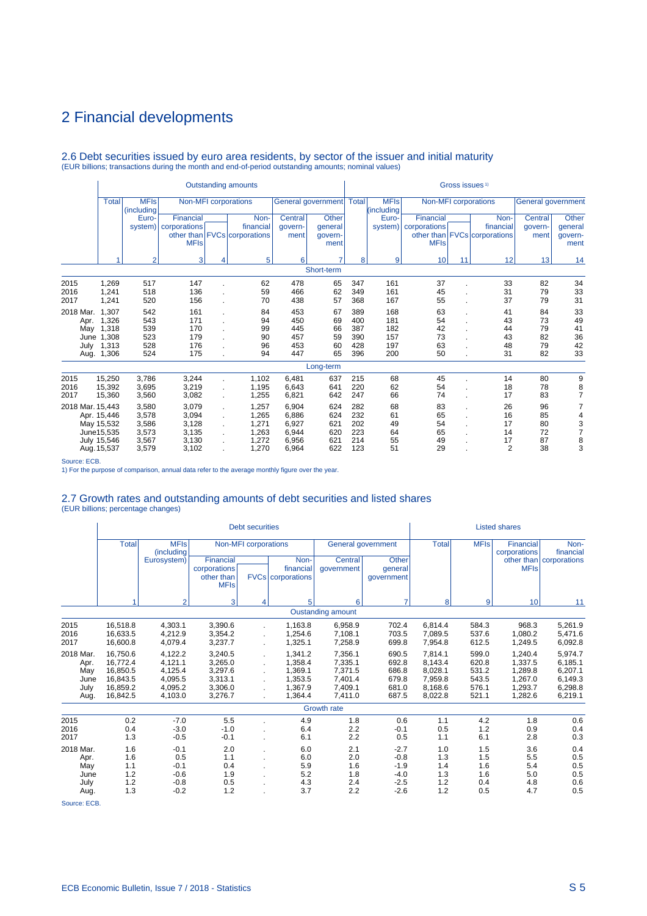# 2.6 Debt securities issued by euro area residents, by sector of the issuer and initial maturity (EUR billions; transactions during the month and end-of-period outstanding amounts; nominal values)

|                  |                            |                           |                        |              | <b>Outstanding amounts</b>   |                |                            |            |                           |              | Gross issues <sup>1)</sup> |                              |                    |                 |
|------------------|----------------------------|---------------------------|------------------------|--------------|------------------------------|----------------|----------------------------|------------|---------------------------|--------------|----------------------------|------------------------------|--------------------|-----------------|
|                  | Total                      | <b>MFIs</b><br>(including |                        |              | Non-MFI corporations         |                | General government   Total |            | <b>MFIs</b><br>(including |              |                            | Non-MFI corporations         | General government |                 |
|                  |                            | Euro-                     | Financial              |              | Non-                         | Central        | <b>Other</b>               |            | Euro-                     | Financial    |                            | Non-                         | Central            | Other           |
|                  |                            |                           | system)   corporations |              | financial                    | qovern-        | qeneral                    |            | system)                   | corporations |                            | financial                    | qovern-            | general         |
|                  |                            |                           | <b>MFIs</b>            |              | other than FVCs corporations | ment           | govern-<br>ment            |            |                           | <b>MFIs</b>  |                            | other than FVCs corporations | ment               | govern-<br>ment |
|                  |                            | $\overline{2}$            | 3                      | 4            | 5                            | 6              | 7                          | 8          | 9                         | 10           | 11                         | 12                           | 13                 | 14              |
|                  |                            |                           |                        |              |                              |                | Short-term                 |            |                           |              |                            |                              |                    |                 |
| 2015             | 1,269                      | 517                       | 147                    |              | 62                           | 478            | 65                         | 347        | 161                       | 37           |                            | 33                           | 82                 | 34              |
| 2016             | 1,241                      | 518                       | 136                    |              | 59                           | 466            | 62                         | 349        | 161                       | 45           |                            | 31                           | 79                 | 33              |
| 2017             | 1,241                      | 520                       | 156                    |              | 70                           | 438            | 57                         | 368        | 167                       | 55           |                            | 37                           | 79                 | 31              |
| 2018 Mar.        | 1.307                      | 542                       | 161                    |              | 84                           | 453            | 67                         | 389        | 168                       | 63           |                            | 41                           | 84                 | 33              |
| Apr.             | 1,326                      | 543                       | 171                    |              | 94                           | 450            | 69                         | 400        | 181                       | 54           |                            | 43                           | 73                 | 49              |
| May              | 1,318                      | 539                       | 170<br>179             |              | 99<br>90                     | 445<br>457     | 66<br>59                   | 387<br>390 | 182<br>157                | 42           |                            | 44                           | 79<br>82           | 41              |
| June<br>July     | 1,308<br>1,313             | 523<br>528                | 176                    |              | 96                           | 453            | 60                         | 428        | 197                       | 73<br>63     |                            | 43<br>48                     | 79                 | 36<br>42        |
| Aug.             | 1,306                      | 524                       | 175                    |              | 94                           | 447            | 65                         | 396        | 200                       | 50           |                            | 31                           | 82                 | 33              |
|                  |                            |                           |                        |              |                              |                | Long-term                  |            |                           |              |                            |                              |                    |                 |
| 2015             | 15,250                     | 3,786                     | 3,244                  | ä,           | 1,102                        | 6,481          | 637                        | 215        | 68                        | 45           |                            | 14                           | 80                 | 9               |
| 2016             | 15,392                     | 3,695                     | 3,219                  | ÷.           | 1.195                        | 6.643          | 641                        | 220        | 62                        | 54           |                            | 18                           | 78                 | 8               |
| 2017             | 15,360                     | 3,560                     | 3,082                  | ä,           | 1,255                        | 6,821          | 642                        | 247        | 66                        | 74           |                            | 17                           | 83                 | $\overline{7}$  |
| 2018 Mar. 15,443 |                            | 3,580                     | 3,079                  | ä.           | 1,257                        | 6,904          | 624                        | 282        | 68                        | 83           |                            | 26                           | 96                 | 7               |
|                  | Apr. 15,446                | 3,578                     | 3,094                  |              | 1,265                        | 6,886          | 624                        | 232        | 61                        | 65           |                            | 16                           | 85                 | 4               |
|                  | May 15,532                 | 3,586                     | 3,128                  | $\mathbf{r}$ | 1,271                        | 6,927          | 621                        | 202        | 49                        | 54           |                            | 17                           | 80                 | 3               |
|                  | June15,535                 | 3,573                     | 3,135                  |              | 1.263                        | 6.944          | 620                        | 223        | 64                        | 65           |                            | 14                           | 72                 | $\overline{7}$  |
|                  | July 15,546<br>Aug. 15,537 | 3.567<br>3,579            | 3,130<br>3,102         |              | 1.272<br>1,270               | 6.956<br>6,964 | 621<br>622                 | 214<br>123 | 55<br>51                  | 49<br>29     |                            | 17<br>$\overline{2}$         | 87<br>38           | 8<br>3          |

Source: ECB.

1) For the purpose of comparison, annual data refer to the average monthly figure over the year.

# 2.7 Growth rates and outstanding amounts of debt securities and listed shares (EUR billions; percentage changes)

|                                                  |                                                                      |                                                                |                                                                | <b>Debt securities</b>      |                                                                |                                                                |                                                          |                                                                |                                                    | <b>Listed shares</b>                                           |                                                                |
|--------------------------------------------------|----------------------------------------------------------------------|----------------------------------------------------------------|----------------------------------------------------------------|-----------------------------|----------------------------------------------------------------|----------------------------------------------------------------|----------------------------------------------------------|----------------------------------------------------------------|----------------------------------------------------|----------------------------------------------------------------|----------------------------------------------------------------|
|                                                  | <b>Total</b>                                                         | <b>MFIs</b><br>(including                                      |                                                                | <b>Non-MFI</b> corporations |                                                                |                                                                | General government                                       | <b>Total</b>                                                   | <b>MFIs</b>                                        | <b>Financial</b><br>corporations                               | Non-<br>financial                                              |
|                                                  |                                                                      | Eurosystem)                                                    | Financial<br>corporations<br>other than<br><b>MFIs</b>         |                             | Non-<br>financial<br><b>FVCs</b> corporations                  | Central<br>qovernment                                          | Other<br>general<br>qovernment                           |                                                                |                                                    | <b>MFIs</b>                                                    | other than   corporations                                      |
|                                                  | и                                                                    | $\overline{2}$                                                 | 3                                                              | 4                           | 5                                                              | 6                                                              | $\overline{7}$                                           | 8                                                              | 9                                                  | 10                                                             | 11                                                             |
|                                                  |                                                                      |                                                                |                                                                |                             | <b>Oustanding amount</b>                                       |                                                                |                                                          |                                                                |                                                    |                                                                |                                                                |
| 2015<br>2016<br>2017                             | 16,518.8<br>16,633.5<br>16,600.8                                     | 4,303.1<br>4.212.9<br>4,079.4                                  | 3,390.6<br>3,354.2<br>3,237.7                                  |                             | 1.163.8<br>1.254.6<br>1,325.1                                  | 6,958.9<br>7,108.1<br>7,258.9                                  | 702.4<br>703.5<br>699.8                                  | 6.814.4<br>7.089.5<br>7,954.8                                  | 584.3<br>537.6<br>612.5                            | 968.3<br>1.080.2<br>1,249.5                                    | 5,261.9<br>5,471.6<br>6,092.8                                  |
| 2018 Mar.<br>Apr.<br>May<br>June<br>July<br>Aug. | 16.750.6<br>16.772.4<br>16,850.5<br>16,843.5<br>16,859.2<br>16.842.5 | 4.122.2<br>4,121.1<br>4,125.4<br>4,095.5<br>4,095.2<br>4,103.0 | 3.240.5<br>3,265.0<br>3,297.6<br>3,313.1<br>3,306.0<br>3,276.7 |                             | 1.341.2<br>1.358.4<br>1.369.1<br>1,353.5<br>1.367.9<br>1.364.4 | 7,356.1<br>7,335.1<br>7,371.5<br>7,401.4<br>7,409.1<br>7,411.0 | 690.5<br>692.8<br>686.8<br>679.8<br>681.0<br>687.5       | 7.814.1<br>8.143.4<br>8,028.1<br>7,959.8<br>8,168.6<br>8,022.8 | 599.0<br>620.8<br>531.2<br>543.5<br>576.1<br>521.1 | 1.240.4<br>1.337.5<br>1.289.8<br>1,267.0<br>1.293.7<br>1,282.6 | 5.974.7<br>6,185.1<br>6,207.1<br>6,149.3<br>6,298.8<br>6,219.1 |
|                                                  |                                                                      |                                                                |                                                                |                             |                                                                | <b>Growth rate</b>                                             |                                                          |                                                                |                                                    |                                                                |                                                                |
| 2015<br>2016<br>2017                             | 0.2<br>0.4<br>1.3                                                    | $-7.0$<br>$-3.0$<br>$-0.5$                                     | 5.5<br>$-1.0$<br>$-0.1$                                        |                             | 4.9<br>6.4<br>6.1                                              | 1.8<br>2.2<br>2.2                                              | 0.6<br>$-0.1$<br>0.5                                     | 1.1<br>0.5<br>1.1                                              | 4.2<br>1.2<br>6.1                                  | 1.8<br>0.9<br>2.8                                              | 0.6<br>0.4<br>0.3                                              |
| 2018 Mar.<br>Apr.<br>May<br>June<br>July<br>Aug. | 1.6<br>1.6<br>1.1<br>1.2<br>1.2<br>1.3                               | $-0.1$<br>0.5<br>$-0.1$<br>$-0.6$<br>$-0.8$<br>$-0.2$          | 2.0<br>1.1<br>0.4<br>1.9<br>0.5<br>1.2                         |                             | 6.0<br>6.0<br>5.9<br>5.2<br>4.3<br>3.7                         | 2.1<br>2.0<br>1.6<br>1.8<br>2.4<br>2.2                         | $-2.7$<br>$-0.8$<br>$-1.9$<br>$-4.0$<br>$-2.5$<br>$-2.6$ | 1.0<br>1.3<br>1.4<br>1.3<br>1.2<br>1.2                         | 1.5<br>1.5<br>1.6<br>1.6<br>0.4<br>0.5             | 3.6<br>5.5<br>5.4<br>5.0<br>4.8<br>4.7                         | 0.4<br>0.5<br>0.5<br>0.5<br>0.6<br>0.5                         |

Source: ECB.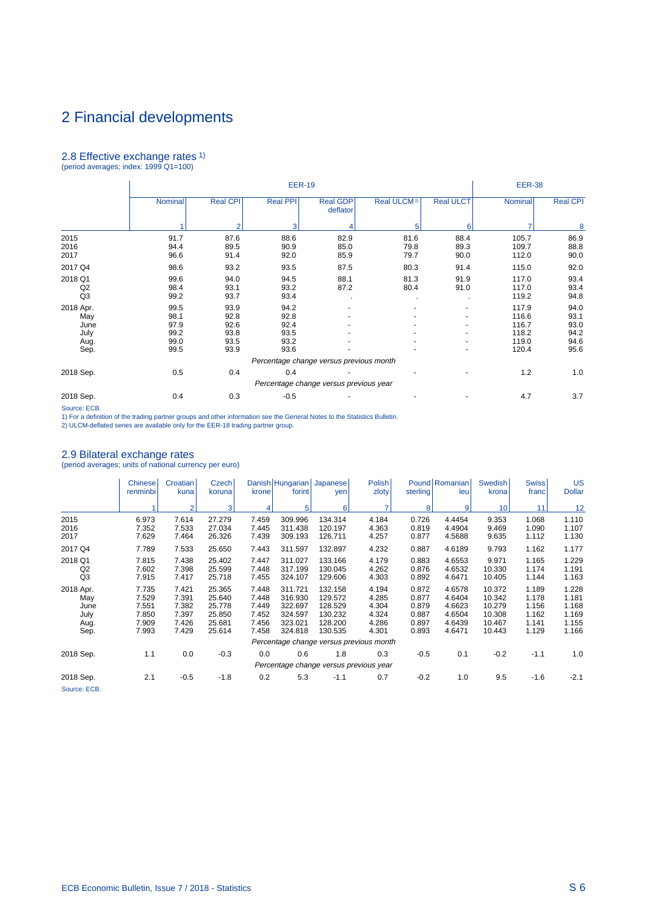# 2.8 Effective exchange rates 1) (period averages; index: 1999 Q1=100)

|                                                  |                                              |                                              | <b>EER-19</b>                                |                                        |                         |                      | <b>EER-38</b>                                      |                                              |
|--------------------------------------------------|----------------------------------------------|----------------------------------------------|----------------------------------------------|----------------------------------------|-------------------------|----------------------|----------------------------------------------------|----------------------------------------------|
|                                                  | Nominal                                      | <b>Real CPI</b>                              | <b>Real PPI</b>                              | <b>Real GDP</b><br>deflator            | Real ULCM <sup>2)</sup> | <b>Real ULCT</b>     | Nominal                                            | <b>Real CPI</b>                              |
|                                                  |                                              | $\mathcal{P}$                                | 3                                            |                                        | 5                       | 6                    |                                                    | 8                                            |
| 2015<br>2016<br>2017                             | 91.7<br>94.4<br>96.6                         | 87.6<br>89.5<br>91.4                         | 88.6<br>90.9<br>92.0                         | 82.9<br>85.0<br>85.9                   | 81.6<br>79.8<br>79.7    | 88.4<br>89.3<br>90.0 | 105.7<br>109.7<br>112.0                            | 86.9<br>88.8<br>90.0                         |
| 2017 Q4                                          | 98.6                                         | 93.2                                         | 93.5                                         | 87.5                                   | 80.3                    | 91.4                 | 115.0                                              | 92.0                                         |
| 2018 Q1<br>Q2<br>Q3                              | 99.6<br>98.4<br>99.2                         | 94.0<br>93.1<br>93.7                         | 94.5<br>93.2<br>93.4                         | 88.1<br>87.2                           | 81.3<br>80.4            | 91.9<br>91.0         | 117.0<br>117.0<br>119.2                            | 93.4<br>93.4<br>94.8                         |
| 2018 Apr.<br>May<br>June<br>July<br>Aug.<br>Sep. | 99.5<br>98.1<br>97.9<br>99.2<br>99.0<br>99.5 | 93.9<br>92.8<br>92.6<br>93.8<br>93.5<br>93.9 | 94.2<br>92.8<br>92.4<br>93.5<br>93.2<br>93.6 |                                        |                         |                      | 117.9<br>116.6<br>116.7<br>118.2<br>119.0<br>120.4 | 94.0<br>93.1<br>93.0<br>94.2<br>94.6<br>95.6 |
|                                                  |                                              |                                              | Percentage change versus previous month      |                                        |                         |                      |                                                    |                                              |
| 2018 Sep.                                        | 0.5                                          | 0.4                                          | 0.4                                          | Percentage change versus previous year |                         |                      | 1.2                                                | 1.0                                          |
| 2018 Sep.                                        | 0.4                                          | 0.3                                          | $-0.5$                                       |                                        |                         |                      | 4.7                                                | 3.7                                          |

Source: ECB.<br>1) For a definition of the trading partner groups and other information see the General Notes to the Statistics Bulletin.<br>2) ULCM-deflated series are available only for the EER-18 trading partner group.

## 2.9 Bilateral exchange rates

(period averages; units of national currency per euro)

|                                                  | <b>Chinese</b><br>renminbi                         | Croatian<br>kuna                                   | Czech<br>koruna                                          | krone                                              | Danish   Hungarian  <br>forint                                 | Japanese<br>yen                                                | Polish<br>zloty                                    | sterling                                           | Pound Romanian<br>leu                                    | <b>Swedish</b><br>krona                                  | <b>Swiss</b><br>franc                              | US<br><b>Dollar</b>                                |
|--------------------------------------------------|----------------------------------------------------|----------------------------------------------------|----------------------------------------------------------|----------------------------------------------------|----------------------------------------------------------------|----------------------------------------------------------------|----------------------------------------------------|----------------------------------------------------|----------------------------------------------------------|----------------------------------------------------------|----------------------------------------------------|----------------------------------------------------|
|                                                  |                                                    | $\overline{2}$                                     | $\vert$ 3                                                |                                                    | 5                                                              | 6                                                              | 7                                                  | 8                                                  | 9                                                        | 10                                                       | 11                                                 | 12                                                 |
| 2015<br>2016<br>2017                             | 6.973<br>7.352<br>7.629                            | 7.614<br>7.533<br>7.464                            | 27.279<br>27.034<br>26.326                               | 7.459<br>7.445<br>7.439                            | 309.996<br>311.438<br>309.193                                  | 134.314<br>120.197<br>126.711                                  | 4.184<br>4.363<br>4.257                            | 0.726<br>0.819<br>0.877                            | 4.4454<br>4.4904<br>4.5688                               | 9.353<br>9.469<br>9.635                                  | 1.068<br>1.090<br>1.112                            | 1.110<br>1.107<br>1.130                            |
| 2017 Q4                                          | 7.789                                              | 7.533                                              | 25.650                                                   | 7.443                                              | 311.597                                                        | 132.897                                                        | 4.232                                              | 0.887                                              | 4.6189                                                   | 9.793                                                    | 1.162                                              | 1.177                                              |
| 2018 Q1<br>Q <sub>2</sub><br>Q <sub>3</sub>      | 7.815<br>7.602<br>7.915                            | 7.438<br>7.398<br>7.417                            | 25.402<br>25.599<br>25.718                               | 7.447<br>7.448<br>7.455                            | 311.027<br>317.199<br>324.107                                  | 133.166<br>130.045<br>129.606                                  | 4.179<br>4.262<br>4.303                            | 0.883<br>0.876<br>0.892                            | 4.6553<br>4.6532<br>4.6471                               | 9.971<br>10.330<br>10.405                                | 1.165<br>1.174<br>1.144                            | 1.229<br>1.191<br>1.163                            |
| 2018 Apr.<br>May<br>June<br>July<br>Aug.<br>Sep. | 7.735<br>7.529<br>7.551<br>7.850<br>7.909<br>7.993 | 7.421<br>7.391<br>7.382<br>7.397<br>7.426<br>7.429 | 25.365<br>25.640<br>25.778<br>25.850<br>25.681<br>25.614 | 7.448<br>7.448<br>7.449<br>7.452<br>7.456<br>7.458 | 311.721<br>316.930<br>322.697<br>324.597<br>323.021<br>324.818 | 132.158<br>129.572<br>128.529<br>130.232<br>128.200<br>130.535 | 4.194<br>4.285<br>4.304<br>4.324<br>4.286<br>4.301 | 0.872<br>0.877<br>0.879<br>0.887<br>0.897<br>0.893 | 4.6578<br>4.6404<br>4.6623<br>4.6504<br>4.6439<br>4.6471 | 10.372<br>10.342<br>10.279<br>10.308<br>10.467<br>10.443 | 1.189<br>1.178<br>1.156<br>1.162<br>1.141<br>1.129 | 1.228<br>1.181<br>1.168<br>1.169<br>1.155<br>1.166 |
|                                                  |                                                    |                                                    |                                                          |                                                    |                                                                |                                                                | Percentage change versus previous month            |                                                    |                                                          |                                                          |                                                    |                                                    |
| 2018 Sep.                                        | 1.1                                                | 0.0                                                | $-0.3$                                                   | 0.0                                                | 0.6                                                            | 1.8                                                            | 0.3<br>Percentage change versus previous year      | $-0.5$                                             | 0.1                                                      | $-0.2$                                                   | $-1.1$                                             | 1.0                                                |
| 2018 Sep.<br>Source: ECB.                        | 2.1                                                | $-0.5$                                             | $-1.8$                                                   | 0.2                                                | 5.3                                                            | $-1.1$                                                         | 0.7                                                | $-0.2$                                             | 1.0                                                      | 9.5                                                      | $-1.6$                                             | $-2.1$                                             |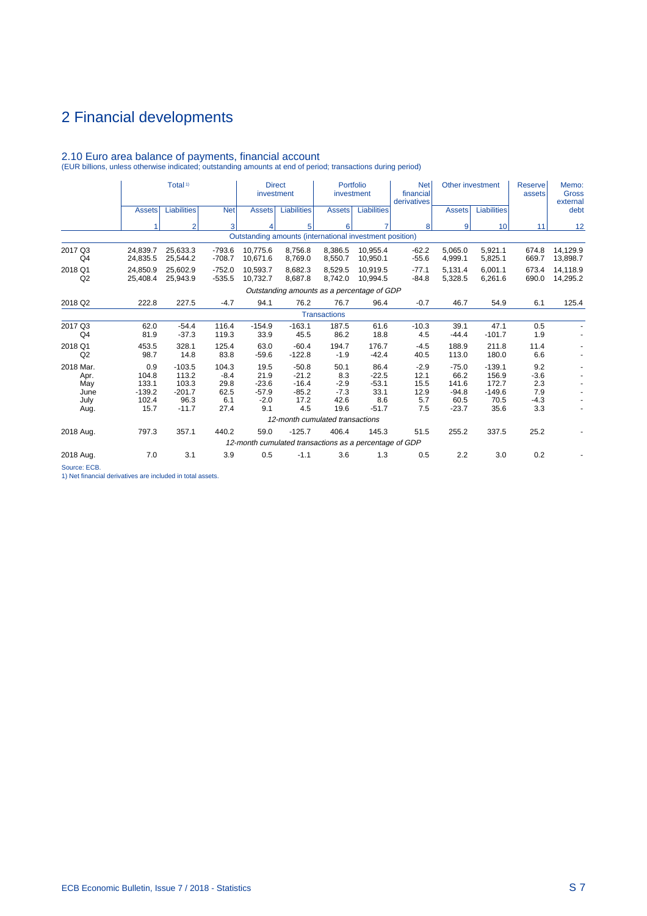|                                                  |                                                    | Total <sup>1)</sup>                                       |                                                | <b>Direct</b><br>investment                         |                                                                    | Portfolio<br>investment                         |                                                      | <b>Net</b><br>financial<br>derivatives       |                                                        | Other investment                                       | Reserve<br>assets                            | Memo:<br><b>Gross</b><br>external |
|--------------------------------------------------|----------------------------------------------------|-----------------------------------------------------------|------------------------------------------------|-----------------------------------------------------|--------------------------------------------------------------------|-------------------------------------------------|------------------------------------------------------|----------------------------------------------|--------------------------------------------------------|--------------------------------------------------------|----------------------------------------------|-----------------------------------|
|                                                  | <b>Assets</b>                                      | <b>Liabilities</b>                                        | <b>Net</b>                                     | <b>Assets</b>                                       | Liabilities                                                        | <b>Assets</b>                                   | <b>Liabilities</b>                                   |                                              | <b>Assets</b>                                          | Liabilities                                            |                                              | debt                              |
|                                                  | 4                                                  | $\overline{2}$                                            | 3                                              | 4                                                   | 5                                                                  | 6                                               | 7                                                    | 8                                            | 9                                                      | 10                                                     | 11                                           | 12                                |
|                                                  |                                                    |                                                           |                                                |                                                     | Outstanding amounts (international investment position)            |                                                 |                                                      |                                              |                                                        |                                                        |                                              |                                   |
| 2017 Q3<br>Q4                                    | 24.839.7<br>24,835.5                               | 25.633.3<br>25,544.2                                      | $-793.6$<br>$-708.7$                           | 10.775.6<br>10,671.6                                | 8.756.8<br>8,769.0                                                 | 8.386.5<br>8,550.7                              | 10.955.4<br>10,950.1                                 | $-62.2$<br>$-55.6$                           | 5.065.0<br>4,999.1                                     | 5.921.1<br>5,825.1                                     | 674.8<br>669.7                               | 14.129.9<br>13,898.7              |
| 2018 Q1<br>Q2                                    | 24.850.9<br>25,408.4                               | 25.602.9<br>25,943.9                                      | $-752.0$<br>$-535.5$                           | 10.593.7<br>10,732.7                                | 8.682.3<br>8,687.8                                                 | 8.529.5<br>8,742.0                              | 10.919.5<br>10,994.5                                 | $-77.1$<br>$-84.8$                           | 5.131.4<br>5,328.5                                     | 6.001.1<br>6,261.6                                     | 673.4<br>690.0                               | 14,118.9<br>14,295.2              |
|                                                  |                                                    |                                                           |                                                |                                                     | Outstanding amounts as a percentage of GDP                         |                                                 |                                                      |                                              |                                                        |                                                        |                                              |                                   |
| 2018 Q2                                          | 222.8                                              | 227.5                                                     | $-4.7$                                         | 94.1                                                | 76.2                                                               | 76.7                                            | 96.4                                                 | $-0.7$                                       | 46.7                                                   | 54.9                                                   | 6.1                                          | 125.4                             |
|                                                  |                                                    |                                                           |                                                |                                                     |                                                                    | <b>Transactions</b>                             |                                                      |                                              |                                                        |                                                        |                                              |                                   |
| 2017 Q3<br>Q4                                    | 62.0<br>81.9                                       | $-54.4$<br>$-37.3$                                        | 116.4<br>119.3                                 | $-154.9$<br>33.9                                    | $-163.1$<br>45.5                                                   | 187.5<br>86.2                                   | 61.6<br>18.8                                         | $-10.3$<br>4.5                               | 39.1<br>$-44.4$                                        | 47.1<br>$-101.7$                                       | 0.5<br>1.9                                   |                                   |
| 2018 Q1<br>Q2                                    | 453.5<br>98.7                                      | 328.1<br>14.8                                             | 125.4<br>83.8                                  | 63.0<br>$-59.6$                                     | $-60.4$<br>$-122.8$                                                | 194.7<br>$-1.9$                                 | 176.7<br>$-42.4$                                     | $-4.5$<br>40.5                               | 188.9<br>113.0                                         | 211.8<br>180.0                                         | 11.4<br>6.6                                  |                                   |
| 2018 Mar.<br>Apr.<br>May<br>June<br>July<br>Aug. | 0.9<br>104.8<br>133.1<br>$-139.2$<br>102.4<br>15.7 | $-103.5$<br>113.2<br>103.3<br>$-201.7$<br>96.3<br>$-11.7$ | 104.3<br>$-8.4$<br>29.8<br>62.5<br>6.1<br>27.4 | 19.5<br>21.9<br>$-23.6$<br>$-57.9$<br>$-2.0$<br>9.1 | $-50.8$<br>$-21.2$<br>$-16.4$<br>$-85.2$<br>17.2<br>4.5            | 50.1<br>8.3<br>$-2.9$<br>$-7.3$<br>42.6<br>19.6 | 86.4<br>$-22.5$<br>$-53.1$<br>33.1<br>8.6<br>$-51.7$ | $-2.9$<br>12.1<br>15.5<br>12.9<br>5.7<br>7.5 | $-75.0$<br>66.2<br>141.6<br>$-94.8$<br>60.5<br>$-23.7$ | $-139.1$<br>156.9<br>172.7<br>$-149.6$<br>70.5<br>35.6 | 9.2<br>$-3.6$<br>2.3<br>7.9<br>$-4.3$<br>3.3 |                                   |
|                                                  |                                                    |                                                           |                                                |                                                     | 12-month cumulated transactions                                    |                                                 |                                                      |                                              |                                                        |                                                        |                                              |                                   |
| 2018 Aug.                                        | 797.3                                              | 357.1                                                     | 440.2                                          | 59.0                                                | $-125.7$<br>12-month cumulated transactions as a percentage of GDP | 406.4                                           | 145.3                                                | 51.5                                         | 255.2                                                  | 337.5                                                  | 25.2                                         |                                   |
| 2018 Aug.                                        | 7.0                                                | 3.1                                                       | 3.9                                            | 0.5                                                 | $-1.1$                                                             | 3.6                                             | 1.3                                                  | 0.5                                          | 2.2                                                    | 3.0                                                    | 0.2                                          |                                   |
| $\sim$ $\sim$ $\sim$                             |                                                    |                                                           |                                                |                                                     |                                                                    |                                                 |                                                      |                                              |                                                        |                                                        |                                              |                                   |

2.10 Euro area balance of payments, financial account (EUR billions, unless otherwise indicated; outstanding amounts at end of period; transactions during period)

Source: ECB.

1) Net financial derivatives are included in total assets.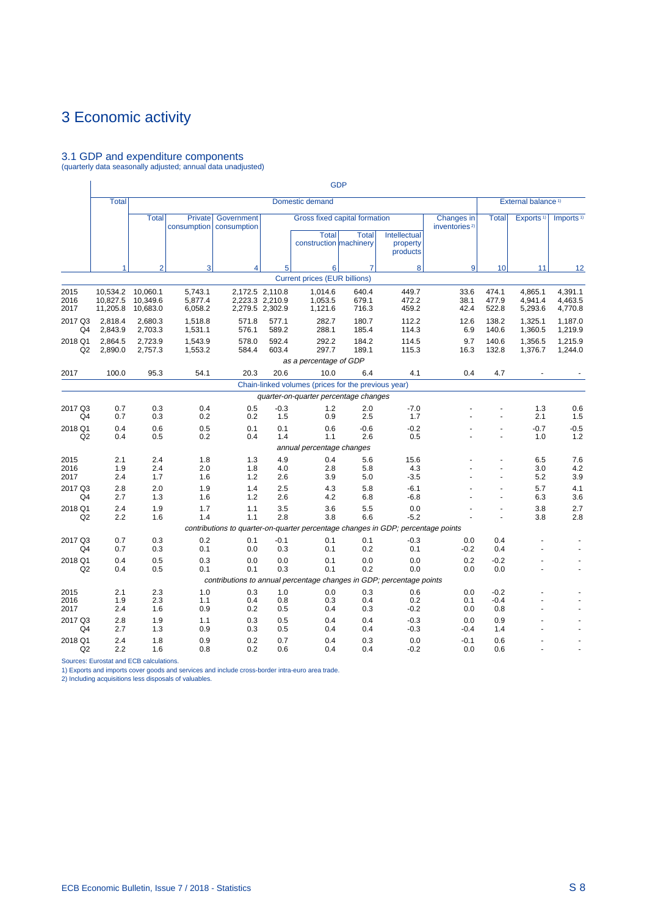# <span id="page-101-0"></span>3.1 GDP and expenditure components (quarterly data seasonally adjusted; annual data unadjusted)

|                           |                                  |                                  |                               |                                                                                    |                                                       |                                                                         | <b>GDP</b>              |                                      |                                         |                         |                                |                               |
|---------------------------|----------------------------------|----------------------------------|-------------------------------|------------------------------------------------------------------------------------|-------------------------------------------------------|-------------------------------------------------------------------------|-------------------------|--------------------------------------|-----------------------------------------|-------------------------|--------------------------------|-------------------------------|
|                           | <b>Total</b>                     |                                  |                               |                                                                                    |                                                       | Domestic demand                                                         |                         |                                      |                                         |                         | External balance <sup>1)</sup> |                               |
|                           |                                  | <b>Total</b>                     | Private<br>consumption        | Government<br>consumption                                                          |                                                       | Gross fixed capital formation<br><b>Total</b><br>construction machinery | <b>Total</b>            | Intellectual<br>property<br>products | Changes in<br>inventories <sup>2)</sup> | <b>Total</b>            | Exports <sup>1)</sup>          | Imports <sup>1)</sup>         |
|                           | 1                                | $\overline{2}$                   | 3                             | 4                                                                                  | 5                                                     | 6                                                                       | $\overline{7}$          | 8                                    | 9                                       | 10                      | 11                             | 12                            |
|                           |                                  |                                  |                               |                                                                                    |                                                       | <b>Current prices (EUR billions)</b>                                    |                         |                                      |                                         |                         |                                |                               |
| 2015<br>2016<br>2017      | 10,534.2<br>10.827.5<br>11,205.8 | 10,060.1<br>10.349.6<br>10,683.0 | 5,743.1<br>5,877.4<br>6,058.2 |                                                                                    | 2,172.5 2,110.8<br>2,223.3 2,210.9<br>2,279.5 2,302.9 | 1,014.6<br>1,053.5<br>1,121.6                                           | 640.4<br>679.1<br>716.3 | 449.7<br>472.2<br>459.2              | 33.6<br>38.1<br>42.4                    | 474.1<br>477.9<br>522.8 | 4,865.1<br>4,941.4<br>5,293.6  | 4,391.1<br>4,463.5<br>4,770.8 |
| 2017 Q3<br>Q4             | 2.818.4<br>2,843.9               | 2.680.3<br>2,703.3               | 1.518.8<br>1,531.1            | 571.8<br>576.1                                                                     | 577.1<br>589.2                                        | 282.7<br>288.1                                                          | 180.7<br>185.4          | 112.2<br>114.3                       | 12.6<br>6.9                             | 138.2<br>140.6          | 1.325.1<br>1,360.5             | 1.187.0<br>1,219.9            |
| 2018 Q1<br>Q2             | 2,864.5<br>2,890.0               | 2,723.9<br>2,757.3               | 1,543.9<br>1,553.2            | 578.0<br>584.4                                                                     | 592.4<br>603.4                                        | 292.2<br>297.7                                                          | 184.2<br>189.1          | 114.5<br>115.3                       | 9.7<br>16.3                             | 140.6<br>132.8          | 1,356.5<br>1,376.7             | 1,215.9<br>1,244.0            |
|                           |                                  |                                  |                               |                                                                                    |                                                       | as a percentage of GDP                                                  |                         |                                      |                                         |                         |                                |                               |
| 2017                      | 100.0                            | 95.3                             | 54.1                          | 20.3                                                                               | 20.6                                                  | 10.0                                                                    | 6.4                     | 4.1                                  | 0.4                                     | 4.7                     |                                |                               |
|                           |                                  |                                  |                               |                                                                                    |                                                       | Chain-linked volumes (prices for the previous year)                     |                         |                                      |                                         |                         |                                |                               |
|                           |                                  |                                  |                               |                                                                                    |                                                       | quarter-on-quarter percentage changes                                   |                         |                                      |                                         |                         |                                |                               |
| 2017 Q3<br>Q4             | 0.7<br>0.7                       | 0.3<br>0.3                       | 0.4<br>0.2                    | 0.5<br>0.2                                                                         | $-0.3$<br>1.5                                         | 1.2<br>0.9                                                              | 2.0<br>2.5              | $-7.0$<br>1.7                        |                                         |                         | 1.3<br>2.1                     | 0.6<br>1.5                    |
| 2018 Q1<br>Q2             | 0.4<br>0.4                       | 0.6<br>0.5                       | 0.5<br>0.2                    | 0.1<br>0.4                                                                         | 0.1<br>1.4                                            | 0.6<br>1.1                                                              | $-0.6$<br>2.6           | $-0.2$<br>0.5                        |                                         | ä,                      | $-0.7$<br>1.0                  | $-0.5$<br>1.2                 |
|                           |                                  |                                  |                               |                                                                                    |                                                       | annual percentage changes                                               |                         |                                      |                                         |                         |                                |                               |
| 2015<br>2016<br>2017      | 2.1<br>1.9<br>2.4                | 2.4<br>2.4<br>1.7                | 1.8<br>2.0<br>1.6             | 1.3<br>1.8<br>1.2                                                                  | 4.9<br>4.0<br>2.6                                     | 0.4<br>2.8<br>3.9                                                       | 5.6<br>5.8<br>5.0       | 15.6<br>4.3<br>$-3.5$                |                                         |                         | 6.5<br>3.0<br>5.2              | 7.6<br>4.2<br>3.9             |
| 2017 Q3<br>Q <sub>4</sub> | 2.8<br>2.7                       | 2.0<br>1.3                       | 1.9<br>1.6                    | 1.4<br>1.2                                                                         | 2.5<br>2.6                                            | 4.3<br>4.2                                                              | 5.8<br>6.8              | $-6.1$<br>$-6.8$                     |                                         | L.                      | 5.7<br>6.3                     | 4.1<br>3.6                    |
| 2018 Q1<br>Q2             | 2.4<br>2.2                       | 1.9<br>1.6                       | 1.7<br>1.4                    | 1.1<br>1.1                                                                         | 3.5<br>2.8                                            | 3.6<br>3.8                                                              | 5.5<br>6.6              | 0.0<br>$-5.2$                        |                                         |                         | 3.8<br>3.8                     | 2.7<br>2.8                    |
|                           |                                  |                                  |                               | contributions to quarter-on-quarter percentage changes in GDP; percentage points   |                                                       |                                                                         |                         |                                      |                                         |                         |                                |                               |
| 2017 Q3<br>Q4             | 0.7<br>0.7                       | 0.3<br>0.3                       | 0.2<br>0.1                    | 0.1<br>0.0                                                                         | $-0.1$<br>0.3                                         | 0.1<br>0.1                                                              | 0.1<br>0.2              | $-0.3$<br>0.1                        | 0.0<br>$-0.2$                           | 0.4<br>0.4              |                                |                               |
| 2018 Q1<br>Q2             | 0.4<br>0.4                       | 0.5<br>0.5                       | 0.3<br>0.1                    | 0.0<br>0.1<br>contributions to annual percentage changes in GDP; percentage points | 0.0<br>0.3                                            | 0.1<br>0.1                                                              | 0.0<br>0.2              | 0.0<br>0.0                           | 0.2<br>0.0                              | $-0.2$<br>0.0           |                                | $\ddot{\phantom{1}}$          |
| 2015                      | 2.1                              | 2.3                              | 1.0                           | 0.3                                                                                | 1.0                                                   | 0.0                                                                     | 0.3                     | 0.6                                  | 0.0                                     | $-0.2$                  |                                |                               |
| 2016<br>2017              | 1.9<br>2.4                       | 2.3<br>1.6                       | 1.1<br>0.9                    | 0.4<br>0.2                                                                         | 0.8<br>0.5                                            | 0.3<br>0.4                                                              | 0.4<br>0.3              | 0.2<br>$-0.2$                        | 0.1<br>0.0                              | $-0.4$<br>0.8           |                                |                               |
| 2017 Q3<br>Q <sub>4</sub> | 2.8<br>2.7                       | 1.9<br>1.3                       | 1.1<br>0.9                    | 0.3<br>0.3                                                                         | 0.5<br>0.5                                            | 0.4<br>0.4                                                              | 0.4<br>0.4              | $-0.3$<br>$-0.3$                     | 0.0<br>$-0.4$                           | 0.9<br>1.4              |                                |                               |
| 2018 Q1<br>Q2             | 2.4<br>2.2                       | 1.8<br>1.6                       | 0.9<br>0.8                    | 0.2<br>0.2                                                                         | 0.7<br>0.6                                            | 0.4<br>0.4                                                              | 0.3<br>0.4              | 0.0<br>$-0.2$                        | $-0.1$<br>0.0                           | 0.6<br>0.6              |                                |                               |

Sources: Eurostat and ECB calculations. 1) Exports and imports cover goods and services and include cross-border intra-euro area trade. 2) Including acquisitions less disposals of valuables.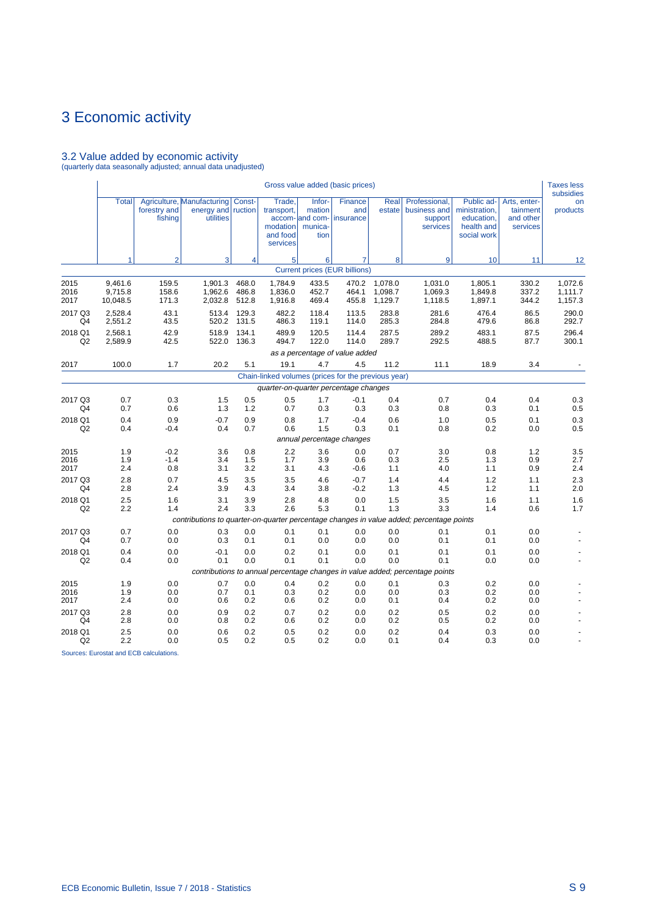# 3.2 Value added by economic activity (quarterly data seasonally adjusted; annual data unadjusted)

|                      |                                |                         |                                                                                          |                         |                                                          |                                                        | Gross value added (basic prices)     |                               |                                                                              |                                                                        |                                                   | <b>Taxes less</b><br>subsidies |
|----------------------|--------------------------------|-------------------------|------------------------------------------------------------------------------------------|-------------------------|----------------------------------------------------------|--------------------------------------------------------|--------------------------------------|-------------------------------|------------------------------------------------------------------------------|------------------------------------------------------------------------|---------------------------------------------------|--------------------------------|
|                      | <b>Total</b>                   | forestry and<br>fishing | Agriculture, Manufacturing<br>energy and<br>utilities                                    | Const-<br>ruction       | Trade,<br>transport,<br>modation<br>and food<br>services | Infor-<br>mation<br>accom- and com-<br>munica-<br>tion | Finance<br>and<br>insurance          | Real<br>estate                | Professional,<br>business and<br>support<br>services                         | Public ad-<br>ministration,<br>education,<br>health and<br>social work | Arts, enter-<br>tainment<br>and other<br>services | on<br>products                 |
|                      | 1                              | $\overline{2}$          | 3                                                                                        | 4                       | 5 <sup>1</sup>                                           | 6                                                      | 7                                    | 8                             | 9                                                                            | 10                                                                     | 11                                                | 12                             |
|                      |                                |                         |                                                                                          |                         |                                                          |                                                        | <b>Current prices (EUR billions)</b> |                               |                                                                              |                                                                        |                                                   |                                |
| 2015<br>2016<br>2017 | 9,461.6<br>9,715.8<br>10,048.5 | 159.5<br>158.6<br>171.3 | 1,901.3<br>1,962.6<br>2,032.8                                                            | 468.0<br>486.8<br>512.8 | 1.784.9<br>1,836.0<br>1,916.8                            | 433.5<br>452.7<br>469.4                                | 470.2<br>464.1<br>455.8              | 1,078.0<br>1,098.7<br>1,129.7 | 1,031.0<br>1,069.3<br>1,118.5                                                | 1,805.1<br>1,849.8<br>1,897.1                                          | 330.2<br>337.2<br>344.2                           | 1,072.6<br>1,111.7<br>1,157.3  |
| 2017 Q3<br>Q4        | 2.528.4<br>2,551.2             | 43.1<br>43.5            | 513.4<br>520.2                                                                           | 129.3<br>131.5          | 482.2<br>486.3                                           | 118.4<br>119.1                                         | 113.5<br>114.0                       | 283.8<br>285.3                | 281.6<br>284.8                                                               | 476.4<br>479.6                                                         | 86.5<br>86.8                                      | 290.0<br>292.7                 |
| 2018 Q1<br>Q2        | 2.568.1<br>2,589.9             | 42.9<br>42.5            | 518.9<br>522.0                                                                           | 134.1<br>136.3          | 489.9<br>494.7                                           | 120.5<br>122.0                                         | 114.4<br>114.0                       | 287.5<br>289.7                | 289.2<br>292.5                                                               | 483.1<br>488.5                                                         | 87.5<br>87.7                                      | 296.4<br>300.1                 |
|                      |                                |                         |                                                                                          |                         |                                                          |                                                        | as a percentage of value added       |                               |                                                                              |                                                                        |                                                   |                                |
| 2017                 | 100.0                          | 1.7                     | 20.2                                                                                     | 5.1                     | 19.1                                                     | 4.7                                                    | 4.5                                  | 11.2                          | 11.1                                                                         | 18.9                                                                   | 3.4                                               |                                |
|                      |                                |                         |                                                                                          |                         | Chain-linked volumes (prices for the previous year)      |                                                        |                                      |                               |                                                                              |                                                                        |                                                   |                                |
|                      |                                |                         |                                                                                          |                         | quarter-on-quarter percentage changes                    |                                                        |                                      |                               |                                                                              |                                                                        |                                                   |                                |
| 2017 Q3<br>Q4        | 0.7<br>0.7                     | 0.3<br>0.6              | 1.5<br>1.3                                                                               | 0.5<br>1.2              | 0.5<br>0.7                                               | 1.7<br>0.3                                             | -0.1<br>0.3                          | 0.4<br>0.3                    | 0.7<br>0.8                                                                   | 0.4<br>0.3                                                             | 0.4<br>0.1                                        | 0.3<br>0.5                     |
| 2018 Q1              | 0.4                            | 0.9                     | $-0.7$                                                                                   | 0.9                     | 0.8                                                      | 1.7                                                    | $-0.4$                               | 0.6                           | 1.0                                                                          | 0.5                                                                    | 0.1                                               | 0.3                            |
| Q2                   | 0.4                            | $-0.4$                  | 0.4                                                                                      | 0.7                     | 0.6                                                      | 1.5                                                    | 0.3<br>annual percentage changes     | 0.1                           | 0.8                                                                          | 0.2                                                                    | 0.0                                               | 0.5                            |
|                      |                                |                         |                                                                                          |                         | 2.2                                                      |                                                        | 0.0                                  | 0.7                           |                                                                              |                                                                        |                                                   | 3.5                            |
| 2015<br>2016<br>2017 | 1.9<br>1.9<br>2.4              | $-0.2$<br>$-1.4$<br>0.8 | 3.6<br>3.4<br>3.1                                                                        | 0.8<br>1.5<br>3.2       | 1.7<br>3.1                                               | 3.6<br>3.9<br>4.3                                      | 0.6<br>$-0.6$                        | 0.3<br>1.1                    | 3.0<br>2.5<br>4.0                                                            | 0.8<br>1.3<br>1.1                                                      | 1.2<br>0.9<br>0.9                                 | 2.7<br>2.4                     |
| 2017 Q3<br>Q4        | 2.8<br>2.8                     | 0.7<br>2.4              | 4.5<br>3.9                                                                               | 3.5<br>4.3              | 3.5<br>3.4                                               | 4.6<br>3.8                                             | $-0.7$<br>$-0.2$                     | 1.4<br>1.3                    | 4.4<br>4.5                                                                   | 1.2<br>1.2                                                             | 1.1<br>1.1                                        | 2.3<br>2.0                     |
| 2018 Q1<br>Q2        | 2.5<br>2.2                     | 1.6<br>1.4              | 3.1<br>2.4                                                                               | 3.9<br>3.3              | 2.8<br>2.6                                               | 4.8<br>5.3                                             | 0.0<br>0.1                           | 1.5<br>1.3                    | 3.5<br>3.3                                                                   | 1.6<br>1.4                                                             | 1.1<br>0.6                                        | 1.6<br>1.7                     |
|                      |                                |                         | contributions to quarter-on-quarter percentage changes in value added; percentage points |                         |                                                          |                                                        |                                      |                               |                                                                              |                                                                        |                                                   |                                |
| 2017 Q3<br>Q4        | 0.7<br>0.7                     | 0.0<br>0.0              | 0.3<br>0.3                                                                               | 0.0<br>0.1              | 0.1<br>0.1                                               | 0.1<br>0.0                                             | 0.0<br>0.0                           | 0.0<br>0.0                    | 0.1<br>0.1                                                                   | 0.1<br>0.1                                                             | 0.0<br>0.0                                        |                                |
| 2018 Q1<br>Q2        | 0.4<br>0.4                     | 0.0<br>0.0              | $-0.1$<br>0.1                                                                            | 0.0<br>0.0              | 0.2<br>0.1                                               | 0.1<br>0.1                                             | 0.0<br>0.0                           | 0.1<br>0.0                    | 0.1<br>0.1                                                                   | 0.1<br>0.0                                                             | 0.0<br>0.0                                        |                                |
|                      |                                |                         |                                                                                          |                         |                                                          |                                                        |                                      |                               | contributions to annual percentage changes in value added; percentage points |                                                                        |                                                   |                                |
| 2015<br>2016<br>2017 | 1.9<br>1.9<br>2.4              | 0.0<br>0.0<br>0.0       | 0.7<br>0.7<br>0.6                                                                        | 0.0<br>0.1<br>0.2       | 0.4<br>0.3<br>0.6                                        | 0.2<br>0.2<br>0.2                                      | 0.0<br>0.0<br>0.0                    | 0.1<br>0.0<br>0.1             | 0.3<br>0.3<br>0.4                                                            | 0.2<br>0.2<br>0.2                                                      | 0.0<br>0.0<br>0.0                                 |                                |
| 2017 Q3<br>Q4        | 2.8<br>2.8                     | 0.0<br>0.0              | 0.9<br>0.8                                                                               | 0.2<br>0.2              | 0.7<br>0.6                                               | 0.2<br>0.2                                             | 0.0<br>0.0                           | 0.2<br>0.2                    | 0.5<br>0.5                                                                   | 0.2<br>0.2                                                             | 0.0<br>0.0                                        |                                |
| 2018 Q1<br>Q2        | 2.5<br>2.2                     | 0.0<br>0.0              | 0.6<br>0.5                                                                               | 0.2<br>0.2              | 0.5<br>0.5                                               | 0.2<br>0.2                                             | 0.0<br>0.0                           | 0.2<br>0.1                    | 0.4<br>0.4                                                                   | 0.3<br>0.3                                                             | 0.0<br>0.0                                        |                                |

Sources: Eurostat and ECB calculations.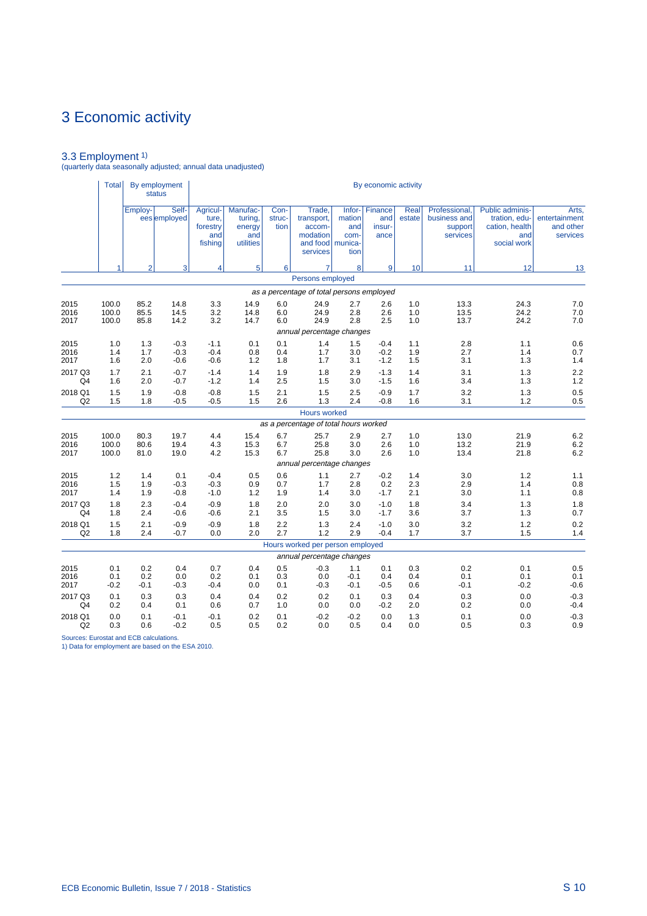3.3 Employment 1) (quarterly data seasonally adjusted; annual data unadjusted)

|                      | Total                   |                      | By employment<br><b>status</b> |                                                 |                                                   |                        |                                                                              |                                           | By economic activity             |                   |                                                      |                                                                                 |                                                 |
|----------------------|-------------------------|----------------------|--------------------------------|-------------------------------------------------|---------------------------------------------------|------------------------|------------------------------------------------------------------------------|-------------------------------------------|----------------------------------|-------------------|------------------------------------------------------|---------------------------------------------------------------------------------|-------------------------------------------------|
|                      |                         | Employ-              | Self-<br>ees employed          | Agricul-<br>ture.<br>forestry<br>and<br>fishing | Manufac-<br>turing,<br>energy<br>and<br>utilities | Con-<br>struc-<br>tion | Trade,<br>transport,<br>accom-<br>modation<br>and food   munica-<br>services | $lnfor-$<br>mation<br>and<br>com-<br>tion | Finance<br>and<br>insur-<br>ance | Real<br>estate    | Professional.<br>business and<br>support<br>services | <b>Public adminis-</b><br>tration, edu-<br>cation, health<br>and<br>social work | Arts,<br>entertainment<br>and other<br>services |
|                      |                         | $\overline{2}$       | 3                              | 4                                               | 5                                                 | 6                      | 7                                                                            | 8                                         | 9                                | 10                | 11                                                   | 12                                                                              | 13                                              |
|                      |                         |                      |                                |                                                 |                                                   |                        | Persons employed                                                             |                                           |                                  |                   |                                                      |                                                                                 |                                                 |
|                      |                         |                      |                                |                                                 |                                                   |                        | as a percentage of total persons employed                                    |                                           |                                  |                   |                                                      |                                                                                 |                                                 |
| 2015<br>2016<br>2017 | 100.0<br>100.0<br>100.0 | 85.2<br>85.5<br>85.8 | 14.8<br>14.5<br>14.2           | 3.3<br>3.2<br>3.2                               | 14.9<br>14.8<br>14.7                              | 6.0<br>6.0<br>6.0      | 24.9<br>24.9<br>24.9                                                         | 2.7<br>2.8<br>2.8                         | 2.6<br>2.6<br>2.5                | 1.0<br>1.0<br>1.0 | 13.3<br>13.5<br>13.7                                 | 24.3<br>24.2<br>24.2                                                            | 7.0<br>7.0<br>7.0                               |
| 2015                 | 1.0                     | 1.3                  | $-0.3$                         | $-1.1$                                          | 0.1                                               | 0.1                    | annual percentage changes<br>1.4                                             | 1.5                                       | $-0.4$                           | 1.1               | 2.8                                                  | 1.1                                                                             | 0.6                                             |
| 2016<br>2017         | 1.4<br>1.6              | 1.7<br>2.0           | $-0.3$<br>$-0.6$               | $-0.4$<br>$-0.6$                                | 0.8<br>1.2                                        | 0.4<br>1.8             | 1.7<br>1.7                                                                   | 3.0<br>3.1                                | $-0.2$<br>$-1.2$                 | 1.9<br>1.5        | 2.7<br>3.1                                           | 1.4<br>1.3                                                                      | 0.7<br>1.4                                      |
| 2017 Q3<br>Q4        | 1.7<br>1.6              | 2.1<br>2.0           | $-0.7$<br>$-0.7$               | $-1.4$<br>$-1.2$                                | 1.4<br>1.4                                        | 1.9<br>2.5             | 1.8<br>1.5                                                                   | 2.9<br>3.0                                | $-1.3$<br>$-1.5$                 | 1.4<br>1.6        | 3.1<br>3.4                                           | 1.3<br>1.3                                                                      | 2.2<br>1.2                                      |
| 2018 Q1<br>Q2        | 1.5<br>1.5              | 1.9<br>1.8           | $-0.8$<br>$-0.5$               | $-0.8$<br>$-0.5$                                | 1.5<br>1.5                                        | 2.1<br>2.6             | 1.5<br>1.3                                                                   | 2.5<br>2.4                                | $-0.9$<br>$-0.8$                 | 1.7<br>1.6        | 3.2<br>3.1                                           | 1.3<br>1.2                                                                      | 0.5<br>0.5                                      |
|                      |                         |                      |                                |                                                 |                                                   |                        | Hours worked                                                                 |                                           |                                  |                   |                                                      |                                                                                 |                                                 |
|                      | 100.0                   | 80.3                 | 19.7                           | 4.4                                             | 15.4                                              | 6.7                    | as a percentage of total hours worked<br>25.7                                | 2.9                                       | 2.7                              | 1.0               | 13.0                                                 | 21.9                                                                            | 6.2                                             |
| 2015<br>2016<br>2017 | 100.0<br>100.0          | 80.6<br>81.0         | 19.4<br>19.0                   | 4.3<br>4.2                                      | 15.3<br>15.3                                      | 6.7<br>6.7             | 25.8<br>25.8                                                                 | 3.0<br>3.0                                | 2.6<br>2.6                       | 1.0<br>1.0        | 13.2<br>13.4                                         | 21.9<br>21.8                                                                    | 6.2<br>6.2                                      |
|                      |                         |                      |                                |                                                 |                                                   |                        | annual percentage changes                                                    |                                           |                                  |                   |                                                      |                                                                                 |                                                 |
| 2015<br>2016<br>2017 | 1.2<br>1.5<br>1.4       | 1.4<br>1.9<br>1.9    | 0.1<br>$-0.3$<br>$-0.8$        | $-0.4$<br>$-0.3$<br>$-1.0$                      | 0.5<br>0.9<br>1.2                                 | 0.6<br>0.7<br>1.9      | 1.1<br>1.7<br>1.4                                                            | 2.7<br>2.8<br>3.0                         | $-0.2$<br>0.2<br>$-1.7$          | 1.4<br>2.3<br>2.1 | 3.0<br>2.9<br>3.0                                    | 1.2<br>1.4<br>1.1                                                               | 1.1<br>0.8<br>0.8                               |
| 2017 Q3<br>Q4        | 1.8<br>1.8              | 2.3<br>2.4           | $-0.4$<br>$-0.6$               | $-0.9$<br>$-0.6$                                | 1.8<br>2.1                                        | 2.0<br>3.5             | 2.0<br>1.5                                                                   | 3.0<br>3.0                                | $-1.0$<br>$-1.7$                 | 1.8<br>3.6        | 3.4<br>3.7                                           | 1.3<br>1.3                                                                      | 1.8<br>0.7                                      |
| 2018 Q1<br>Q2        | 1.5<br>1.8              | 2.1<br>2.4           | $-0.9$<br>$-0.7$               | $-0.9$<br>0.0                                   | 1.8<br>2.0                                        | 2.2<br>2.7             | 1.3<br>1.2                                                                   | 2.4<br>2.9                                | $-1.0$<br>$-0.4$                 | 3.0<br>1.7        | 3.2<br>3.7                                           | 1.2<br>1.5                                                                      | 0.2<br>1.4                                      |
|                      |                         |                      |                                |                                                 |                                                   |                        | Hours worked per person employed<br>annual percentage changes                |                                           |                                  |                   |                                                      |                                                                                 |                                                 |
| 2015                 | 0.1                     | 0.2                  | 0.4                            | 0.7                                             | 0.4                                               | 0.5                    | $-0.3$                                                                       | 1.1                                       | 0.1                              | 0.3               | 0.2                                                  | 0.1                                                                             | 0.5                                             |
| 2016<br>2017         | 0.1<br>$-0.2$           | 0.2<br>$-0.1$        | 0.0<br>$-0.3$                  | 0.2<br>$-0.4$                                   | 0.1<br>0.0                                        | 0.3<br>0.1             | 0.0<br>$-0.3$                                                                | $-0.1$<br>$-0.1$                          | 0.4<br>$-0.5$                    | 0.4<br>0.6        | 0.1<br>$-0.1$                                        | 0.1<br>$-0.2$                                                                   | 0.1<br>$-0.6$                                   |
| 2017 Q3<br>Q4        | 0.1<br>0.2              | 0.3<br>0.4           | 0.3<br>0.1                     | 0.4<br>0.6                                      | 0.4<br>0.7                                        | 0.2<br>1.0             | 0.2<br>0.0                                                                   | 0.1<br>0.0                                | 0.3<br>$-0.2$                    | 0.4<br>2.0        | 0.3<br>0.2                                           | 0.0<br>0.0                                                                      | $-0.3$<br>$-0.4$                                |
| 2018 Q1<br>Q2        | 0.0<br>0.3              | 0.1<br>0.6           | $-0.1$<br>$-0.2$               | -0.1<br>0.5                                     | 0.2<br>0.5                                        | 0.1<br>0.2             | $-0.2$<br>0.0                                                                | $-0.2$<br>0.5                             | 0.0<br>0.4                       | 1.3<br>0.0        | 0.1<br>0.5                                           | 0.0<br>0.3                                                                      | $-0.3$<br>0.9                                   |

Sources: Eurostat and ECB calculations. 1) Data for employment are based on the ESA 2010.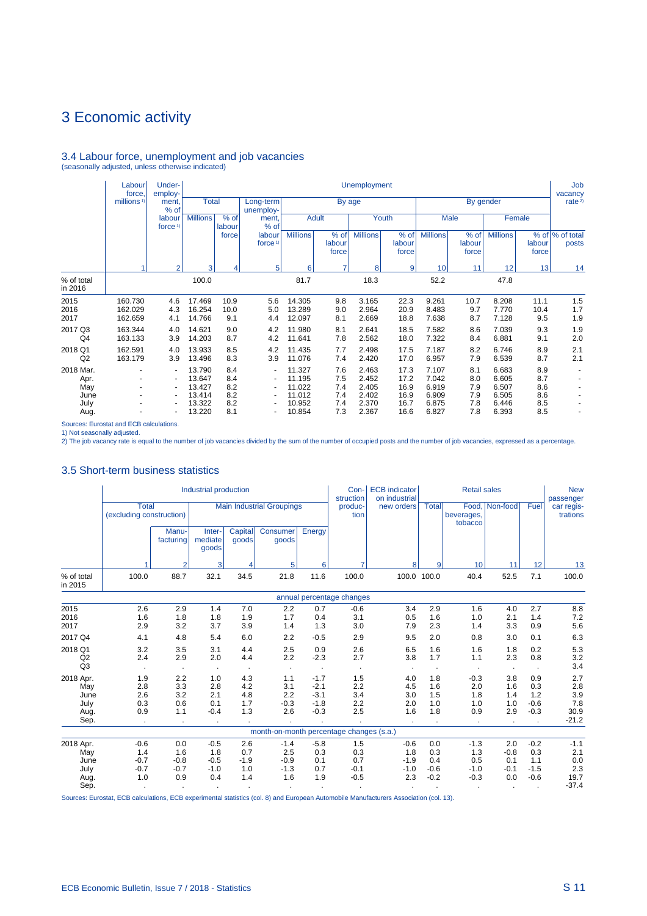# 3.4 Labour force, unemployment and job vacancies (seasonally adjusted, unless otherwise indicated)

|                                                  | Labour<br>force               | Under-<br>employ-                                                                                            |                                                          |                                        |                                                                                                    |                                                          |                                        | <b>Unemployment</b>                                |                                              |                                                    |                                        |                                                    |                                        | Job<br>vacancy           |
|--------------------------------------------------|-------------------------------|--------------------------------------------------------------------------------------------------------------|----------------------------------------------------------|----------------------------------------|----------------------------------------------------------------------------------------------------|----------------------------------------------------------|----------------------------------------|----------------------------------------------------|----------------------------------------------|----------------------------------------------------|----------------------------------------|----------------------------------------------------|----------------------------------------|--------------------------|
|                                                  | millions <sup>1)</sup>        | ment.<br>% of                                                                                                | <b>Total</b>                                             |                                        | Long-term<br>unemploy-                                                                             |                                                          | By age                                 |                                                    |                                              |                                                    |                                        | By gender                                          |                                        | rate <sup>2)</sup>       |
|                                                  |                               | labour<br>force <sup>1</sup>                                                                                 | <b>Millions</b>                                          | $%$ of<br>labour                       | ment.<br>% of                                                                                      |                                                          | <b>Adult</b>                           |                                                    | Youth                                        |                                                    | Male                                   |                                                    | Female                                 |                          |
|                                                  |                               |                                                                                                              |                                                          | force                                  | labour<br>force <sup>1)</sup>                                                                      | <b>Millions</b>                                          | % of<br>labour<br>force                | <b>Millions</b>                                    | % of<br>labour<br>force                      | <b>Millions</b>                                    | % of<br>labour<br>force                | <b>Millions</b>                                    | labour<br>force                        | % of % of total<br>posts |
|                                                  |                               | $\overline{2}$                                                                                               | 3                                                        | 4                                      | 5                                                                                                  | 6                                                        | 7                                      | 8                                                  | 9                                            | 10                                                 | 11                                     | 12                                                 | 13                                     | 14                       |
| % of total<br>in 2016                            |                               |                                                                                                              | 100.0                                                    |                                        |                                                                                                    | 81.7                                                     |                                        | 18.3                                               |                                              | 52.2                                               |                                        | 47.8                                               |                                        |                          |
| 2015<br>2016<br>2017                             | 160.730<br>162.029<br>162.659 | 4.6<br>4.3<br>4.1                                                                                            | 17.469<br>16.254<br>14.766                               | 10.9<br>10.0<br>9.1                    | 5.6<br>5.0<br>4.4                                                                                  | 14.305<br>13.289<br>12.097                               | 9.8<br>9.0<br>8.1                      | 3.165<br>2.964<br>2.669                            | 22.3<br>20.9<br>18.8                         | 9.261<br>8.483<br>7.638                            | 10.7<br>9.7<br>8.7                     | 8.208<br>7.770<br>7.128                            | 11.1<br>10.4<br>9.5                    | 1.5<br>1.7<br>1.9        |
| 2017 Q3<br>Q4                                    | 163.344<br>163.133            | 4.0<br>3.9                                                                                                   | 14.621<br>14.203                                         | 9.0<br>8.7                             | 4.2<br>4.2                                                                                         | 11.980<br>11.641                                         | 8.1<br>7.8                             | 2.641<br>2.562                                     | 18.5<br>18.0                                 | 7.582<br>7.322                                     | 8.6<br>8.4                             | 7.039<br>6.881                                     | 9.3<br>9.1                             | 1.9<br>2.0               |
| 2018 Q1<br>Q2                                    | 162.591<br>163.179            | 4.0<br>3.9                                                                                                   | 13.933<br>13.496                                         | 8.5<br>8.3                             | 4.2<br>3.9                                                                                         | 11.435<br>11.076                                         | 7.7<br>7.4                             | 2.498<br>2.420                                     | 17.5<br>17.0                                 | 7.187<br>6.957                                     | 8.2<br>7.9                             | 6.746<br>6.539                                     | 8.9<br>8.7                             | 2.1<br>2.1               |
| 2018 Mar.<br>Apr.<br>May<br>June<br>July<br>Aug. | ٠<br>٠                        | $\overline{\phantom{a}}$<br>٠<br>$\overline{\phantom{a}}$<br>٠<br>$\overline{\phantom{a}}$<br>$\blacksquare$ | 13.790<br>13.647<br>13.427<br>13.414<br>13.322<br>13.220 | 8.4<br>8.4<br>8.2<br>8.2<br>8.2<br>8.1 | $\overline{\phantom{a}}$<br>٠<br>$\blacksquare$<br>$\overline{\phantom{a}}$<br>٠<br>$\blacksquare$ | 11.327<br>11.195<br>11.022<br>11.012<br>10.952<br>10.854 | 7.6<br>7.5<br>7.4<br>7.4<br>7.4<br>7.3 | 2.463<br>2.452<br>2.405<br>2.402<br>2.370<br>2.367 | 17.3<br>17.2<br>16.9<br>16.9<br>16.7<br>16.6 | 7.107<br>7.042<br>6.919<br>6.909<br>6.875<br>6.827 | 8.1<br>8.0<br>7.9<br>7.9<br>7.8<br>7.8 | 6.683<br>6.605<br>6.507<br>6.505<br>6.446<br>6.393 | 8.9<br>8.7<br>8.6<br>8.6<br>8.5<br>8.5 |                          |

Sources: Eurostat and ECB calculations.

1) Not seasonally adjusted. 2) The job vacancy rate is equal to the number of job vacancies divided by the sum of the number of occupied posts and the number of job vacancies, expressed as a percentage.

# 3.5 Short-term business statistics

|                                                  |                                          |                                                   | Industrial production                    |                                    |                                          |                                                | Con-<br>struction                     | <b>ECB</b> indicator<br>on industrial    |                                       | <b>Retail sales</b>                           |                                       |                                          | <b>New</b><br>passenger                     |
|--------------------------------------------------|------------------------------------------|---------------------------------------------------|------------------------------------------|------------------------------------|------------------------------------------|------------------------------------------------|---------------------------------------|------------------------------------------|---------------------------------------|-----------------------------------------------|---------------------------------------|------------------------------------------|---------------------------------------------|
|                                                  | <b>Total</b><br>(excluding construction) |                                                   |                                          |                                    | <b>Main Industrial Groupings</b>         |                                                | produc-<br>tion                       | new orders                               | <b>Total</b>                          | beverages,<br>tobacco                         | Food, Non-food                        | Fuel                                     | car regis-<br>trations                      |
|                                                  |                                          | Manu-<br>facturing                                | Inter-<br>mediate<br>goods               | Capital<br>qoods                   | Consumer<br>goods                        | Energy                                         |                                       |                                          |                                       |                                               |                                       |                                          |                                             |
|                                                  |                                          | $\overline{2}$                                    | 3                                        | 4                                  | 5                                        | 6                                              | 7                                     | 8                                        | 9                                     | 10                                            | 11                                    | 12                                       | 13                                          |
| % of total<br>in 2015                            | 100.0                                    | 88.7                                              | 32.1                                     | 34.5                               | 21.8                                     | 11.6                                           | 100.0                                 |                                          | 100.0 100.0                           | 40.4                                          | 52.5                                  | 7.1                                      | 100.0                                       |
|                                                  |                                          |                                                   |                                          |                                    |                                          |                                                | annual percentage changes             |                                          |                                       |                                               |                                       |                                          |                                             |
| 2015<br>2016<br>2017                             | 2.6<br>1.6<br>2.9                        | 2.9<br>1.8<br>3.2                                 | 1.4<br>1.8<br>3.7                        | 7.0<br>1.9<br>3.9                  | 2.2<br>1.7<br>1.4                        | 0.7<br>0.4<br>1.3                              | $-0.6$<br>3.1<br>3.0                  | 3.4<br>0.5<br>7.9                        | 2.9<br>1.6<br>2.3                     | 1.6<br>1.0<br>1.4                             | 4.0<br>2.1<br>3.3                     | 2.7<br>1.4<br>0.9                        | 8.8<br>7.2<br>5.6                           |
| 2017 Q4                                          | 4.1                                      | 4.8                                               | 5.4                                      | 6.0                                | 2.2                                      | $-0.5$                                         | 2.9                                   | 9.5                                      | 2.0                                   | 0.8                                           | 3.0                                   | 0.1                                      | 6.3                                         |
| 2018 Q1<br>Q2<br>Q <sub>3</sub>                  | 3.2<br>2.4                               | 3.5<br>2.9                                        | 3.1<br>2.0                               | 4.4<br>4.4                         | 2.5<br>2.2                               | 0.9<br>$-2.3$                                  | 2.6<br>2.7                            | 6.5<br>3.8                               | 1.6<br>1.7                            | 1.6<br>1.1                                    | 1.8<br>2.3                            | 0.2<br>0.8                               | 5.3<br>3.2<br>3.4                           |
| 2018 Apr.<br>May<br>June<br>July<br>Aug.<br>Sep. | 1.9<br>2.8<br>2.6<br>0.3<br>0.9          | 2.2<br>3.3<br>3.2<br>0.6<br>1.1<br>$\blacksquare$ | 1.0<br>2.8<br>2.1<br>0.1<br>$-0.4$       | 4.3<br>4.2<br>4.8<br>1.7<br>1.3    | 1.1<br>3.1<br>2.2<br>$-0.3$<br>2.6       | $-1.7$<br>$-2.1$<br>$-3.1$<br>$-1.8$<br>$-0.3$ | 1.5<br>2.2<br>3.4<br>2.2<br>2.5       | 4.0<br>4.5<br>3.0<br>2.0<br>1.6          | 1.8<br>1.6<br>1.5<br>1.0<br>1.8       | $-0.3$<br>2.0<br>1.8<br>1.0<br>0.9<br>$\cdot$ | 3.8<br>1.6<br>1.4<br>1.0<br>2.9       | 0.9<br>0.3<br>1.2<br>$-0.6$<br>$-0.3$    | 2.7<br>2.8<br>3.9<br>7.8<br>30.9<br>$-21.2$ |
|                                                  |                                          |                                                   |                                          |                                    | month-on-month percentage changes (s.a.) |                                                |                                       |                                          |                                       |                                               |                                       |                                          |                                             |
| 2018 Apr.<br>May<br>June<br>July<br>Aug.         | $-0.6$<br>1.4<br>$-0.7$<br>$-0.7$<br>1.0 | 0.0<br>1.6<br>$-0.8$<br>$-0.7$<br>0.9             | $-0.5$<br>1.8<br>$-0.5$<br>$-1.0$<br>0.4 | 2.6<br>0.7<br>$-1.9$<br>1.0<br>1.4 | $-1.4$<br>2.5<br>$-0.9$<br>$-1.3$<br>1.6 | $-5.8$<br>0.3<br>0.1<br>0.7<br>1.9             | 1.5<br>0.3<br>0.7<br>$-0.1$<br>$-0.5$ | $-0.6$<br>1.8<br>$-1.9$<br>$-1.0$<br>2.3 | 0.0<br>0.3<br>0.4<br>$-0.6$<br>$-0.2$ | $-1.3$<br>1.3<br>0.5<br>$-1.0$<br>$-0.3$      | 2.0<br>$-0.8$<br>0.1<br>$-0.1$<br>0.0 | $-0.2$<br>0.3<br>1.1<br>$-1.5$<br>$-0.6$ | $-1.1$<br>2.1<br>0.0<br>2.3<br>19.7         |
| Sep.                                             |                                          | $\bullet$                                         |                                          |                                    |                                          |                                                |                                       |                                          |                                       |                                               |                                       |                                          | $-37.4$                                     |

Sources: Eurostat, ECB calculations, ECB experimental statistics (col. 8) and European Automobile Manufacturers Association (col. 13).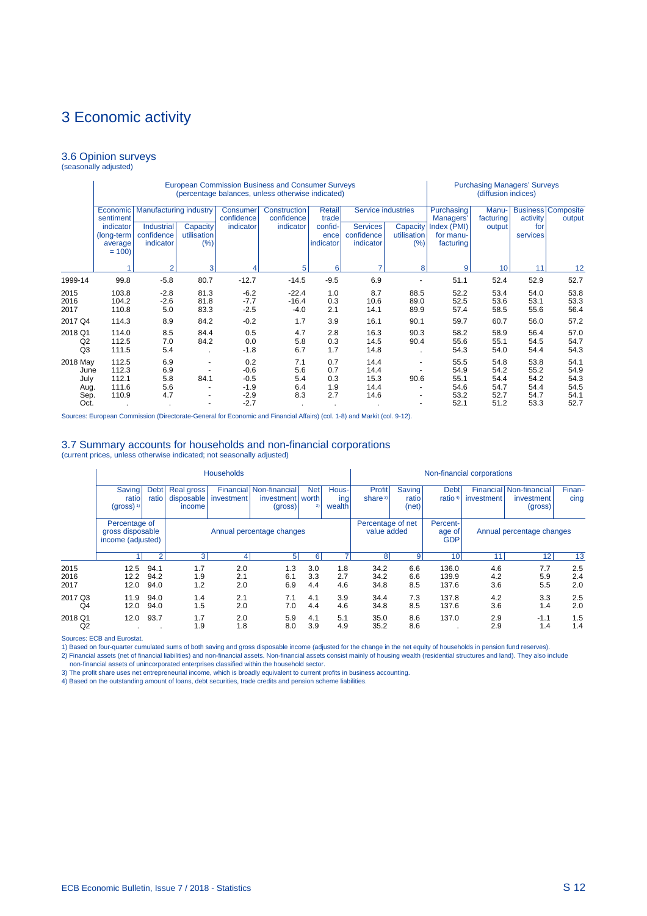#### 3.6 Opinion surveys (seasonally adjusted)

|                                             |                                    |                                                    |                      |                                     | European Commission Business and Consumer Surveys<br>(percentage balances, unless otherwise indicated) |                                   |                              | <b>Purchasing Managers' Surveys</b><br>(diffusion indices) |                                        |                              |                              |                                     |
|---------------------------------------------|------------------------------------|----------------------------------------------------|----------------------|-------------------------------------|--------------------------------------------------------------------------------------------------------|-----------------------------------|------------------------------|------------------------------------------------------------|----------------------------------------|------------------------------|------------------------------|-------------------------------------|
|                                             | Economic<br>sentiment<br>indicator | <b>Manufacturing industry</b><br><b>Industrial</b> | Capacity             | Consumer<br>confidence<br>indicator | Construction<br>confidence<br>indicator                                                                | <b>Retail</b><br>trade<br>confid- | <b>Services</b>              | Service industries<br>Capacity                             | Purchasing<br>Managers'<br>Index (PMI) | Manu-<br>facturing<br>output | activity<br>for              | <b>Business Composite</b><br>output |
|                                             | (long-term<br>average<br>$= 100$   | confidence<br>indicator                            | utilisation<br>(%)   |                                     |                                                                                                        | ence<br>indicator                 | confidence<br>indicator      | utilisation<br>(%)                                         | for manu-<br>facturing                 |                              | services                     |                                     |
|                                             |                                    | $\overline{2}$                                     | 3                    |                                     | 5                                                                                                      | 6                                 | 7                            | 8                                                          | 9                                      | 10 <sup>1</sup>              | 11                           | 12                                  |
| 1999-14                                     | 99.8                               | $-5.8$                                             | 80.7                 | $-12.7$                             | $-14.5$                                                                                                | 6.9                               |                              | 51.1                                                       | 52.4                                   | 52.9                         | 52.7                         |                                     |
| 2015<br>2016<br>2017                        | 103.8<br>104.2<br>110.8            | $-2.8$<br>$-2.6$<br>5.0                            | 81.3<br>81.8<br>83.3 | $-6.2$<br>$-7.7$<br>$-2.5$          | $-22.4$<br>$-16.4$<br>$-4.0$                                                                           | 1.0<br>0.3<br>2.1                 | 8.7<br>10.6<br>14.1          | 88.5<br>89.0<br>89.9                                       | 52.2<br>52.5<br>57.4                   | 53.4<br>53.6<br>58.5         | 54.0<br>53.1<br>55.6         | 53.8<br>53.3<br>56.4                |
| 2017 Q4                                     | 114.3                              | 8.9                                                | 84.2                 | $-0.2$                              | 1.7                                                                                                    | 3.9                               | 16.1                         | 90.1                                                       | 59.7                                   | 60.7                         | 56.0                         | 57.2                                |
| 2018 Q1<br>Q <sub>2</sub><br>Q <sub>3</sub> | 114.0<br>112.5<br>111.5            | 8.5<br>7.0<br>5.4                                  | 84.4<br>84.2         | 0.5<br>0.0<br>$-1.8$                | 4.7<br>5.8<br>6.7                                                                                      | 2.8<br>0.3<br>1.7                 | 16.3<br>14.5<br>14.8         | 90.3<br>90.4                                               | 58.2<br>55.6<br>54.3                   | 58.9<br>55.1<br>54.0         | 56.4<br>54.5<br>54.4         | 57.0<br>54.7<br>54.3                |
| 2018 May<br>June<br>July<br>Aug.            | 112.5<br>112.3<br>112.1<br>111.6   | 6.9<br>6.9<br>5.8<br>5.6                           | 84.1                 | 0.2<br>$-0.6$<br>$-0.5$<br>$-1.9$   | 7.1<br>5.6<br>5.4<br>6.4                                                                               | 0.7<br>0.7<br>0.3<br>1.9          | 14.4<br>14.4<br>15.3<br>14.4 | 90.6                                                       | 55.5<br>54.9<br>55.1<br>54.6           | 54.8<br>54.2<br>54.4<br>54.7 | 53.8<br>55.2<br>54.2<br>54.4 | 54.1<br>54.9<br>54.3<br>54.5        |
| Sep.<br>Oct.                                | 110.9                              | 4.7                                                |                      | $-2.9$<br>$-2.7$                    | 8.3                                                                                                    | 2.7                               | 14.6                         |                                                            | 53.2<br>52.1                           | 52.7<br>51.2                 | 54.7<br>53.3                 | 54.1<br>52.7                        |

Sources: European Commission (Directorate-General for Economic and Financial Affairs) (col. 1-8) and Markit (col. 9-12).

#### 3.7 Summary accounts for households and non-financial corporations (current prices, unless otherwise indicated; not seasonally adjusted)

|                           |                                                        |                      |                                    | <b>Households</b> |                                                  | Non-financial corporations |                        |                                  |                          |                                  |                           |                                                         |                   |
|---------------------------|--------------------------------------------------------|----------------------|------------------------------------|-------------------|--------------------------------------------------|----------------------------|------------------------|----------------------------------|--------------------------|----------------------------------|---------------------------|---------------------------------------------------------|-------------------|
|                           | <b>Saving</b><br>ratio<br>$(gross)$ <sup>1)</sup>      | <b>Debt</b><br>ratio | Real gross<br>disposable<br>income | investment        | Financial Non-financial<br>investment<br>(gross) | <b>Net</b><br>worth<br>2)  | Hous-<br>ing<br>wealth | Profit<br>share <sup>3)</sup>    | Saving<br>ratio<br>(net) | <b>Debt</b><br>ratio $4$         | investment                | <b>Financial Non-financial</b><br>investment<br>(gross) | Finan-<br>cing    |
|                           | Percentage of<br>gross disposable<br>income (adjusted) |                      | Annual percentage changes          |                   |                                                  |                            |                        | Percentage of net<br>value added |                          | Percent-<br>age of<br><b>GDP</b> | Annual percentage changes |                                                         |                   |
|                           |                                                        | $\overline{2}$       | 3                                  | 4                 | 5 <sup>1</sup>                                   | 6                          |                        | 8                                | 9                        | 10                               | 11                        | 12                                                      | 13                |
| 2015<br>2016<br>2017      | 12.5<br>12.2<br>12.0                                   | 94.1<br>94.2<br>94.0 | 1.7<br>1.9<br>1.2                  | 2.0<br>2.1<br>2.0 | 1.3<br>6.1<br>6.9                                | 3.0<br>3.3<br>4.4          | 1.8<br>2.7<br>4.6      | 34.2<br>34.2<br>34.8             | 6.6<br>6.6<br>8.5        | 136.0<br>139.9<br>137.6          | 4.6<br>4.2<br>3.6         | 7.7<br>5.9<br>5.5                                       | 2.5<br>2.4<br>2.0 |
| 2017 Q3<br>Q <sub>4</sub> | 11.9<br>12.0                                           | 94.0<br>94.0         | 1.4<br>1.5                         | 2.1<br>2.0        | 7.1<br>7.0                                       | 4.1<br>4.4                 | 3.9<br>4.6             | 34.4<br>34.8                     | 7.3<br>8.5               | 137.8<br>137.6                   | 4.2<br>3.6                | 3.3<br>1.4                                              | 2.5<br>2.0        |
| 2018 Q1<br>Q <sub>2</sub> | 12.0<br>$\cdot$                                        | 93.7                 | 1.7<br>1.9                         | 2.0<br>1.8        | 5.9<br>8.0                                       | 4.1<br>3.9                 | 5.1<br>4.9             | 35.0<br>35.2                     | 8.6<br>8.6               | 137.0                            | 2.9<br>2.9                | $-1.1$<br>1.4                                           | 1.5<br>1.4        |

Sources: ECB and Eurostat.

1) Based on four-quarter cumulated sums of both saving and gross disposable income (adjusted for the change in the net equity of households in pension fund reserves).

2) Financial assets (net of financial liabilities) and non-financial assets. Non-financial assets consist mainly of housing wealth (residential structures and land). They also include<br>- non-financial assets of unincorporat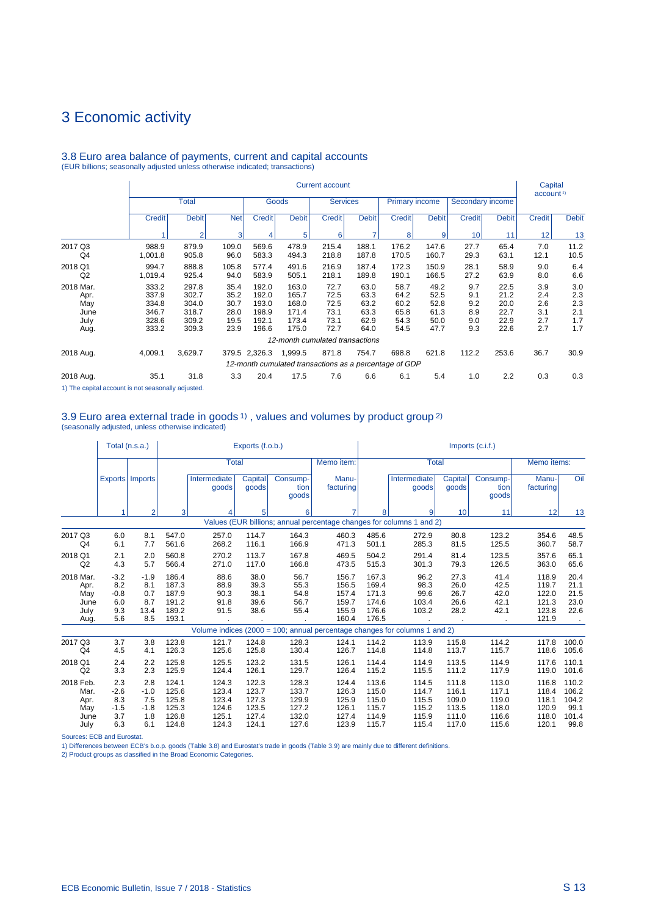#### Current account Current account Current account Current account Current account Current account Current account account  $1$  account  $1$  account  $1$  account  $1$ Total Goods Gervices Primary income Secondary income Credit Debit Net Credit Debit Credit Credit Debit Credit Debit Credit Debit Credit Credit Debit 1 2 3 4 5 6 7 8 9 10 11 12 13 2017 Q3 988.9 879.9 109.0 569.6 478.9 215.4 188.1 176.2 147.6 27.7 65.4 7.0 11.2 Q4 1,001.8 905.8 96.0 583.3 494.3 218.8 187.8 170.5 160.7 29.3 63.1 12.1 10.5 2018 Q1 994.7 888.8 105.8 577.4 491.6 216.9 187.4 172.3 150.9 28.1 58.9 9.0 6.4 Q2 1,019.4 925.4 94.0 583.9 505.1 218.1 189.8 190.1 166.5 27.2 63.9 8.0 6.6 2018 Mar. 333.2 297.8 35.4 192.0 163.0 72.7 63.0 58.7 49.2 9.7 22.5 3.9 3.0 Apr. 337.9 302.7 35.2 192.0 165.7 72.5 63.3 64.2 52.5 9.1 21.2 2.4 2.3 May 334.8 304.0 30.7 193.0 168.0 72.5 63.2 60.2 52.8 9.2 20.0 2.6 2.3 June 346.7 318.7 28.0 198.9 171.4 73.1 63.3 65.8 61.3 8.9 22.7 3.1 2.1 July 328.6 309.2 19.5 192.1 173.4 73.1 62.9 54.3 50.0 9.0 22.9 2.7 1.7 Aug. 333.2 309.3 23.9 196.6 175.0 72.7 64.0 54.5 47.7 9.3 22.6 2.7 1.7 12-month cumulated transactions 2018 Aug. 4,009.1 3,629.7 379.5 2,326.3 1,999.5 871.8 754.7 698.8 621.8 112.2 253.6 36.7 30.9 12-month cumulated transactions as a percentage of GDP 2018 Aug. 35.1 31.8 3.3 20.4 17.5 7.6 6.6 6.1 5.4 1.0 2.2 0.3 0.3

3.8 Euro area balance of payments, current and capital accounts (EUR billions; seasonally adjusted unless otherwise indicated; transactions)

1) The capital account is not seasonally adjusted.

#### 3.9 Euro area external trade in goods 1) , values and volumes by product group 2) (seasonally adjusted, unless otherwise indicated)

|                                                  |                                              | Total (n.s.a.)                             |                                                    |                                      | Exports (f.o.b.)                     |                                      |                                                    | Imports (c.i.f.)                                   |                                                                            |                                      |                                      |                                                    |                                      |  |
|--------------------------------------------------|----------------------------------------------|--------------------------------------------|----------------------------------------------------|--------------------------------------|--------------------------------------|--------------------------------------|----------------------------------------------------|----------------------------------------------------|----------------------------------------------------------------------------|--------------------------------------|--------------------------------------|----------------------------------------------------|--------------------------------------|--|
|                                                  |                                              |                                            |                                                    |                                      |                                      | Total                                |                                                    | Memo item:                                         |                                                                            | <b>Total</b>                         |                                      |                                                    | Memo items:                          |  |
|                                                  |                                              | Exports   Imports                          |                                                    | Intermediate<br>goods                | Capital<br>goods                     | Consump-<br>tion<br>goods            | Manu-<br>facturing                                 |                                                    | Intermediate<br>goods                                                      | Capital<br>goods                     | Consump-<br>tion<br>goods            | Manu-<br>facturing                                 | Oil                                  |  |
|                                                  | 1                                            | $\overline{2}$                             | 3                                                  | 4                                    | 5                                    | 6                                    |                                                    | 8                                                  | 9                                                                          | 10                                   | 11                                   | 12                                                 | 13                                   |  |
|                                                  |                                              |                                            |                                                    |                                      |                                      |                                      |                                                    |                                                    | Values (EUR billions; annual percentage changes for columns 1 and 2)       |                                      |                                      |                                                    |                                      |  |
| 2017 Q3<br>Q <sub>4</sub>                        | 6.0<br>6.1                                   | 8.1<br>7.7                                 | 547.0<br>561.6                                     | 257.0<br>268.2                       | 114.7<br>116.1                       | 164.3<br>166.9                       | 460.3<br>471.3                                     | 485.6<br>501.1                                     | 272.9<br>285.3                                                             | 80.8<br>81.5                         | 123.2<br>125.5                       | 354.6<br>360.7                                     | 48.5<br>58.7                         |  |
| 2018 Q1<br>Q2                                    | 2.1<br>4.3                                   | 2.0<br>5.7                                 | 560.8<br>566.4                                     | 270.2<br>271.0                       | 113.7<br>117.0                       | 167.8<br>166.8                       | 469.5<br>473.5                                     | 504.2<br>515.3                                     | 291.4<br>301.3                                                             | 81.4<br>79.3                         | 123.5<br>126.5                       | 357.6<br>363.0                                     | 65.1<br>65.6                         |  |
| 2018 Mar.<br>Apr.<br>May<br>June<br>July<br>Aug. | $-3.2$<br>8.2<br>$-0.8$<br>6.0<br>9.3<br>5.6 | $-1.9$<br>8.1<br>0.7<br>8.7<br>13.4<br>8.5 | 186.4<br>187.3<br>187.9<br>191.2<br>189.2<br>193.1 | 88.6<br>88.9<br>90.3<br>91.8<br>91.5 | 38.0<br>39.3<br>38.1<br>39.6<br>38.6 | 56.7<br>55.3<br>54.8<br>56.7<br>55.4 | 156.7<br>156.5<br>157.4<br>159.7<br>155.9<br>160.4 | 167.3<br>169.4<br>171.3<br>174.6<br>176.6<br>176.5 | 96.2<br>98.3<br>99.6<br>103.4<br>103.2                                     | 27.3<br>26.0<br>26.7<br>26.6<br>28.2 | 41.4<br>42.5<br>42.0<br>42.1<br>42.1 | 118.9<br>119.7<br>122.0<br>121.3<br>123.8<br>121.9 | 20.4<br>21.1<br>21.5<br>23.0<br>22.6 |  |
|                                                  |                                              |                                            |                                                    |                                      |                                      |                                      |                                                    |                                                    | Volume indices (2000 = 100; annual percentage changes for columns 1 and 2) |                                      |                                      |                                                    |                                      |  |
| 2017 Q3<br>Q <sub>4</sub>                        | 3.7<br>4.5                                   | 3.8<br>4.1                                 | 123.8<br>126.3                                     | 121.7<br>125.6                       | 124.8<br>125.8                       | 128.3<br>130.4                       | 124.1<br>126.7                                     | 114.2<br>114.8                                     | 113.9<br>114.8                                                             | 115.8<br>113.7                       | 114.2<br>115.7                       | 117.8<br>118.6                                     | 100.0<br>105.6                       |  |
| 2018 Q1<br>Q <sub>2</sub>                        | 2.4<br>3.3                                   | 2.2<br>2.3                                 | 125.8<br>125.9                                     | 125.5<br>124.4                       | 123.2<br>126.1                       | 131.5<br>129.7                       | 126.1<br>126.4                                     | 114.4<br>115.2                                     | 114.9<br>115.5                                                             | 113.5<br>111.2                       | 114.9<br>117.9                       | 117.6<br>119.0                                     | 110.1<br>101.6                       |  |
| 2018 Feb.<br>Mar.<br>Apr.                        | 2.3<br>$-2.6$<br>8.3                         | 2.8<br>$-1.0$<br>7.5                       | 124.1<br>125.6<br>125.8                            | 124.3<br>123.4<br>123.4              | 122.3<br>123.7<br>127.3              | 128.3<br>133.7<br>129.9              | 124.4<br>126.3<br>125.9                            | 113.6<br>115.0<br>115.0                            | 114.5<br>114.7<br>115.5                                                    | 111.8<br>116.1<br>109.0              | 113.0<br>117.1<br>119.0              | 116.8<br>118.4<br>118.1                            | 110.2<br>106.2<br>104.2              |  |
| May<br>June<br>July                              | $-1.5$<br>3.7<br>6.3                         | $-1.8$<br>1.8<br>6.1                       | 125.3<br>126.8<br>124.8                            | 124.6<br>125.1<br>124.3              | 123.5<br>127.4<br>124.1              | 127.2<br>132.0<br>127.6              | 126.1<br>127.4<br>123.9                            | 115.7<br>114.9<br>115.7                            | 115.2<br>115.9<br>115.4                                                    | 113.5<br>111.0<br>117.0              | 118.0<br>116.6<br>115.6              | 120.9<br>118.0<br>120.1                            | 99.1<br>101.4<br>99.8                |  |

Sources: ECB and Eurostat.

1) Differences between ECB's b.o.p. goods (Table 3.8) and Eurostat's trade in goods (Table 3.9) are mainly due to different definitions.

2) Product groups as classified in the Broad Economic Categories.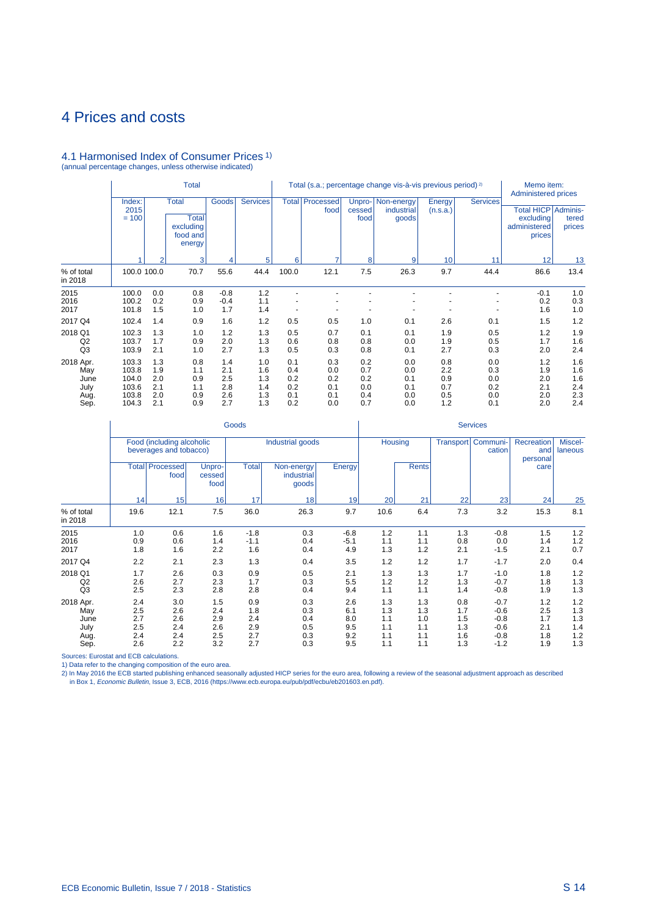# <span id="page-107-0"></span>4 Prices and costs

# 4.1 Harmonised Index of Consumer Prices 1) (annual percentage changes, unless otherwise indicated)

|                                                  | <b>Total</b>                                       |                                        |                                                                 |                                        |                                        |                                        | Total (s.a.; percentage change vis-à-vis previous period) <sup>2)</sup> | Memo item:<br><b>Administered prices</b> |                                            |                                        |                                        |                                                              |                                        |
|--------------------------------------------------|----------------------------------------------------|----------------------------------------|-----------------------------------------------------------------|----------------------------------------|----------------------------------------|----------------------------------------|-------------------------------------------------------------------------|------------------------------------------|--------------------------------------------|----------------------------------------|----------------------------------------|--------------------------------------------------------------|----------------------------------------|
|                                                  | Index:<br>2015<br>$= 100$                          |                                        | <b>Total</b><br><b>Total</b><br>excluding<br>food and<br>energy | Goods                                  | <b>Services</b>                        |                                        | <b>Total Processed</b><br>food                                          | cessed<br>food                           | Unpro-   Non-energy<br>industrial<br>goods | Energy<br>(n.s.a.)                     | <b>Services</b>                        | Total HICP   Adminis-<br>excluding<br>administered<br>prices | tered<br>prices                        |
|                                                  |                                                    | $\overline{2}$                         | 3                                                               | 4                                      | 5                                      | 6                                      | $\overline{7}$                                                          | 8                                        | 9                                          | 10                                     | 11                                     | 12                                                           | 13                                     |
| % of total<br>in 2018                            | 100.0 100.0                                        |                                        | 70.7                                                            | 55.6                                   | 44.4                                   | 100.0                                  | 12.1                                                                    | 7.5                                      | 26.3                                       | 9.7                                    | 44.4                                   | 86.6                                                         | 13.4                                   |
| 2015<br>2016<br>2017                             | 100.0<br>100.2<br>101.8                            | 0.0<br>0.2<br>1.5                      | 0.8<br>0.9<br>1.0                                               | $-0.8$<br>$-0.4$<br>1.7                | 1.2<br>1.1<br>1.4                      |                                        | $\overline{a}$                                                          |                                          |                                            |                                        |                                        | $-0.1$<br>0.2<br>1.6                                         | 1.0<br>0.3<br>1.0                      |
| 2017 Q4                                          | 102.4                                              | 1.4                                    | 0.9                                                             | 1.6                                    | 1.2                                    | 0.5                                    | 0.5                                                                     | 1.0                                      | 0.1                                        | 2.6                                    | 0.1                                    | 1.5                                                          | 1.2                                    |
| 2018 Q1<br>Q2<br>Q <sub>3</sub>                  | 102.3<br>103.7<br>103.9                            | 1.3<br>1.7<br>2.1                      | 1.0<br>0.9<br>1.0                                               | 1.2<br>2.0<br>2.7                      | 1.3<br>1.3<br>1.3                      | 0.5<br>0.6<br>0.5                      | 0.7<br>0.8<br>0.3                                                       | 0.1<br>0.8<br>0.8                        | 0.1<br>0.0<br>0.1                          | 1.9<br>1.9<br>2.7                      | 0.5<br>0.5<br>0.3                      | 1.2<br>1.7<br>2.0                                            | 1.9<br>1.6<br>2.4                      |
| 2018 Apr.<br>May<br>June<br>July<br>Aug.<br>Sep. | 103.3<br>103.8<br>104.0<br>103.6<br>103.8<br>104.3 | 1.3<br>1.9<br>2.0<br>2.1<br>2.0<br>2.1 | 0.8<br>1.1<br>0.9<br>1.1<br>0.9<br>0.9                          | 1.4<br>2.1<br>2.5<br>2.8<br>2.6<br>2.7 | 1.0<br>1.6<br>1.3<br>1.4<br>1.3<br>1.3 | 0.1<br>0.4<br>0.2<br>0.2<br>0.1<br>0.2 | 0.3<br>0.0<br>0.2<br>0.1<br>0.1<br>0.0                                  | 0.2<br>0.7<br>0.2<br>0.0<br>0.4<br>0.7   | 0.0<br>0.0<br>0.1<br>0.1<br>0.0<br>0.0     | 0.8<br>2.2<br>0.9<br>0.7<br>0.5<br>1.2 | 0.0<br>0.3<br>0.0<br>0.2<br>0.0<br>0.1 | 1.2<br>1.9<br>2.0<br>2.1<br>2.0<br>2.0                       | 1.6<br>1.6<br>1.6<br>2.4<br>2.3<br>2.4 |

|                                                  |                                        |                                                     |                                        | Goods                                  |                                        | <b>Services</b>                        |                                        |                                        |                                        |                                                          |                                        |                                        |  |
|--------------------------------------------------|----------------------------------------|-----------------------------------------------------|----------------------------------------|----------------------------------------|----------------------------------------|----------------------------------------|----------------------------------------|----------------------------------------|----------------------------------------|----------------------------------------------------------|----------------------------------------|----------------------------------------|--|
|                                                  |                                        | Food (including alcoholic<br>beverages and tobacco) |                                        |                                        | Industrial goods                       | <b>Housing</b>                         |                                        | <b>Transport</b>                       | Communi-<br>cation                     | Recreation<br>and<br>personal                            | Miscel-<br>laneous                     |                                        |  |
|                                                  |                                        | <b>Total Processed</b><br>food                      | Unpro-<br>cessed<br>food               | <b>Total</b>                           | Non-energy<br>industrial<br>goods      | Energy                                 |                                        | <b>Rents</b>                           |                                        |                                                          | care                                   |                                        |  |
|                                                  | 14                                     | 15                                                  | 16                                     | 17                                     | 18                                     | 19                                     | 20                                     | 21                                     | 22                                     | 23                                                       | 24                                     | 25                                     |  |
| % of total<br>in 2018                            | 19.6                                   | 12.1                                                | 7.5                                    | 36.0                                   | 26.3                                   | 9.7                                    | 10.6                                   | 6.4                                    | 7.3                                    | 3.2                                                      | 15.3                                   | 8.1                                    |  |
| 2015<br>2016<br>2017                             | 1.0<br>0.9<br>1.8                      | 0.6<br>0.6<br>1.6                                   | 1.6<br>1.4<br>2.2                      | $-1.8$<br>$-1.1$<br>1.6                | 0.3<br>0.4<br>0.4                      | $-6.8$<br>$-5.1$<br>4.9                | 1.2<br>1.1<br>1.3                      | 1.1<br>1.1<br>1.2                      | 1.3<br>0.8<br>2.1                      | $-0.8$<br>0.0<br>$-1.5$                                  | 1.5<br>1.4<br>2.1                      | 1.2<br>1.2<br>0.7                      |  |
| 2017 Q4                                          | 2.2                                    | 2.1                                                 | 2.3                                    | 1.3                                    | 0.4                                    | 3.5                                    | 1.2                                    | 1.2                                    | 1.7                                    | $-1.7$                                                   | 2.0                                    | 0.4                                    |  |
| 2018 Q1<br>Q <sub>2</sub><br>Q <sub>3</sub>      | 1.7<br>2.6<br>2.5                      | 2.6<br>2.7<br>2.3                                   | 0.3<br>2.3<br>2.8                      | 0.9<br>1.7<br>2.8                      | 0.5<br>0.3<br>0.4                      | 2.1<br>5.5<br>9.4                      | 1.3<br>1.2<br>1.1                      | 1.3<br>1.2<br>1.1                      | 1.7<br>1.3<br>1.4                      | $-1.0$<br>$-0.7$<br>$-0.8$                               | 1.8<br>1.8<br>1.9                      | 1.2<br>1.3<br>1.3                      |  |
| 2018 Apr.<br>May<br>June<br>July<br>Aug.<br>Sep. | 2.4<br>2.5<br>2.7<br>2.5<br>2.4<br>2.6 | 3.0<br>2.6<br>2.6<br>2.4<br>2.4<br>2.2              | 1.5<br>2.4<br>2.9<br>2.6<br>2.5<br>3.2 | 0.9<br>1.8<br>2.4<br>2.9<br>2.7<br>2.7 | 0.3<br>0.3<br>0.4<br>0.5<br>0.3<br>0.3 | 2.6<br>6.1<br>8.0<br>9.5<br>9.2<br>9.5 | 1.3<br>1.3<br>1.1<br>1.1<br>1.1<br>1.1 | 1.3<br>1.3<br>1.0<br>1.1<br>1.1<br>1.1 | 0.8<br>1.7<br>1.5<br>1.3<br>1.6<br>1.3 | $-0.7$<br>$-0.6$<br>$-0.8$<br>$-0.6$<br>$-0.8$<br>$-1.2$ | 1.2<br>2.5<br>1.7<br>2.1<br>1.8<br>1.9 | 1.2<br>1.3<br>1.3<br>1.4<br>1.2<br>1.3 |  |

Sources: Eurostat and ECB calculations.

1) Data refer to the changing composition of the euro area.<br>2) In May 2016 the ECB started publishing enhanced seasonally adjusted HICP series for the euro area, following a review of the seasonal adjustment approach as de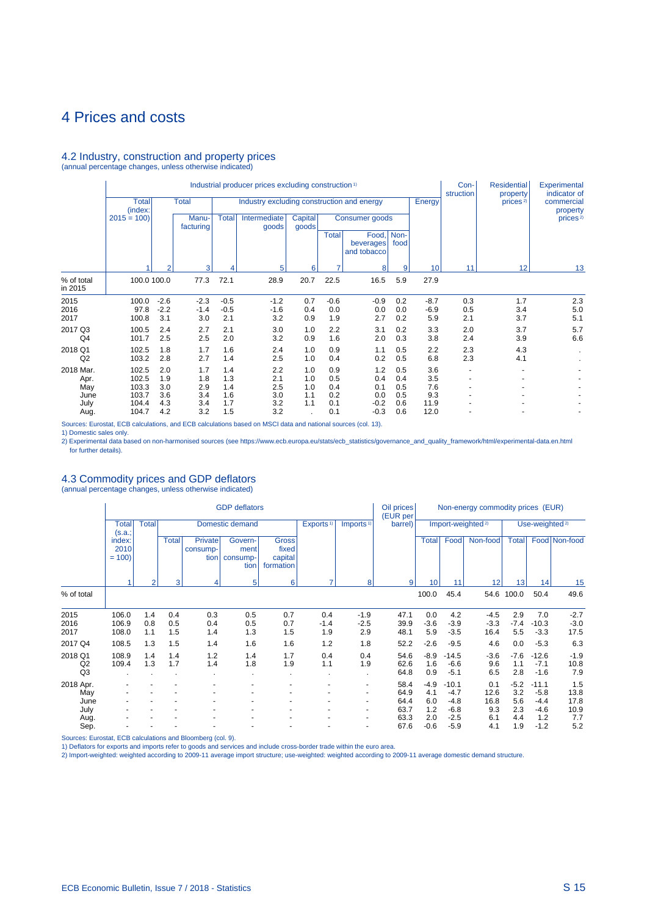## 4 Prices and costs

### 4.2 Industry, construction and property prices (annual percentage changes, unless otherwise indicated)

Industrial producer prices excluding construction <sup>1</sup> Con- Residential Experimental Industrial producer prices excluding construction <sup>1</sup> **Con-** Residential Experimental<br>
Total **Total** Industry excluding construction and energy **Finally Example 1 Con- Energy Energy Energy Energy Energy Energ** Total Total Industry excluding construction and energy Energy prices<sup>2)</sup> commercial property (index: (index: property 2015 = 100) Manu- Total Intermediate Capital Consumer goods prices<sup>2</sup><br>
facturing facturing annotation and annual and annual consumer goods prices<sup>2</sup> facturing and goods Total Food, Non-<br>beverages food beverages and tobacco 1 2 3 4 5 6 7 8 9 10 11 12 13 % of total | 100.0 100.0 77.3 72.1 28.9 20.7 22.5 16.5 5.9 27.9 in 2015 2015 100.0 -2.6 -2.3 -0.5 -1.2 0.7 -0.6 -0.9 0.2 -8.7 0.3 1.7 2.3 2016 97.8 -2.2 -1.4 -0.5 -1.6 0.4 0.0 0.0 0.0 -6.9 0.5 3.4 5.0 2017 100.8 3.1 3.0 2.1 3.2 0.9 1.9 2.7 0.2 5.9 2.1 3.7 5.1 2017 Q3 100.5 2.4 2.7 2.1 3.0 1.0 2.2 3.1 0.2 3.3 2.0 3.7 5.7 Q4 101.7 2.5 2.5 2.0 3.2 0.9 1.6 2.0 0.3 3.8 2.4 3.9 6.6 2018 Q1 102.5 1.8 1.7 1.6 2.4 1.0 0.9 1.1 0.5 2.2 2.3 4.3 . Q2 103.2 2.8 2.7 1.4 2.5 1.0 0.4 0.2 0.5 6.8 2.3 4.1 . 2018 Mar. 102.5 2.0 1.7 1.4 2.2 1.0 0.9 1.2 0.5 3.6 - - - Apr. 102.5 1.9 1.8 1.3 2.1 1.0 0.5 0.4 0.4 3.5 - - - May 103.3 3.0 2.9 1.4 2.5 1.0 0.4 0.1 0.5 7.6 - - - June 103.7 3.6 3.4 1.6 3.0 1.1 0.2 0.0 0.5 9.3 - - - July 104.4 4.3 3.4 1.7 3.2 1.1 0.1 -0.2 0.6 11.9 - - - Aug. 104.7 4.2 3.2 1.5 3.2 . 0.1 -0.3 0.6 12.0 - - -

Sources: Eurostat, ECB calculations, and ECB calculations based on MSCI data and national sources (col. 13).

1) Domestic sales only.

2) Experimental data based on non-harmonised sources (see https://www.ecb.europa.eu/stats/ecb\_statistics/governance\_and\_quality\_framework/html/experimental-data.en.html for further details).

## 4.3 Commodity prices and GDP deflators

(annual percentage changes, unless otherwise indicated)

|                                 |                           |                   |                   |                                    | <b>GDP</b> deflators                |                                               |                       |                          | Oil prices<br>(EUR per |                      |                             | Non-energy commodity prices (EUR) |                      |                             |                          |
|---------------------------------|---------------------------|-------------------|-------------------|------------------------------------|-------------------------------------|-----------------------------------------------|-----------------------|--------------------------|------------------------|----------------------|-----------------------------|-----------------------------------|----------------------|-----------------------------|--------------------------|
|                                 | <b>Total</b><br>(s.a.;    | <b>Total</b>      |                   |                                    | Domestic demand                     |                                               | Exports <sup>1)</sup> | Imports <sup>1)</sup>    | barrel)                |                      |                             | Import-weighted <sup>2)</sup>     |                      | Use-weighted <sup>2)</sup>  |                          |
|                                 | index:<br>2010<br>$= 100$ |                   | <b>Total</b>      | <b>Private</b><br>consump-<br>tion | Govern-<br>ment<br>consump-<br>tion | <b>Gross</b><br>fixed<br>capital<br>formation |                       |                          |                        | <b>Total</b>         | Food                        | Non-food                          | <b>Total</b>         |                             | Food Non-food            |
|                                 |                           | 2                 | 3                 | 41                                 | 5                                   | 6                                             | 7                     | 8                        | 9                      | 10                   | 11                          | 12                                | 13                   | 14                          | 15                       |
| % of total                      |                           |                   |                   |                                    |                                     |                                               |                       |                          |                        | 100.0                | 45.4                        | 54.6                              | 100.0                | 50.4                        | 49.6                     |
| 2015<br>2016<br>2017            | 106.0<br>106.9<br>108.0   | 1.4<br>0.8<br>1.1 | 0.4<br>0.5<br>1.5 | 0.3<br>0.4<br>1.4                  | 0.5<br>0.5<br>1.3                   | 0.7<br>0.7<br>1.5                             | 0.4<br>$-1.4$<br>1.9  | $-1.9$<br>$-2.5$<br>2.9  | 47.1<br>39.9<br>48.1   | 0.0<br>$-3.6$<br>5.9 | 4.2<br>$-3.9$<br>$-3.5$     | $-4.5$<br>$-3.3$<br>16.4          | 2.9<br>$-7.4$<br>5.5 | 7.0<br>$-10.3$<br>$-3.3$    | $-2.7$<br>$-3.0$<br>17.5 |
| 2017 Q4                         | 108.5                     | 1.3               | 1.5               | 1.4                                | 1.6                                 | 1.6                                           | 1.2                   | 1.8                      | 52.2                   | $-2.6$               | $-9.5$                      | 4.6                               | 0.0                  | $-5.3$                      | 6.3                      |
| 2018 Q1<br>Q2<br>Q <sub>3</sub> | 108.9<br>109.4            | 1.4<br>1.3        | 1.4<br>1.7        | 1.2<br>1.4                         | 1.4<br>1.8                          | 1.7<br>1.9                                    | 0.4<br>1.1            | 0.4<br>1.9               | 54.6<br>62.6<br>64.8   | $-8.9$<br>1.6<br>0.9 | $-14.5$<br>$-6.6$<br>$-5.1$ | $-3.6$<br>9.6<br>6.5              | $-7.6$<br>1.1<br>2.8 | $-12.6$<br>$-7.1$<br>$-1.6$ | $-1.9$<br>10.8<br>7.9    |
| 2018 Apr.<br>May<br>June        |                           |                   |                   |                                    |                                     |                                               |                       | $\overline{\phantom{a}}$ | 58.4<br>64.9<br>64.4   | $-4.9$<br>4.1<br>6.0 | $-10.1$<br>$-4.7$<br>$-4.8$ | 0.1<br>12.6<br>16.8               | $-5.2$<br>3.2<br>5.6 | $-11.1$<br>$-5.8$<br>$-4.4$ | 1.5<br>13.8<br>17.8      |
| July<br>Aug.                    |                           |                   |                   |                                    |                                     |                                               |                       | $\blacksquare$           | 63.7<br>63.3           | 1.2<br>2.0           | $-6.8$<br>$-2.5$            | 9.3<br>6.1                        | 2.3<br>4.4           | $-4.6$<br>1.2               | 10.9<br>7.7              |
| Sep.                            |                           |                   |                   |                                    |                                     |                                               |                       |                          | 67.6                   | $-0.6$               | $-5.9$                      | 4.1                               | 1.9                  | $-1.2$                      | 5.2                      |

Sources: Eurostat, ECB calculations and Bloomberg (col. 9).

1) Deflators for exports and imports refer to goods and services and include cross-border trade within the euro area.

2) Import-weighted: weighted according to 2009-11 average import structure; use-weighted: weighted according to 2009-11 average domestic demand structure.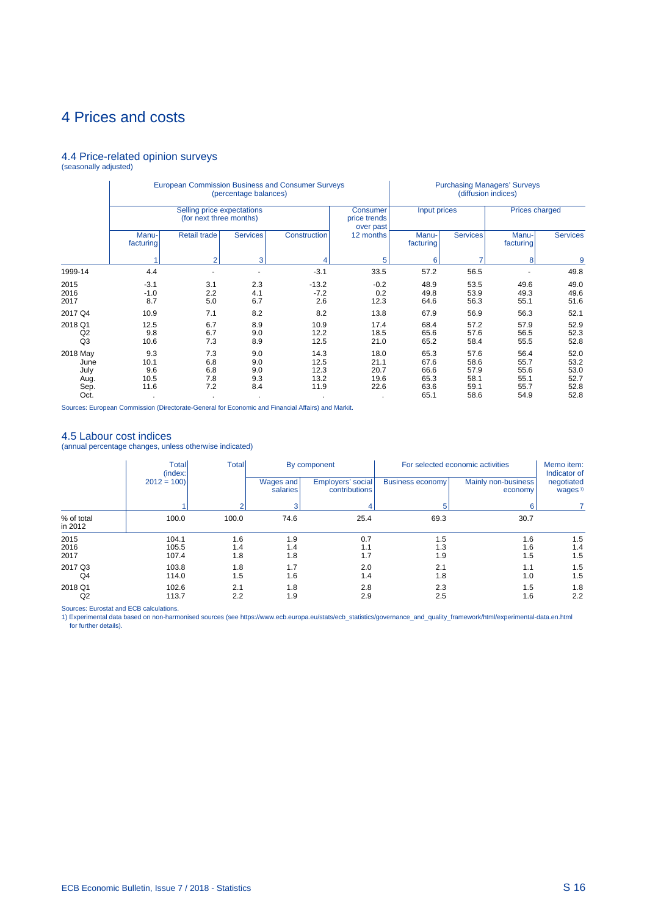## 4 Prices and costs

# 4.4 Price-related opinion surveys (seasonally adjusted)

|                                                  |                                    |                                                       | (percentage balances)           | <b>European Commission Business and Consumer Surveys</b> |                                       |                                              | <b>Purchasing Managers' Surveys</b><br>(diffusion indices)<br><b>Prices charged</b><br>Input prices<br><b>Services</b><br><b>Services</b><br>Manu-<br>Manu-<br>facturing<br>6<br>8<br>9<br>49.8<br>56.5<br>57.2<br>48.9<br>53.5<br>49.6<br>49.0<br>49.3<br>49.6<br>53.9<br>49.8<br>55.1<br>51.6<br>56.3<br>64.6<br>67.9<br>56.9<br>56.3<br>52.1 |                                              |                                              |  |  |
|--------------------------------------------------|------------------------------------|-------------------------------------------------------|---------------------------------|----------------------------------------------------------|---------------------------------------|----------------------------------------------|-------------------------------------------------------------------------------------------------------------------------------------------------------------------------------------------------------------------------------------------------------------------------------------------------------------------------------------------------|----------------------------------------------|----------------------------------------------|--|--|
|                                                  |                                    | Selling price expectations<br>(for next three months) |                                 |                                                          | Consumer<br>price trends<br>over past |                                              |                                                                                                                                                                                                                                                                                                                                                 |                                              |                                              |  |  |
|                                                  | Manu-<br>facturing                 | Retail trade                                          | <b>Services</b>                 | Construction                                             | 12 months                             | facturing                                    |                                                                                                                                                                                                                                                                                                                                                 |                                              |                                              |  |  |
|                                                  |                                    | $\overline{2}$                                        | 3                               |                                                          | 5                                     |                                              |                                                                                                                                                                                                                                                                                                                                                 |                                              |                                              |  |  |
| 1999-14                                          | 4.4                                |                                                       |                                 | $-3.1$                                                   | 33.5                                  |                                              |                                                                                                                                                                                                                                                                                                                                                 |                                              |                                              |  |  |
| 2015<br>2016<br>2017                             | $-3.1$<br>$-1.0$<br>8.7            | 3.1<br>2.2<br>5.0                                     | 2.3<br>4.1<br>6.7               | $-13.2$<br>$-7.2$<br>2.6                                 | $-0.2$<br>0.2<br>12.3                 |                                              |                                                                                                                                                                                                                                                                                                                                                 |                                              |                                              |  |  |
| 2017 Q4                                          | 10.9                               | 7.1                                                   | 8.2                             | 8.2                                                      | 13.8                                  |                                              |                                                                                                                                                                                                                                                                                                                                                 |                                              |                                              |  |  |
| 2018 Q1<br>Q2<br>Q <sub>3</sub>                  | 12.5<br>9.8<br>10.6                | 6.7<br>6.7<br>7.3                                     | 8.9<br>9.0<br>8.9               | 10.9<br>12.2<br>12.5                                     | 17.4<br>18.5<br>21.0                  | 68.4<br>65.6<br>65.2                         | 57.2<br>57.6<br>58.4                                                                                                                                                                                                                                                                                                                            | 57.9<br>56.5<br>55.5                         | 52.9<br>52.3<br>52.8                         |  |  |
| 2018 May<br>June<br>July<br>Aug.<br>Sep.<br>Oct. | 9.3<br>10.1<br>9.6<br>10.5<br>11.6 | 7.3<br>6.8<br>6.8<br>7.8<br>7.2                       | 9.0<br>9.0<br>9.0<br>9.3<br>8.4 | 14.3<br>12.5<br>12.3<br>13.2<br>11.9                     | 18.0<br>21.1<br>20.7<br>19.6<br>22.6  | 65.3<br>67.6<br>66.6<br>65.3<br>63.6<br>65.1 | 57.6<br>58.6<br>57.9<br>58.1<br>59.1<br>58.6                                                                                                                                                                                                                                                                                                    | 56.4<br>55.7<br>55.6<br>55.1<br>55.7<br>54.9 | 52.0<br>53.2<br>53.0<br>52.7<br>52.8<br>52.8 |  |  |

Sources: European Commission (Directorate-General for Economic and Financial Affairs) and Markit.

### 4.5 Labour cost indices

(annual percentage changes, unless otherwise indicated)

|                           | <b>Total</b><br>(index: | Total             |                       | By component                       |                         | For selected economic activities | Memo item:<br>Indicator of        |
|---------------------------|-------------------------|-------------------|-----------------------|------------------------------------|-------------------------|----------------------------------|-----------------------------------|
|                           | $2012 = 100$            |                   | Wages and<br>salaries | Employers' social<br>contributions | <b>Business economy</b> | Mainly non-business<br>economy   | negotiated<br>wages <sup>1)</sup> |
|                           |                         |                   |                       |                                    |                         |                                  |                                   |
| % of total<br>in 2012     | 100.0                   | 100.0             | 74.6                  | 25.4                               | 69.3                    | 30.7                             |                                   |
| 2015<br>2016<br>2017      | 104.1<br>105.5<br>107.4 | 1.6<br>1.4<br>1.8 | 1.9<br>1.4<br>1.8     | 0.7<br>1.1<br>1.7                  | 1.5<br>1.3<br>1.9       | 1.6<br>1.6<br>1.5                | 1.5<br>1.4<br>1.5                 |
| 2017 Q3<br>Q <sub>4</sub> | 103.8<br>114.0          | 1.8<br>1.5        | 1.7<br>1.6            | 2.0<br>1.4                         | 2.1<br>1.8              | 1.1<br>1.0                       | 1.5<br>1.5                        |
| 2018 Q1<br>Q2             | 102.6<br>113.7          | 2.1<br>2.2        | 1.8<br>1.9            | 2.8<br>2.9                         | 2.3<br>2.5              | 1.5<br>1.6                       | 1.8<br>2.2                        |

Sources: Eurostat and ECB calculations.<br>1) Experimental data based on non-harmonised sources (see https://www.ecb.europa.eu/stats/ecb\_statistics/governance\_and\_quality\_framework/html/experimental-data.en.html for further details).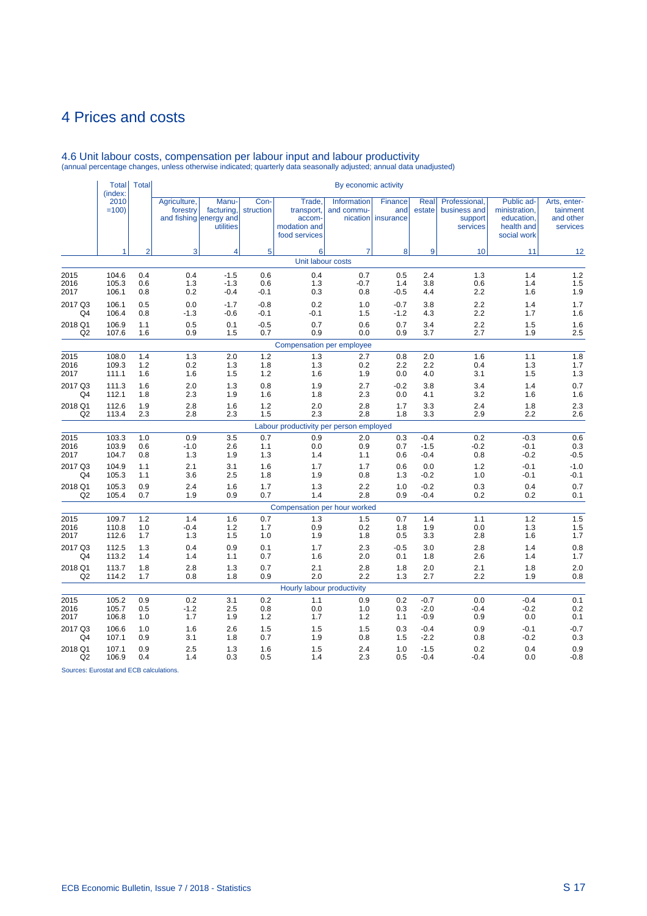# 4 Prices and costs

|                           | <b>Total</b>                                                                                                                                                                                                                    | <b>Total</b>   |                          |                                                            |                   |                                                                 | By economic activity      |                                      |                  |                                                      |                                                                        |                                                   |
|---------------------------|---------------------------------------------------------------------------------------------------------------------------------------------------------------------------------------------------------------------------------|----------------|--------------------------|------------------------------------------------------------|-------------------|-----------------------------------------------------------------|---------------------------|--------------------------------------|------------------|------------------------------------------------------|------------------------------------------------------------------------|---------------------------------------------------|
|                           | (index:<br>2010<br>$=100$<br>104.6<br>105.3<br>106.1<br>106.1<br>107.6<br>108.0<br>111.1<br>111.3<br>112.1<br>112.6<br>103.9<br>104.7<br>104.9<br>105.3<br>105.3<br>110.8<br>112.6<br>112.5<br>105.2<br>105.7<br>106.8<br>106.6 |                | Agriculture,<br>forestry | Manu-<br>facturing,<br>and fishing energy and<br>utilities | Con-<br>struction | Trade.<br>transport,<br>accom-<br>modation and<br>food services | Information<br>and commu- | Finance<br>and<br>nication insurance | Real<br>estate   | Professional,<br>business and<br>support<br>services | Public ad-<br>ministration,<br>education,<br>health and<br>social work | Arts, enter-<br>tainment<br>and other<br>services |
|                           | 1                                                                                                                                                                                                                               | $\overline{2}$ | 3                        | $\overline{\mathbf{4}}$                                    | 5                 | 6                                                               | $\overline{7}$            | 8                                    | 9                | 10                                                   | 11                                                                     | 12                                                |
|                           |                                                                                                                                                                                                                                 |                |                          |                                                            |                   | Unit labour costs                                               |                           |                                      |                  |                                                      |                                                                        |                                                   |
| 2015                      |                                                                                                                                                                                                                                 | 0.4<br>0.6     | 0.4<br>1.3               | $-1.5$                                                     | 0.6               | 0.4<br>1.3                                                      | 0.7                       | 0.5<br>1.4                           | 2.4              | 1.3                                                  | 1.4<br>1.4                                                             | 1.2<br>1.5                                        |
| 2016<br>2017              |                                                                                                                                                                                                                                 | 0.8            | 0.2                      | $-1.3$<br>$-0.4$                                           | 0.6<br>$-0.1$     | 0.3                                                             | $-0.7$<br>0.8             | $-0.5$                               | 3.8<br>4.4       | 0.6<br>2.2                                           | 1.6                                                                    | 1.9                                               |
| 2017 Q3<br>Q4             | 106.4                                                                                                                                                                                                                           | 0.5<br>0.8     | 0.0<br>$-1.3$            | $-1.7$<br>$-0.6$                                           | $-0.8$<br>$-0.1$  | 0.2<br>$-0.1$                                                   | 1.0<br>1.5                | $-0.7$<br>$-1.2$                     | 3.8<br>4.3       | 2.2<br>2.2                                           | 1.4<br>1.7                                                             | 1.7<br>1.6                                        |
| 2018 Q1<br>Q2             | 106.9                                                                                                                                                                                                                           | 1.1<br>1.6     | 0.5<br>0.9               | 0.1<br>1.5                                                 | $-0.5$<br>0.7     | 0.7<br>0.9                                                      | 0.6<br>0.0                | 0.7<br>0.9                           | 3.4<br>3.7       | 2.2<br>2.7                                           | 1.5<br>1.9                                                             | 1.6<br>2.5                                        |
|                           |                                                                                                                                                                                                                                 |                |                          |                                                            |                   | Compensation per employee                                       |                           |                                      |                  |                                                      |                                                                        |                                                   |
| 2015                      |                                                                                                                                                                                                                                 | 1.4            | 1.3                      | 2.0                                                        | 1.2               | 1.3                                                             | 2.7                       | 0.8                                  | 2.0              | 1.6                                                  | 1.1                                                                    | 1.8                                               |
| 2016                      | 109.3                                                                                                                                                                                                                           | 1.2            | 0.2                      | 1.3                                                        | 1.8               | 1.3                                                             | 0.2                       | 2.2                                  | 2.2              | 0.4                                                  | 1.3                                                                    | 1.7                                               |
| 2017                      |                                                                                                                                                                                                                                 | 1.6            | 1.6                      | 1.5                                                        | 1.2               | 1.6                                                             | 1.9                       | 0.0                                  | 4.0              | 3.1                                                  | 1.5                                                                    | 1.3                                               |
| 2017 Q3                   |                                                                                                                                                                                                                                 | 1.6            | 2.0                      | 1.3                                                        | 0.8<br>1.6        | 1.9                                                             | 2.7<br>2.3                | $-0.2$                               | 3.8<br>4.1       | 3.4<br>3.2                                           | 1.4<br>1.6                                                             | 0.7<br>1.6                                        |
| Q4                        |                                                                                                                                                                                                                                 | 1.8            | 2.3                      | 1.9                                                        |                   | 1.8                                                             |                           | 0.0                                  |                  |                                                      |                                                                        |                                                   |
| 2018 Q1<br>Q <sub>2</sub> | 113.4                                                                                                                                                                                                                           | 1.9<br>2.3     | 2.8<br>2.8               | 1.6<br>2.3                                                 | 1.2<br>1.5        | 2.0<br>2.3                                                      | 2.8<br>2.8                | 1.7<br>1.8                           | 3.3<br>3.3       | 2.4<br>2.9                                           | 1.8<br>2.2                                                             | 2.3<br>2.6                                        |
|                           |                                                                                                                                                                                                                                 |                |                          |                                                            |                   | Labour productivity per person employed                         |                           |                                      |                  |                                                      |                                                                        |                                                   |
| 2015                      | 103.3                                                                                                                                                                                                                           | 1.0            | 0.9                      | 3.5                                                        | 0.7               | 0.9                                                             | 2.0                       | 0.3                                  | $-0.4$           | 0.2                                                  | $-0.3$                                                                 | 0.6                                               |
| 2016                      |                                                                                                                                                                                                                                 | 0.6            | $-1.0$                   | 2.6                                                        | 1.1               | 0.0                                                             | 0.9                       | 0.7                                  | $-1.5$           | $-0.2$                                               | $-0.1$                                                                 | 0.3                                               |
| 2017                      |                                                                                                                                                                                                                                 | 0.8            | 1.3                      | 1.9                                                        | 1.3               | 1.4                                                             | 1.1                       | 0.6                                  | $-0.4$           | 0.8                                                  | $-0.2$                                                                 | $-0.5$                                            |
| 2017 Q3<br>Q4             |                                                                                                                                                                                                                                 | 1.1<br>1.1     | 2.1<br>3.6               | 3.1<br>2.5                                                 | 1.6<br>1.8        | 1.7<br>1.9                                                      | 1.7<br>0.8                | 0.6<br>1.3                           | 0.0<br>$-0.2$    | 1.2<br>1.0                                           | $-0.1$<br>$-0.1$                                                       | $-1.0$<br>$-0.1$                                  |
| 2018 Q1                   |                                                                                                                                                                                                                                 | 0.9            | 2.4                      | 1.6                                                        | 1.7               | 1.3                                                             | 2.2                       | 1.0                                  | $-0.2$           | 0.3                                                  | 0.4                                                                    | 0.7                                               |
| Q <sub>2</sub>            | 105.4                                                                                                                                                                                                                           | 0.7            | 1.9                      | 0.9                                                        | 0.7               | 1.4                                                             | 2.8                       | 0.9                                  | $-0.4$           | 0.2                                                  | 0.2                                                                    | 0.1                                               |
|                           |                                                                                                                                                                                                                                 |                |                          |                                                            |                   | Compensation per hour worked                                    |                           |                                      |                  |                                                      |                                                                        |                                                   |
| 2015                      | 109.7                                                                                                                                                                                                                           | 1.2            | 1.4                      | 1.6                                                        | 0.7               | 1.3                                                             | 1.5                       | 0.7                                  | 1.4              | 1.1                                                  | 1.2                                                                    | 1.5                                               |
| 2016<br>2017              |                                                                                                                                                                                                                                 | 1.0<br>1.7     | $-0.4$<br>1.3            | 1.2<br>1.5                                                 | 1.7<br>1.0        | 0.9<br>1.9                                                      | 0.2<br>1.8                | 1.8<br>0.5                           | 1.9<br>3.3       | 0.0<br>2.8                                           | 1.3<br>1.6                                                             | 1.5<br>1.7                                        |
| 2017 Q3                   |                                                                                                                                                                                                                                 | 1.3            | 0.4                      | 0.9                                                        | 0.1               | 1.7                                                             | 2.3                       | $-0.5$                               | 3.0              | 2.8                                                  | 1.4                                                                    | 0.8                                               |
| Q <sub>4</sub>            | 113.2                                                                                                                                                                                                                           | 1.4            | 1.4                      | 1.1                                                        | 0.7               | 1.6                                                             | 2.0                       | 0.1                                  | 1.8              | 2.6                                                  | 1.4                                                                    | 1.7                                               |
| 2018 Q1                   | 113.7                                                                                                                                                                                                                           | 1.8            | 2.8                      | 1.3                                                        | 0.7               | 2.1                                                             | 2.8                       | 1.8                                  | 2.0              | 2.1                                                  | 1.8                                                                    | 2.0                                               |
| Q <sub>2</sub>            | 114.2                                                                                                                                                                                                                           | 1.7            | 0.8                      | 1.8                                                        | 0.9               | 2.0                                                             | 2.2                       | 1.3                                  | 2.7              | 2.2                                                  | 1.9                                                                    | 0.8                                               |
|                           |                                                                                                                                                                                                                                 |                |                          |                                                            |                   | Hourly labour productivity                                      |                           |                                      |                  |                                                      |                                                                        |                                                   |
| 2015                      |                                                                                                                                                                                                                                 | 0.9            | 0.2                      | 3.1                                                        | 0.2               | 1.1                                                             | 0.9                       | 0.2                                  | $-0.7$           | 0.0                                                  | $-0.4$                                                                 | 0.1                                               |
| 2016<br>2017              |                                                                                                                                                                                                                                 | 0.5<br>1.0     | $-1.2$<br>1.7            | 2.5<br>1.9                                                 | 0.8<br>1.2        | 0.0<br>1.7                                                      | 1.0<br>$1.2$              | 0.3<br>1.1                           | $-2.0$<br>$-0.9$ | $-0.4$<br>0.9                                        | $-0.2$<br>0.0                                                          | 0.2<br>0.1                                        |
| 2017 Q3                   |                                                                                                                                                                                                                                 | 1.0            | 1.6                      | 2.6                                                        | 1.5               | 1.5                                                             | 1.5                       | 0.3                                  | $-0.4$           | 0.9                                                  | $-0.1$                                                                 | $-0.7$                                            |
| Q4                        | 107.1                                                                                                                                                                                                                           | 0.9            | 3.1                      | 1.8                                                        | 0.7               | 1.9                                                             | 0.8                       | 1.5                                  | $-2.2$           | 0.8                                                  | $-0.2$                                                                 | 0.3                                               |
| 2018 Q1<br>Q <sub>2</sub> | 107.1<br>106.9                                                                                                                                                                                                                  | 0.9<br>0.4     | 2.5<br>1.4               | 1.3<br>0.3                                                 | 1.6<br>0.5        | 1.5<br>1.4                                                      | 2.4<br>2.3                | 1.0<br>0.5                           | $-1.5$<br>$-0.4$ | 0.2<br>$-0.4$                                        | 0.4<br>0.0                                                             | 0.9<br>$-0.8$                                     |

# 4.6 Unit labour costs, compensation per labour input and labour productivity (annual percentage changes, unless otherwise indicated; quarterly data seasonally adjusted; annual data unadjusted)

Sources: Eurostat and ECB calculations.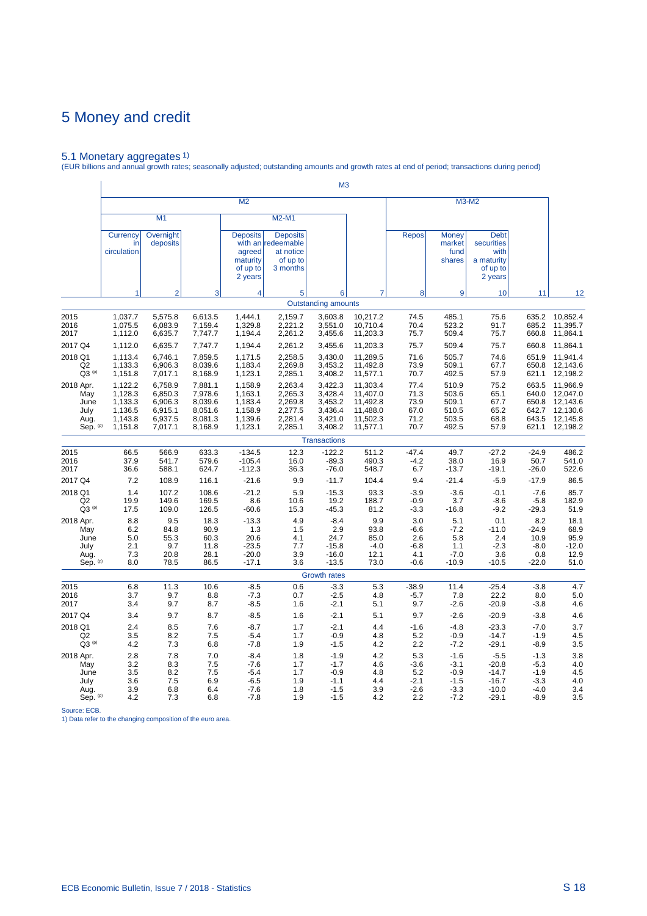5.1 Monetary aggregates 1) (EUR billions and annual growth rates; seasonally adjusted; outstanding amounts and growth rates at end of period; transactions during period)

|                                                      |                                                                |                                                                |                                                                |                                                                |                                                                            | M <sub>3</sub>                                                 |                                                                      |                                                 |                                                          |                                                                        |                                                        |                                                                      |
|------------------------------------------------------|----------------------------------------------------------------|----------------------------------------------------------------|----------------------------------------------------------------|----------------------------------------------------------------|----------------------------------------------------------------------------|----------------------------------------------------------------|----------------------------------------------------------------------|-------------------------------------------------|----------------------------------------------------------|------------------------------------------------------------------------|--------------------------------------------------------|----------------------------------------------------------------------|
|                                                      |                                                                |                                                                |                                                                | M <sub>2</sub>                                                 |                                                                            |                                                                |                                                                      |                                                 |                                                          | M3-M2                                                                  |                                                        |                                                                      |
|                                                      |                                                                | M1                                                             |                                                                |                                                                | M2-M1                                                                      |                                                                |                                                                      |                                                 |                                                          |                                                                        |                                                        |                                                                      |
|                                                      | Currency<br>in<br>circulation                                  | Overnight<br>deposits                                          |                                                                | <b>Deposits</b><br>agreed<br>maturity<br>of up to<br>2 years   | <b>Deposits</b><br>with an redeemable<br>at notice<br>of up to<br>3 months |                                                                |                                                                      | <b>Repos</b>                                    | <b>Money</b><br>market<br>fund<br>shares                 | <b>Debt</b><br>securities<br>with<br>a maturity<br>of up to<br>2 years |                                                        |                                                                      |
|                                                      | 1                                                              | $\overline{2}$                                                 | 3                                                              | 4                                                              | 5                                                                          | 6                                                              |                                                                      | 8                                               | 9                                                        | 10                                                                     | 11                                                     | 12                                                                   |
|                                                      |                                                                |                                                                |                                                                |                                                                |                                                                            | <b>Outstanding amounts</b>                                     |                                                                      |                                                 |                                                          |                                                                        |                                                        |                                                                      |
| 2015<br>2016<br>2017                                 | 1,037.7<br>1,075.5<br>1,112.0                                  | 5,575.8<br>6,083.9<br>6,635.7                                  | 6,613.5<br>7,159.4<br>7,747.7                                  | 1,444.1<br>1,329.8<br>1,194.4                                  | 2,159.7<br>2,221.2<br>2,261.2                                              | 3,603.8<br>3,551.0<br>3,455.6                                  | 10,217.2<br>10,710.4<br>11,203.3                                     | 74.5<br>70.4<br>75.7                            | 485.1<br>523.2<br>509.4                                  | 75.6<br>91.7<br>75.7                                                   | 635.2<br>685.2<br>660.8                                | 10,852.4<br>11,395.7<br>11,864.1                                     |
| 2017 Q4<br>2018 Q1<br>Q <sub>2</sub><br>$Q3^{(p)}$   | 1,112.0<br>1,113.4<br>1,133.3<br>1,151.8                       | 6,635.7<br>6,746.1<br>6,906.3<br>7,017.1                       | 7,747.7<br>7,859.5<br>8,039.6<br>8,168.9                       | 1,194.4<br>1,171.5<br>1,183.4<br>1,123.1                       | 2,261.2<br>2,258.5<br>2,269.8<br>2,285.1                                   | 3,455.6<br>3,430.0<br>3,453.2<br>3,408.2                       | 11,203.3<br>11,289.5<br>11,492.8<br>11,577.1                         | 75.7<br>71.6<br>73.9<br>70.7                    | 509.4<br>505.7<br>509.1<br>492.5                         | 75.7<br>74.6<br>67.7<br>57.9                                           | 660.8<br>651.9<br>650.8<br>621.1                       | 11,864.1<br>11,941.4<br>12,143.6<br>12,198.2                         |
| 2018 Apr.<br>May<br>June<br>July<br>Aug.<br>Sep. (p) | 1,122.2<br>1,128.3<br>1,133.3<br>1,136.5<br>1,143.8<br>1,151.8 | 6,758.9<br>6,850.3<br>6,906.3<br>6,915.1<br>6,937.5<br>7,017.1 | 7,881.1<br>7,978.6<br>8,039.6<br>8,051.6<br>8,081.3<br>8,168.9 | 1,158.9<br>1,163.1<br>1,183.4<br>1,158.9<br>1,139.6<br>1,123.1 | 2,263.4<br>2,265.3<br>2,269.8<br>2,277.5<br>2,281.4<br>2,285.1             | 3,422.3<br>3,428.4<br>3,453.2<br>3,436.4<br>3,421.0<br>3,408.2 | 11,303.4<br>11,407.0<br>11,492.8<br>11,488.0<br>11,502.3<br>11,577.1 | 77.4<br>71.3<br>73.9<br>67.0<br>71.2<br>70.7    | 510.9<br>503.6<br>509.1<br>510.5<br>503.5<br>492.5       | 75.2<br>65.1<br>67.7<br>65.2<br>68.8<br>57.9                           | 663.5<br>640.0<br>650.8<br>642.7<br>643.5<br>621.1     | 11,966.9<br>12,047.0<br>12,143.6<br>12,130.6<br>12,145.8<br>12,198.2 |
|                                                      |                                                                |                                                                |                                                                |                                                                |                                                                            | <b>Transactions</b>                                            |                                                                      |                                                 |                                                          |                                                                        |                                                        |                                                                      |
| 2015<br>2016<br>2017                                 | 66.5<br>37.9<br>36.6                                           | 566.9<br>541.7<br>588.1                                        | 633.3<br>579.6<br>624.7                                        | $-134.5$<br>$-105.4$<br>$-112.3$                               | 12.3<br>16.0<br>36.3                                                       | $-122.2$<br>$-89.3$<br>$-76.0$                                 | 511.2<br>490.3<br>548.7                                              | $-47.4$<br>$-4.2$<br>6.7                        | 49.7<br>38.0<br>$-13.7$                                  | $-27.2$<br>16.9<br>$-19.1$                                             | $-24.9$<br>50.7<br>$-26.0$                             | 486.2<br>541.0<br>522.6                                              |
| 2017 Q4                                              | 7.2                                                            | 108.9                                                          | 116.1                                                          | $-21.6$                                                        | 9.9                                                                        | $-11.7$                                                        | 104.4                                                                | 9.4                                             | $-21.4$                                                  | $-5.9$                                                                 | $-17.9$                                                | 86.5                                                                 |
| 2018 Q1<br>Q <sub>2</sub><br>$Q3^{(p)}$              | 1.4<br>19.9<br>17.5                                            | 107.2<br>149.6<br>109.0                                        | 108.6<br>169.5<br>126.5                                        | $-21.2$<br>8.6<br>$-60.6$                                      | 5.9<br>10.6<br>15.3                                                        | $-15.3$<br>19.2<br>$-45.3$                                     | 93.3<br>188.7<br>81.2                                                | $-3.9$<br>$-0.9$<br>$-3.3$                      | $-3.6$<br>3.7<br>$-16.8$                                 | $-0.1$<br>$-8.6$<br>$-9.2$                                             | $-7.6$<br>$-5.8$<br>$-29.3$                            | 85.7<br>182.9<br>51.9                                                |
| 2018 Apr.<br>May<br>June<br>July<br>Aug.<br>Sep. (p) | 8.8<br>6.2<br>5.0<br>2.1<br>7.3<br>8.0                         | 9.5<br>84.8<br>55.3<br>9.7<br>20.8<br>78.5                     | 18.3<br>90.9<br>60.3<br>11.8<br>28.1<br>86.5                   | $-13.3$<br>1.3<br>20.6<br>$-23.5$<br>$-20.0$<br>$-17.1$        | 4.9<br>1.5<br>4.1<br>7.7<br>3.9<br>3.6                                     | $-8.4$<br>2.9<br>24.7<br>$-15.8$<br>$-16.0$<br>$-13.5$         | 9.9<br>93.8<br>85.0<br>$-4.0$<br>12.1<br>73.0                        | 3.0<br>$-6.6$<br>2.6<br>$-6.8$<br>4.1<br>$-0.6$ | 5.1<br>$-7.2$<br>5.8<br>1.1<br>$-7.0$<br>$-10.9$         | 0.1<br>$-11.0$<br>2.4<br>$-2.3$<br>3.6<br>$-10.5$                      | 8.2<br>$-24.9$<br>10.9<br>$-8.0$<br>0.8<br>$-22.0$     | 18.1<br>68.9<br>95.9<br>$-12.0$<br>12.9<br>51.0                      |
|                                                      |                                                                |                                                                |                                                                |                                                                |                                                                            | <b>Growth rates</b>                                            |                                                                      |                                                 |                                                          |                                                                        |                                                        |                                                                      |
| 2015<br>2016<br>2017                                 | 6.8<br>3.7<br>3.4                                              | 11.3<br>9.7<br>9.7                                             | 10.6<br>8.8<br>8.7                                             | $-8.5$<br>$-7.3$<br>$-8.5$                                     | 0.6<br>0.7<br>1.6                                                          | $-3.3$<br>$-2.5$<br>$-2.1$                                     | 5.3<br>4.8<br>5.1                                                    | $-38.9$<br>$-5.7$<br>9.7                        | 11.4<br>7.8<br>$-2.6$                                    | $-25.4$<br>22.2<br>$-20.9$                                             | $-3.8$<br>8.0<br>$-3.8$                                | 4.7<br>5.0<br>4.6                                                    |
| 2017 Q4                                              | 3.4                                                            | 9.7                                                            | 8.7                                                            | $-8.5$                                                         | 1.6                                                                        | $-2.1$                                                         | 5.1                                                                  | 9.7                                             | $-2.6$                                                   | $-20.9$                                                                | $-3.8$                                                 | 4.6                                                                  |
| 2018 Q1<br>Q2<br>$Q3^{(p)}$                          | 2.4<br>3.5<br>4.2                                              | 8.5<br>8.2<br>7.3                                              | 7.6<br>7.5<br>6.8                                              | $-8.7$<br>$-5.4$<br>$-7.8$                                     | 1.7<br>1.7<br>1.9                                                          | $-2.1$<br>$-0.9$<br>$-1.5$                                     | 4.4<br>4.8<br>4.2                                                    | $-1.6$<br>5.2<br>2.2                            | $-4.8$<br>$-0.9$<br>$-7.2$                               | $-23.3$<br>$-14.7$<br>$-29.1$                                          | $-7.0$<br>$-1.9$<br>$-8.9$                             | 3.7<br>4.5<br>3.5                                                    |
| 2018 Apr.<br>May<br>June<br>July<br>Aug.<br>Sep. (p) | 2.8<br>3.2<br>3.5<br>3.6<br>3.9<br>4.2                         | 7.8<br>8.3<br>8.2<br>7.5<br>6.8<br>7.3                         | 7.0<br>7.5<br>7.5<br>6.9<br>6.4<br>6.8                         | $-8.4$<br>$-7.6$<br>$-5.4$<br>$-6.5$<br>$-7.6$<br>$-7.8$       | 1.8<br>1.7<br>1.7<br>1.9<br>1.8<br>1.9                                     | $-1.9$<br>$-1.7$<br>$-0.9$<br>$-1.1$<br>$-1.5$<br>$-1.5$       | 4.2<br>4.6<br>4.8<br>4.4<br>3.9<br>4.2                               | 5.3<br>$-3.6$<br>5.2<br>$-2.1$<br>$-2.6$<br>2.2 | $-1.6$<br>$-3.1$<br>$-0.9$<br>$-1.5$<br>$-3.3$<br>$-7.2$ | $-5.5$<br>$-20.8$<br>$-14.7$<br>$-16.7$<br>$-10.0$<br>$-29.1$          | $-1.3$<br>$-5.3$<br>$-1.9$<br>$-3.3$<br>$-4.0$<br>-8.9 | 3.8<br>4.0<br>4.5<br>4.0<br>3.4<br>3.5                               |

Source: ECB. 1) Data refer to the changing composition of the euro area.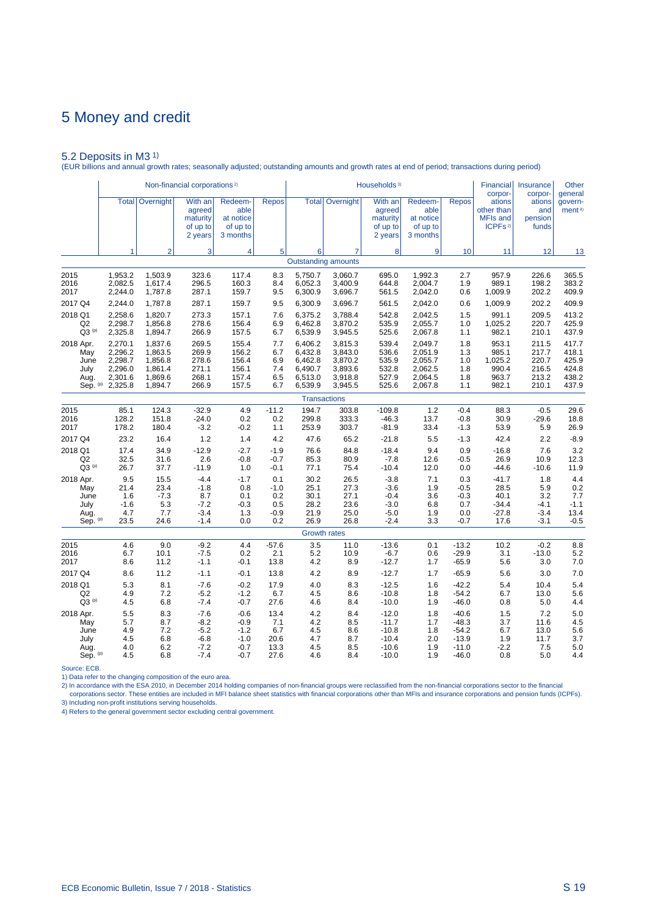5.2 Deposits in M3 1) (EUR billions and annual growth rates; seasonally adjusted; outstanding amounts and growth rates at end of period; transactions during period)

|                | Non-financial corporations <sup>2)</sup><br>With an<br><b>Total</b><br>Overnight<br>Redeem-<br><b>Repos</b> |         |                                           |                                           |         |         |                                 | Households <sup>3)</sup>                             |                                                      |              | <b>Financial</b><br>corpor-                                    | Insurance<br>corpor-              | Other<br>general              |
|----------------|-------------------------------------------------------------------------------------------------------------|---------|-------------------------------------------|-------------------------------------------|---------|---------|---------------------------------|------------------------------------------------------|------------------------------------------------------|--------------|----------------------------------------------------------------|-----------------------------------|-------------------------------|
|                |                                                                                                             |         | agreed<br>maturity<br>of up to<br>2 years | able<br>at notice<br>of up to<br>3 months |         |         | <b>Total Overnight</b>          | With an<br>agreed<br>maturity<br>of up to<br>2 years | Redeem-<br>able<br>at notice<br>of up to<br>3 months | <b>Repos</b> | ations<br>other than<br><b>MFIs and</b><br>ICPFs <sup>2)</sup> | ations<br>and<br>pension<br>funds | govern-<br>ment <sup>4)</sup> |
|                | 1                                                                                                           | 2       | 3                                         | 4                                         | 5       | 6       | 7<br><b>Outstanding amounts</b> | 8                                                    | 9                                                    | 10           | 11                                                             | 12                                | 13                            |
|                |                                                                                                             |         |                                           |                                           |         |         |                                 |                                                      |                                                      |              |                                                                |                                   |                               |
| 2015           | 1,953.2                                                                                                     | 1,503.9 | 323.6                                     | 117.4                                     | 8.3     | 5,750.7 | 3,060.7                         | 695.0                                                | 1,992.3                                              | 2.7          | 957.9                                                          | 226.6                             | 365.5                         |
| 2016           | 2,082.5                                                                                                     | 1,617.4 | 296.5                                     | 160.3                                     | 8.4     | 6,052.3 | 3,400.9                         | 644.8                                                | 2,004.7                                              | 1.9          | 989.1                                                          | 198.2                             | 383.2                         |
| 2017           | 2,244.0                                                                                                     | 1,787.8 | 287.1                                     | 159.7                                     | 9.5     | 6,300.9 | 3,696.7                         | 561.5                                                | 2,042.0                                              | 0.6          | 1,009.9                                                        | 202.2                             | 409.9                         |
| 2017 Q4        | 2,244.0                                                                                                     | 1,787.8 | 287.1                                     | 159.7                                     | 9.5     | 6,300.9 | 3,696.7                         | 561.5                                                | 2,042.0                                              | 0.6          | 1,009.9                                                        | 202.2                             | 409.9                         |
| 2018 Q1        | 2,258.6                                                                                                     | 1,820.7 | 273.3                                     | 157.1                                     | 7.6     | 6,375.2 | 3,788.4                         | 542.8                                                | 2.042.5                                              | 1.5          | 991.1                                                          | 209.5                             | 413.2                         |
| Q <sub>2</sub> | 2,298.7                                                                                                     | 1,856.8 | 278.6                                     | 156.4                                     | 6.9     | 6,462.8 | 3,870.2                         | 535.9                                                | 2,055.7                                              | 1.0          | 1,025.2                                                        | 220.7                             | 425.9                         |
| $Q3^{(p)}$     | 2,325.8                                                                                                     | 1,894.7 | 266.9                                     | 157.5                                     | 6.7     | 6,539.9 | 3,945.5                         | 525.6                                                | 2,067.8                                              | 1.1          | 982.1                                                          | 210.1                             | 437.9                         |
| 2018 Apr.      | 2,270.1                                                                                                     | 1,837.6 | 269.5                                     | 155.4                                     | 7.7     | 6,406.2 | 3,815.3                         | 539.4                                                | 2.049.7                                              | 1.8          | 953.1                                                          | 211.5                             | 417.7                         |
| May            | 2,296.2                                                                                                     | 1,863.5 | 269.9                                     | 156.2                                     | 6.7     | 6,432.8 | 3,843.0                         | 536.6                                                | 2,051.9                                              | 1.3          | 985.1                                                          | 217.7                             | 418.1                         |
| June           | 2,298.7                                                                                                     | 1,856.8 | 278.6                                     | 156.4                                     | 6.9     | 6,462.8 | 3,870.2                         | 535.9                                                | 2,055.7                                              | 1.0          | 1,025.2                                                        | 220.7                             | 425.9                         |
| July           | 2,296.0                                                                                                     | 1,861.4 | 271.1                                     | 156.1                                     | 7.4     | 6,490.7 | 3,893.6                         | 532.8                                                | 2,062.5                                              | 1.8          | 990.4                                                          | 216.5                             | 424.8                         |
| Aug.           | 2,301.6                                                                                                     | 1,869.6 | 268.1                                     | 157.4                                     | 6.5     | 6,513.0 | 3,918.8                         | 527.9                                                | 2,064.5                                              | 1.8          | 963.7                                                          | 213.2                             | 438.2                         |
| Sep. (p)       | 2,325.8                                                                                                     | 1,894.7 | 266.9                                     | 157.5                                     | 6.7     | 6,539.9 | 3,945.5                         | 525.6                                                | 2,067.8                                              | 1.1          | 982.1                                                          | 210.1                             | 437.9                         |
|                |                                                                                                             |         |                                           |                                           |         |         | <b>Transactions</b>             |                                                      |                                                      |              |                                                                |                                   |                               |
| 2015           | 85.1                                                                                                        | 124.3   | $-32.9$                                   | 4.9                                       | $-11.2$ | 194.7   | 303.8                           | $-109.8$                                             | 1.2                                                  | $-0.4$       | 88.3                                                           | $-0.5$                            | 29.6                          |
| 2016           | 128.2                                                                                                       | 151.8   | $-24.0$                                   | 0.2                                       | 0.2     | 299.8   | 333.3                           | $-46.3$                                              | 13.7                                                 | $-0.8$       | 30.9                                                           | $-29.6$                           | 18.8                          |
| 2017           | 178.2                                                                                                       | 180.4   | $-3.2$                                    | $-0.2$                                    | 1.1     | 253.9   | 303.7                           | $-81.9$                                              | 33.4                                                 | $-1.3$       | 53.9                                                           | 5.9                               | 26.9                          |
| 2017 Q4        | 23.2                                                                                                        | 16.4    | 1.2                                       | 1.4                                       | 4.2     | 47.6    | 65.2                            | $-21.8$                                              | 5.5                                                  | $-1.3$       | 42.4                                                           | 2.2                               | $-8.9$                        |
| 2018 Q1        | 17.4                                                                                                        | 34.9    | $-12.9$                                   | $-2.7$                                    | $-1.9$  | 76.6    | 84.8                            | $-18.4$                                              | 9.4                                                  | 0.9          | $-16.8$                                                        | 7.6                               | 3.2                           |
| Q2             | 32.5                                                                                                        | 31.6    | 2.6                                       | $-0.8$                                    | $-0.7$  | 85.3    | 80.9                            | $-7.8$                                               | 12.6                                                 | $-0.5$       | 26.9                                                           | 10.9                              | 12.3                          |
| $Q3^{(p)}$     | 26.7                                                                                                        | 37.7    | $-11.9$                                   | 1.0                                       | $-0.1$  | 77.1    | 75.4                            | $-10.4$                                              | 12.0                                                 | 0.0          | $-44.6$                                                        | $-10.6$                           | 11.9                          |
| 2018 Apr.      | 9.5                                                                                                         | 15.5    | $-4.4$                                    | $-1.7$                                    | 0.1     | 30.2    | 26.5                            | $-3.8$                                               | 7.1                                                  | 0.3          | $-41.7$                                                        | 1.8                               | 4.4                           |
| May            | 21.4                                                                                                        | 23.4    | $-1.8$                                    | 0.8                                       | $-1.0$  | 25.1    | 27.3                            | $-3.6$                                               | 1.9                                                  | $-0.5$       | 28.5                                                           | 5.9                               | 0.2                           |
| June           | 1.6                                                                                                         | $-7.3$  | 8.7                                       | 0.1                                       | 0.2     | 30.1    | 27.1                            | $-0.4$                                               | 3.6                                                  | $-0.3$       | 40.1                                                           | 3.2                               | 7.7                           |
| July           | $-1.6$                                                                                                      | 5.3     | $-7.2$                                    | $-0.3$                                    | 0.5     | 28.2    | 23.6                            | $-3.0$                                               | 6.8                                                  | 0.7          | $-34.4$                                                        | $-4.1$                            | $-1.1$                        |
| Aug.           | 4.7                                                                                                         | 7.7     | $-3.4$                                    | 1.3                                       | $-0.9$  | 21.9    | 25.0                            | $-5.0$                                               | 1.9                                                  | 0.0          | $-27.8$                                                        | $-3.4$                            | 13.4                          |
| Sep. (p)       | 23.5                                                                                                        | 24.6    | $-1.4$                                    | 0.0                                       | 0.2     | 26.9    | 26.8                            | $-2.4$                                               | 3.3                                                  | $-0.7$       | 17.6                                                           | $-3.1$                            | $-0.5$                        |
|                |                                                                                                             |         |                                           |                                           |         |         | <b>Growth rates</b>             |                                                      |                                                      |              |                                                                |                                   |                               |
| 2015           | 4.6                                                                                                         | 9.0     | $-9.2$                                    | 4.4                                       | $-57.6$ | 3.5     | 11.0                            | $-13.6$                                              | 0.1                                                  | $-13.2$      | 10.2                                                           | $-0.2$                            | 8.8                           |
| 2016           | 6.7                                                                                                         | 10.1    | $-7.5$                                    | 0.2                                       | 2.1     | 5.2     | 10.9                            | $-6.7$                                               | 0.6                                                  | $-29.9$      | 3.1                                                            | $-13.0$                           | 5.2                           |
| 2017           | 8.6                                                                                                         | 11.2    | $-1.1$                                    | $-0.1$                                    | 13.8    | 4.2     | 8.9                             | $-12.7$                                              | 1.7                                                  | $-65.9$      | 5.6                                                            | 3.0                               | 7.0                           |
| 2017 Q4        | 8.6                                                                                                         | 11.2    | $-1.1$                                    | $-0.1$                                    | 13.8    | 4.2     | 8.9                             | $-12.7$                                              | 1.7                                                  | $-65.9$      | 5.6                                                            | 3.0                               | 7.0                           |
| 2018 Q1        | 5.3                                                                                                         | 8.1     | $-7.6$                                    | $-0.2$                                    | 17.9    | 4.0     | 8.3                             | $-12.5$                                              | 1.6                                                  | $-42.2$      | 5.4                                                            | 10.4                              | 5.4                           |
| Q <sub>2</sub> | 4.9                                                                                                         | 7.2     | $-5.2$                                    | $-1.2$                                    | 6.7     | 4.5     | 8.6                             | $-10.8$                                              | 1.8                                                  | $-54.2$      | 6.7                                                            | 13.0                              | 5.6                           |
| $Q3^{(p)}$     | 4.5                                                                                                         | 6.8     | $-7.4$                                    | $-0.7$                                    | 27.6    | 4.6     | 8.4                             | $-10.0$                                              | 1.9                                                  | $-46.0$      | 0.8                                                            | 5.0                               | 4.4                           |
| 2018 Apr.      | 5.5                                                                                                         | 8.3     | $-7.6$                                    | $-0.6$                                    | 13.4    | 4.2     | 8.4                             | $-12.0$                                              | 1.8                                                  | $-40.6$      | 1.5                                                            | 7.2                               | 5.0                           |
| May            | 5.7                                                                                                         | 8.7     | $-8.2$                                    | $-0.9$                                    | 7.1     | 4.2     | 8.5                             | $-11.7$                                              | 1.7                                                  | $-48.3$      | 3.7                                                            | 11.6                              | 4.5                           |
| June           | 4.9                                                                                                         | 7.2     | $-5.2$                                    | $-1.2$                                    | 6.7     | 4.5     | 8.6                             | $-10.8$                                              | 1.8                                                  | $-54.2$      | 6.7                                                            | 13.0                              | 5.6                           |
| July           | 4.5                                                                                                         | 6.8     | $-6.8$                                    | $-1.0$                                    | 20.6    | 4.7     | 8.7                             | $-10.4$                                              | 2.0                                                  | $-13.9$      | 1.9                                                            | 11.7                              | 3.7                           |
| Aug.           | 4.0                                                                                                         | 6.2     | $-7.2$                                    | $-0.7$                                    | 13.3    | 4.5     | 8.5                             | $-10.6$                                              | 1.9                                                  | $-11.0$      | $-2.2$                                                         | 7.5                               | 5.0                           |
| Sep. (p)       | 4.5                                                                                                         | 6.8     | $-7.4$                                    | $-0.7$                                    | 27.6    | 4.6     | 8.4                             | $-10.0$                                              | 1.9                                                  | $-46.0$      | 0.8                                                            | 5.0                               | 4.4                           |

Source: ECB.

1) Data refer to the changing composition of the euro area.

2) In accordance with the ESA 2010, in December 2014 holding companies of non-financial groups were reclassified from the non-financial corporations sector to the financial<br>- corporations sector. These entities are include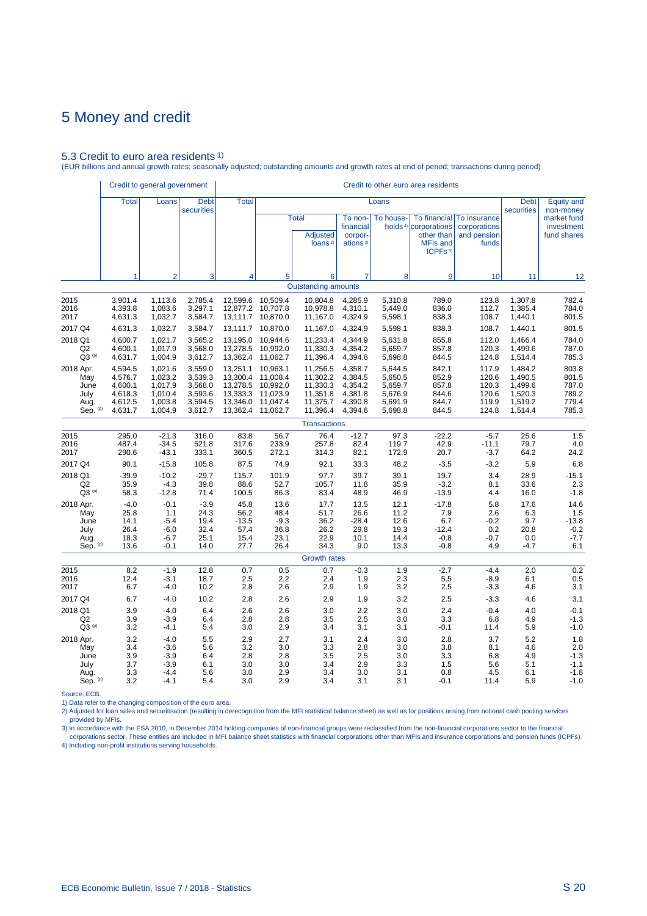## 5.3 Credit to euro area residents 1)

(EUR billions and annual growth rates; seasonally adjusted; outstanding amounts and growth rates at end of period; transactions during period)

|                                                      | Credit to general government                                   |                                                                |                                                                | Credit to other euro area residents                                  |                                                                      |                                                                      |                                                                |                                                                |                                                                                                          |                                                      |                                                                                                                                                                                                                                                                                                                                                     |                                                    |
|------------------------------------------------------|----------------------------------------------------------------|----------------------------------------------------------------|----------------------------------------------------------------|----------------------------------------------------------------------|----------------------------------------------------------------------|----------------------------------------------------------------------|----------------------------------------------------------------|----------------------------------------------------------------|----------------------------------------------------------------------------------------------------------|------------------------------------------------------|-----------------------------------------------------------------------------------------------------------------------------------------------------------------------------------------------------------------------------------------------------------------------------------------------------------------------------------------------------|----------------------------------------------------|
|                                                      | <b>Total</b>                                                   | Loans                                                          | <b>Debt</b><br>securities                                      | <b>Total</b>                                                         |                                                                      |                                                                      |                                                                | Loans                                                          |                                                                                                          |                                                      | <b>Debt</b>                                                                                                                                                                                                                                                                                                                                         | <b>Equity and</b><br>non-money                     |
|                                                      |                                                                |                                                                |                                                                |                                                                      |                                                                      | <b>Total</b><br><b>Adjusted</b><br>loans <sup>2)</sup>               | To non-<br>financial<br>corpor-<br>ations <sup>3)</sup>        | To house-                                                      | To financial<br>holds <sup>4)</sup> corporations<br>other than<br><b>MFIs and</b><br>ICPFs <sup>3)</sup> | To insurance<br>corporations<br>and pension<br>funds | securities<br>10 <sup>1</sup><br>11<br>1,307.8<br>1,385.4<br>1,440.1<br>1,440.1<br>1,466.4<br>1.499.6<br>1,514.4<br>1,484.2<br>1,490.5<br>1,499.6<br>1,520.3<br>1,519.2<br>1,514.4<br>25.6<br>79.7<br>64.2<br>5.9<br>3.4<br>28.9<br>8.1<br>33.6<br>4.4<br>16.0<br>5.8<br>17.6<br>2.6<br>6.3<br>9.7<br>20.8<br>0.2<br>$-0.7$<br>0.0<br>4.9<br>$-4.7$ | market fund<br>investment<br>fund shares           |
|                                                      | 1                                                              | $\overline{2}$                                                 | 3                                                              | 4                                                                    | 5                                                                    | 6                                                                    | 7                                                              | 8                                                              | 9                                                                                                        |                                                      |                                                                                                                                                                                                                                                                                                                                                     | 12                                                 |
|                                                      |                                                                |                                                                |                                                                |                                                                      |                                                                      | <b>Outstanding amounts</b>                                           |                                                                |                                                                |                                                                                                          |                                                      |                                                                                                                                                                                                                                                                                                                                                     |                                                    |
| 2015<br>2016<br>2017                                 | 3,901.4<br>4,393.8<br>4,631.3                                  | 1,113.6<br>1,083.6<br>1,032.7                                  | 2,785.4<br>3,297.1<br>3,584.7                                  | 12,599.6<br>12,877.2<br>13,111.7                                     | 10,509.4<br>10,707.8<br>10,870.0                                     | 10,804.8<br>10,978.8<br>11,167.0                                     | 4,285.9<br>4,310.1<br>4,324.9                                  | 5,310.8<br>5,449.0<br>5,598.1                                  | 789.0<br>836.0<br>838.3                                                                                  | 123.8<br>112.7<br>108.7                              |                                                                                                                                                                                                                                                                                                                                                     | 782.4<br>784.0<br>801.5                            |
| 2017 Q4                                              | 4,631.3                                                        | 1,032.7                                                        | 3,584.7                                                        | 13,111.7                                                             | 10,870.0                                                             | 11,167.0                                                             | 4,324.9                                                        | 5,598.1                                                        | 838.3                                                                                                    | 108.7                                                |                                                                                                                                                                                                                                                                                                                                                     | 801.5                                              |
| 2018 Q1<br>Q2<br>$Q3^{(p)}$                          | 4,600.7<br>4.600.1<br>4,631.7                                  | 1,021.7<br>1.017.9<br>1,004.9                                  | 3,565.2<br>3,568.0<br>3,612.7                                  | 13,195.0<br>13,278.5<br>13,362.4                                     | 10,944.6<br>10.992.0<br>11,062.7                                     | 11,233.4<br>11,330.3<br>11,396.4                                     | 4,344.9<br>4.354.2<br>4,394.6                                  | 5,631.8<br>5.659.7<br>5,698.8                                  | 855.8<br>857.8<br>844.5                                                                                  | 112.0<br>120.3<br>124.8                              |                                                                                                                                                                                                                                                                                                                                                     | 784.0<br>787.0<br>785.3                            |
| 2018 Apr.<br>May<br>June<br>July<br>Aug.<br>Sep. (p) | 4,594.5<br>4,576.7<br>4,600.1<br>4,618.3<br>4,612.5<br>4,631.7 | 1,021.6<br>1,023.2<br>1.017.9<br>1,010.4<br>1,003.8<br>1,004.9 | 3,559.0<br>3,539.3<br>3,568.0<br>3,593.6<br>3,594.5<br>3,612.7 | 13,251.1<br>13,300.4<br>13,278.5<br>13,333.3<br>13,346.0<br>13,362.4 | 10,963.1<br>11,008.4<br>10.992.0<br>11,023.9<br>11,047.4<br>11,062.7 | 11,256.5<br>11,302.2<br>11,330.3<br>11,351.8<br>11,375.7<br>11,396.4 | 4,358.7<br>4,384.5<br>4.354.2<br>4,381.8<br>4,390.8<br>4,394.6 | 5,644.5<br>5,650.5<br>5,659.7<br>5,676.9<br>5,691.9<br>5,698.8 | 842.1<br>852.9<br>857.8<br>844.6<br>844.7<br>844.5                                                       | 117.9<br>120.6<br>120.3<br>120.6<br>119.9<br>124.8   |                                                                                                                                                                                                                                                                                                                                                     | 803.8<br>801.5<br>787.0<br>789.2<br>779.4<br>785.3 |
|                                                      |                                                                |                                                                |                                                                |                                                                      |                                                                      | <b>Transactions</b>                                                  |                                                                |                                                                |                                                                                                          |                                                      |                                                                                                                                                                                                                                                                                                                                                     |                                                    |
| 2015<br>2016<br>2017                                 | 295.0<br>487.4<br>290.6                                        | $-21.3$<br>$-34.5$<br>$-43.1$                                  | 316.0<br>521.8<br>333.1                                        | 83.8<br>317.6<br>360.5                                               | 56.7<br>233.9<br>272.1                                               | 76.4<br>257.8<br>314.3                                               | $-12.7$<br>82.4<br>82.1                                        | 97.3<br>119.7<br>172.9                                         | $-22.2$<br>42.9<br>20.7                                                                                  | $-5.7$<br>$-11.1$<br>$-3.7$                          |                                                                                                                                                                                                                                                                                                                                                     | 1.5<br>4.0<br>24.2                                 |
| 2017 Q4                                              | 90.1                                                           | $-15.8$                                                        | 105.8                                                          | 87.5                                                                 | 74.9                                                                 | 92.1                                                                 | 33.3                                                           | 48.2                                                           | $-3.5$                                                                                                   | $-3.2$                                               |                                                                                                                                                                                                                                                                                                                                                     | 6.8                                                |
| 2018 Q1<br>Q2<br>$Q3^{(p)}$                          | $-39.9$<br>35.9<br>58.3                                        | $-10.2$<br>$-4.3$<br>$-12.8$                                   | $-29.7$<br>39.8<br>71.4                                        | 115.7<br>88.6<br>100.5                                               | 101.9<br>52.7<br>86.3                                                | 97.7<br>105.7<br>83.4                                                | 39.7<br>11.8<br>48.9                                           | 39.1<br>35.9<br>46.9                                           | 19.7<br>$-3.2$<br>$-13.9$                                                                                |                                                      |                                                                                                                                                                                                                                                                                                                                                     | $-15.1$<br>2.3<br>$-1.8$                           |
| 2018 Apr.<br>May<br>June<br>July<br>Aug.<br>Sep. (p) | $-4.0$<br>25.8<br>14.1<br>26.4<br>18.3<br>13.6                 | $-0.1$<br>1.1<br>$-5.4$<br>$-6.0$<br>$-6.7$<br>$-0.1$          | $-3.9$<br>24.3<br>19.4<br>32.4<br>25.1<br>14.0                 | 45.8<br>56.2<br>$-13.5$<br>57.4<br>15.4<br>27.7                      | 13.6<br>48.4<br>$-9.3$<br>36.8<br>23.1<br>26.4                       | 17.7<br>51.7<br>36.2<br>26.2<br>22.9<br>34.3                         | 13.5<br>26.6<br>$-28.4$<br>29.8<br>10.1<br>9.0                 | 12.1<br>11.2<br>12.6<br>19.3<br>14.4<br>13.3                   | $-17.8$<br>7.9<br>6.7<br>$-12.4$<br>$-0.8$<br>$-0.8$                                                     | $-0.2$                                               |                                                                                                                                                                                                                                                                                                                                                     | 14.6<br>1.5<br>$-13.8$<br>$-0.2$<br>$-7.7$<br>6.1  |
|                                                      |                                                                |                                                                |                                                                |                                                                      |                                                                      | <b>Growth rates</b>                                                  |                                                                |                                                                |                                                                                                          |                                                      |                                                                                                                                                                                                                                                                                                                                                     |                                                    |
| 2015<br>2016<br>2017                                 | 8.2<br>12.4<br>6.7                                             | $-1.9$<br>$-3.1$<br>$-4.0$                                     | 12.8<br>18.7<br>10.2                                           | 0.7<br>2.5<br>2.8                                                    | 0.5<br>2.2<br>2.6                                                    | 0.7<br>2.4<br>2.9                                                    | $-0.3$<br>1.9<br>1.9                                           | 1.9<br>2.3<br>3.2                                              | $-2.7$<br>5.5<br>2.5                                                                                     | $-4.4$<br>$-8.9$<br>$-3.3$                           | 2.0<br>6.1<br>4.6                                                                                                                                                                                                                                                                                                                                   | 0.2<br>0.5<br>3.1                                  |
| 2017 Q4                                              | 6.7                                                            | $-4.0$                                                         | 10.2                                                           | 2.8                                                                  | 2.6                                                                  | 2.9                                                                  | 1.9                                                            | 3.2                                                            | 2.5                                                                                                      | $-3.3$                                               | 4.6                                                                                                                                                                                                                                                                                                                                                 | 3.1                                                |
| 2018 Q1<br>Q <sub>2</sub><br>$Q3^{(p)}$              | 3.9<br>3.9<br>3.2                                              | $-4.0$<br>$-3.9$<br>$-4.1$                                     | 6.4<br>6.4<br>5.4                                              | 2.6<br>2.8<br>3.0                                                    | 2.6<br>2.8<br>2.9                                                    | 3.0<br>3.5<br>3.4                                                    | 2.2<br>2.5<br>3.1                                              | 3.0<br>3.0<br>3.1                                              | 2.4<br>3.3<br>$-0.1$                                                                                     | $-0.4$<br>6.8<br>11.4                                | 4.0<br>4.9<br>5.9                                                                                                                                                                                                                                                                                                                                   | $-0.1$<br>$-1.3$<br>$-1.0$                         |
| 2018 Apr.<br>May<br>June<br>July<br>Aug.<br>Sep. (p) | 3.2<br>3.4<br>3.9<br>3.7<br>3.3<br>3.2                         | $-4.0$<br>$-3.6$<br>$-3.9$<br>$-3.9$<br>$-4.4$<br>$-4.1$       | 5.5<br>5.6<br>6.4<br>6.1<br>5.6<br>5.4                         | 2.9<br>3.2<br>2.8<br>3.0<br>3.0<br>3.0                               | 2.7<br>3.0<br>2.8<br>3.0<br>2.9<br>2.9                               | 3.1<br>3.3<br>3.5<br>3.4<br>3.4<br>3.4                               | 2.4<br>2.8<br>2.5<br>2.9<br>3.0<br>3.1                         | 3.0<br>3.0<br>3.0<br>3.3<br>3.1<br>3.1                         | 2.8<br>3.8<br>3.3<br>1.5<br>0.8<br>$-0.1$                                                                | 3.7<br>8.1<br>6.8<br>5.6<br>4.5<br>11.4              | 5.2<br>4.6<br>4.9<br>5.1<br>6.1<br>5.9                                                                                                                                                                                                                                                                                                              | 1.8<br>2.0<br>$-1.3$<br>$-1.1$<br>$-1.8$<br>$-1.0$ |

Source: ECB.

1) Data refer to the changing composition of the euro area.

2) Adjusted for loan sales and securitisation (resulting in derecognition from the MFI statistical balance sheet) as well as for positions arising from notional cash pooling services provided by MFIs.

3) In accordance with the ESA 2010, in December 2014 holding companies of non-financial groups were reclassified from the non-financial corporations sector to the financial<br>Corporations sector. These entities are included 4) Including non-profit institutions serving households.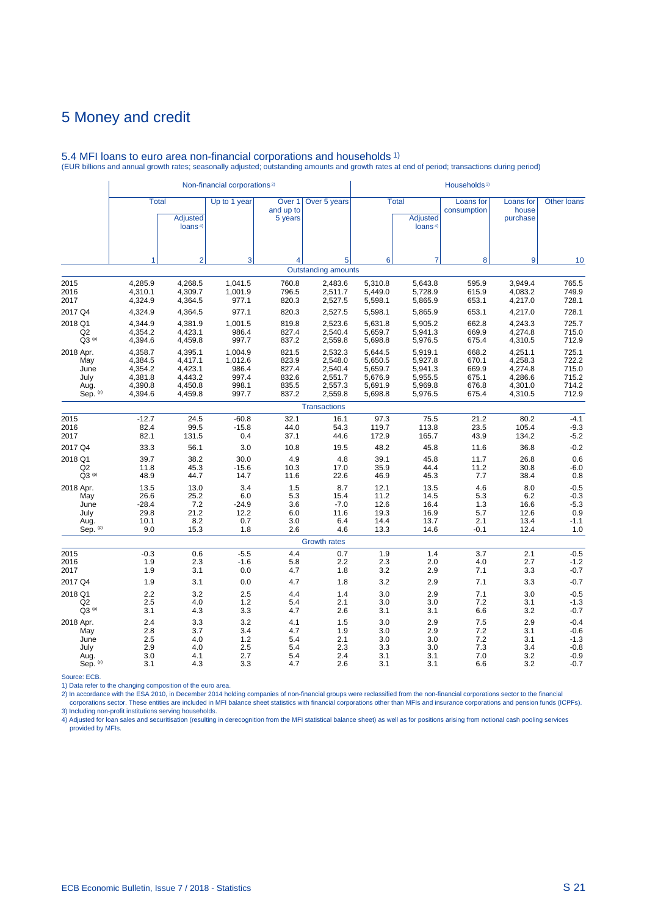|                                                      |                                                                |                                                                | Non-financial corporations <sup>2)</sup>               |                                                    |                                                                |                                                                |                                                                | Households <sup>3)</sup><br>Loans for<br>Loans for<br><b>Other loans</b><br>consumption<br>house<br>purchase<br>loans <sup>4)</sup><br>$\overline{7}$<br>9<br>8<br>10<br>595.9<br>3,949.4<br>765.5<br>615.9<br>4,083.2<br>749.9<br>653.1<br>728.1<br>4,217.0<br>728.1<br>653.1<br>4,217.0<br>662.8<br>725.7<br>4,243.3<br>669.9<br>4,274.8<br>715.0<br>675.4<br>712.9<br>4,310.5<br>668.2<br>4,251.1<br>725.1<br>4,258.3<br>670.1<br>722.2<br>669.9<br>4,274.8<br>715.0<br>675.1<br>4,286.6<br>715.2<br>676.8<br>4,301.0<br>714.2<br>675.4<br>4,310.5<br>712.9<br>75.5<br>21.2<br>80.2<br>$-4.1$<br>113.8<br>23.5<br>105.4<br>$-9.3$<br>$-5.2$<br>165.7<br>43.9<br>134.2<br>$-0.2$<br>45.8<br>11.6<br>36.8<br>45.8<br>11.7<br>26.8<br>0.6<br>11.2<br>$-6.0$<br>44.4<br>30.8<br>$0.8\,$<br>7.7<br>38.4<br>45.3<br>13.5<br>4.6<br>8.0<br>$-0.5$<br>$-0.3$<br>5.3<br>6.2<br>14.5<br>$-5.3$<br>1.3<br>16.4<br>16.6 |                                        |                                                          |  |  |  |  |
|------------------------------------------------------|----------------------------------------------------------------|----------------------------------------------------------------|--------------------------------------------------------|----------------------------------------------------|----------------------------------------------------------------|----------------------------------------------------------------|----------------------------------------------------------------|----------------------------------------------------------------------------------------------------------------------------------------------------------------------------------------------------------------------------------------------------------------------------------------------------------------------------------------------------------------------------------------------------------------------------------------------------------------------------------------------------------------------------------------------------------------------------------------------------------------------------------------------------------------------------------------------------------------------------------------------------------------------------------------------------------------------------------------------------------------------------------------------------------------|----------------------------------------|----------------------------------------------------------|--|--|--|--|
|                                                      | <b>Total</b>                                                   | <b>Adjusted</b><br>loans <sup>4)</sup>                         | Up to 1 year                                           | Over <sub>1</sub><br>and up to<br>5 years          | Over 5 years                                                   |                                                                | <b>Total</b><br><b>Adjusted</b>                                |                                                                                                                                                                                                                                                                                                                                                                                                                                                                                                                                                                                                                                                                                                                                                                                                                                                                                                                |                                        |                                                          |  |  |  |  |
|                                                      | 1                                                              | $\overline{2}$                                                 | 3                                                      | 4                                                  | 5                                                              | 6                                                              |                                                                |                                                                                                                                                                                                                                                                                                                                                                                                                                                                                                                                                                                                                                                                                                                                                                                                                                                                                                                |                                        |                                                          |  |  |  |  |
|                                                      |                                                                |                                                                |                                                        |                                                    | <b>Outstanding amounts</b>                                     |                                                                |                                                                |                                                                                                                                                                                                                                                                                                                                                                                                                                                                                                                                                                                                                                                                                                                                                                                                                                                                                                                |                                        |                                                          |  |  |  |  |
| 2015<br>2016<br>2017                                 | 4,285.9<br>4,310.1<br>4,324.9                                  | 4,268.5<br>4,309.7<br>4,364.5                                  | 1,041.5<br>1,001.9<br>977.1                            | 760.8<br>796.5<br>820.3                            | 2,483.6<br>2,511.7<br>2,527.5                                  | 5,310.8<br>5,449.0<br>5,598.1                                  | 5,643.8<br>5,728.9<br>5,865.9                                  |                                                                                                                                                                                                                                                                                                                                                                                                                                                                                                                                                                                                                                                                                                                                                                                                                                                                                                                |                                        |                                                          |  |  |  |  |
| 2017 Q4                                              | 4,324.9                                                        | 4,364.5                                                        | 977.1                                                  | 820.3                                              | 2,527.5                                                        | 5,598.1                                                        | 5,865.9                                                        |                                                                                                                                                                                                                                                                                                                                                                                                                                                                                                                                                                                                                                                                                                                                                                                                                                                                                                                |                                        |                                                          |  |  |  |  |
| 2018 Q1<br>Q2<br>$Q3^{(p)}$                          | 4,344.9<br>4,354.2<br>4,394.6                                  | 4,381.9<br>4,423.1<br>4,459.8                                  | 1,001.5<br>986.4<br>997.7                              | 819.8<br>827.4<br>837.2                            | 2,523.6<br>2,540.4<br>2,559.8                                  | 5,631.8<br>5,659.7<br>5,698.8                                  | 5.905.2<br>5,941.3<br>5,976.5                                  |                                                                                                                                                                                                                                                                                                                                                                                                                                                                                                                                                                                                                                                                                                                                                                                                                                                                                                                |                                        |                                                          |  |  |  |  |
| 2018 Apr.<br>May<br>June<br>July<br>Aug.<br>Sep. (p) | 4,358.7<br>4,384.5<br>4,354.2<br>4,381.8<br>4,390.8<br>4,394.6 | 4,395.1<br>4.417.1<br>4,423.1<br>4,443.2<br>4,450.8<br>4,459.8 | 1,004.9<br>1,012.6<br>986.4<br>997.4<br>998.1<br>997.7 | 821.5<br>823.9<br>827.4<br>832.6<br>835.5<br>837.2 | 2,532.3<br>2.548.0<br>2,540.4<br>2,551.7<br>2,557.3<br>2,559.8 | 5,644.5<br>5,650.5<br>5,659.7<br>5,676.9<br>5,691.9<br>5,698.8 | 5,919.1<br>5,927.8<br>5,941.3<br>5,955.5<br>5,969.8<br>5,976.5 |                                                                                                                                                                                                                                                                                                                                                                                                                                                                                                                                                                                                                                                                                                                                                                                                                                                                                                                |                                        |                                                          |  |  |  |  |
|                                                      |                                                                |                                                                |                                                        |                                                    | <b>Transactions</b>                                            |                                                                |                                                                |                                                                                                                                                                                                                                                                                                                                                                                                                                                                                                                                                                                                                                                                                                                                                                                                                                                                                                                |                                        |                                                          |  |  |  |  |
| 2015<br>2016<br>2017                                 | $-12.7$<br>82.4<br>82.1                                        | 24.5<br>99.5<br>131.5                                          | $-60.8$<br>$-15.8$<br>0.4                              | 32.1<br>44.0<br>37.1                               | 16.1<br>54.3<br>44.6                                           | 97.3<br>119.7<br>172.9                                         |                                                                |                                                                                                                                                                                                                                                                                                                                                                                                                                                                                                                                                                                                                                                                                                                                                                                                                                                                                                                |                                        |                                                          |  |  |  |  |
| 2017 Q4                                              | 33.3                                                           | 56.1                                                           | 3.0                                                    | 10.8                                               | 19.5                                                           | 48.2                                                           |                                                                |                                                                                                                                                                                                                                                                                                                                                                                                                                                                                                                                                                                                                                                                                                                                                                                                                                                                                                                |                                        |                                                          |  |  |  |  |
| 2018 Q1<br>Q2<br>$Q3^{(p)}$                          | 39.7<br>11.8<br>48.9                                           | 38.2<br>45.3<br>44.7                                           | 30.0<br>$-15.6$<br>14.7                                | 4.9<br>10.3<br>11.6                                | 4.8<br>17.0<br>22.6                                            | 39.1<br>35.9<br>46.9                                           |                                                                |                                                                                                                                                                                                                                                                                                                                                                                                                                                                                                                                                                                                                                                                                                                                                                                                                                                                                                                |                                        |                                                          |  |  |  |  |
| 2018 Apr.<br>May<br>June<br>July<br>Aug.<br>Sep. (p) | 13.5<br>26.6<br>$-28.4$<br>29.8<br>10.1<br>9.0                 | 13.0<br>25.2<br>7.2<br>21.2<br>8.2<br>15.3                     | 3.4<br>6.0<br>$-24.9$<br>12.2<br>0.7<br>1.8            | 1.5<br>5.3<br>3.6<br>6.0<br>3.0<br>2.6             | 8.7<br>15.4<br>$-7.0$<br>11.6<br>6.4<br>4.6                    | 12.1<br>11.2<br>12.6<br>19.3<br>14.4<br>13.3                   | 16.9<br>13.7<br>14.6                                           | 5.7<br>2.1<br>$-0.1$                                                                                                                                                                                                                                                                                                                                                                                                                                                                                                                                                                                                                                                                                                                                                                                                                                                                                           | 12.6<br>13.4<br>12.4                   | 0.9<br>$-1.1$<br>1.0                                     |  |  |  |  |
|                                                      |                                                                |                                                                |                                                        |                                                    | <b>Growth rates</b>                                            |                                                                |                                                                |                                                                                                                                                                                                                                                                                                                                                                                                                                                                                                                                                                                                                                                                                                                                                                                                                                                                                                                |                                        |                                                          |  |  |  |  |
| 2015<br>2016<br>2017                                 | $-0.3$<br>1.9<br>1.9                                           | 0.6<br>2.3<br>3.1                                              | $-5.5$<br>$-1.6$<br>0.0                                | 4.4<br>5.8<br>4.7                                  | 0.7<br>2.2<br>1.8                                              | 1.9<br>2.3<br>3.2                                              | 1.4<br>2.0<br>2.9                                              | 3.7<br>4.0<br>7.1                                                                                                                                                                                                                                                                                                                                                                                                                                                                                                                                                                                                                                                                                                                                                                                                                                                                                              | 2.1<br>2.7<br>3.3                      | $-0.5$<br>$-1.2$<br>$-0.7$                               |  |  |  |  |
| 2017 Q4                                              | 1.9                                                            | 3.1                                                            | 0.0                                                    | 4.7                                                | 1.8                                                            | 3.2                                                            | 2.9                                                            | 7.1                                                                                                                                                                                                                                                                                                                                                                                                                                                                                                                                                                                                                                                                                                                                                                                                                                                                                                            | 3.3                                    | $-0.7$                                                   |  |  |  |  |
| 2018 Q1<br>Q2<br>$Q3^{(p)}$                          | 2.2<br>2.5<br>3.1                                              | 3.2<br>4.0<br>4.3                                              | 2.5<br>1.2<br>3.3                                      | 4.4<br>5.4<br>4.7                                  | 1.4<br>2.1<br>2.6                                              | 3.0<br>3.0<br>3.1                                              | 2.9<br>3.0<br>3.1                                              | 7.1<br>7.2<br>6.6                                                                                                                                                                                                                                                                                                                                                                                                                                                                                                                                                                                                                                                                                                                                                                                                                                                                                              | 3.0<br>3.1<br>3.2                      | $-0.5$<br>$-1.3$<br>$-0.7$                               |  |  |  |  |
| 2018 Apr.<br>May<br>June<br>July<br>Aug.<br>Sep. (p) | 2.4<br>2.8<br>2.5<br>2.9<br>3.0<br>3.1                         | 3.3<br>3.7<br>4.0<br>4.0<br>4.1<br>4.3                         | 3.2<br>3.4<br>1.2<br>2.5<br>2.7<br>3.3                 | 4.1<br>4.7<br>5.4<br>5.4<br>5.4<br>4.7             | 1.5<br>1.9<br>2.1<br>2.3<br>2.4<br>2.6                         | 3.0<br>3.0<br>3.0<br>3.3<br>3.1<br>3.1                         | 2.9<br>2.9<br>3.0<br>3.0<br>3.1<br>3.1                         | 7.5<br>7.2<br>7.2<br>7.3<br>7.0<br>6.6                                                                                                                                                                                                                                                                                                                                                                                                                                                                                                                                                                                                                                                                                                                                                                                                                                                                         | 2.9<br>3.1<br>3.1<br>3.4<br>3.2<br>3.2 | $-0.4$<br>$-0.6$<br>$-1.3$<br>$-0.8$<br>$-0.9$<br>$-0.7$ |  |  |  |  |

## 5.4 MFI loans to euro area non-financial corporations and households 1) (EUR billions and annual growth rates; seasonally adjusted; outstanding amounts and growth rates at end of period; transactions during period)

Source: ECB.<br>2) Data refer to the changing composition of the euro area.<br>2) In accordance with the ESA 2010, in December 2014 holding companies of non-financial groups were reclassified from the non-financial corporations 3) Including non-profit institutions serving households.

4) Adjusted for loan sales and securitisation (resulting in derecognition from the MFI statistical balance sheet) as well as for positions arising from notional cash pooling services provided by MFIs.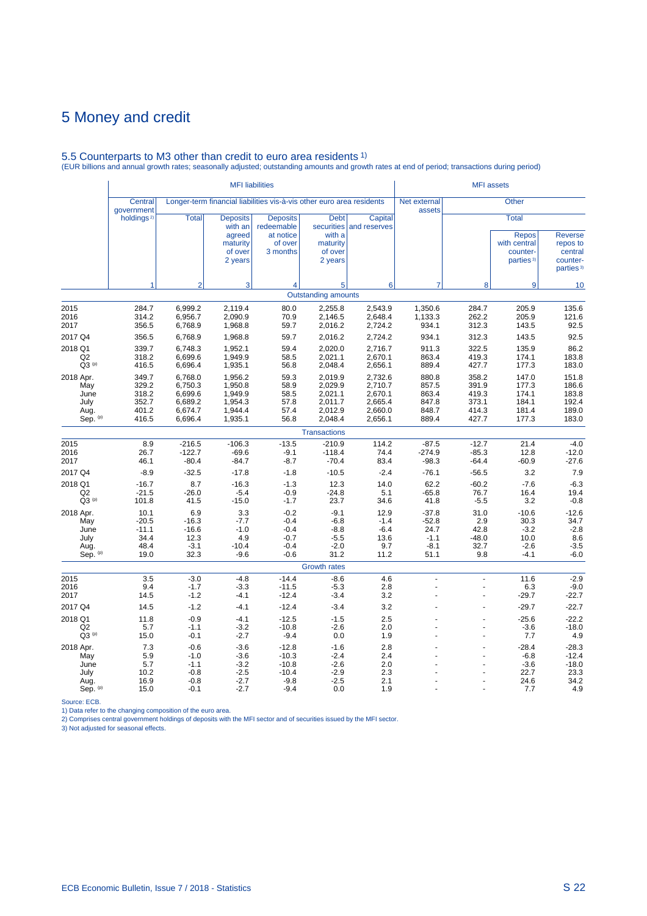# 5.5 Counterparts to M3 other than credit to euro area residents 1) (EUR billions and annual growth rates; seasonally adjusted; outstanding amounts and growth rates at end of period; transactions during period)

|                                                      |                                                    |                                                                | <b>MFI</b> liabilities                                                 |                                                                       |                                                                |                                                                | <b>MFI</b> assets                                      |                                                    |                                                                                   |                                                                            |  |
|------------------------------------------------------|----------------------------------------------------|----------------------------------------------------------------|------------------------------------------------------------------------|-----------------------------------------------------------------------|----------------------------------------------------------------|----------------------------------------------------------------|--------------------------------------------------------|----------------------------------------------------|-----------------------------------------------------------------------------------|----------------------------------------------------------------------------|--|
|                                                      | Central<br>government                              |                                                                |                                                                        | Longer-term financial liabilities vis-à-vis other euro area residents |                                                                |                                                                | Net external<br>assets                                 |                                                    | <b>Other</b>                                                                      |                                                                            |  |
|                                                      | holdings <sup>2)</sup>                             | <b>Total</b>                                                   | <b>Deposits</b><br>with an<br>agreed<br>maturity<br>of over<br>2 years | <b>Deposits</b><br>redeemable<br>at notice<br>of over<br>3 months     | <b>Debt</b><br>with a<br>maturity<br>of over<br>2 years        | Capital<br>securities and reserves                             |                                                        |                                                    | <b>Total</b><br><b>Repos</b><br>with central<br>counter-<br>parties <sup>3)</sup> | <b>Reverse</b><br>repos to<br>central<br>counter-<br>parties <sup>3)</sup> |  |
|                                                      | 1                                                  | $\overline{2}$                                                 | 3                                                                      | 4                                                                     | 5                                                              | 6                                                              | $\overline{7}$                                         | 8                                                  | 9                                                                                 | 10                                                                         |  |
|                                                      |                                                    |                                                                |                                                                        |                                                                       | <b>Outstanding amounts</b>                                     |                                                                |                                                        |                                                    |                                                                                   |                                                                            |  |
| 2015<br>2016<br>2017                                 | 284.7<br>314.2<br>356.5                            | 6,999.2<br>6,956.7<br>6,768.9                                  | 2,119.4<br>2,090.9<br>1,968.8                                          | 80.0<br>70.9<br>59.7                                                  | 2,255.8<br>2,146.5<br>2,016.2                                  | 2,543.9<br>2,648.4<br>2,724.2                                  | 1,350.6<br>1,133.3<br>934.1                            | 284.7<br>262.2<br>312.3                            | 205.9<br>205.9<br>143.5                                                           | 135.6<br>121.6<br>92.5                                                     |  |
| 2017 Q4                                              | 356.5                                              | 6,768.9                                                        | 1,968.8                                                                | 59.7                                                                  | 2,016.2                                                        | 2,724.2                                                        | 934.1                                                  | 312.3                                              | 143.5                                                                             | 92.5                                                                       |  |
| 2018 Q1<br>Q2<br>$Q3^{(p)}$                          | 339.7<br>318.2<br>416.5                            | 6,748.3<br>6,699.6<br>6,696.4                                  | 1,952.1<br>1,949.9<br>1,935.1                                          | 59.4<br>58.5<br>56.8                                                  | 2,020.0<br>2,021.1<br>2,048.4                                  | 2,716.7<br>2,670.1<br>2,656.1                                  | 911.3<br>863.4<br>889.4                                | 322.5<br>419.3<br>427.7                            | 135.9<br>174.1<br>177.3                                                           | 86.2<br>183.8<br>183.0                                                     |  |
| 2018 Apr.<br>May<br>June<br>July<br>Aug.<br>Sep. (p) | 349.7<br>329.2<br>318.2<br>352.7<br>401.2<br>416.5 | 6,768.0<br>6,750.3<br>6,699.6<br>6,689.2<br>6,674.7<br>6,696.4 | 1,956.2<br>1,950.8<br>1,949.9<br>1,954.3<br>1,944.4<br>1,935.1         | 59.3<br>58.9<br>58.5<br>57.8<br>57.4<br>56.8                          | 2,019.9<br>2,029.9<br>2,021.1<br>2,011.7<br>2,012.9<br>2,048.4 | 2,732.6<br>2,710.7<br>2,670.1<br>2,665.4<br>2,660.0<br>2,656.1 | 880.8<br>857.5<br>863.4<br>847.8<br>848.7<br>889.4     | 358.2<br>391.9<br>419.3<br>373.1<br>414.3<br>427.7 | 147.0<br>177.3<br>174.1<br>184.1<br>181.4<br>177.3                                | 151.8<br>186.6<br>183.8<br>192.4<br>189.0<br>183.0                         |  |
|                                                      |                                                    |                                                                |                                                                        |                                                                       | <b>Transactions</b>                                            |                                                                |                                                        |                                                    |                                                                                   |                                                                            |  |
| 2015<br>2016<br>2017                                 | 8.9<br>26.7<br>46.1                                | $-216.5$<br>$-122.7$<br>$-80.4$                                | $-106.3$<br>$-69.6$<br>$-84.7$                                         | $-13.5$<br>$-9.1$<br>$-8.7$                                           | $-210.9$<br>$-118.4$<br>$-70.4$                                | 114.2<br>74.4<br>83.4                                          | $-87.5$<br>$-274.9$<br>$-98.3$                         | $-12.7$<br>$-85.3$<br>$-64.4$                      | 21.4<br>12.8<br>$-60.9$                                                           | $-4.0$<br>$-12.0$<br>$-27.6$                                               |  |
| 2017 Q4<br>2018 Q1<br>Q2<br>$Q3^{(p)}$               | $-8.9$<br>$-16.7$<br>$-21.5$<br>101.8              | $-32.5$<br>8.7<br>$-26.0$<br>41.5                              | $-17.8$<br>$-16.3$<br>$-5.4$<br>$-15.0$                                | $-1.8$<br>$-1.3$<br>$-0.9$<br>$-1.7$                                  | $-10.5$<br>12.3<br>$-24.8$<br>23.7                             | $-2.4$<br>14.0<br>5.1<br>34.6                                  | $-76.1$<br>62.2<br>$-65.8$<br>41.8                     | $-56.5$<br>$-60.2$<br>76.7<br>$-5.5$               | 3.2<br>$-7.6$<br>16.4<br>3.2                                                      | 7.9<br>$-6.3$<br>19.4<br>$-0.8$                                            |  |
| 2018 Apr.<br>May<br>June<br>July<br>Aug.<br>Sep. (p) | 10.1<br>$-20.5$<br>$-11.1$<br>34.4<br>48.4<br>19.0 | 6.9<br>$-16.3$<br>$-16.6$<br>12.3<br>$-3.1$<br>32.3            | 3.3<br>$-7.7$<br>$-1.0$<br>4.9<br>$-10.4$<br>$-9.6$                    | $-0.2$<br>$-0.4$<br>$-0.4$<br>$-0.7$<br>$-0.4$<br>$-0.6$              | $-9.1$<br>$-6.8$<br>$-8.8$<br>$-5.5$<br>$-2.0$<br>31.2         | 12.9<br>$-1.4$<br>$-6.4$<br>13.6<br>9.7<br>11.2                | $-37.8$<br>$-52.8$<br>24.7<br>$-1.1$<br>$-8.1$<br>51.1 | 31.0<br>2.9<br>42.8<br>$-48.0$<br>32.7<br>9.8      | $-10.6$<br>30.3<br>$-3.2$<br>10.0<br>$-2.6$<br>$-4.1$                             | $-12.6$<br>34.7<br>$-2.8$<br>8.6<br>$-3.5$<br>$-6.0$                       |  |
|                                                      |                                                    |                                                                |                                                                        |                                                                       | Growth rates                                                   |                                                                |                                                        |                                                    |                                                                                   |                                                                            |  |
| 2015<br>2016<br>2017                                 | 3.5<br>9.4<br>14.5                                 | $-3.0$<br>$-1.7$<br>$-1.2$                                     | $-4.8$<br>$-3.3$<br>$-4.1$                                             | $-14.4$<br>$-11.5$<br>$-12.4$                                         | $-8.6$<br>$-5.3$<br>$-3.4$                                     | 4.6<br>2.8<br>3.2                                              | L.<br>L                                                | L.<br>Ĭ.                                           | 11.6<br>6.3<br>$-29.7$                                                            | $-2.9$<br>$-9.0$<br>$-22.7$                                                |  |
| 2017 Q4                                              | 14.5                                               | $-1.2$                                                         | $-4.1$                                                                 | $-12.4$                                                               | $-3.4$                                                         | 3.2                                                            |                                                        |                                                    | $-29.7$                                                                           | $-22.7$                                                                    |  |
| 2018 Q1<br>Q2<br>$Q3^{(p)}$                          | 11.8<br>5.7<br>15.0                                | $-0.9$<br>$-1.1$<br>$-0.1$                                     | $-4.1$<br>$-3.2$<br>$-2.7$                                             | $-12.5$<br>$-10.8$<br>$-9.4$                                          | $-1.5$<br>$-2.6$<br>0.0                                        | 2.5<br>2.0<br>1.9                                              |                                                        |                                                    | $-25.6$<br>$-3.6$<br>7.7                                                          | $-22.2$<br>$-18.0$<br>4.9                                                  |  |
| 2018 Apr.<br>May<br>June<br>July<br>Aug.<br>Sep. (p) | 7.3<br>5.9<br>5.7<br>10.2<br>16.9<br>15.0          | $-0.6$<br>$-1.0$<br>$-1.1$<br>$-0.8$<br>$-0.8$<br>$-0.1$       | $-3.6$<br>$-3.6$<br>$-3.2$<br>$-2.5$<br>$-2.7$<br>$-2.7$               | $-12.8$<br>$-10.3$<br>$-10.8$<br>$-10.4$<br>$-9.8$<br>$-9.4$          | $-1.6$<br>$-2.4$<br>$-2.6$<br>$-2.9$<br>$-2.5$<br>0.0          | 2.8<br>2.4<br>2.0<br>2.3<br>2.1<br>1.9                         |                                                        |                                                    | $-28.4$<br>$-6.8$<br>$-3.6$<br>22.7<br>24.6<br>7.7                                | $-28.3$<br>$-12.4$<br>$-18.0$<br>23.3<br>34.2<br>4.9                       |  |

Source: ECB.<br>1) Data refer to the changing composition of the euro area.<br>2) Comprises central government holdings of deposits with the MFI sector and of securities issued by the MFI sector.<br>3) Not adjusted for seasonal eff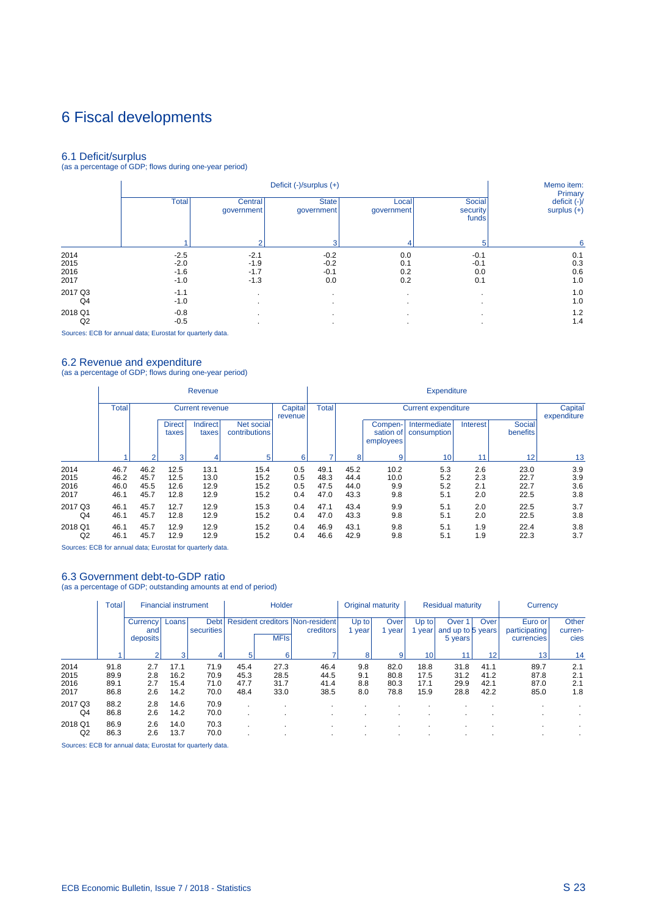# 6 Fiscal developments

6.1 Deficit/surplus (as a percentage of GDP; flows during one-year period)

|         |              |                       | Deficit (-)/surplus (+)    |                     |                             | Memo item:<br>Primary           |
|---------|--------------|-----------------------|----------------------------|---------------------|-----------------------------|---------------------------------|
|         | <b>Total</b> | Central<br>government | <b>State</b><br>government | Local<br>government | Social<br>security<br>funds | deficit $(-)/$<br>surplus $(+)$ |
|         |              | $\Omega$              | з                          | 4                   | 5                           | 6                               |
| 2014    | $-2.5$       | $-2.1$                | $-0.2$                     | 0.0                 | $-0.1$                      | 0.1                             |
| 2015    | $-2.0$       | $-1.9$                | $-0.2$                     | 0.1                 | $-0.1$                      | 0.3                             |
| 2016    | $-1.6$       | $-1.7$                | $-0.1$                     | 0.2                 | 0.0                         | 0.6                             |
| 2017    | $-1.0$       | $-1.3$                | 0.0                        | 0.2                 | 0.1                         | 1.0                             |
| 2017 Q3 | $-1.1$       | $\cdot$               |                            | $\cdot$             |                             | 1.0                             |
| Q4      | $-1.0$       | $\cdot$               |                            | $\cdot$             |                             | 1.0                             |
| 2018 Q1 | $-0.8$       |                       |                            | $\cdot$             |                             | 1.2                             |
| Q2      | $-0.5$       | $\cdot$               |                            |                     |                             | 1.4                             |

Sources: ECB for annual data; Eurostat for quarterly data.

i.

6.2 Revenue and expenditure (as a percentage of GDP; flows during one-year period)

|                |              |        |                        | Revenue                |                             |                    | <b>Expenditure</b> |      |                                   |                             |          |                    |                        |  |
|----------------|--------------|--------|------------------------|------------------------|-----------------------------|--------------------|--------------------|------|-----------------------------------|-----------------------------|----------|--------------------|------------------------|--|
|                | <b>Total</b> |        |                        | <b>Current revenue</b> |                             | Capital<br>revenue | <b>Total</b>       |      |                                   | <b>Current expenditure</b>  |          |                    | Capital<br>expenditure |  |
|                |              |        | <b>Direct</b><br>taxes | Indirect<br>taxes      | Net social<br>contributions |                    |                    |      | Compen-<br>sation of<br>employees | Intermediate<br>consumption | Interest | Social<br>benefits |                        |  |
|                |              | $\sim$ | 3                      | 4                      | 5                           | 6                  | ۰,                 | 8    | 9                                 | 10                          | 11       | 12                 | 13                     |  |
| 2014           | 46.7         | 46.2   | 12.5                   | 13.1                   | 15.4                        | 0.5                | 49.1               | 45.2 | 10.2                              | 5.3                         | 2.6      | 23.0               | 3.9                    |  |
| 2015           | 46.2         | 45.7   | 12.5                   | 13.0                   | 15.2                        | 0.5                | 48.3               | 44.4 | 10.0                              | 5.2                         | 2.3      | 22.7               | 3.9                    |  |
| 2016           | 46.0         | 45.5   | 12.6                   | 12.9                   | 15.2                        | 0.5                | 47.5               | 44.0 | 9.9                               | 5.2                         | 2.1      | 22.7               | 3.6                    |  |
| 2017           | 46.1         | 45.7   | 12.8                   | 12.9                   | 15.2                        | 0.4                | 47.0               | 43.3 | 9.8                               | 5.1                         | 2.0      | 22.5               | 3.8                    |  |
| 2017 Q3        | 46.1         | 45.7   | 12.7                   | 12.9                   | 15.3                        | 0.4                | 47.1               | 43.4 | 9.9                               | 5.1                         | 2.0      | 22.5               | 3.7                    |  |
| Q4             | 46.1         | 45.7   | 12.8                   | 12.9                   | 15.2                        | 0.4                | 47.0               | 43.3 | 9.8                               | 5.1                         | 2.0      | 22.5               | 3.8                    |  |
| 2018 Q1        | 46.1         | 45.7   | 12.9                   | 12.9                   | 15.2                        | 0.4                | 46.9               | 43.1 | 9.8                               | 5.1                         | 1.9      | 22.4               | 3.8                    |  |
| Q <sub>2</sub> | 46.1         | 45.7   | 12.9                   | 12.9                   | 15.2                        | 0.4                | 46.6               | 42.9 | 9.8                               | 5.1                         | 1.9      | 22.3               | 3.7                    |  |

Sources: ECB for annual data; Eurostat for quarterly data.

## 6.3 Government debt-to-GDP ratio

(as a percentage of GDP; outstanding amounts at end of period)

|                              | Total                        |                                    | <b>Financial instrument</b>  |                              |                              | Holder                       |                                              | Original maturity        |                              | <b>Residual maturity</b>     |                                                   |                              | Currency                               |                          |
|------------------------------|------------------------------|------------------------------------|------------------------------|------------------------------|------------------------------|------------------------------|----------------------------------------------|--------------------------|------------------------------|------------------------------|---------------------------------------------------|------------------------------|----------------------------------------|--------------------------|
|                              |                              | <b>Currency</b><br>and<br>deposits | Loans                        | <b>Debt</b><br>securities    |                              | <b>MFIs</b>                  | Resident creditors Non-resident<br>creditors | $Up$ to<br>year          | Over<br>vear                 | Up to<br>year                | Over <sup>1</sup><br>and up to 5 years<br>5 years | Over                         | Euro or<br>participating<br>currencies | Other<br>curren-<br>cies |
|                              |                              |                                    | 3                            | 4                            | 5                            | 6                            |                                              | 8                        | 9                            | 10                           |                                                   | 12                           | 13 <sub>1</sub>                        | 14                       |
| 2014<br>2015<br>2016<br>2017 | 91.8<br>89.9<br>89.1<br>86.8 | 2.7<br>2.8<br>2.7<br>2.6           | 17.1<br>16.2<br>15.4<br>14.2 | 71.9<br>70.9<br>71.0<br>70.0 | 45.4<br>45.3<br>47.7<br>48.4 | 27.3<br>28.5<br>31.7<br>33.0 | 46.4<br>44.5<br>41.4<br>38.5                 | 9.8<br>9.1<br>8.8<br>8.0 | 82.0<br>80.8<br>80.3<br>78.8 | 18.8<br>17.5<br>17.1<br>15.9 | 31.8<br>31.2<br>29.9<br>28.8                      | 41.1<br>41.2<br>42.1<br>42.2 | 89.7<br>87.8<br>87.0<br>85.0           | 2.1<br>2.1<br>2.1<br>1.8 |
| 2017 Q3<br>Q4                | 88.2<br>86.8                 | 2.8<br>2.6                         | 14.6<br>14.2                 | 70.9<br>70.0                 |                              |                              |                                              |                          |                              |                              |                                                   |                              |                                        |                          |
| 2018 Q1<br>Q2                | 86.9<br>86.3                 | 2.6<br>2.6                         | 14.0<br>13.7                 | 70.3<br>70.0                 |                              |                              |                                              |                          |                              |                              |                                                   |                              |                                        |                          |

Sources: ECB for annual data; Eurostat for quarterly data.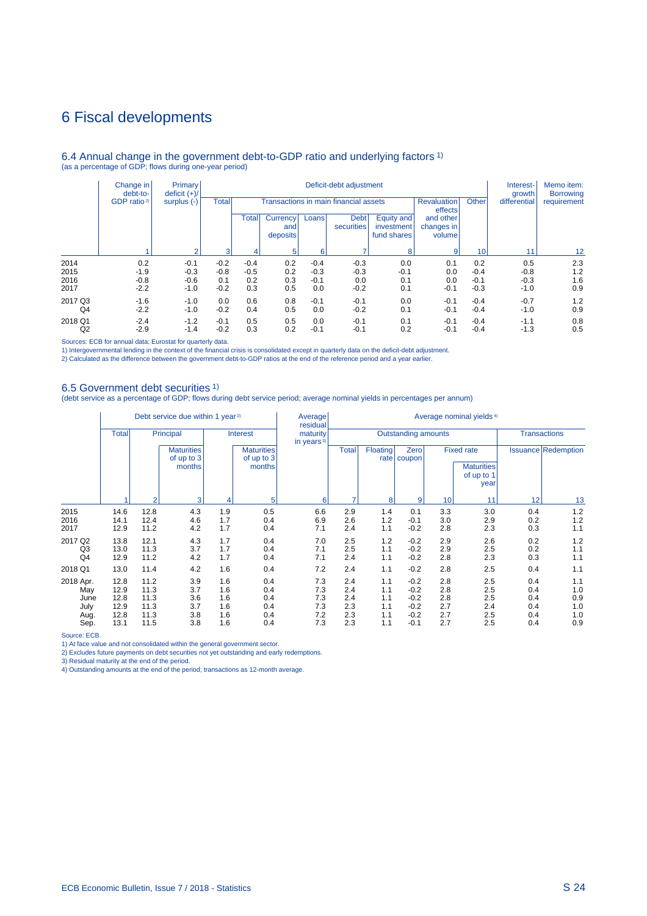## 6 Fiscal developments

### 6.4 Annual change in the government debt-to-GDP ratio and underlying factors 1) (as a percentage of GDP; flows during one-year period)

|                | Change in<br>debt-to-<br>GDP ratio <sup>2)</sup> | <b>Primary</b><br>deficit $(+)/$<br>surplus $(-)$<br>$\sim$ | Deficit-debt adjustment |                                                                        |                             |            |                           |                                              |                                                     |        | Interest-<br>growth | Memo item:<br><b>Borrowing</b> |
|----------------|--------------------------------------------------|-------------------------------------------------------------|-------------------------|------------------------------------------------------------------------|-----------------------------|------------|---------------------------|----------------------------------------------|-----------------------------------------------------|--------|---------------------|--------------------------------|
|                |                                                  |                                                             | Total                   | Transactions in main financial assets<br><b>Revaluation</b><br>effects |                             |            |                           |                                              |                                                     | Other  | differential        | requirement                    |
|                |                                                  |                                                             |                         | Total<br>3                                                             | Currency<br>and<br>deposits | Loans<br>6 | <b>Debt</b><br>securities | Equity and<br>investment<br>fund shares<br>8 | and other<br>changes in<br>volume<br>$\overline{9}$ | 10     | 11                  | $12 \overline{ }$              |
|                |                                                  |                                                             |                         |                                                                        |                             |            |                           |                                              |                                                     |        |                     |                                |
| 2014           | 0.2                                              | $-0.1$                                                      | $-0.2$                  | $-0.4$                                                                 | 0.2                         | $-0.4$     | $-0.3$                    | 0.0                                          | 0.1                                                 | 0.2    | 0.5                 | 2.3                            |
| 2015           | $-1.9$                                           | $-0.3$                                                      | $-0.8$                  | $-0.5$                                                                 | 0.2                         | $-0.3$     | $-0.3$                    | $-0.1$                                       | 0.0                                                 | $-0.4$ | $-0.8$              | 1.2                            |
| 2016           | $-0.8$                                           | $-0.6$                                                      | 0.1                     | 0.2                                                                    | 0.3                         | $-0.1$     | 0.0                       | 0.1                                          | 0.0                                                 | $-0.1$ | $-0.3$              | 1.6                            |
| 2017           | $-2.2$                                           | $-1.0$                                                      | $-0.2$                  | 0.3                                                                    | 0.5                         | 0.0        | $-0.2$                    | 0.1                                          | $-0.1$                                              | $-0.3$ | $-1.0$              | 0.9                            |
| 2017 Q3        | $-1.6$                                           | $-1.0$                                                      | 0.0                     | 0.6                                                                    | 0.8                         | $-0.1$     | $-0.1$                    | 0.0                                          | $-0.1$                                              | $-0.4$ | $-0.7$              | 1.2                            |
| Q <sub>4</sub> | $-2.2$                                           | $-1.0$                                                      | $-0.2$                  | 0.4                                                                    | 0.5                         | 0.0        | $-0.2$                    | 0.1                                          | $-0.1$                                              | $-0.4$ | $-1.0$              | 0.9                            |
| 2018 Q1        | $-2.4$                                           | $-1.2$                                                      | $-0.1$                  | 0.5                                                                    | 0.5                         | 0.0        | $-0.1$                    | 0.1                                          | $-0.1$                                              | $-0.4$ | $-1.1$              | 0.8                            |
| Q <sub>2</sub> | $-2.9$                                           | $-1.4$                                                      | $-0.2$                  | 0.3                                                                    | 0.2                         | $-0.1$     | $-0.1$                    | 0.2                                          | $-0.1$                                              | $-0.4$ | $-1.3$              | 0.5                            |

Sources: ECB for annual data; Eurostat for quarterly data.

1) Intergovernmental lending in the context of the financial crisis is consolidated except in quarterly data on the deficit-debt adjustment.<br>2) Calculated as the difference between the government debt-to-GDP ratios at the

### 6.5 Government debt securities 1)

(debt service as a percentage of GDP; flows during debt service period; average nominal yields in percentages per annum)

|                                  | Debt service due within 1 year <sup>2)</sup> |                              |                                           |                          |                                           | Average<br>residual       | Average nominal yields <sup>4)</sup> |                          |                                      |                          |                                                              |                          |                            |
|----------------------------------|----------------------------------------------|------------------------------|-------------------------------------------|--------------------------|-------------------------------------------|---------------------------|--------------------------------------|--------------------------|--------------------------------------|--------------------------|--------------------------------------------------------------|--------------------------|----------------------------|
|                                  | <b>Total</b>                                 | Principal                    |                                           | <b>Interest</b>          |                                           | maturity<br>in years $3)$ | Outstanding amounts                  |                          |                                      |                          |                                                              | <b>Transactions</b>      |                            |
|                                  |                                              |                              | <b>Maturities</b><br>of up to 3<br>months |                          | <b>Maturities</b><br>of up to 3<br>months |                           | <b>Total</b>                         | <b>Floating</b>          | Zero<br>rate   coupon                |                          | <b>Fixed rate</b><br><b>Maturities</b><br>of up to 1<br>year |                          | <b>Issuance Redemption</b> |
|                                  |                                              | $\overline{2}$               | 3                                         | 4                        | 5                                         | 6                         |                                      | 8                        | 9                                    | 10                       | 11                                                           | 12                       | 13                         |
| 2015<br>2016<br>2017             | 14.6<br>14.1<br>12.9                         | 12.8<br>12.4<br>11.2         | 4.3<br>4.6<br>4.2                         | 1.9<br>1.7<br>1.7        | 0.5<br>0.4<br>0.4                         | 6.6<br>6.9<br>7.1         | 2.9<br>2.6<br>2.4                    | 1.4<br>1.2<br>1.1        | 0.1<br>$-0.1$<br>$-0.2$              | 3.3<br>3.0<br>2.8        | 3.0<br>2.9<br>2.3                                            | 0.4<br>0.2<br>0.3        | 1.2<br>1.2<br>1.1          |
| 2017 Q2<br>Q3<br>Q <sub>4</sub>  | 13.8<br>13.0<br>12.9                         | 12.1<br>11.3<br>11.2         | 4.3<br>3.7<br>4.2                         | 1.7<br>1.7<br>1.7        | 0.4<br>0.4<br>0.4                         | 7.0<br>7.1<br>7.1         | 2.5<br>2.5<br>2.4                    | 1.2<br>1.1<br>1.1        | $-0.2$<br>$-0.2$<br>$-0.2$           | 2.9<br>2.9<br>2.8        | 2.6<br>2.5<br>2.3                                            | 0.2<br>0.2<br>0.3        | 1.2<br>1.1<br>1.1          |
| 2018 Q1                          | 13.0                                         | 11.4                         | 4.2                                       | 1.6                      | 0.4                                       | 7.2                       | 2.4                                  | 1.1                      | $-0.2$                               | 2.8                      | 2.5                                                          | 0.4                      | 1.1                        |
| 2018 Apr.<br>May<br>June<br>July | 12.8<br>12.9<br>12.8<br>12.9                 | 11.2<br>11.3<br>11.3<br>11.3 | 3.9<br>3.7<br>3.6<br>3.7                  | 1.6<br>1.6<br>1.6<br>1.6 | 0.4<br>0.4<br>0.4<br>0.4                  | 7.3<br>7.3<br>7.3<br>7.3  | 2.4<br>2.4<br>2.4<br>2.3             | 1.1<br>1.1<br>1.1<br>1.1 | $-0.2$<br>$-0.2$<br>$-0.2$<br>$-0.2$ | 2.8<br>2.8<br>2.8<br>2.7 | 2.5<br>2.5<br>2.5<br>2.4                                     | 0.4<br>0.4<br>0.4<br>0.4 | 1.1<br>1.0<br>0.9<br>1.0   |
| Aug.<br>Sep.                     | 12.8<br>13.1                                 | 11.3<br>11.5                 | 3.8<br>3.8                                | 1.6<br>1.6               | 0.4<br>0.4                                | 7.2<br>7.3                | 2.3<br>2.3                           | 1.1<br>1.1               | $-0.2$<br>$-0.1$                     | 2.7<br>2.7               | 2.5<br>2.5                                                   | 0.4<br>0.4               | 1.0<br>0.9                 |

Source: ECB.

1) At face value and not consolidated within the general government sector.

2) Excludes future payments on debt securities not yet outstanding and early redemptions. 3) Residual maturity at the end of the period. 4) Outstanding amounts at the end of the period; transactions as 12-month average.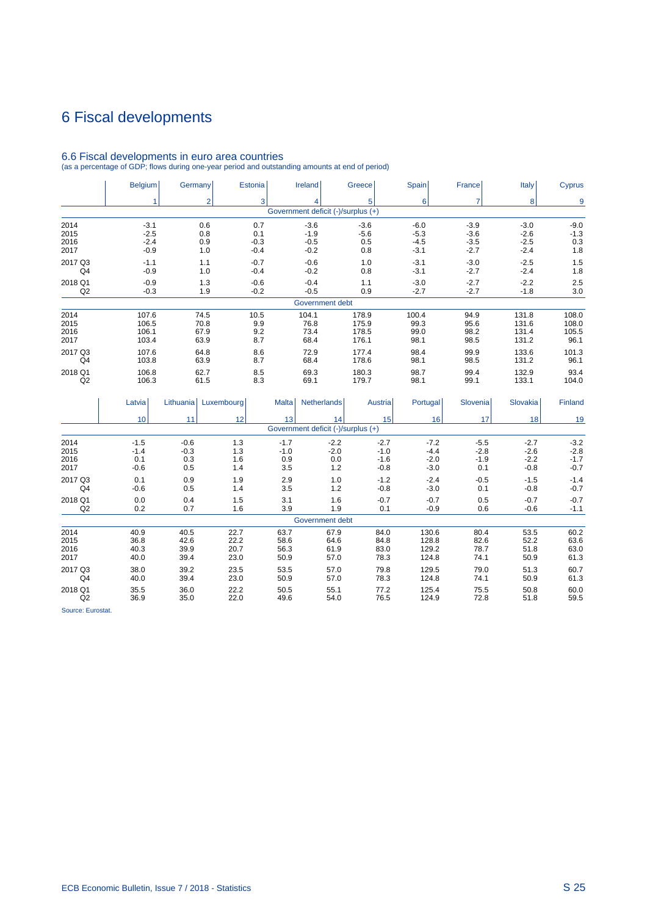# 6 Fiscal developments

|                | <b>Belgium</b> | Germany              | <b>Estonia</b> |              | Ireland                            | Greece  | Spain    | France         | Italy      | <b>Cyprus</b> |
|----------------|----------------|----------------------|----------------|--------------|------------------------------------|---------|----------|----------------|------------|---------------|
|                | 1              | $\overline{2}$       | 3 <sup>1</sup> |              | 4                                  | 5       | 6        | $\overline{7}$ | 8          | 9             |
|                |                |                      |                |              | Government deficit (-)/surplus (+) |         |          |                |            |               |
| 2014           | $-3.1$         | 0.6                  | 0.7            |              | $-3.6$                             | $-3.6$  | $-6.0$   | $-3.9$         | $-3.0$     | $-9.0$        |
| 2015           | $-2.5$         | 0.8                  | 0.1            |              | $-1.9$                             | $-5.6$  | $-5.3$   | $-3.6$         | $-2.6$     | $-1.3$        |
| 2016           | $-2.4$         | 0.9                  | $-0.3$         |              | $-0.5$                             | 0.5     | $-4.5$   | $-3.5$         | $-2.5$     | 0.3           |
| 2017           | $-0.9$         | 1.0                  | $-0.4$         |              | $-0.2$                             | 0.8     | $-3.1$   | $-2.7$         | $-2.4$     | 1.8           |
| 2017 Q3        | $-1.1$         | 1.1                  | $-0.7$         |              | $-0.6$                             | 1.0     | $-3.1$   | $-3.0$         | $-2.5$     | 1.5           |
| Q <sub>4</sub> | $-0.9$         | 1.0                  | $-0.4$         |              | $-0.2$                             | 0.8     | $-3.1$   | $-2.7$         | $-2.4$     | 1.8           |
| 2018 Q1        | $-0.9$         | 1.3                  | $-0.6$         |              | $-0.4$                             | 1.1     | $-3.0$   | $-2.7$         | $-2.2$     | 2.5           |
| Q2             | $-0.3$         | 1.9                  | $-0.2$         |              | $-0.5$                             | 0.9     | $-2.7$   | $-2.7$         | $-1.8$     | 3.0           |
|                |                |                      |                |              | Government debt                    |         |          |                |            |               |
| 2014           | 107.6          | 74.5                 | 10.5           |              | 104.1                              | 178.9   | 100.4    | 94.9           | 131.8      | 108.0         |
| 2015           | 106.5          | 70.8                 | 9.9            |              | 76.8<br>175.9                      |         | 99.3     | 95.6           | 131.6      | 108.0         |
| 2016           | 106.1          | 67.9                 | 9.2            |              | 73.4                               | 178.5   | 99.0     | 98.2           | 131.4      | 105.5         |
| 2017           | 103.4          | 63.9                 | 8.7            |              | 68.4                               | 176.1   | 98.1     | 98.5           | 131.2      | 96.1          |
| 2017 Q3        | 107.6          | 64.8                 | 8.6            |              | 72.9                               | 177.4   | 98.4     | 99.9           | 133.6      | 101.3         |
| Q <sub>4</sub> | 103.8          | 63.9                 | 8.7            |              | 68.4                               | 178.6   | 98.1     | 98.5           | 131.2      | 96.1          |
| 2018 Q1        | 106.8          | 62.7                 | 8.5            |              | 69.3                               | 180.3   | 98.7     | 99.4           | 132.9      | 93.4          |
| Q2             | 106.3          | 61.5                 | 8.3            |              | 69.1                               | 179.7   | 98.1     | 99.1           | 133.1      | 104.0         |
|                | Latvia         | Lithuania Luxembourg |                | <b>Malta</b> | <b>Netherlands</b>                 | Austria | Portugal | Slovenia       | Slovakia   | Finland       |
|                | 10             | 11                   | 12             | 13           | 14                                 | 15      | 16       | 17             | 18         | 19            |
|                |                |                      |                |              | Government deficit (-)/surplus (+) |         |          |                |            |               |
| 2014           | $-1.5$         | $-0.6$               | 1.3            | $-1.7$       | $-2.2$                             | $-2.7$  | $-7.2$   | $-5.5$         | $-2.7$     | $-3.2$        |
| 2015           | $-1.4$         | $-0.3$               | 1.3            | $-1.0$       | $-2.0$                             | $-1.0$  | $-4.4$   | $-2.8$         | $-2.6$     | $-2.8$        |
| 2016           | 0.1            | 0.3                  | 1.6            | 0.9          | 0.0                                | $-1.6$  | $-2.0$   | $-1.9$         | $-2.2$     | $-1.7$        |
| 2017           | $-0.6$         | 0.5                  | 1.4            | 3.5          | $1.2$                              | $-0.8$  | $-3.0$   | 0.1            | $-0.8$     | $-0.7$        |
| 2017 Q3        | 0.1            | 0.9                  | 1.9            | 2.9          | 1.0                                | $-1.2$  | $-2.4$   | $-0.5$         | $-1.5$     | $-1.4$        |
| Q4             | $-0.6$         | 0.5                  | 1.4            | 3.5          | 1.2                                | $-0.8$  | $-3.0$   | 0.1            | $-0.8$     | $-0.7$        |
| 2018 Q1        | 0.0            | 0.4                  | 1.5            | 3.1          | 1.6                                | $-0.7$  | $-0.7$   | 0.5            | $-0.7$     | $-0.7$        |
| Q2             | 0.2            | 0.7                  | 1.6            | 3.9          | 1.9                                | 0.1     | $-0.9$   | 0.6            | $-0.6$     | $-1.1$        |
|                |                |                      |                |              | Government debt                    |         |          |                |            |               |
| 2011           | 40.0           | AOE                  | 22.7           | 627          | 67 Q                               | 910     | 120E     | 90A            | <b>E2F</b> | GO 2          |

6.6 Fiscal developments in euro area countries (as a percentage of GDP; flows during one-year period and outstanding amounts at end of period)

2014 40.9 40.5 22.7 63.7 67.9 84.0 130.6 80.4 53.5 60.2 2015 36.8 42.6 22.2 58.6 64.6 84.8 128.8 82.6 52.2 63.6 2016 40.3 39.9 20.7 56.3 61.9 83.0 129.2 78.7 51.8 63.0 2017 40.0 39.4 23.0 50.9 57.0 78.3 124.8 74.1 50.9 61.3 2017 Q3 38.0 39.2 23.5 53.5 57.0 79.8 129.5 79.0 51.3 60.7 Q4 40.0 39.4 23.0 50.9 57.0 78.3 124.8 74.1 50.9 61.3 2018 Q1 35.5 36.0 22.2 50.5 55.1 77.2 125.4 75.5 50.8 60.0 Q2 36.9 35.0 22.0 49.6 54.0 76.5 124.9 72.8 51.8 59.5

Source: Eurostat.